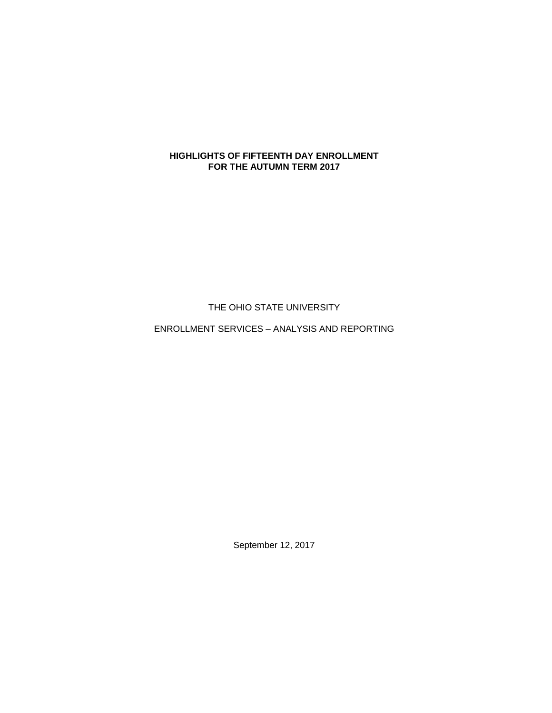## **HIGHLIGHTS OF FIFTEENTH DAY ENROLLMENT FOR THE AUTUMN TERM 2017**

THE OHIO STATE UNIVERSITY

ENROLLMENT SERVICES – ANALYSIS AND REPORTING

September 12, 2017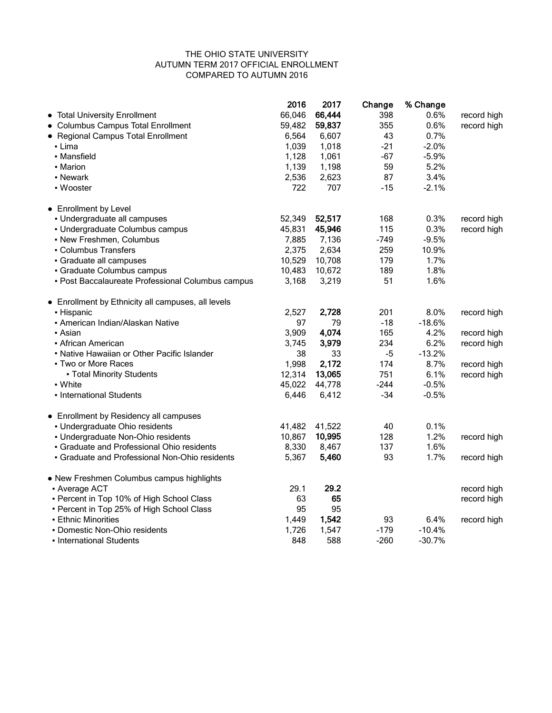## THE OHIO STATE UNIVERSITY AUTUMN TERM 2017 OFFICIAL ENROLLMENT COMPARED TO AUTUMN 2016

|                                                    | 2016   | 2017   | Change | % Change |             |
|----------------------------------------------------|--------|--------|--------|----------|-------------|
| • Total University Enrollment                      | 66,046 | 66,444 | 398    | 0.6%     | record high |
| • Columbus Campus Total Enrollment                 | 59,482 | 59,837 | 355    | 0.6%     | record high |
| • Regional Campus Total Enrollment                 | 6,564  | 6,607  | 43     | 0.7%     |             |
| • Lima                                             | 1,039  | 1,018  | $-21$  | $-2.0%$  |             |
| • Mansfield                                        | 1,128  | 1,061  | $-67$  | $-5.9%$  |             |
| • Marion                                           | 1,139  | 1,198  | 59     | 5.2%     |             |
| • Newark                                           | 2,536  | 2,623  | 87     | 3.4%     |             |
| • Wooster                                          | 722    | 707    | $-15$  | $-2.1%$  |             |
| • Enrollment by Level                              |        |        |        |          |             |
| · Undergraduate all campuses                       | 52,349 | 52,517 | 168    | 0.3%     | record high |
| - Undergraduate Columbus campus                    | 45,831 | 45,946 | 115    | 0.3%     | record high |
| - New Freshmen, Columbus                           | 7,885  | 7,136  | $-749$ | $-9.5%$  |             |
| - Columbus Transfers                               | 2,375  | 2,634  | 259    | 10.9%    |             |
| · Graduate all campuses                            | 10,529 | 10,708 | 179    | 1.7%     |             |
| · Graduate Columbus campus                         | 10,483 | 10,672 | 189    | 1.8%     |             |
| - Post Baccalaureate Professional Columbus campus  | 3,168  | 3,219  | 51     | 1.6%     |             |
| • Enrollment by Ethnicity all campuses, all levels |        |        |        |          |             |
| • Hispanic                                         | 2,527  | 2,728  | 201    | 8.0%     | record high |
| - American Indian/Alaskan Native                   | 97     | 79     | $-18$  | $-18.6%$ |             |
| • Asian                                            | 3,909  | 4,074  | 165    | 4.2%     | record high |
| • African American                                 | 3,745  | 3,979  | 234    | 6.2%     | record high |
| • Native Hawaiian or Other Pacific Islander        | 38     | 33     | $-5$   | $-13.2%$ |             |
| • Two or More Races                                | 1,998  | 2,172  | 174    | 8.7%     | record high |
| • Total Minority Students                          | 12,314 | 13,065 | 751    | 6.1%     | record high |
| - White                                            | 45,022 | 44,778 | $-244$ | $-0.5%$  |             |
| - International Students                           | 6,446  | 6,412  | $-34$  | $-0.5%$  |             |
| • Enrollment by Residency all campuses             |        |        |        |          |             |
| · Undergraduate Ohio residents                     | 41,482 | 41,522 | 40     | 0.1%     |             |
| • Undergraduate Non-Ohio residents                 | 10,867 | 10,995 | 128    | 1.2%     | record high |
| • Graduate and Professional Ohio residents         | 8,330  | 8,467  | 137    | 1.6%     |             |
| • Graduate and Professional Non-Ohio residents     | 5,367  | 5,460  | 93     | 1.7%     | record high |
| • New Freshmen Columbus campus highlights          |        |        |        |          |             |
| - Average ACT                                      | 29.1   | 29.2   |        |          | record high |
| - Percent in Top 10% of High School Class          | 63     | 65     |        |          | record high |
| • Percent in Top 25% of High School Class          | 95     | 95     |        |          |             |
| <b>- Ethnic Minorities</b>                         | 1,449  | 1,542  | 93     | 6.4%     | record high |
| · Domestic Non-Ohio residents                      | 1,726  | 1,547  | $-179$ | $-10.4%$ |             |
| • International Students                           | 848    | 588    | $-260$ | $-30.7%$ |             |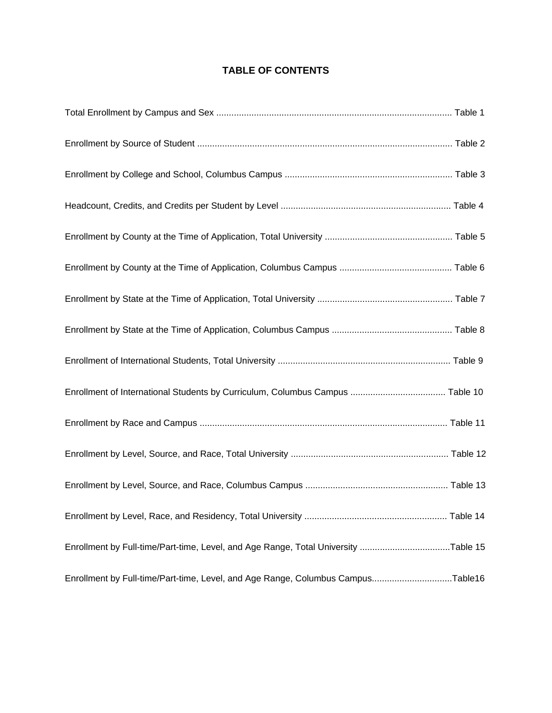## **TABLE OF CONTENTS**

| Enrollment by Full-time/Part-time, Level, and Age Range, Total University Table 15 |  |
|------------------------------------------------------------------------------------|--|
| Enrollment by Full-time/Part-time, Level, and Age Range, Columbus CampusTable16    |  |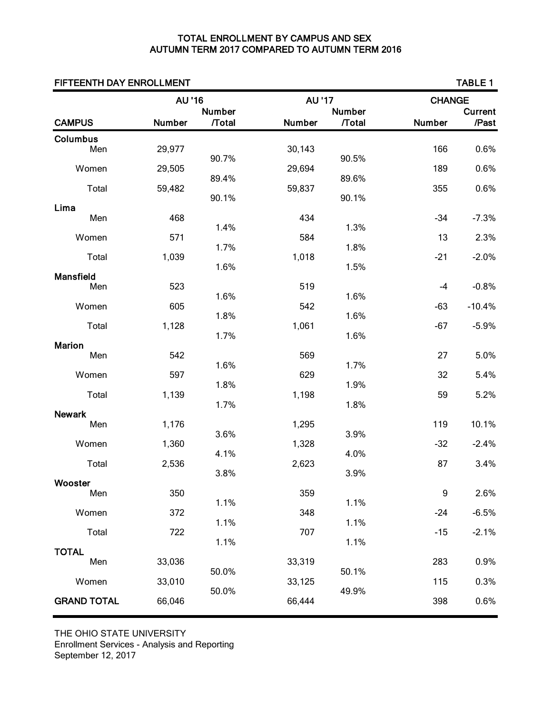## TOTAL ENROLLMENT BY CAMPUS AND SEX AUTUMN TERM 2017 COMPARED TO AUTUMN TERM 2016

| FIFTEENTH DAY ENROLLMENT |        |                               |        |                               |                  | <b>TABLE 1</b>          |
|--------------------------|--------|-------------------------------|--------|-------------------------------|------------------|-------------------------|
|                          | AU '16 |                               | AU '17 |                               | <b>CHANGE</b>    |                         |
| <b>CAMPUS</b>            | Number | <b>Number</b><br><b>Total</b> | Number | <b>Number</b><br><b>Total</b> | Number           | <b>Current</b><br>/Past |
| Columbus                 |        |                               |        |                               |                  |                         |
| Men                      | 29,977 | 90.7%                         | 30,143 | 90.5%                         | 166              | 0.6%                    |
| Women                    | 29,505 |                               | 29,694 |                               | 189              | 0.6%                    |
| Total                    | 59,482 | 89.4%                         | 59,837 | 89.6%                         | 355              | 0.6%                    |
|                          |        | 90.1%                         |        | 90.1%                         |                  |                         |
| Lima<br>Men              | 468    |                               | 434    |                               | $-34$            | $-7.3%$                 |
| Women                    | 571    | 1.4%                          | 584    | 1.3%                          | 13               | 2.3%                    |
|                          |        | 1.7%                          |        | 1.8%                          |                  |                         |
| Total                    | 1,039  | 1.6%                          | 1,018  | 1.5%                          | $-21$            | $-2.0%$                 |
| <b>Mansfield</b><br>Men  | 523    |                               | 519    |                               | $-4$             | $-0.8%$                 |
|                          |        | 1.6%                          |        | 1.6%                          |                  |                         |
| Women                    | 605    | 1.8%                          | 542    | 1.6%                          | $-63$            | $-10.4%$                |
| Total                    | 1,128  | 1.7%                          | 1,061  | 1.6%                          | $-67$            | $-5.9%$                 |
| <b>Marion</b>            |        |                               |        |                               |                  |                         |
| Men                      | 542    | 1.6%                          | 569    | 1.7%                          | 27               | 5.0%                    |
| Women                    | 597    |                               | 629    |                               | 32               | 5.4%                    |
| Total                    | 1,139  | 1.8%                          | 1,198  | 1.9%                          | 59               | 5.2%                    |
| <b>Newark</b>            |        | 1.7%                          |        | 1.8%                          |                  |                         |
| Men                      | 1,176  |                               | 1,295  |                               | 119              | 10.1%                   |
| Women                    | 1,360  | 3.6%                          | 1,328  | 3.9%                          | $-32$            | $-2.4%$                 |
|                          |        | 4.1%                          |        | 4.0%                          |                  |                         |
| Total                    | 2,536  | 3.8%                          | 2,623  | 3.9%                          | 87               | 3.4%                    |
| Wooster<br>Men           | 350    |                               | 359    |                               | $\boldsymbol{9}$ | 2.6%                    |
|                          |        | 1.1%                          |        | 1.1%                          |                  |                         |
| Women                    | 372    | 1.1%                          | 348    | 1.1%                          | $-24$            | $-6.5%$                 |
| Total                    | 722    | 1.1%                          | 707    | 1.1%                          | $-15$            | $-2.1%$                 |
| <b>TOTAL</b>             |        |                               |        |                               |                  |                         |
| Men                      | 33,036 | 50.0%                         | 33,319 | 50.1%                         | 283              | 0.9%                    |
| Women                    | 33,010 |                               | 33,125 |                               | 115              | 0.3%                    |
| <b>GRAND TOTAL</b>       | 66,046 | 50.0%                         | 66,444 | 49.9%                         | 398              | 0.6%                    |
|                          |        |                               |        |                               |                  |                         |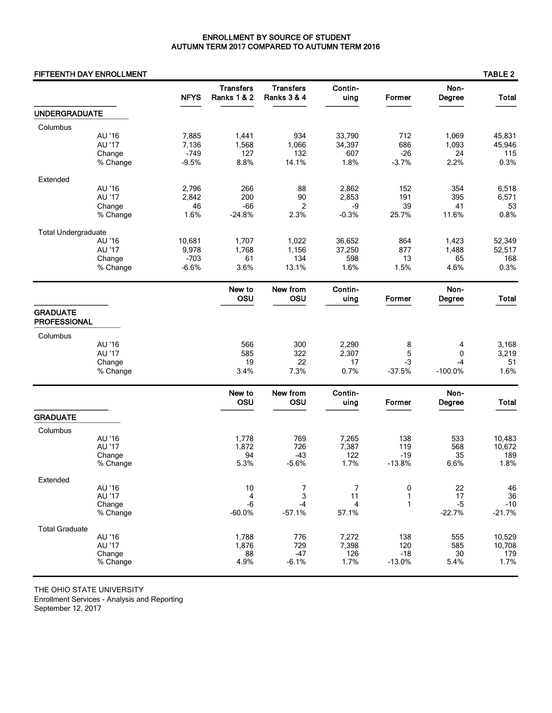## ENROLLMENT BY SOURCE OF STUDENT AUTUMN TERM 2017 COMPARED TO AUTUMN TERM 2016

## FIFTEENTH DAY ENROLLMENT TABLE 2

|                            |                  | <b>NFYS</b> | <b>Transfers</b><br><b>Ranks 1 &amp; 2</b> | <b>Transfers</b><br><b>Ranks 3 &amp; 4</b> | Contin-<br>uing | Former   | Non-<br>Degree | <b>Total</b> |
|----------------------------|------------------|-------------|--------------------------------------------|--------------------------------------------|-----------------|----------|----------------|--------------|
| <b>UNDERGRADUATE</b>       |                  |             |                                            |                                            |                 |          |                |              |
| Columbus                   |                  |             |                                            |                                            |                 |          |                |              |
|                            | AU '16           | 7,885       | 1,441                                      | 934                                        | 33,790          | 712      | 1,069          | 45,831       |
|                            | AU '17           | 7,136       | 1,568                                      | 1,066                                      | 34,397          | 686      | 1,093          | 45,946       |
|                            | Change           | $-749$      | 127                                        | 132                                        | 607             | $-26$    | 24             | 115          |
|                            | % Change         | $-9.5%$     | 8.8%                                       | 14.1%                                      | 1.8%            | $-3.7%$  | 2.2%           | 0.3%         |
| Extended                   |                  |             |                                            |                                            |                 |          |                |              |
|                            | AU '16           | 2,796       | 266                                        | 88                                         | 2,862           | 152      | 354            | 6,518        |
|                            | AU '17           | 2,842       | 200                                        | 90                                         | 2,853           | 191      | 395            | 6,571        |
|                            | Change           | 46          | $-66$                                      | $\overline{c}$                             | -9              | 39       | 41             | 53           |
|                            | % Change         | 1.6%        | $-24.8%$                                   | 2.3%                                       | $-0.3%$         | 25.7%    | 11.6%          | 0.8%         |
| <b>Total Undergraduate</b> |                  |             |                                            |                                            |                 |          |                |              |
|                            | AU '16           | 10,681      | 1,707                                      | 1,022                                      | 36,652          | 864      | 1,423          | 52,349       |
|                            | AU '17           | 9,978       | 1,768                                      | 1,156                                      | 37,250          | 877      | 1,488          | 52,517       |
|                            | Change           | $-703$      | 61                                         | 134                                        | 598             | 13       | 65             | 168          |
|                            | % Change         | $-6.6%$     | 3.6%                                       | 13.1%                                      | 1.6%            | 1.5%     | 4.6%           | 0.3%         |
|                            |                  |             | New to                                     | New from                                   | Contin-         |          | Non-           |              |
|                            |                  |             | OSU                                        | OSU                                        | uing            | Former   | Degree         | <b>Total</b> |
| <b>GRADUATE</b>            |                  |             |                                            |                                            |                 |          |                |              |
| <b>PROFESSIONAL</b>        |                  |             |                                            |                                            |                 |          |                |              |
| Columbus                   |                  |             |                                            |                                            |                 |          |                |              |
|                            | AU '16           |             | 566                                        | 300                                        | 2,290           | 8        | 4              | 3,168        |
|                            | AU '17           |             | 585                                        | 322                                        | 2,307           | 5        | 0              | 3,219        |
|                            | Change           |             | 19                                         | 22                                         | 17              | $-3$     | $-4$           | 51           |
|                            | % Change         |             | 3.4%                                       | 7.3%                                       | 0.7%            | $-37.5%$ | $-100.0%$      | 1.6%         |
|                            |                  |             | New to                                     | New from                                   | Contin-         |          | Non-           |              |
|                            |                  |             | OSU                                        | OSU                                        | uing            | Former   | Degree         | <b>Total</b> |
| <b>GRADUATE</b>            |                  |             |                                            |                                            |                 |          |                |              |
| Columbus                   |                  |             |                                            |                                            |                 |          |                |              |
|                            | AU '16           |             | 1,778                                      | 769                                        | 7,265           | 138      | 533            | 10,483       |
|                            | AU '17           |             | 1,872                                      | 726                                        | 7,387           | 119      | 568            | 10,672       |
|                            | Change           |             | 94                                         | $-43$                                      | 122             | $-19$    | 35             | 189          |
|                            | % Change         |             | 5.3%                                       | $-5.6%$                                    | 1.7%            | $-13.8%$ | 6.6%           | 1.8%         |
| Extended                   |                  |             |                                            |                                            |                 |          |                |              |
|                            | AU '16           |             | 10                                         | 7                                          | 7               | 0        | 22             | 46           |
|                            | AU '17<br>Change |             | 4<br>$-6$                                  | 3<br>$-4$                                  | 11<br>4         | 1<br>1   | 17<br>$-5$     | 36<br>$-10$  |
|                            | % Change         |             | $-60.0%$                                   | $-57.1%$                                   | 57.1%           |          | $-22.7%$       | $-21.7%$     |
| <b>Total Graduate</b>      |                  |             |                                            |                                            |                 |          |                |              |
|                            | AU '16           |             | 1,788                                      | 776                                        | 7,272           | 138      | 555            | 10,529       |
|                            | AU '17           |             | 1,876                                      | 729                                        | 7,398           | 120      | 585            | 10,708       |
|                            | Change           |             | 88                                         | $-47$                                      | 126             | $-18$    | 30             | 179          |
|                            | % Change         |             | 4.9%                                       | $-6.1%$                                    | 1.7%            | $-13.0%$ | 5.4%           | 1.7%         |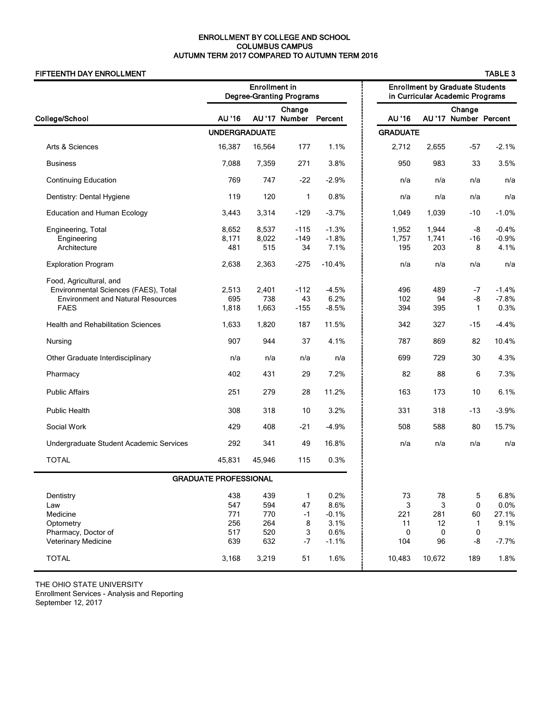## ENROLLMENT BY COLLEGE AND SCHOOL COLUMBUS CAMPUS AUTUMN TERM 2017 COMPARED TO AUTUMN TERM 2016

## FIFTEENTH DAY ENROLLMENT

| . . |  |
|-----|--|
|-----|--|

|                                                                                                                                                                         |                                        | <b>Enrollment in</b>                   | <b>Degree-Granting Programs</b>              |                                                    |                                  | <b>Enrollment by Graduate Students</b><br>in Curricular Academic Programs |                                   |                                          |  |
|-------------------------------------------------------------------------------------------------------------------------------------------------------------------------|----------------------------------------|----------------------------------------|----------------------------------------------|----------------------------------------------------|----------------------------------|---------------------------------------------------------------------------|-----------------------------------|------------------------------------------|--|
| College/School                                                                                                                                                          | AU '16                                 |                                        | Change<br>AU'17 Number                       | Percent                                            | AU '16                           |                                                                           | Change<br>AU'17 Number Percent    |                                          |  |
|                                                                                                                                                                         | <b>UNDERGRADUATE</b>                   |                                        |                                              |                                                    | <b>GRADUATE</b>                  |                                                                           |                                   |                                          |  |
| Arts & Sciences                                                                                                                                                         | 16,387                                 | 16,564                                 | 177                                          | 1.1%                                               | 2,712                            | 2,655                                                                     | -57                               | $-2.1%$                                  |  |
| <b>Business</b>                                                                                                                                                         | 7,088                                  | 7,359                                  | 271                                          | 3.8%                                               | 950                              | 983                                                                       | 33                                | 3.5%                                     |  |
| <b>Continuing Education</b>                                                                                                                                             | 769                                    | 747                                    | $-22$                                        | $-2.9%$                                            | n/a                              | n/a                                                                       | n/a                               | n/a                                      |  |
| Dentistry: Dental Hygiene                                                                                                                                               | 119                                    | 120                                    | 1                                            | 0.8%                                               | n/a                              | n/a                                                                       | n/a                               | n/a                                      |  |
| <b>Education and Human Ecology</b>                                                                                                                                      | 3,443                                  | 3,314                                  | $-129$                                       | $-3.7%$                                            | 1,049                            | 1,039                                                                     | $-10$                             | $-1.0%$                                  |  |
| Engineering, Total<br>Engineering<br>Architecture                                                                                                                       | 8,652<br>8,171<br>481                  | 8,537<br>8,022<br>515                  | $-115$<br>$-149$<br>34                       | $-1.3%$<br>$-1.8%$<br>7.1%                         | 1,952<br>1,757<br>195            | 1,944<br>1,741<br>203                                                     | -8<br>-16<br>8                    | $-0.4%$<br>$-0.9%$<br>4.1%               |  |
| <b>Exploration Program</b>                                                                                                                                              | 2,638                                  | 2,363                                  | $-275$                                       | $-10.4%$                                           | n/a                              | n/a                                                                       | n/a                               | n/a                                      |  |
| Food, Agricultural, and<br>Environmental Sciences (FAES), Total<br><b>Environment and Natural Resources</b><br><b>FAES</b><br><b>Health and Rehabilitation Sciences</b> | 2,513<br>695<br>1,818<br>1,633         | 2,401<br>738<br>1,663<br>1,820         | $-112$<br>43<br>$-155$<br>187                | $-4.5%$<br>6.2%<br>$-8.5%$<br>11.5%                | 496<br>102<br>394<br>342         | 489<br>94<br>395<br>327                                                   | $-7$<br>-8<br>$\mathbf{1}$<br>-15 | $-1.4%$<br>$-7.8%$<br>0.3%<br>$-4.4%$    |  |
| Nursing                                                                                                                                                                 | 907                                    | 944                                    | 37                                           | 4.1%                                               | 787                              | 869                                                                       | 82                                | 10.4%                                    |  |
| Other Graduate Interdisciplinary                                                                                                                                        | n/a                                    | n/a                                    | n/a                                          | n/a                                                | 699                              | 729                                                                       | 30                                | 4.3%                                     |  |
| Pharmacy                                                                                                                                                                | 402                                    | 431                                    | 29                                           | 7.2%                                               | 82                               | 88                                                                        | 6                                 | 7.3%                                     |  |
| <b>Public Affairs</b>                                                                                                                                                   | 251                                    | 279                                    | 28                                           | 11.2%                                              | 163                              | 173                                                                       | 10                                | 6.1%                                     |  |
| <b>Public Health</b>                                                                                                                                                    | 308                                    | 318                                    | 10                                           | 3.2%                                               | 331                              | 318                                                                       | -13                               | $-3.9%$                                  |  |
| Social Work                                                                                                                                                             | 429                                    | 408                                    | $-21$                                        | $-4.9%$                                            | 508                              | 588                                                                       | 80                                | 15.7%                                    |  |
| Undergraduate Student Academic Services                                                                                                                                 | 292                                    | 341                                    | 49                                           | 16.8%                                              | n/a                              | n/a                                                                       | n/a                               | n/a                                      |  |
| <b>TOTAL</b>                                                                                                                                                            | 45,831                                 | 45,946                                 | 115                                          | 0.3%                                               |                                  |                                                                           |                                   |                                          |  |
|                                                                                                                                                                         | <b>GRADUATE PROFESSIONAL</b>           |                                        |                                              |                                                    |                                  |                                                                           |                                   |                                          |  |
| Dentistry<br>Law<br>Medicine<br>Optometry<br>Pharmacy, Doctor of<br><b>Veterinary Medicine</b>                                                                          | 438<br>547<br>771<br>256<br>517<br>639 | 439<br>594<br>770<br>264<br>520<br>632 | $\mathbf{1}$<br>47<br>$-1$<br>8<br>3<br>$-7$ | 0.2%<br>8.6%<br>$-0.1%$<br>3.1%<br>0.6%<br>$-1.1%$ | 73<br>3<br>221<br>11<br>0<br>104 | 78<br>3<br>281<br>12<br>0<br>96                                           | 5<br>0<br>60<br>1<br>0<br>-8      | 6.8%<br>0.0%<br>27.1%<br>9.1%<br>$-7.7%$ |  |
| <b>TOTAL</b>                                                                                                                                                            | 3,168                                  | 3,219                                  | 51                                           | 1.6%                                               | 10,483                           | 10,672                                                                    | 189                               | 1.8%                                     |  |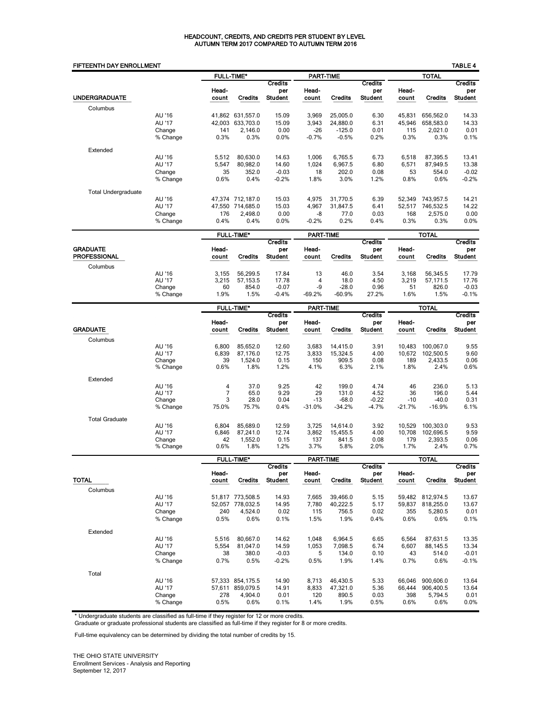### HEADCOUNT, CREDITS, AND CREDITS PER STUDENT BY LEVEL AUTUMN TERM 2017 COMPARED TO AUTUMN TERM 2016

| FIFTEENTH DAY ENROLLMENT   |                                        |                                 |                                                  |                                         |                                    |                                             |                                  |                                 |                                           | <b>TABLE 4</b>                          |
|----------------------------|----------------------------------------|---------------------------------|--------------------------------------------------|-----------------------------------------|------------------------------------|---------------------------------------------|----------------------------------|---------------------------------|-------------------------------------------|-----------------------------------------|
|                            |                                        |                                 | <b>FULL-TIME*</b>                                |                                         | <b>PART-TIME</b>                   |                                             |                                  |                                 | <b>TOTAL</b>                              |                                         |
| <b>UNDERGRADUATE</b>       |                                        | Head-<br>count                  | <b>Credits</b>                                   | <b>Credits</b><br>per<br><b>Student</b> | Head-<br>count                     | <b>Credits</b>                              | <b>Credits</b><br>per<br>Student | Head-<br>count                  | <b>Credits</b>                            | <b>Credits</b><br>per<br><b>Student</b> |
| Columbus                   |                                        |                                 |                                                  |                                         |                                    |                                             |                                  |                                 |                                           |                                         |
|                            | AU '16<br>AU '17<br>Change<br>% Change | 41,862<br>42,003<br>141<br>0.3% | 631.557.0<br>633.703.0<br>2.146.0<br>0.3%        | 15.09<br>15.09<br>0.00<br>0.0%          | 3,969<br>3,943<br>$-26$<br>$-0.7%$ | 25,005.0<br>24,880.0<br>$-125.0$<br>$-0.5%$ | 6.30<br>6.31<br>0.01<br>0.2%     | 45,831<br>45.946<br>115<br>0.3% | 656,562.0<br>658.583.0<br>2.021.0<br>0.3% | 14.33<br>14.33<br>0.01<br>0.1%          |
| Extended                   |                                        |                                 |                                                  |                                         |                                    |                                             |                                  |                                 |                                           |                                         |
|                            | AU '16<br>AU '17<br>Change<br>% Change | 5,512<br>5,547<br>35<br>0.6%    | 80.630.0<br>80,982.0<br>352.0<br>0.4%            | 14.63<br>14.60<br>$-0.03$<br>$-0.2%$    | 1,006<br>1,024<br>18<br>1.8%       | 6.765.5<br>6,967.5<br>202.0<br>3.0%         | 6.73<br>6.80<br>0.08<br>1.2%     | 6.518<br>6,571<br>53<br>0.8%    | 87.395.5<br>87,949.5<br>554.0<br>0.6%     | 13.41<br>13.38<br>$-0.02$<br>$-0.2%$    |
| <b>Total Undergraduate</b> |                                        |                                 |                                                  |                                         |                                    |                                             |                                  |                                 |                                           |                                         |
|                            | AU '16<br>AU '17<br>Change<br>% Change | 47,550<br>176<br>0.4%           | 47.374 712.187.0<br>714,685.0<br>2.498.0<br>0.4% | 15.03<br>15.03<br>0.00<br>0.0%          | 4,975<br>4,967<br>-8<br>$-0.2%$    | 31.770.5<br>31,847.5<br>77.0<br>0.2%        | 6.39<br>6.41<br>0.03<br>0.4%     | 52.349<br>52,517<br>168<br>0.3% | 743.957.5<br>746,532.5<br>2,575.0<br>0.3% | 14.21<br>14.22<br>0.00<br>0.0%          |

|                     |          |       | <b>FULL-TIME*</b> |                |          | <b>PART-TIME</b> |                | <b>TOTAL</b>   |                |                |
|---------------------|----------|-------|-------------------|----------------|----------|------------------|----------------|----------------|----------------|----------------|
| <b>GRADUATE</b>     |          | Head- |                   | Credits        | Head-    |                  | Credits        |                |                | <b>Credits</b> |
| <b>PROFESSIONAL</b> |          | count | Credits           | per<br>Student | count    | <b>Credits</b>   | per<br>Student | Head-<br>count | <b>Credits</b> | Del<br>Student |
| Columbus            |          |       |                   |                |          |                  |                |                |                |                |
|                     | AU '16   | 3.155 | 56.299.5          | 17.84          | 13       | 46.0             | 3.54           | 3.168          | 56.345.5       | 17.79          |
|                     | AU '17   | 3.215 | 57.153.5          | 17.78          | 4        | 18.0             | 4.50           | 3.219          | 57.171.5       | 17.76          |
|                     | Change   | 60    | 854.0             | $-0.07$        | -9       | $-28.0$          | 0.96           | 51             | 826.0          | $-0.03$        |
|                     | % Change | 1.9%  | .5%               | $-0.4%$        | $-69.2%$ | $-60.9%$         | 27.2%          | 1.6%           | 1.5%           | $-0.1%$        |

|                       |          | <b>FULL-TIME*</b> |                |                       | <b>PART-TIME</b> |                |                       | <b>TOTAL</b> |                |                       |
|-----------------------|----------|-------------------|----------------|-----------------------|------------------|----------------|-----------------------|--------------|----------------|-----------------------|
|                       |          | Head-             |                | <b>Credits</b><br>per | Head-            |                | <b>Credits</b><br>per | Head-        |                | <b>Credits</b><br>per |
| <b>GRADUATE</b>       |          | count             | <b>Credits</b> | <b>Student</b>        | count            | <b>Credits</b> | <b>Student</b>        | count        | <b>Credits</b> | <b>Student</b>        |
| Columbus              |          |                   |                |                       |                  |                |                       |              |                |                       |
|                       | AU '16   | 6.800             | 85.652.0       | 12.60                 | 3.683            | 14,415.0       | 3.91                  | 10.483       | 100.067.0      | 9.55                  |
|                       | AU '17   | 6.839             | 87.176.0       | 12.75                 | 3,833            | 15.324.5       | 4.00                  | 10.672       | 102.500.5      | 9.60                  |
|                       | Change   | 39                | 1,524.0        | 0.15                  | 150              | 909.5          | 0.08                  | 189          | 2,433.5        | 0.06                  |
|                       | % Change | 0.6%              | 1.8%           | 1.2%                  | 4.1%             | 6.3%           | 2.1%                  | 1.8%         | 2.4%           | 0.6%                  |
| Extended              |          |                   |                |                       |                  |                |                       |              |                |                       |
|                       | AU '16   | 4                 | 37.0           | 9.25                  | 42               | 199.0          | 4.74                  | 46           | 236.0          | 5.13                  |
|                       | AU '17   | 7                 | 65.0           | 9.29                  | 29               | 131.0          | 4.52                  | 36           | 196.0          | 5.44                  |
|                       | Change   | 3                 | 28.0           | 0.04                  | $-13$            | $-68.0$        | $-0.22$               | $-10$        | $-40.0$        | 0.31                  |
|                       | % Change | 75.0%             | 75.7%          | 0.4%                  | $-31.0%$         | $-34.2%$       | $-4.7%$               | $-21.7%$     | $-16.9%$       | 6.1%                  |
| <b>Total Graduate</b> |          |                   |                |                       |                  |                |                       |              |                |                       |
|                       | AU '16   | 6.804             | 85.689.0       | 12.59                 | 3,725            | 14,614.0       | 3.92                  | 10.529       | 100.303.0      | 9.53                  |
|                       | AU '17   | 6,846             | 87.241.0       | 12.74                 | 3,862            | 15,455.5       | 4.00                  | 10,708       | 102,696.5      | 9.59                  |
|                       | Change   | 42                | 1.552.0        | 0.15                  | 137              | 841.5          | 0.08                  | 179          | 2.393.5        | 0.06                  |
|                       | % Change | 0.6%              | 1.8%           | 1.2%                  | 3.7%             | 5.8%           | 2.0%                  | 1.7%         | 2.4%           | 0.7%                  |

| <b>FULL-TIME*</b> |                |                                         | <b>PART-TIME</b> |                |                                  | TOTAL          |                |                                         |
|-------------------|----------------|-----------------------------------------|------------------|----------------|----------------------------------|----------------|----------------|-----------------------------------------|
| Head-<br>count    | <b>Credits</b> | <b>Credits</b><br>per<br><b>Student</b> | Head-<br>count   | <b>Credits</b> | <b>Credits</b><br>per<br>Student | Head-<br>count | <b>Credits</b> | <b>Credits</b><br>per<br><b>Student</b> |
|                   |                |                                         |                  |                |                                  |                |                |                                         |
| 51.817            | 773,508.5      | 14.93                                   | 7,665            | 39,466.0       | 5.15                             | 59,482         | 812,974.5      | 13.67                                   |
| 52,057            | 778.032.5      | 14.95                                   | 7,780            | 40,222.5       | 5.17                             | 59,837         | 818,255.0      | 13.67                                   |
| 240               | 4.524.0        | 0.02                                    | 115              | 756.5          | 0.02                             | 355            | 5.280.5        | 0.01                                    |
| 0.5%              | 0.6%           | 0.1%                                    | 1.5%             | 1.9%           | 0.4%                             | 0.6%           | 0.6%           | 0.1%                                    |
|                   |                |                                         |                  |                |                                  |                |                |                                         |
| 5,516             | 80.667.0       | 14.62                                   | 1,048            | 6,964.5        | 6.65                             | 6,564          | 87,631.5       | 13.35                                   |
| 5,554             | 81,047.0       | 14.59                                   | 1,053            | 7,098.5        | 6.74                             | 6,607          | 88,145.5       | 13.34                                   |
| 38                | 380.0          | $-0.03$                                 | 5                | 134.0          | 0.10                             | 43             | 514.0          | $-0.01$                                 |
| 0.7%              | 0.5%           | $-0.2%$                                 | 0.5%             | 1.9%           | 1.4%                             | 0.7%           | 0.6%           | $-0.1%$                                 |
|                   |                |                                         |                  |                |                                  |                |                |                                         |
|                   | 854.175.5      | 14.90                                   | 8.713            | 46.430.5       | 5.33                             | 66.046         | 900.606.0      | 13.64                                   |
| 57,611            | 859.079.5      | 14.91                                   | 8,833            | 47,321.0       | 5.36                             | 66,444         | 906,400.5      | 13.64                                   |
| 278               | 4.904.0        | 0.01                                    | 120              | 890.5          | 0.03                             | 398            | 5,794.5        | 0.01                                    |
| 0.5%              | 0.6%           | 0.1%                                    | 1.4%             | 1.9%           | 0.5%                             | 0.6%           | 0.6%           | 0.0%                                    |
|                   |                | 57.333                                  |                  |                |                                  |                |                |                                         |

\* Undergraduate students are classified as full-time if they register for 12 or more credits. Graduate or graduate professional students are classified as full-time if they register for 8 or more credits.

Full-time equivalency can be determined by dividing the total number of credits by 15.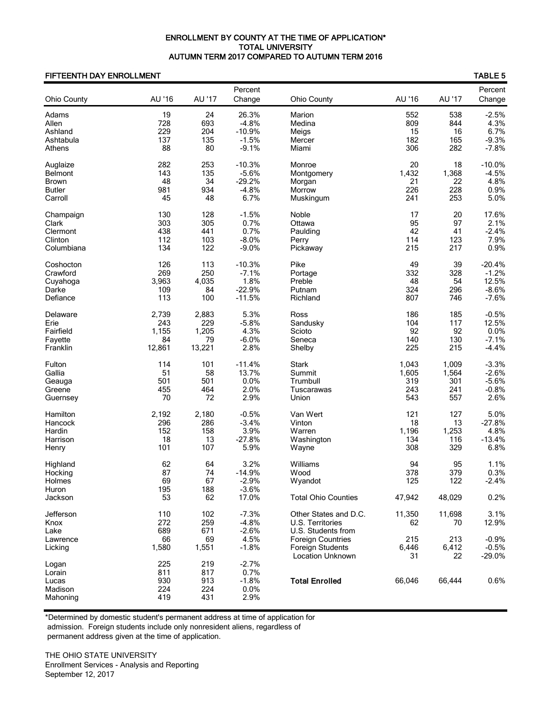## ENROLLMENT BY COUNTY AT THE TIME OF APPLICATION\* TOTAL UNIVERSITY AUTUMN TERM 2017 COMPARED TO AUTUMN TERM 2016

## FIFTEENTH DAY ENROLLMENT TABLE 5

| Ohio County                                       | AU '16                      | AU '17                      | Percent<br>Change                               | <b>Ohio County</b>                                                                          | AU '16                     | AU '17                     | Percent<br>Change               |
|---------------------------------------------------|-----------------------------|-----------------------------|-------------------------------------------------|---------------------------------------------------------------------------------------------|----------------------------|----------------------------|---------------------------------|
| Adams                                             | 19                          | 24                          | 26.3%                                           | Marion                                                                                      | 552                        | 538                        | $-2.5%$                         |
| Allen                                             | 728                         | 693                         | $-4.8%$                                         | Medina                                                                                      | 809                        | 844                        | 4.3%                            |
| Ashland                                           | 229                         | 204                         | $-10.9%$                                        | Meigs                                                                                       | 15                         | 16                         | 6.7%                            |
| Ashtabula                                         | 137                         | 135                         | $-1.5%$                                         | Mercer                                                                                      | 182                        | 165                        | $-9.3%$                         |
| Athens                                            | 88                          | 80                          | $-9.1%$                                         | Miami                                                                                       | 306                        | 282                        | $-7.8%$                         |
| Auglaize                                          | 282                         | 253                         | $-10.3%$                                        | Monroe                                                                                      | 20                         | 18                         | $-10.0%$                        |
| <b>Belmont</b>                                    | 143                         | 135                         | $-5.6%$                                         | Montgomery                                                                                  | 1,432                      | 1,368                      | $-4.5%$                         |
| <b>Brown</b>                                      | 48                          | 34                          | $-29.2%$                                        | Morgan                                                                                      | 21                         | 22                         | 4.8%                            |
| <b>Butler</b>                                     | 981                         | 934                         | $-4.8%$                                         | Morrow                                                                                      | 226                        | 228                        | 0.9%                            |
| Carroll                                           | 45                          | 48                          | 6.7%                                            | Muskingum                                                                                   | 241                        | 253                        | 5.0%                            |
| Champaign                                         | 130                         | 128                         | $-1.5%$                                         | Noble                                                                                       | 17                         | 20                         | 17.6%                           |
| Clark                                             | 303                         | 305                         | 0.7%                                            | Ottawa                                                                                      | 95                         | 97                         | 2.1%                            |
| Clermont                                          | 438                         | 441                         | 0.7%                                            | Paulding                                                                                    | 42                         | 41                         | $-2.4%$                         |
| Clinton                                           | 112                         | 103                         | $-8.0%$                                         | Perry                                                                                       | 114                        | 123                        | 7.9%                            |
| Columbiana                                        | 134                         | 122                         | $-9.0%$                                         | Pickaway                                                                                    | 215                        | 217                        | 0.9%                            |
| Coshocton                                         | 126                         | 113                         | $-10.3%$                                        | Pike                                                                                        | 49                         | 39                         | $-20.4%$                        |
| Crawford                                          | 269                         | 250                         | $-7.1%$                                         | Portage                                                                                     | 332                        | 328                        | $-1.2%$                         |
| Cuyahoga                                          | 3,963                       | 4,035                       | 1.8%                                            | Preble                                                                                      | 48                         | 54                         | 12.5%                           |
| Darke                                             | 109                         | 84                          | $-22.9%$                                        | Putnam                                                                                      | 324                        | 296                        | $-8.6%$                         |
| Defiance                                          | 113                         | 100                         | $-11.5%$                                        | Richland                                                                                    | 807                        | 746                        | $-7.6%$                         |
| Delaware                                          | 2,739                       | 2,883                       | 5.3%                                            | Ross                                                                                        | 186                        | 185                        | $-0.5%$                         |
| Erie                                              | 243                         | 229                         | $-5.8%$                                         | Sandusky                                                                                    | 104                        | 117                        | 12.5%                           |
| Fairfield                                         | 1,155                       | 1,205                       | 4.3%                                            | Scioto                                                                                      | 92                         | 92                         | 0.0%                            |
| Fayette                                           | 84                          | 79                          | $-6.0%$                                         | Seneca                                                                                      | 140                        | 130                        | $-7.1%$                         |
| Franklin                                          | 12,861                      | 13,221                      | 2.8%                                            | Shelby                                                                                      | 225                        | 215                        | $-4.4%$                         |
| Fulton                                            | 114                         | 101                         | $-11.4%$                                        | <b>Stark</b>                                                                                | 1,043                      | 1,009                      | $-3.3%$                         |
| Gallia                                            | 51                          | 58                          | 13.7%                                           | Summit                                                                                      | 1,605                      | 1,564                      | $-2.6%$                         |
| Geauga                                            | 501                         | 501                         | 0.0%                                            | Trumbull                                                                                    | 319                        | 301                        | $-5.6%$                         |
| Greene                                            | 455                         | 464                         | 2.0%                                            | Tuscarawas                                                                                  | 243                        | 241                        | $-0.8%$                         |
| Guernsey                                          | 70                          | 72                          | 2.9%                                            | Union                                                                                       | 543                        | 557                        | 2.6%                            |
| Hamilton                                          | 2,192                       | 2,180                       | $-0.5%$                                         | Van Wert                                                                                    | 121                        | 127                        | 5.0%                            |
| Hancock                                           | 296                         | 286                         | $-3.4%$                                         | Vinton                                                                                      | 18                         | 13                         | $-27.8%$                        |
| Hardin                                            | 152                         | 158                         | 3.9%                                            | Warren                                                                                      | 1,196                      | 1,253                      | 4.8%                            |
| Harrison                                          | 18                          | 13                          | $-27.8%$                                        | Washington                                                                                  | 134                        | 116                        | $-13.4%$                        |
| Henry                                             | 101                         | 107                         | 5.9%                                            | Wayne                                                                                       | 308                        | 329                        | 6.8%                            |
| Highland<br>Hocking<br>Holmes<br>Huron<br>Jackson | 62<br>87<br>69<br>195<br>53 | 64<br>74<br>67<br>188<br>62 | 3.2%<br>$-14.9%$<br>$-2.9%$<br>$-3.6%$<br>17.0% | Williams<br>Wood<br>Wyandot<br><b>Total Ohio Counties</b>                                   | 94<br>378<br>125<br>47,942 | 95<br>379<br>122<br>48,029 | 1.1%<br>0.3%<br>$-2.4%$<br>0.2% |
| Jefferson<br>Knox<br>Lake<br>Lawrence             | 110<br>272<br>689<br>66     | 102<br>259<br>671<br>69     | $-7.3%$<br>$-4.8%$<br>$-2.6%$<br>4.5%           | Other States and D.C.<br>U.S. Territories<br>U.S. Students from<br><b>Foreign Countries</b> | 11,350<br>62<br>215        | 11,698<br>70<br>213        | 3.1%<br>12.9%<br>$-0.9%$        |
| Licking                                           | 1,580                       | 1,551                       | $-1.8%$                                         | Foreign Students                                                                            | 6,446                      | 6,412                      | $-0.5%$                         |
| Logan                                             | 225                         | 219                         | $-2.7%$                                         | Location Unknown                                                                            | 31                         | 22                         | $-29.0%$                        |
| Lorain<br>Lucas<br>Madison<br>Mahoning            | 811<br>930<br>224<br>419    | 817<br>913<br>224<br>431    | 0.7%<br>$-1.8%$<br>0.0%<br>2.9%                 | <b>Total Enrolled</b>                                                                       | 66,046                     | 66,444                     | 0.6%                            |

\*Determined by domestic student's permanent address at time of application for admission. Foreign students include only nonresident aliens, regardless of permanent address given at the time of application.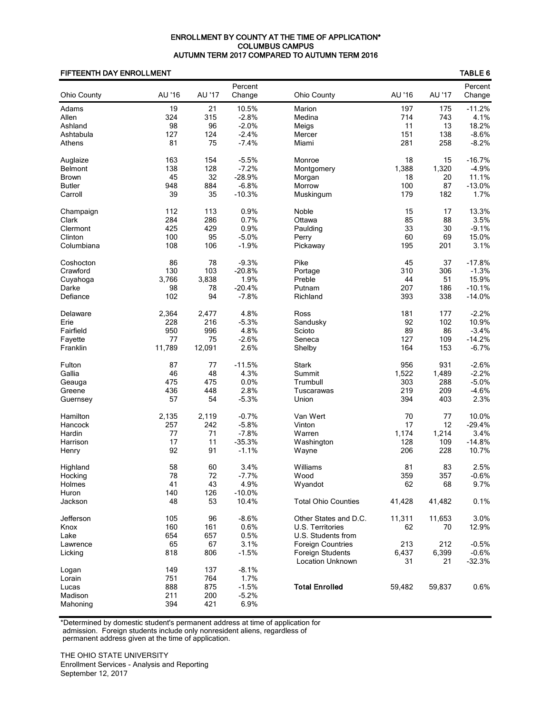## ENROLLMENT BY COUNTY AT THE TIME OF APPLICATION\* COLUMBUS CAMPUS AUTUMN TERM 2017 COMPARED TO AUTUMN TERM 2016

## FIFTEENTH DAY ENROLLMENT TABLE 6

|                     |            |            | Percent         |                            |        |        | Percent  |
|---------------------|------------|------------|-----------------|----------------------------|--------|--------|----------|
| <b>Ohio County</b>  | AU '16     | AU '17     | Change          | Ohio County                | AU '16 | AU '17 | Change   |
| Adams               | 19         | 21         | 10.5%           | Marion                     | 197    | 175    | $-11.2%$ |
| Allen               | 324        | 315        | $-2.8%$         | Medina                     | 714    | 743    | 4.1%     |
| Ashland             | 98         | 96         | $-2.0%$         | Meigs                      | 11     | 13     | 18.2%    |
| Ashtabula           | 127        | 124        | $-2.4%$         | Mercer                     | 151    | 138    | $-8.6%$  |
| Athens              | 81         | 75         | $-7.4%$         | Miami                      | 281    | 258    | $-8.2%$  |
| Auglaize            | 163        | 154        | $-5.5%$         | Monroe                     | 18     | 15     | $-16.7%$ |
| Belmont             | 138        | 128        | $-7.2%$         | Montgomery                 | 1,388  | 1,320  | $-4.9%$  |
| <b>Brown</b>        | 45         | 32         | $-28.9%$        | Morgan                     | 18     | 20     | 11.1%    |
| <b>Butler</b>       | 948        | 884        | $-6.8%$         | Morrow                     | 100    | 87     | $-13.0%$ |
| Carroll             | 39         | 35         | $-10.3%$        | Muskingum                  | 179    | 182    | 1.7%     |
| Champaign           | 112        | 113        | 0.9%            | Noble                      | 15     | 17     | 13.3%    |
| Clark               | 284        | 286        | 0.7%            | Ottawa                     | 85     | 88     | 3.5%     |
| Clermont            | 425        | 429        | 0.9%            | Paulding                   | 33     | 30     | $-9.1%$  |
| Clinton             | 100        | 95         | $-5.0%$         | Perry                      | 60     | 69     | 15.0%    |
| Columbiana          | 108        | 106        | $-1.9%$         | Pickaway                   | 195    | 201    | 3.1%     |
| Coshocton           | 86         | 78         | $-9.3%$         | Pike                       | 45     | 37     | $-17.8%$ |
| Crawford            | 130        | 103        | $-20.8%$        | Portage                    | 310    | 306    | $-1.3%$  |
| Cuyahoga            | 3,766      | 3,838      | 1.9%            | Preble                     | 44     | 51     | 15.9%    |
| Darke               | 98         | 78         | $-20.4%$        | Putnam                     | 207    | 186    | $-10.1%$ |
| Defiance            | 102        | 94         | $-7.8%$         | Richland                   | 393    | 338    | $-14.0%$ |
| Delaware            | 2,364      | 2,477      | 4.8%            | Ross                       | 181    | 177    | $-2.2%$  |
| Erie                | 228        | 216        | $-5.3%$         | Sandusky                   | 92     | 102    | 10.9%    |
| Fairfield           | 950        | 996        | 4.8%            | Scioto                     | 89     | 86     | $-3.4%$  |
| Fayette             | 77         | 75         | $-2.6%$         | Seneca                     | 127    | 109    | $-14.2%$ |
| Franklin            | 11,789     | 12,091     | 2.6%            | Shelby                     | 164    | 153    | $-6.7%$  |
| Fulton              | 87         | 77         | $-11.5%$        | <b>Stark</b>               | 956    | 931    | $-2.6%$  |
| Gallia              | 46         | 48         | 4.3%            | Summit                     | 1,522  | 1,489  | $-2.2%$  |
| Geauga              | 475        | 475        | 0.0%            | Trumbull                   | 303    | 288    | $-5.0%$  |
| Greene              | 436        | 448        | 2.8%            | Tuscarawas                 | 219    | 209    | $-4.6%$  |
| Guernsey            | 57         | 54         | $-5.3%$         | Union                      | 394    | 403    | 2.3%     |
| Hamilton            | 2,135      | 2,119      | $-0.7%$         | Van Wert                   | 70     | 77     | 10.0%    |
| Hancock             | 257        | 242        | $-5.8%$         | Vinton                     | 17     | 12     | $-29.4%$ |
| Hardin              | 77         | 71         | $-7.8%$         | Warren                     | 1,174  | 1,214  | 3.4%     |
| Harrison            | 17         | 11         | $-35.3%$        | Washington                 | 128    | 109    | $-14.8%$ |
| Henry               | 92         | 91         | $-1.1%$         | Wayne                      | 206    | 228    | 10.7%    |
| Highland            | 58         | 60         | 3.4%            | Williams                   | 81     | 83     | 2.5%     |
| Hocking             | 78         | 72         | $-7.7%$         | Wood                       | 359    | 357    | $-0.6%$  |
| Holmes              | 41         | 43         | 4.9%            | Wyandot                    | 62     | 68     | 9.7%     |
| Huron               | 140        | 126        | $-10.0%$        |                            |        |        |          |
| Jackson             | 48         | 53         | 10.4%           | <b>Total Ohio Counties</b> | 41,428 | 41,482 | 0.1%     |
| Jefferson           | 105        | 96         | $-8.6%$         | Other States and D.C.      | 11,311 | 11,653 | 3.0%     |
| Knox                | 160        | 161        | 0.6%            | U.S. Territories           | 62     | 70     | 12.9%    |
| Lake                | 654        | 657        | 0.5%            | U.S. Students from         |        |        |          |
| Lawrence            | 65         | 67         | 3.1%            | <b>Foreign Countries</b>   | 213    | 212    | $-0.5%$  |
| Licking             | 818        | 806        | $-1.5%$         | Foreign Students           | 6,437  | 6,399  | $-0.6%$  |
|                     |            |            |                 | Location Unknown           | 31     | 21     | $-32.3%$ |
| Logan               | 149        | 137        | $-8.1%$         |                            |        |        |          |
| Lorain              | 751        | 764        | 1.7%            | <b>Total Enrolled</b>      | 59,482 |        | 0.6%     |
| Lucas               | 888<br>211 | 875<br>200 | $-1.5%$         |                            |        | 59,837 |          |
| Madison<br>Mahoning | 394        | 421        | $-5.2%$<br>6.9% |                            |        |        |          |
|                     |            |            |                 |                            |        |        |          |

\*Determined by domestic student's permanent address at time of application for

 admission. Foreign students include only nonresident aliens, regardless of permanent address given at the time of application.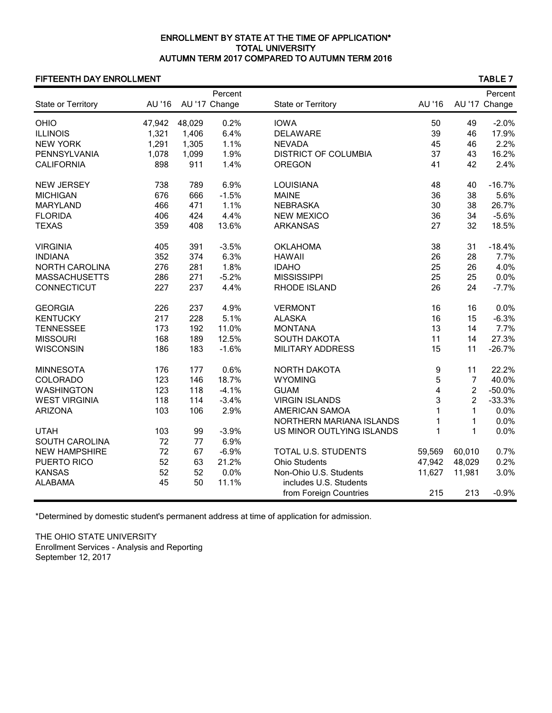## ENROLLMENT BY STATE AT THE TIME OF APPLICATION\* TOTAL UNIVERSITY AUTUMN TERM 2017 COMPARED TO AUTUMN TERM 2016

## FIFTEENTH DAY ENROLLMENT TABLE 7

|                       |        |        | Percent       |                             |              |                | Percent       |
|-----------------------|--------|--------|---------------|-----------------------------|--------------|----------------|---------------|
| State or Territory    | AU '16 |        | AU '17 Change | State or Territory          | AU '16       |                | AU '17 Change |
| OHIO                  | 47,942 | 48,029 | 0.2%          | <b>IOWA</b>                 | 50           | 49             | $-2.0%$       |
| <b>ILLINOIS</b>       | 1,321  | 1,406  | 6.4%          | <b>DELAWARE</b>             | 39           | 46             | 17.9%         |
| <b>NEW YORK</b>       | 1,291  | 1,305  | 1.1%          | <b>NEVADA</b>               | 45           | 46             | 2.2%          |
| PENNSYLVANIA          | 1,078  | 1,099  | 1.9%          | <b>DISTRICT OF COLUMBIA</b> | 37           | 43             | 16.2%         |
| <b>CALIFORNIA</b>     | 898    | 911    | 1.4%          | <b>OREGON</b>               | 41           | 42             | 2.4%          |
| <b>NEW JERSEY</b>     | 738    | 789    | 6.9%          | <b>LOUISIANA</b>            | 48           | 40             | $-16.7%$      |
| <b>MICHIGAN</b>       | 676    | 666    | $-1.5%$       | <b>MAINE</b>                | 36           | 38             | 5.6%          |
| <b>MARYLAND</b>       | 466    | 471    | 1.1%          | <b>NEBRASKA</b>             | 30           | 38             | 26.7%         |
| <b>FLORIDA</b>        | 406    | 424    | 4.4%          | <b>NEW MEXICO</b>           | 36           | 34             | $-5.6%$       |
| <b>TEXAS</b>          | 359    | 408    | 13.6%         | <b>ARKANSAS</b>             | 27           | 32             | 18.5%         |
| <b>VIRGINIA</b>       | 405    | 391    | $-3.5%$       | <b>OKLAHOMA</b>             | 38           | 31             | $-18.4%$      |
| <b>INDIANA</b>        | 352    | 374    | 6.3%          | <b>HAWAII</b>               | 26           | 28             | 7.7%          |
| <b>NORTH CAROLINA</b> | 276    | 281    | 1.8%          | <b>IDAHO</b>                | 25           | 26             | 4.0%          |
| <b>MASSACHUSETTS</b>  | 286    | 271    | $-5.2%$       | <b>MISSISSIPPI</b>          | 25           | 25             | 0.0%          |
| CONNECTICUT           | 227    | 237    | 4.4%          | RHODE ISLAND                | 26           | 24             | $-7.7%$       |
| <b>GEORGIA</b>        | 226    | 237    | 4.9%          | <b>VERMONT</b>              | 16           | 16             | 0.0%          |
| <b>KENTUCKY</b>       | 217    | 228    | 5.1%          | <b>ALASKA</b>               | 16           | 15             | $-6.3%$       |
| <b>TENNESSEE</b>      | 173    | 192    | 11.0%         | <b>MONTANA</b>              | 13           | 14             | 7.7%          |
| <b>MISSOURI</b>       | 168    | 189    | 12.5%         | <b>SOUTH DAKOTA</b>         | 11           | 14             | 27.3%         |
| <b>WISCONSIN</b>      | 186    | 183    | $-1.6%$       | <b>MILITARY ADDRESS</b>     | 15           | 11             | $-26.7%$      |
| <b>MINNESOTA</b>      | 176    | 177    | 0.6%          | <b>NORTH DAKOTA</b>         | 9            | 11             | 22.2%         |
| <b>COLORADO</b>       | 123    | 146    | 18.7%         | <b>WYOMING</b>              | 5            | $\overline{7}$ | 40.0%         |
| <b>WASHINGTON</b>     | 123    | 118    | $-4.1%$       | <b>GUAM</b>                 | 4            | $\overline{c}$ | $-50.0%$      |
| <b>WEST VIRGINIA</b>  | 118    | 114    | $-3.4%$       | <b>VIRGIN ISLANDS</b>       | 3            | $\overline{c}$ | $-33.3%$      |
| <b>ARIZONA</b>        | 103    | 106    | 2.9%          | AMERICAN SAMOA              | $\mathbf{1}$ | 1              | 0.0%          |
|                       |        |        |               | NORTHERN MARIANA ISLANDS    | 1            | 1              | 0.0%          |
| <b>UTAH</b>           | 103    | 99     | $-3.9%$       | US MINOR OUTLYING ISLANDS   | 1            | $\mathbf{1}$   | 0.0%          |
| <b>SOUTH CAROLINA</b> | 72     | 77     | 6.9%          |                             |              |                |               |
| <b>NEW HAMPSHIRE</b>  | 72     | 67     | $-6.9%$       | TOTAL U.S. STUDENTS         | 59,569       | 60,010         | 0.7%          |
| <b>PUERTO RICO</b>    | 52     | 63     | 21.2%         | <b>Ohio Students</b>        | 47,942       | 48,029         | 0.2%          |
| <b>KANSAS</b>         | 52     | 52     | 0.0%          | Non-Ohio U.S. Students      | 11,627       | 11,981         | 3.0%          |
| <b>ALABAMA</b>        | 45     | 50     | 11.1%         | includes U.S. Students      |              |                |               |
|                       |        |        |               | from Foreign Countries      | 215          | 213            | $-0.9%$       |

\*Determined by domestic student's permanent address at time of application for admission.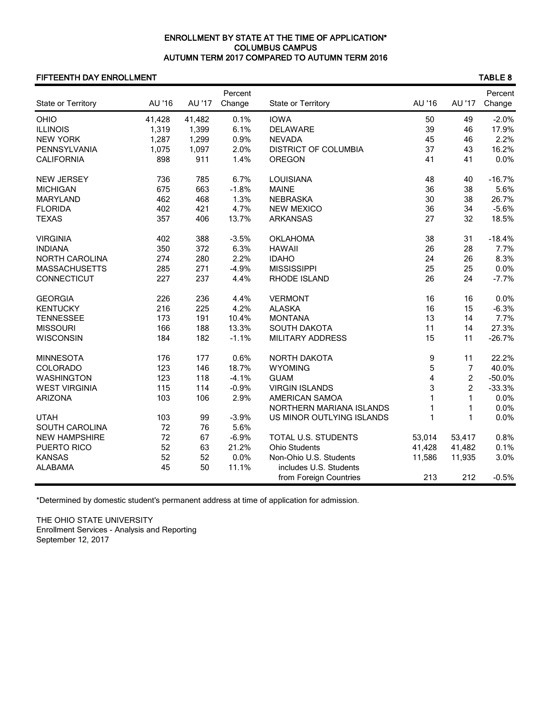## ENROLLMENT BY STATE AT THE TIME OF APPLICATION\* COLUMBUS CAMPUS AUTUMN TERM 2017 COMPARED TO AUTUMN TERM 2016

## FIFTEENTH DAY ENROLLMENT TABLE 8

| State or Territory    | AU '16 | AU '17 | Percent<br>Change | State or Territory          | AU '16                  | AU '17         | Percent<br>Change |
|-----------------------|--------|--------|-------------------|-----------------------------|-------------------------|----------------|-------------------|
| OHIO                  | 41,428 | 41,482 | 0.1%              | <b>IOWA</b>                 | 50                      | 49             | $-2.0%$           |
| <b>ILLINOIS</b>       | 1,319  | 1,399  | 6.1%              | <b>DELAWARE</b>             | 39                      | 46             | 17.9%             |
| <b>NEW YORK</b>       | 1,287  | 1,299  | 0.9%              | <b>NEVADA</b>               | 45                      | 46             | 2.2%              |
| PENNSYLVANIA          | 1,075  | 1,097  | 2.0%              | <b>DISTRICT OF COLUMBIA</b> | 37                      | 43             | 16.2%             |
| <b>CALIFORNIA</b>     | 898    | 911    | 1.4%              | <b>OREGON</b>               | 41                      | 41             | 0.0%              |
|                       |        |        |                   |                             |                         |                |                   |
| <b>NEW JERSEY</b>     | 736    | 785    | 6.7%              | LOUISIANA                   | 48                      | 40             | $-16.7%$          |
| <b>MICHIGAN</b>       | 675    | 663    | $-1.8%$           | <b>MAINE</b>                | 36                      | 38             | 5.6%              |
| <b>MARYLAND</b>       | 462    | 468    | 1.3%              | <b>NEBRASKA</b>             | 30                      | 38             | 26.7%             |
| <b>FLORIDA</b>        | 402    | 421    | 4.7%              | <b>NEW MEXICO</b>           | 36                      | 34             | $-5.6%$           |
| <b>TEXAS</b>          | 357    | 406    | 13.7%             | <b>ARKANSAS</b>             | 27                      | 32             | 18.5%             |
| <b>VIRGINIA</b>       | 402    | 388    | $-3.5%$           | <b>OKLAHOMA</b>             | 38                      | 31             | $-18.4%$          |
| <b>INDIANA</b>        | 350    | 372    | 6.3%              | <b>HAWAII</b>               | 26                      | 28             | 7.7%              |
| <b>NORTH CAROLINA</b> | 274    | 280    | 2.2%              | <b>IDAHO</b>                | 24                      | 26             | 8.3%              |
| <b>MASSACHUSETTS</b>  | 285    | 271    | $-4.9%$           | <b>MISSISSIPPI</b>          | 25                      | 25             | 0.0%              |
| CONNECTICUT           | 227    | 237    | 4.4%              | RHODE ISLAND                | 26                      | 24             | $-7.7%$           |
| <b>GEORGIA</b>        | 226    | 236    | 4.4%              | <b>VERMONT</b>              | 16                      | 16             | 0.0%              |
| <b>KENTUCKY</b>       | 216    | 225    | 4.2%              | <b>ALASKA</b>               | 16                      | 15             | $-6.3%$           |
| <b>TENNESSEE</b>      | 173    | 191    | 10.4%             | <b>MONTANA</b>              | 13                      | 14             | 7.7%              |
| <b>MISSOURI</b>       | 166    | 188    | 13.3%             | <b>SOUTH DAKOTA</b>         | 11                      | 14             | 27.3%             |
| <b>WISCONSIN</b>      | 184    | 182    | $-1.1%$           | MILITARY ADDRESS            | 15                      | 11             | $-26.7%$          |
|                       |        |        |                   |                             |                         |                |                   |
| <b>MINNESOTA</b>      | 176    | 177    | 0.6%              | NORTH DAKOTA                | 9                       | 11             | 22.2%             |
| COLORADO              | 123    | 146    | 18.7%             | <b>WYOMING</b>              | 5                       | $\overline{7}$ | 40.0%             |
| <b>WASHINGTON</b>     | 123    | 118    | $-4.1%$           | <b>GUAM</b>                 | $\overline{\mathbf{4}}$ | $\overline{c}$ | $-50.0%$          |
| <b>WEST VIRGINIA</b>  | 115    | 114    | $-0.9%$           | <b>VIRGIN ISLANDS</b>       | 3                       | $\overline{c}$ | $-33.3%$          |
| <b>ARIZONA</b>        | 103    | 106    | 2.9%              | AMERICAN SAMOA              | $\mathbf{1}$            | $\mathbf{1}$   | 0.0%              |
|                       |        |        |                   | NORTHERN MARIANA ISLANDS    | 1                       | $\mathbf{1}$   | 0.0%              |
| <b>UTAH</b>           | 103    | 99     | $-3.9%$           | US MINOR OUTLYING ISLANDS   | 1                       | $\mathbf{1}$   | 0.0%              |
| SOUTH CAROLINA        | 72     | 76     | 5.6%              |                             |                         |                |                   |
| <b>NEW HAMPSHIRE</b>  | 72     | 67     | $-6.9%$           | TOTAL U.S. STUDENTS         | 53,014                  | 53,417         | 0.8%              |
| PUERTO RICO           | 52     | 63     | 21.2%             | <b>Ohio Students</b>        | 41,428                  | 41,482         | 0.1%              |
| <b>KANSAS</b>         | 52     | 52     | 0.0%              | Non-Ohio U.S. Students      | 11,586                  | 11,935         | 3.0%              |
| <b>ALABAMA</b>        | 45     | 50     | 11.1%             | includes U.S. Students      |                         |                |                   |
|                       |        |        |                   | from Foreign Countries      | 213                     | 212            | $-0.5%$           |

\*Determined by domestic student's permanent address at time of application for admission.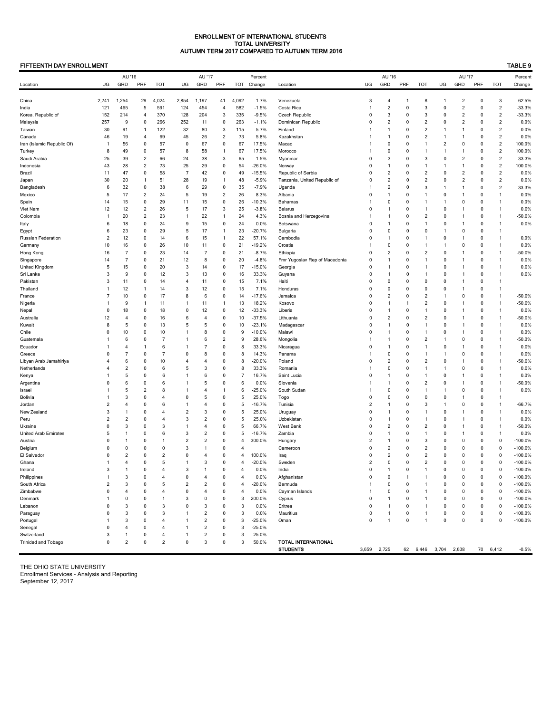### ENROLLMENT OF INTERNATIONAL STUDENTS TOTAL UNIVERSITY AUTUMN TERM 2017 COMPARED TO AUTUMN TERM 2016

### FIFTEENTH DAY ENROLLMENT TABLE 9

|                             |                     | AU '16              |                         |                     |                     | AU '17              |                         |                | Percent             |                                          |                         | AU '16                         |                |                         |                         | AU '17                       |                            |                                | Percent              |
|-----------------------------|---------------------|---------------------|-------------------------|---------------------|---------------------|---------------------|-------------------------|----------------|---------------------|------------------------------------------|-------------------------|--------------------------------|----------------|-------------------------|-------------------------|------------------------------|----------------------------|--------------------------------|----------------------|
| Location                    | UG                  | GRD                 | PRF                     | TOT                 | UG                  | GRD                 | PRF                     | TOT            | Change              | Location                                 | UG                      | GRD                            | PRF            | <b>TOT</b>              | UG                      | GRD                          | PRF                        | <b>TOT</b>                     | Change               |
|                             |                     |                     |                         |                     |                     |                     |                         |                |                     |                                          |                         |                                |                |                         |                         |                              |                            |                                |                      |
| China                       | 2,741               | 1,254<br>465        | 29                      | 4,024<br>591        | 2,854               | 1,197<br>454        | 41<br>4                 | 4,092<br>582   | 1.7%<br>$-1.5%$     | Venezuela                                | 3<br>1                  | 4<br>$\overline{2}$            | -1<br>0        | 8<br>3                  | -1<br>0                 | 2<br>$\overline{\mathbf{c}}$ | $\mathbf 0$<br>0           | 3<br>$\sqrt{2}$                | $-62.5%$<br>$-33.3%$ |
| India<br>Korea, Republic of | 121<br>152          | 214                 | 5<br>4                  | 370                 | 124<br>128          | 204                 | 3                       | 335            | $-9.5%$             | Costa Rica<br>Czech Republic             | 0                       | 3                              | 0              | 3                       | 0                       | $\overline{\mathbf{c}}$      | 0                          | $\overline{c}$                 | $-33.3%$             |
| Malaysia                    | 257                 | 9                   | 0                       | 266                 | 252                 | 11                  | 0                       | 263            | $-1.1%$             | Dominican Republic                       | 0                       | $\overline{\mathbf{c}}$        | 0              | $\sqrt{2}$              | 0                       | 2                            | 0                          | $\overline{c}$                 | 0.0%                 |
| Taiwan                      | 30                  | 91                  | 1                       | 122                 | 32                  | 80                  | 3                       | 115            | $-5.7%$             | Finland                                  | 1                       | $\mathbf{1}$                   | 0              | $\boldsymbol{2}$        | 1                       | $\mathbf{1}$                 | $\mathbf 0$                | $\sqrt{2}$                     | 0.0%                 |
| Canada                      | 46                  | 19                  | 4                       | 69                  | 45                  | 26                  | $\overline{\mathbf{c}}$ | 73             | 5.8%                | Kazakhstan                               | 1                       | $\mathbf{1}$                   | 0              | $\overline{\mathbf{c}}$ | $\mathbf{1}$            | 1                            | $\mathbf 0$                | $\overline{c}$                 | 0.0%                 |
| Iran (Islamic Republic Of)  | $\overline{1}$      | 56                  | $\mathbf 0$             | 57                  | $\overline{0}$      | 67                  | $\pmb{0}$               | 67             | 17.5%               | Macao                                    | 1                       | $\pmb{0}$                      | 0              | 1                       | $\sqrt{2}$              | 0                            | $\mathbf 0$                | $\overline{2}$                 | 100.0%               |
| Turkey                      | 8                   | 49                  | $\pmb{0}$               | 57                  | 8                   | 58                  | $\mathbf{1}$            | 67             | 17.5%               | Morocco                                  |                         | 0                              | 0              | 1                       | $\mathbf{1}$            | 1                            | 0                          | $\sqrt{2}$                     | 100.0%               |
| Saudi Arabia                | 25                  | 39                  | $\overline{c}$          | 66                  | 24                  | 38                  | 3                       | 65             | $-1.5%$             | Myanmar                                  | 0                       | 3                              | 0              | 3                       | 0                       | $\overline{\mathbf{c}}$      | 0                          | $\overline{c}$                 | $-33.3%$             |
| Indonesia                   | 43                  | 28                  | $\overline{c}$          | 73                  | 25                  | 29                  | $\pmb{0}$               | 54             | $-26.0%$            | Norway                                   | 0                       | $\overline{1}$                 | 0              | 1                       | -1                      | 1                            | $\mathbf 0$                | $\overline{2}$                 | 100.0%               |
| Brazil                      | 11                  | 47                  | 0                       | 58                  | $\overline{7}$      | 42                  | 0                       | 49             | $-15.5%$            | Republic of Serbia                       | 0                       | $\overline{c}$                 | 0              | $\overline{2}$          | $\mathbf 0$             | $\overline{2}$               | $\mathbf 0$                | $\overline{2}$                 | 0.0%                 |
| Japan                       | 30                  | 20                  | $\mathbf{1}$            | 51                  | 28                  | 19                  | $\mathbf{1}$            | 48             | $-5.9%$             | Tanzania, United Republic of             | 0                       | $\overline{\mathbf{c}}$        | 0              | $\sqrt{2}$              | $\mathbf 0$             | $\overline{\mathbf{c}}$      | 0                          | $\overline{c}$                 | 0.0%                 |
| Bangladesh                  | 6                   | 32                  | $\pmb{0}$               | 38                  | 6                   | 29                  | $\pmb{0}$               | 35             | $-7.9%$             | Uganda                                   | 1                       | $\overline{\mathbf{c}}$        | 0              | 3                       | 1                       | $\mathbf{1}$                 | $\mathbf 0$                | $\overline{c}$                 | $-33.3%$             |
| Mexico                      | 5                   | 17                  | $\overline{c}$          | 24                  | 5                   | 19                  | $\boldsymbol{2}$        | 26             | 8.3%                | Albania                                  | 0                       | 1                              | 0              | 1                       | 0                       | 1                            | $\mathbf 0$                | $\mathbf{1}$                   | 0.0%                 |
| Spain                       | 14                  | 15                  | 0                       | 29                  | 11                  | 15                  | $\pmb{0}$               | 26             | $-10.3%$            | Bahamas                                  | 1                       | 0                              | 0              | 1                       | -1                      | 0                            | $\mathbf 0$                | $\mathbf{1}$                   | 0.0%                 |
| Viet Nam                    | 12                  | 12                  | $\overline{\mathbf{c}}$ | 26                  | 5                   | 17                  | 3                       | 25             | $-3.8%$             | Belarus                                  | 0                       | $\overline{1}$                 | 0              | 1                       | $\mathbf 0$             | $\mathbf{1}$                 | $\mathbf 0$                | $\mathbf{1}$                   | 0.0%                 |
| Colombia                    | $\mathbf{1}$        | 20                  | $\overline{\mathbf{c}}$ | 23                  | $\mathbf{1}$        | 22                  | $\mathbf{1}$            | 24             | 4.3%                | Bosnia and Herzegovina                   | 1                       | $\mathbf{1}$                   | 0              | $\overline{2}$          | $\mathbf 0$             | 1                            | $\mathbf 0$                | $\mathbf{1}$                   | $-50.0%$             |
| Italy                       | 6                   | 18                  | $\pmb{0}$               | 24                  | 9                   | 15                  | $\pmb{0}$               | 24             | 0.0%                | Botswana                                 | 0                       | $\mathbf{1}$                   | 0              | 1                       | $\mathbf 0$             | 1                            | 0                          | 1                              | 0.0%                 |
| Egypt                       | 6                   | 23                  | $\mathbf 0$             | 29                  | 5                   | 17                  | $\overline{1}$          | 23             | $-20.7%$            | Bulgaria                                 | 0                       | $\mathbf 0$                    | 0              | $\pmb{0}$               | -1                      | 0                            | $\mathbf 0$                | $\mathbf{1}$                   |                      |
| Russian Federation          | $\overline{2}$      | 12                  | 0                       | 14                  | 6                   | 15                  | $\mathbf{1}$            | 22             | 57.1%               | Cambodia                                 | 0                       | $\mathbf{1}$                   | 0              | 1                       | 0                       | 1                            | $\mathbf 0$                | $\mathbf{1}$                   | 0.0%                 |
| Germany                     | 10                  | 16                  | $\pmb{0}$               | 26                  | 10                  | 11                  | 0                       | 21             | $-19.2%$            | Croatia                                  | 1                       | $\pmb{0}$                      | 0              | 1                       | 1                       | 0                            | 0                          | $\mathbf{1}$                   | 0.0%                 |
| Hong Kong                   | 16                  | $\overline{7}$      | $\pmb{0}$<br>0          | 23                  | 14                  | 7                   | $\pmb{0}$               | 21             | $-8.7%$             | Ethiopia                                 | 0<br>0                  | $\overline{c}$<br>$\mathbf{1}$ | 0              | $\overline{2}$<br>1     | $\mathbf 0$<br>$\Omega$ | $\mathbf{1}$                 | $\mathbf 0$<br>$\mathbf 0$ | $\mathbf{1}$                   | $-50.0%$             |
| Singapore<br>United Kingdom | 14<br>5             | 7<br>15             | 0                       | 21<br>20            | 12<br>3             | 8<br>14             | 0<br>$\pmb{0}$          | 20<br>17       | $-4.8%$<br>$-15.0%$ | Fmr Yugoslav Rep of Macedonia<br>Georgia | 0                       | $\mathbf{1}$                   | 0<br>0         | 1                       | $\mathbf 0$             | 1<br>1                       | 0                          | $\mathbf{1}$<br>1              | 0.0%<br>0.0%         |
| Sri Lanka                   | 3                   | 9                   | $\mathbf 0$             | 12                  | 3                   | 13                  | 0                       | 16             | 33.3%               | Guyana                                   | 0                       | $\overline{1}$                 | 0              | 1                       | $\mathbf 0$             | $\mathbf{1}$                 | $\mathbf 0$                | $\mathbf{1}$                   | 0.0%                 |
| Pakistan                    | 3                   | 11                  | 0                       | 14                  | $\overline{4}$      | 11                  | 0                       | 15             | 7.1%                | Haiti                                    | 0                       | 0                              | 0              | 0                       | 0                       | 1                            | $\mathbf 0$                | $\mathbf{1}$                   |                      |
| Thailand                    | $\mathbf{1}$        | 12                  | 1                       | 14                  | 3                   | 12                  | $\pmb{0}$               | 15             | 7.1%                | Honduras                                 | 0                       | 0                              | 0              | 0                       | 0                       | 1                            | $\mathbf 0$                | 1                              |                      |
| France                      | 7                   | 10                  | 0                       | 17                  | 8                   | 6                   | 0                       | 14             | $-17.6%$            | Jamaica                                  | 0                       | $\overline{2}$                 | 0              | $\overline{2}$          | -1                      | 0                            | $\mathbf 0$                | $\mathbf{1}$                   | $-50.0%$             |
| Nigeria                     | $\mathbf{1}$        | 9                   | 1                       | 11                  | 1                   | 11                  | $\mathbf{1}$            | 13             | 18.2%               | Kosovo                                   | 0                       | $\mathbf{1}$                   | -1             | $\overline{c}$          | 0                       | $\mathbf{1}$                 | $\mathbf 0$                | $\mathbf{1}$                   | $-50.0%$             |
| Nepal                       | 0                   | 18                  | 0                       | 18                  | 0                   | 12                  | 0                       | 12             | $-33.3%$            | Liberia                                  | 0                       | $\mathbf{1}$                   | 0              | 1                       | 0                       | 1                            | $\mathbf 0$                | 1                              | 0.0%                 |
| Australia                   | 12                  | 4                   | $\mathbf 0$             | 16                  | 6                   | $\overline{4}$      | $\pmb{0}$               | 10             | $-37.5%$            | Lithuania                                | 0                       | $\overline{\mathbf{c}}$        | 0              | $\overline{2}$          | $\mathbf 0$             | 1                            | $\mathbf 0$                | $\mathbf{1}$                   | $-50.0%$             |
| Kuwait                      | 8                   | 5                   | $\mathbf 0$             | 13                  | 5                   | 5                   | $\pmb{0}$               | 10             | $-23.1%$            | Madagascar                               | 0                       | $\mathbf{1}$                   | 0              | 1                       | $\Omega$                | 1                            | $\mathbf 0$                | $\mathbf{1}$                   | 0.0%                 |
| Chile                       | $\mathbf 0$         | 10                  | 0                       | 10                  | 1                   | 8                   | $\pmb{0}$               | 9              | $-10.0%$            | Malawi                                   | 0                       | $\mathbf{1}$                   | 0              | 1                       | 0                       | 1                            | $\mathbf 0$                | 1                              | 0.0%                 |
| Guatemala                   | -1                  | 6                   | $\pmb{0}$               | $\overline{7}$      | $\mathbf{1}$        | 6                   | $\overline{c}$          | 9              | 28.6%               | Mongolia                                 | 1                       | $\overline{1}$                 | 0              | $\sqrt{2}$              | 1                       | 0                            | 0                          | $\mathbf{1}$                   | $-50.0%$             |
| Ecuador                     |                     | $\overline{4}$      | 1                       | 6                   | 1                   | 7                   | $\pmb{0}$               | 8              | 33.3%               | Nicaragua                                | 0                       | $\overline{1}$                 | 0              | 1                       | 0                       | 1                            | $\mathbf 0$                | $\mathbf{1}$                   | 0.0%                 |
| Greece                      | Ω                   | $\overline{7}$      | 0                       | $\overline{7}$      | $\mathbf 0$         | 8                   | 0                       | 8              | 14.3%               | Panama                                   | 1                       | 0                              | 0              | 1                       | -1                      | 0                            | $\mathbf 0$                | $\mathbf{1}$                   | 0.0%                 |
| Libyan Arab Jamahiriya      | 4                   | 6                   | 0                       | 10                  | $\overline{4}$      | $\overline{4}$      | $\pmb{0}$               | 8              | $-20.0%$            | Poland                                   | 0                       | $\overline{c}$                 | 0              | $\overline{2}$          | $\mathbf 0$             | $\mathbf{1}$                 | $\mathbf 0$                | $\mathbf{1}$                   | $-50.0%$             |
| Netherlands                 |                     | $\overline{2}$      | $\mathbf 0$             | 6                   | 5                   | 3                   | $\pmb{0}$               | 8              | 33.3%               | Romania                                  | 1                       | $\mathbf 0$                    | 0              | 1                       | -1                      | 0                            | $\mathbf 0$                | $\mathbf{1}$                   | 0.0%                 |
| Kenya                       |                     | 5                   | 0                       | 6                   | 1                   | 6                   | 0                       | 7              | 16.7%               | Saint Lucia                              | 0                       | $\mathbf{1}$                   | 0              | 1                       | 0                       | 1                            | $\mathbf 0$                | $\mathbf{1}$                   | 0.0%                 |
| Argentina                   | $\Omega$            | 6                   | $\pmb{0}$               | 6                   | 1                   | 5                   | $\pmb{0}$               | 6              | 0.0%                | Slovenia                                 | 1                       | $\mathbf{1}$                   | 0              | $\sqrt{2}$              | 0                       | $\mathbf{1}$                 | 0                          | $\mathbf{1}$                   | $-50.0%$             |
| Israel                      |                     | 5                   | $\overline{c}$          | 8                   | 1                   | 4                   | $\mathbf{1}$            | 6              | $-25.0%$            | South Sudan                              | 1                       | 0                              | 0              | 1                       | -1                      | 0                            | $\mathbf 0$                | $\mathbf{1}$                   | 0.0%                 |
| Bolivia                     | -1                  | 3                   | 0                       | 4                   | 0                   | 5                   | 0                       | 5              | 25.0%               | Togo                                     | 0                       | 0                              | 0              | 0                       | $\mathbf 0$             | 1                            | $\mathbf 0$                | 1                              |                      |
| Jordan                      | $\overline{2}$<br>3 | 4                   | 0<br>0                  | 6                   | 1<br>$\overline{c}$ | $\overline{4}$<br>3 | 0<br>$\pmb{0}$          | 5              | $-16.7%$            | Tunisia                                  | 2<br>0                  | $\mathbf{1}$                   | 0              | 3<br>1                  | -1<br>$\mathbf 0$       | 0                            | 0<br>$\mathbf 0$           | $\mathbf{1}$<br>$\overline{1}$ | $-66.7%$             |
| New Zealand<br>Peru         | $\overline{2}$      | 1<br>$\overline{2}$ | 0                       | 4<br>$\overline{4}$ | 3                   | $\overline{2}$      | 0                       | 5<br>5         | 25.0%<br>25.0%      | Uruguay<br>Uzbekistan                    | 0                       | $\mathbf{1}$<br>$\mathbf{1}$   | 0<br>0         | 1                       | $\mathbf 0$             | $\mathbf{1}$<br>1            | $\mathbf 0$                | 1                              | 0.0%<br>0.0%         |
| Ukraine                     | $\mathbf 0$         | 3                   | $\mathbf 0$             | 3                   | 1                   | $\overline{4}$      | 0                       | 5              | 66.7%               | West Bank                                | 0                       | $\overline{c}$                 | 0              | $\sqrt{2}$              | 0                       | 1                            | 0                          | $\mathbf{1}$                   | $-50.0%$             |
| United Arab Emirates        | 5                   |                     | $\mathbf 0$             | 6                   | 3                   | $\overline{2}$      | 0                       | 5              | $-16.7%$            | Zambia                                   | 0                       | $\mathbf{1}$                   | 0              | 1                       | 0                       | 1                            | $\mathbf 0$                | $\mathbf{1}$                   | 0.0%                 |
| Austria                     | $\Omega$            | -1                  | 0                       | $\mathbf{1}$        | $\overline{c}$      | $\overline{2}$      | 0                       | $\overline{4}$ | 300.0%              | Hungary                                  | 2                       | $\mathbf{1}$                   | 0              | 3                       | $\mathbf 0$             | 0                            | 0                          | 0                              | $-100.0%$            |
| Belgium                     | $\Omega$            | 0                   | 0                       | 0                   | 3                   | 1                   | 0                       | 4              |                     | Cameroon                                 | 0                       | $\overline{c}$                 | 0              | $\sqrt{2}$              | $\mathbf 0$             | 0                            | $\pmb{0}$                  | 0                              | $-100.0%$            |
| El Salvador                 |                     | $\overline{2}$      | 0                       | $\overline{2}$      | $\mathbf 0$         | 4                   | 0                       |                | 100.0%              | Iraq                                     | 0                       | $\overline{2}$                 | 0              | $\overline{2}$          | 0                       | 0                            | $\mathbf 0$                | 0                              | $-100.0%$            |
| Ghana                       | $\mathbf{1}$        | $\overline{4}$      | $\mathbf 0$             | 5                   | $\mathbf{1}$        | 3                   | 0                       | 4              | $-20.0%$            | Sweden                                   | $\overline{\mathbf{c}}$ | 0                              | 0              | $\overline{2}$          | $\Omega$                | 0                            | $\mathbf 0$                | 0                              | $-100.0%$            |
| Ireland                     | 3                   |                     | $\Omega$                | $\Delta$            | 3                   |                     | $\Omega$                | 4              | 0.0%                | India                                    | 0                       | $\mathbf{1}$                   | $\Omega$       | 1                       | $\Omega$                | 0                            | $\Omega$                   | $\mathbf 0$                    | $-100.0%$            |
| Philippines                 | $\mathbf{1}$        | 3                   | 0                       | 4                   | 0                   | $\overline{4}$      | 0                       | $\overline{4}$ | 0.0%                | Afghanistan                              | 0                       | 0                              | $\overline{1}$ | 1                       | 0                       | 0                            | $\mathbf 0$                | 0                              | $-100.0%$            |
| South Africa                | $\overline{2}$      | 3                   | 0                       | 5                   | 2                   | $\overline{2}$      | 0                       | 4              | $-20.0%$            | Bermuda                                  | $\mathbf{1}$            | 0                              | 0              | $\mathbf{1}$            | 0                       | 0                            | 0                          | 0                              | $-100.0%$            |
| Zimbabwe                    | $\mathbf 0$         | 4                   | $\pmb{0}$               | $\overline{4}$      | 0                   | $\overline{4}$      | 0                       | $\overline{4}$ | 0.0%                | Cayman Islands                           | 1                       | 0                              | 0              | $\mathbf{1}$            | $\mathbf 0$             | 0                            | 0                          | 0                              | $-100.0%$            |
| Denmark                     | $\overline{1}$      | 0                   | 0                       | 1                   | 3                   | $\mathbf 0$         | 0                       | 3              | 200.0%              | Cyprus                                   | 0                       | $\mathbf{1}$                   | 0              | 1                       | 0                       | 0                            | 0                          | 0                              | $-100.0%$            |
| Lebanon                     | $\mathbf 0$         | 3                   | $\mathbf 0$             | 3                   | 0                   | $\mathbf{3}$        | 0                       | 3              | 0.0%                | Eritrea                                  | $\pmb{0}$               | $\mathbf{1}$                   | 0              | 1                       | 0                       | 0                            | $\mathbf 0$                | 0                              | $-100.0%$            |
| Paraguay                    | 0                   | 3                   | 0                       | 3                   | 1                   | $\overline{2}$      | 0                       | 3              | 0.0%                | Mauritius                                | 0                       | $\overline{1}$                 | 0              | 1                       | 0                       | 0                            | 0                          | 0                              | $-100.0%$            |
| Portugal                    | $\mathbf{1}$        | 3                   | 0                       | $\overline{4}$      | $\mathbf{1}$        | $\overline{2}$      | 0                       | 3              | $-25.0%$            | Oman                                     | $\pmb{0}$               | $\mathbf{1}$                   | 0              | $\mathbf{1}$            | 0                       | 0                            | $\mathbf 0$                | 0                              | $-100.0%$            |
| Senegal                     | $\mathbf 0$         | 4                   | $\mathbf 0$             | $\overline{4}$      | $\mathbf{1}$        | $\overline{2}$      | 0                       | 3              | $-25.0%$            |                                          |                         |                                |                |                         |                         |                              |                            |                                |                      |
| Switzerland                 | 3                   | -1                  | 0                       | 4                   | 1                   | $\overline{2}$      | 0                       | 3              | $-25.0%$            |                                          |                         |                                |                |                         |                         |                              |                            |                                |                      |
| Trinidad and Tobago         | $\mathbf 0$         | $\overline{2}$      | $\mathbf 0$             | 2                   | 0                   | 3                   | 0                       | 3              | 50.0%               | TOTAL INTERNATIONAL                      |                         |                                |                |                         |                         |                              |                            |                                |                      |
|                             |                     |                     |                         |                     |                     |                     |                         |                |                     | <b>STUDENTS</b>                          | 3,659 2,725             |                                |                | 62 6,446                | 3,704 2,638             |                              |                            | 70 6,412                       | $-0.5%$              |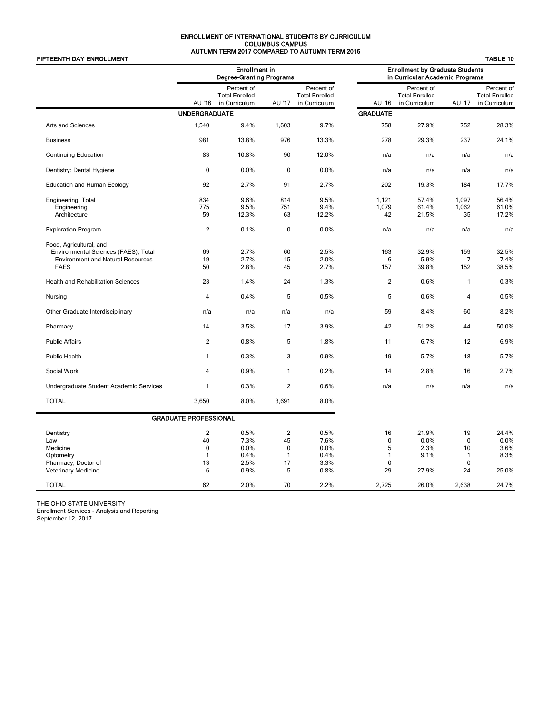### ENROLLMENT OF INTERNATIONAL STUDENTS BY CURRICULUM COLUMBUS CAMPUS AUTUMN TERM 2017 COMPARED TO AUTUMN TERM 2016

| FIFTEENTH DAY ENROLLMENT                                                                                                   |                                   |                                                         |                                                           | LIW ZUT, OOMIT ARED TO AUTOMIT TERM ZUTU             |                                            |                                                                           |                                              | <b>TABLE 10</b>                                      |
|----------------------------------------------------------------------------------------------------------------------------|-----------------------------------|---------------------------------------------------------|-----------------------------------------------------------|------------------------------------------------------|--------------------------------------------|---------------------------------------------------------------------------|----------------------------------------------|------------------------------------------------------|
|                                                                                                                            |                                   | <b>Enrollment in</b><br><b>Degree-Granting Programs</b> |                                                           |                                                      |                                            | <b>Enrollment by Graduate Students</b><br>in Curricular Academic Programs |                                              |                                                      |
|                                                                                                                            | AU '16                            | Percent of<br><b>Total Enrolled</b><br>in Curriculum    | AU '17                                                    | Percent of<br><b>Total Enrolled</b><br>in Curriculum | AU '16                                     | Percent of<br><b>Total Enrolled</b><br>in Curriculum                      | AU '17                                       | Percent of<br><b>Total Enrolled</b><br>in Curriculum |
|                                                                                                                            | <b>UNDERGRADUATE</b>              |                                                         |                                                           |                                                      | <b>GRADUATE</b>                            |                                                                           |                                              |                                                      |
| Arts and Sciences                                                                                                          | 1,540                             | 9.4%                                                    | 1,603                                                     | 9.7%                                                 | 758                                        | 27.9%                                                                     | 752                                          | 28.3%                                                |
| <b>Business</b>                                                                                                            | 981                               | 13.8%                                                   | 976                                                       | 13.3%                                                | 278                                        | 29.3%                                                                     | 237                                          | 24.1%                                                |
| <b>Continuing Education</b>                                                                                                | 83                                | 10.8%                                                   | 90                                                        | 12.0%                                                | n/a                                        | n/a                                                                       | n/a                                          | n/a                                                  |
| Dentistry: Dental Hygiene                                                                                                  | $\mathbf 0$                       | 0.0%                                                    | $\mathbf 0$                                               | 0.0%                                                 | n/a                                        | n/a                                                                       | n/a                                          | n/a                                                  |
| <b>Education and Human Ecology</b>                                                                                         | 92                                | 2.7%                                                    | 91                                                        | 2.7%                                                 | 202                                        | 19.3%                                                                     | 184                                          | 17.7%                                                |
| Engineering, Total<br>Engineering<br>Architecture                                                                          | 834<br>775<br>59                  | 9.6%<br>9.5%<br>12.3%                                   | 814<br>751<br>63                                          | 9.5%<br>9.4%<br>12.2%                                | 1,121<br>1,079<br>42                       | 57.4%<br>61.4%<br>21.5%                                                   | 1,097<br>1,062<br>35                         | 56.4%<br>61.0%<br>17.2%                              |
| <b>Exploration Program</b>                                                                                                 | $\overline{2}$                    | 0.1%                                                    | $\mathbf 0$                                               | 0.0%                                                 | n/a                                        | n/a                                                                       | n/a                                          | n/a                                                  |
| Food, Agricultural, and<br>Environmental Sciences (FAES), Total<br><b>Environment and Natural Resources</b><br><b>FAES</b> | 69<br>19<br>50                    | 2.7%<br>2.7%<br>2.8%                                    | 60<br>15<br>45                                            | 2.5%<br>2.0%<br>2.7%                                 | 163<br>6<br>157                            | 32.9%<br>5.9%<br>39.8%                                                    | 159<br>7<br>152                              | 32.5%<br>7.4%<br>38.5%                               |
| <b>Health and Rehabilitation Sciences</b>                                                                                  | 23                                | 1.4%                                                    | 24                                                        | 1.3%                                                 | $\overline{2}$                             | 0.6%                                                                      | $\mathbf{1}$                                 | 0.3%                                                 |
| Nursing                                                                                                                    | 4                                 | 0.4%                                                    | 5                                                         | 0.5%                                                 | 5                                          | 0.6%                                                                      | 4                                            | 0.5%                                                 |
| Other Graduate Interdisciplinary                                                                                           | n/a                               | n/a                                                     | n/a                                                       | n/a                                                  | 59                                         | 8.4%                                                                      | 60                                           | 8.2%                                                 |
| Pharmacy                                                                                                                   | 14                                | 3.5%                                                    | 17                                                        | 3.9%                                                 | 42                                         | 51.2%                                                                     | 44                                           | 50.0%                                                |
| <b>Public Affairs</b>                                                                                                      | $\overline{2}$                    | 0.8%                                                    | 5                                                         | 1.8%                                                 | 11                                         | 6.7%                                                                      | 12                                           | 6.9%                                                 |
| <b>Public Health</b>                                                                                                       | 1                                 | 0.3%                                                    | 3                                                         | 0.9%                                                 | 19                                         | 5.7%                                                                      | 18                                           | 5.7%                                                 |
| Social Work                                                                                                                | $\overline{4}$                    | 0.9%                                                    | $\mathbf{1}$                                              | 0.2%                                                 | 14                                         | 2.8%                                                                      | 16                                           | 2.7%                                                 |
| Undergraduate Student Academic Services                                                                                    | $\mathbf{1}$                      | 0.3%                                                    | $\overline{2}$                                            | 0.6%                                                 | n/a                                        | n/a                                                                       | n/a                                          | n/a                                                  |
| <b>TOTAL</b>                                                                                                               | 3,650                             | 8.0%                                                    | 3,691                                                     | 8.0%                                                 |                                            |                                                                           |                                              |                                                      |
|                                                                                                                            | <b>GRADUATE PROFESSIONAL</b>      |                                                         |                                                           |                                                      |                                            |                                                                           |                                              |                                                      |
| Dentistry<br>Law<br>Medicine<br>Optometry<br>Pharmacy, Doctor of                                                           | 2<br>40<br>$\mathbf 0$<br>1<br>13 | 0.5%<br>7.3%<br>0.0%<br>0.4%<br>2.5%                    | $\overline{2}$<br>45<br>$\mathbf 0$<br>$\mathbf{1}$<br>17 | 0.5%<br>7.6%<br>0.0%<br>0.4%<br>3.3%                 | 16<br>$\mathbf 0$<br>5<br>1<br>$\mathbf 0$ | 21.9%<br>0.0%<br>2.3%<br>9.1%                                             | 19<br>$\mathbf 0$<br>10<br>1<br>$\mathbf{0}$ | 24.4%<br>0.0%<br>3.6%<br>8.3%                        |
| Veterinary Medicine                                                                                                        | 6                                 | 0.9%                                                    | 5                                                         | 0.8%                                                 | 29                                         | 27.9%                                                                     | 24                                           | 25.0%                                                |
| <b>TOTAL</b>                                                                                                               | 62                                | 2.0%                                                    | 70                                                        | 2.2%                                                 | 2,725                                      | 26.0%                                                                     | 2,638                                        | 24.7%                                                |

THE OHIO STATE UNIVERSITY

Enrollment Services - Analysis and Reporting

September 12, 2017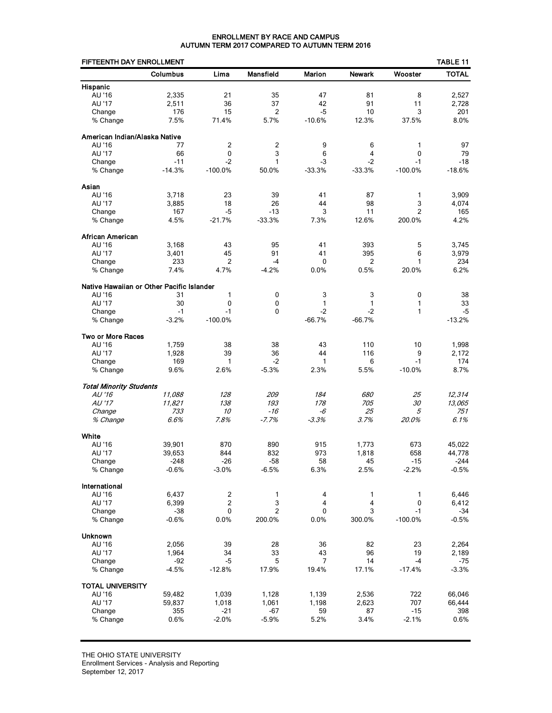### ENROLLMENT BY RACE AND CAMPUS AUTUMN TERM 2017 COMPARED TO AUTUMN TERM 2016

| FIFTEENTH DAY ENROLLMENT                  |                   |                  |                  |                |                |                   | TABLE 11          |
|-------------------------------------------|-------------------|------------------|------------------|----------------|----------------|-------------------|-------------------|
|                                           | Columbus          | Lima             | <b>Mansfield</b> | Marion         | <b>Newark</b>  | Wooster           | <b>TOTAL</b>      |
| Hispanic                                  |                   |                  |                  |                |                |                   |                   |
| AU '16                                    | 2,335             | 21               | 35               | 47             | 81             | 8                 | 2,527             |
| AU '17                                    | 2,511             | 36               | 37               | 42             | 91             | 11                | 2,728             |
| Change                                    | 176               | 15               | 2                | $-5$           | 10             | 3                 | 201               |
| % Change                                  | 7.5%              | 71.4%            | 5.7%             | $-10.6%$       | 12.3%          | 37.5%             | 8.0%              |
| American Indian/Alaska Native             |                   |                  |                  |                |                |                   |                   |
| AU '16                                    | 77                | 2                | 2                | 9              | 6              | 1                 | 97                |
| AU '17                                    | 66                | 0                | 3                | 6              | 4              | $\mathbf 0$       | 79                |
| Change                                    | $-11$             | $-2$             | 1                | -3             | $-2$           | $-1$              | $-18$             |
| % Change                                  | $-14.3%$          | $-100.0%$        | 50.0%            | $-33.3%$       | $-33.3%$       | $-100.0%$         | $-18.6%$          |
| Asian                                     |                   |                  |                  |                |                |                   |                   |
| AU '16                                    | 3,718             | 23               | 39               | 41             | 87             | 1                 | 3,909             |
| AU '17                                    | 3,885             | 18               | 26               | 44             | 98             | 3                 | 4,074             |
| Change                                    | 167               | $-5$             | $-13$            | 3              | 11             | $\overline{2}$    | 165               |
| % Change                                  | 4.5%              | $-21.7%$         | $-33.3%$         | 7.3%           | 12.6%          | 200.0%            | 4.2%              |
| African American                          |                   |                  |                  |                |                |                   |                   |
| AU '16                                    | 3,168             | 43               | 95               | 41             | 393            | 5                 | 3,745             |
| AU '17                                    | 3,401             | 45               | 91               | 41             | 395            | 6                 | 3,979             |
| Change                                    | 233               | $\overline{2}$   | $-4$             | 0              | 2              | 1                 | 234               |
| % Change                                  | 7.4%              | 4.7%             | $-4.2%$          | 0.0%           | 0.5%           | 20.0%             | 6.2%              |
| Native Hawaiian or Other Pacific Islander |                   |                  |                  |                |                |                   |                   |
| AU '16                                    | 31                | 1                | 0                | 3              | 3              | 0                 | 38                |
| AU '17                                    | 30                | 0                | 0                | $\mathbf{1}$   | 1              | 1                 | 33                |
| Change                                    | $-1$              | $-1$             | $\Omega$         | $-2$           | $-2$           | 1                 | $-5$              |
| % Change                                  | $-3.2%$           | $-100.0%$        |                  | $-66.7%$       | $-66.7%$       |                   | $-13.2%$          |
| <b>Two or More Races</b>                  |                   |                  |                  |                |                |                   |                   |
| AU '16                                    | 1,759             | 38               | 38               | 43             | 110            | 10                | 1,998             |
| AU '17                                    | 1,928             | 39               | 36               | 44             | 116            | 9                 | 2,172             |
| Change<br>% Change                        | 169<br>9.6%       | 1<br>2.6%        | $-2$<br>$-5.3%$  | 1<br>2.3%      | 6<br>5.5%      | $-1$<br>$-10.0%$  | 174<br>8.7%       |
|                                           |                   |                  |                  |                |                |                   |                   |
| <b>Total Minority Students</b>            |                   |                  |                  |                |                |                   |                   |
| $AU'$ 16<br>AU '17                        | 11.088            | 128<br>138       | 209<br>193       | 184<br>178     | 680<br>705     | 25<br>30          | 12,314<br>13,065  |
| Change                                    | 11,821<br>733     | 10               | $-16$            | -6             | 25             | 5                 | 751               |
| % Change                                  | 6.6%              | 7.8%             | $-7.7%$          | $-3.3%$        | 3.7%           | 20.0%             | 6.1%              |
|                                           |                   |                  |                  |                |                |                   |                   |
| White                                     |                   |                  |                  |                |                |                   |                   |
| AU '16                                    | 39,901            | 870              | 890              | 915            | 1.773          | 673               | 45,022            |
| AU '17                                    | 39,653            | 844              | 832              | 973            | 1,818          | 658               | 44,778            |
| Change<br>% Change                        | $-248$<br>$-0.6%$ | $-26$<br>$-3.0%$ | $-58$<br>$-6.5%$ | 58<br>6.3%     | 45<br>2.5%     | $-15$<br>$-2.2%$  | $-244$<br>$-0.5%$ |
|                                           |                   |                  |                  |                |                |                   |                   |
| International                             |                   |                  |                  |                |                |                   |                   |
| AU '16                                    | 6,437             | $\overline{c}$   | 1                | 4              | 1              | 1                 | 6,446             |
| AU '17                                    | 6,399             | $\boldsymbol{2}$ | 3                | 4              | 4              | 0                 | 6,412             |
| Change<br>% Change                        | $-38$             | 0<br>0.0%        | $\overline{2}$   | 0<br>0.0%      | 3              | $-1$<br>$-100.0%$ | $-34$             |
|                                           | $-0.6%$           |                  | 200.0%           |                | 300.0%         |                   | $-0.5%$           |
| <b>Unknown</b>                            |                   |                  |                  |                |                |                   |                   |
| AU '16                                    | 2,056             | 39               | 28               | 36             | 82             | 23                | 2,264             |
| AU '17<br>Change                          | 1,964<br>-92      | 34<br>$-5$       | 33<br>5          | 43<br>7        | 96<br>14       | 19<br>-4          | 2,189<br>-75      |
| % Change                                  | $-4.5%$           | $-12.8%$         | 17.9%            | 19.4%          | 17.1%          | $-17.4%$          | $-3.3%$           |
|                                           |                   |                  |                  |                |                |                   |                   |
| <b>TOTAL UNIVERSITY</b>                   |                   |                  |                  |                |                |                   |                   |
| AU '16<br>AU '17                          | 59,482<br>59,837  | 1,039<br>1,018   | 1,128<br>1,061   | 1,139<br>1,198 | 2,536<br>2,623 | 722<br>707        | 66,046<br>66,444  |
| Change                                    | 355               | $-21$            | $-67$            | 59             | 87             | $-15$             | 398               |
| % Change                                  | 0.6%              | $-2.0%$          | $-5.9%$          | 5.2%           | 3.4%           | $-2.1%$           | 0.6%              |
|                                           |                   |                  |                  |                |                |                   |                   |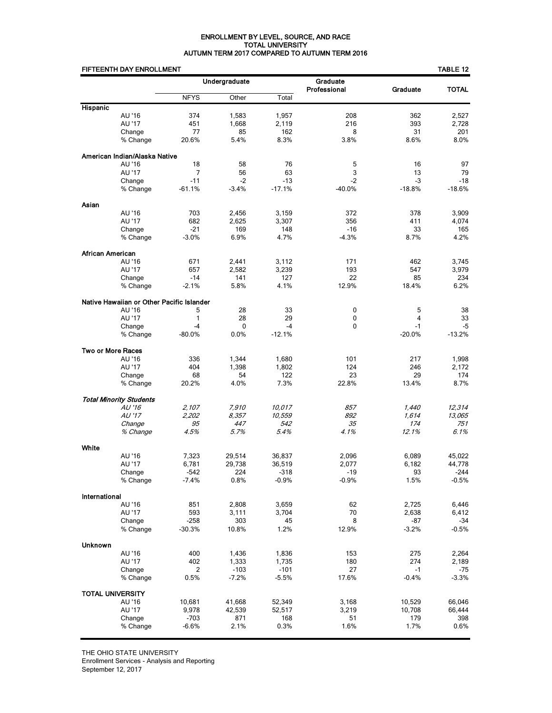### ENROLLMENT BY LEVEL, SOURCE, AND RACE TOTAL UNIVERSITY AUTUMN TERM 2017 COMPARED TO AUTUMN TERM 2016

## EIFTEENTH DAY ENROLL MENT

|                  | FIFTEENTH DAY ENROLLMENT                  |                   |                   |                   |                          |                 | <b>TABLE 12</b> |
|------------------|-------------------------------------------|-------------------|-------------------|-------------------|--------------------------|-----------------|-----------------|
|                  |                                           |                   | Undergraduate     |                   | Graduate<br>Professional | Graduate        | <b>TOTAL</b>    |
|                  |                                           | <b>NFYS</b>       | Other             | Total             |                          |                 |                 |
| <b>Hispanic</b>  |                                           |                   |                   |                   |                          |                 |                 |
|                  | AU '16                                    | 374               | 1,583             | 1,957             | 208                      | 362             | 2,527           |
|                  | AU '17                                    | 451               | 1,668             | 2,119             | 216                      | 393             | 2,728           |
|                  | Change                                    | 77                | 85                | 162               | 8                        | 31              | 201             |
|                  | % Change                                  | 20.6%             | 5.4%              | 8.3%              | 3.8%                     | 8.6%            | 8.0%            |
|                  | American Indian/Alaska Native             |                   |                   |                   |                          |                 |                 |
|                  | AU '16                                    | 18                | 58                | 76                | 5                        | 16              | 97              |
|                  | AU '17                                    | 7                 | 56                | 63                | 3                        | 13              | 79              |
|                  | Change                                    | $-11$             | $-2$              | $-13$             | $-2$                     | -3              | $-18$           |
|                  | % Change                                  | $-61.1%$          | $-3.4%$           | $-17.1%$          | $-40.0%$                 | $-18.8%$        | $-18.6%$        |
| Asian            |                                           |                   |                   |                   |                          |                 |                 |
|                  | AU '16                                    | 703               | 2,456             | 3,159             | 372                      | 378             | 3,909           |
|                  | AU '17                                    | 682               | 2,625             | 3,307             | 356                      | 411             | 4,074           |
|                  | Change                                    | $-21$             | 169               | 148               | $-16$                    | 33              | 165             |
|                  | % Change                                  | $-3.0%$           | 6.9%              | 4.7%              | $-4.3%$                  | 8.7%            | 4.2%            |
| African American |                                           |                   |                   |                   |                          |                 |                 |
|                  | AU '16                                    | 671               | 2,441             | 3,112             | 171                      | 462             | 3,745           |
|                  | AU '17                                    | 657               | 2,582             | 3,239             | 193                      | 547             | 3,979           |
|                  | Change                                    | $-14$             | 141               | 127               | 22                       | 85              | 234             |
|                  | % Change                                  | $-2.1%$           | 5.8%              | 4.1%              | 12.9%                    | 18.4%           | 6.2%            |
|                  | Native Hawaiian or Other Pacific Islander |                   |                   |                   |                          |                 |                 |
|                  | AU '16                                    | 5                 | 28                | 33                | 0                        | 5               | 38              |
|                  | AU '17                                    | $\mathbf{1}$      | 28                | 29                | 0                        | 4               | 33              |
|                  | Change                                    | $-4$              | 0                 | $-4$              | 0                        | $-1$            | -5              |
|                  | % Change                                  | $-80.0%$          | 0.0%              | $-12.1%$          |                          | $-20.0%$        | $-13.2%$        |
|                  | <b>Two or More Races</b>                  |                   |                   |                   |                          |                 |                 |
|                  | AU '16                                    | 336               | 1,344             | 1,680             | 101                      | 217             | 1,998           |
|                  | AU '17                                    | 404               | 1,398             | 1,802             | 124                      | 246             | 2,172           |
|                  | Change                                    | 68                | 54                | 122               | 23                       | 29              | 174             |
|                  | % Change                                  | 20.2%             | 4.0%              | 7.3%              | 22.8%                    | 13.4%           | 8.7%            |
|                  | <b>Total Minority Students</b>            |                   |                   |                   |                          |                 |                 |
|                  | AU '16                                    | 2,107             | 7.910             | 10.017            | 857                      | 1,440           | 12,314          |
|                  | AU '17                                    | 2,202             | 8.357             | 10,559            | 892                      | 1.614           | 13.065          |
|                  | Change                                    | 95                | 447               | 542               | 35                       | 174             | 751             |
|                  | % Change                                  | 4.5%              | 5.7%              | 5.4%              | 4.1%                     | 12.1%           | 6.1%            |
| White            |                                           |                   |                   |                   |                          |                 |                 |
|                  | AU '16                                    | 7,323             | 29,514            | 36,837            | 2,096                    | 6,089           | 45,022          |
|                  | AU '17                                    | 6,781             | 29,738            | 36,519            | 2,077                    | 6,182           | 44,778          |
|                  | Change                                    | -542              | 224               | -318              | -19                      | 93              | -244            |
|                  | % Change                                  | $-7.4%$           | 0.8%              | $-0.9%$           | $-0.9%$                  | 1.5%            | $-0.5%$         |
| International    |                                           |                   |                   |                   |                          |                 |                 |
|                  | AU '16                                    | 851               | 2,808             | 3,659             | 62                       | 2,725           | 6,446           |
|                  | AU '17                                    | 593               | 3,111             | 3,704             | 70                       | 2,638           | 6,412           |
|                  | Change                                    | $-258$            | 303               | 45                | 8                        | -87             | -34             |
|                  | % Change                                  | $-30.3%$          | 10.8%             | 1.2%              | 12.9%                    | $-3.2%$         | $-0.5%$         |
|                  |                                           |                   |                   |                   |                          |                 |                 |
| <b>Unknown</b>   | AU '16                                    |                   |                   |                   |                          |                 |                 |
|                  |                                           | 400               | 1,436             | 1,836             | 153                      | 275             | 2,264           |
|                  | AU '17                                    | 402               | 1,333             | 1,735             | 180                      | 274             | 2,189           |
|                  | Change<br>% Change                        | 2<br>0.5%         | $-103$<br>$-7.2%$ | $-101$<br>$-5.5%$ | 27<br>17.6%              | $-1$<br>$-0.4%$ | -75<br>$-3.3%$  |
|                  |                                           |                   |                   |                   |                          |                 |                 |
|                  | <b>TOTAL UNIVERSITY</b>                   |                   |                   |                   |                          |                 |                 |
|                  | AU '16                                    | 10,681            | 41,668            | 52,349            | 3,168                    | 10,529          | 66,046          |
|                  | AU '17                                    | 9,978             | 42,539            | 52,517            | 3,219                    | 10,708          | 66,444          |
|                  | Change                                    | $-703$<br>$-6.6%$ | 871<br>2.1%       | 168<br>0.3%       | 51<br>1.6%               | 179<br>1.7%     | 398<br>0.6%     |
|                  | % Change                                  |                   |                   |                   |                          |                 |                 |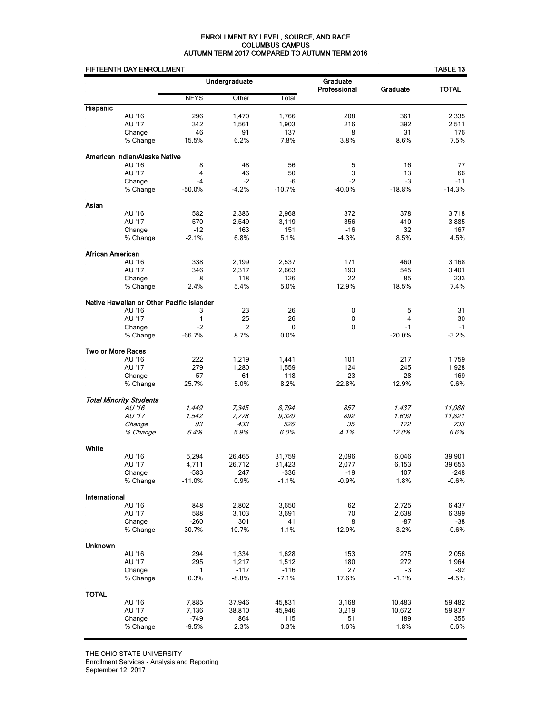### ENROLLMENT BY LEVEL, SOURCE, AND RACE COLUMBUS CAMPUS AUTUMN TERM 2017 COMPARED TO AUTUMN TERM 2016

|                   | FIFTEENTH DAY ENROLLMENT                  |                    |               |                 |                          |                | TABLE 13        |
|-------------------|-------------------------------------------|--------------------|---------------|-----------------|--------------------------|----------------|-----------------|
|                   |                                           |                    | Undergraduate |                 | Graduate<br>Professional | Graduate       | <b>TOTAL</b>    |
|                   |                                           | <b>NFYS</b>        | Other         | Total           |                          |                |                 |
| Hispanic          |                                           |                    |               |                 |                          |                |                 |
|                   | AU '16                                    | 296                | 1,470         | 1,766           | 208                      | 361            | 2,335           |
|                   | AU '17                                    | 342                | 1,561         | 1,903           | 216                      | 392            | 2,511           |
|                   | Change<br>% Change                        | 46<br>15.5%        | 91<br>6.2%    | 137<br>7.8%     | 8<br>3.8%                | 31<br>8.6%     | 176<br>7.5%     |
|                   |                                           |                    |               |                 |                          |                |                 |
|                   | American Indian/Alaska Native<br>AU '16   | 8                  | 48            | 56              | 5                        | 16             | 77              |
|                   | AU '17                                    | $\overline{4}$     | 46            | 50              | 3                        | 13             | 66              |
|                   | Change                                    | $-4$               | $-2$          | $-6$            | $-2$                     | $-3$           | $-11$           |
|                   | % Change                                  | $-50.0\%$          | $-4.2%$       | $-10.7%$        | -40.0%                   | $-18.8%$       | $-14.3%$        |
| Asian             |                                           |                    |               |                 |                          |                |                 |
|                   | AU '16                                    | 582                | 2,386         | 2,968           | 372                      | 378            | 3,718           |
|                   | AU '17                                    | 570                | 2,549         | 3,119           | 356                      | 410            | 3,885           |
|                   | Change                                    | $-12$              | 163           | 151             | $-16$                    | 32             | 167             |
|                   | % Change                                  | $-2.1%$            | 6.8%          | 5.1%            | $-4.3%$                  | 8.5%           | 4.5%            |
| African American  |                                           |                    |               |                 |                          |                |                 |
|                   | AU '16                                    | 338                | 2,199         | 2,537           | 171                      | 460            | 3,168           |
|                   | AU '17                                    | 346                | 2,317         | 2,663           | 193                      | 545            | 3,401           |
|                   | Change                                    | 8                  | 118           | 126             | 22                       | 85             | 233             |
|                   | % Change                                  | 2.4%               | 5.4%          | 5.0%            | 12.9%                    | 18.5%          | 7.4%            |
|                   | Native Hawaiian or Other Pacific Islander |                    |               |                 |                          |                |                 |
|                   | AU '16                                    | 3                  | 23            | 26              | 0                        | 5              | 31              |
|                   | AU '17                                    | 1                  | 25            | 26              | 0                        | 4<br>$-1$      | 30              |
|                   | Change<br>% Change                        | $-2$<br>$-66.7%$   | 2<br>8.7%     | 0<br>0.0%       | 0                        | $-20.0%$       | $-1$<br>$-3.2%$ |
|                   |                                           |                    |               |                 |                          |                |                 |
| Two or More Races | AU '16                                    | 222                | 1,219         | 1,441           | 101                      | 217            | 1,759           |
|                   | AU '17                                    | 279                | 1,280         | 1,559           | 124                      | 245            | 1,928           |
|                   | Change                                    | 57                 | 61            | 118             | 23                       | 28             | 169             |
|                   | % Change                                  | 25.7%              | 5.0%          | 8.2%            | 22.8%                    | 12.9%          | 9.6%            |
|                   | <b>Total Minority Students</b>            |                    |               |                 |                          |                |                 |
|                   | AU '16                                    | 1,449              | 7,345         | 8,794           | 857                      | 1,437          | 11,088          |
|                   | AU '17                                    | 1,542              | 7,778         | 9,320           | 892                      | 1.609          | 11,821          |
|                   | Change                                    | 93                 | 433           | 526             | 35                       | 172            | 733             |
|                   | % Change                                  | 6.4%               | 5.9%          | 6.0%            | 4.1%                     | 12.0%          | 6.6%            |
| White             |                                           |                    |               |                 |                          |                |                 |
|                   | AU '16                                    | 5,294              | 26,465        | 31,759          | 2,096                    | 6,046          | 39,901          |
|                   | AU '17                                    | 4,711              | 26,712        | 31,423          | 2,077                    | 6,153          | 39,653          |
|                   | Change<br>% Change                        | -583<br>$-11.0%$   | 247<br>0.9%   | -336<br>$-1.1%$ | -19<br>$-0.9%$           | 107<br>1.8%    | -248<br>$-0.6%$ |
|                   |                                           |                    |               |                 |                          |                |                 |
| International     |                                           |                    |               |                 |                          |                |                 |
|                   | AU '16                                    | 848                | 2,802         | 3,650           | 62                       | 2,725          | 6,437           |
|                   | AU '17                                    | 588                | 3,103         | 3,691           | 70                       | 2,638          | 6,399           |
|                   | Change<br>% Change                        | $-260$<br>$-30.7%$ | 301<br>10.7%  | 41<br>1.1%      | 8<br>12.9%               | -87<br>$-3.2%$ | -38<br>$-0.6%$  |
|                   |                                           |                    |               |                 |                          |                |                 |
| Unknown           | AU '16                                    | 294                | 1,334         | 1,628           | 153                      | 275            | 2,056           |
|                   | AU '17                                    | 295                | 1,217         | 1,512           | 180                      | 272            | 1,964           |
|                   | Change                                    | 1                  | $-117$        | $-116$          | 27                       | -3             | -92             |
|                   | % Change                                  | 0.3%               | $-8.8%$       | $-7.1%$         | 17.6%                    | $-1.1%$        | $-4.5%$         |
| <b>TOTAL</b>      |                                           |                    |               |                 |                          |                |                 |
|                   | AU '16                                    | 7,885              | 37,946        | 45,831          | 3,168                    | 10,483         | 59,482          |
|                   | AU '17                                    | 7,136              | 38,810        | 45,946          | 3,219                    | 10,672         | 59,837          |
|                   | Change                                    | -749               | 864           | 115             | 51                       | 189            | 355             |
|                   | % Change                                  | $-9.5%$            | 2.3%          | 0.3%            | 1.6%                     | 1.8%           | 0.6%            |

THE OHIO STATE UNIVERSITY

Enrollment Services - Analysis and Reporting

September 12, 2017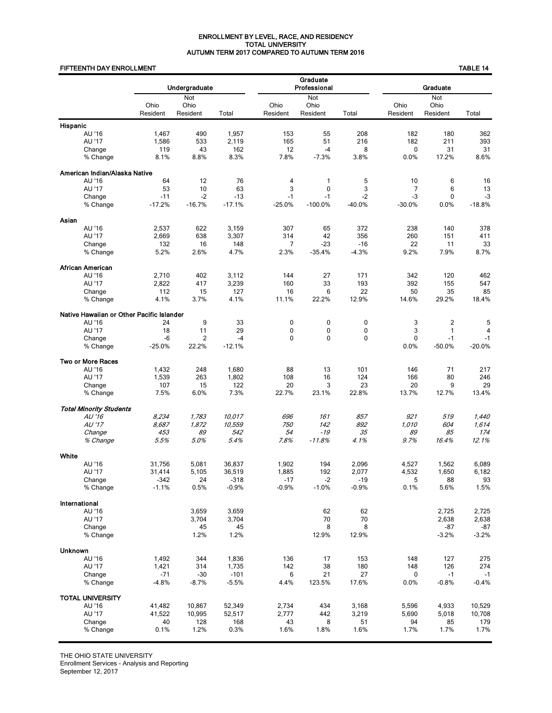### ENROLLMENT BY LEVEL, RACE, AND RESIDENCY TOTAL UNIVERSITY AUTUMN TERM 2017 COMPARED TO AUTUMN TERM 2016

### FIFTEENTH DAY ENROLLMENT TABLE 14

|                |                                           |                   | Undergraduate           |                   |                          | Graduate<br>Professional |                            | Graduate         |                         |                  |  |  |
|----------------|-------------------------------------------|-------------------|-------------------------|-------------------|--------------------------|--------------------------|----------------------------|------------------|-------------------------|------------------|--|--|
|                |                                           | Ohio<br>Resident  | Not<br>Ohio<br>Resident | Total             | Ohio<br>Resident         | Not<br>Ohio<br>Resident  | Total                      | Ohio<br>Resident | Not<br>Ohio<br>Resident | Total            |  |  |
| Hispanic       |                                           |                   |                         |                   |                          |                          |                            |                  |                         |                  |  |  |
|                | AU '16                                    | 1,467             | 490                     | 1,957             | 153                      | 55                       | 208                        | 182              | 180                     | 362              |  |  |
|                | AU '17                                    | 1,586             | 533                     | 2,119             | 165                      | 51                       | 216                        | 182              | 211                     | 393              |  |  |
|                | Change                                    | 119               | 43                      | 162               | 12                       | $-4$                     | 8                          | 0                | 31                      | 31               |  |  |
|                | % Change                                  | 8.1%              | 8.8%                    | 8.3%              | 7.8%                     | $-7.3%$                  | 3.8%                       | 0.0%             | 17.2%                   | 8.6%             |  |  |
|                | American Indian/Alaska Native             |                   |                         |                   |                          |                          |                            |                  |                         |                  |  |  |
|                | AU '16                                    | 64                | 12                      | 76                | 4                        | 1                        | 5                          | 10               | 6                       | 16               |  |  |
|                | AU '17                                    | 53                | 10                      | 63                | 3                        | $\mathbf 0$              | 3                          | $\overline{7}$   | 6                       | 13               |  |  |
|                | Change<br>% Change                        | $-11$<br>$-17.2%$ | $-2$<br>$-16.7%$        | $-13$<br>$-17.1%$ | $-1$<br>$-25.0%$         | $-1$<br>$-100.0%$        | $-2$<br>$-40.0%$           | $-3$<br>$-30.0%$ | $\mathbf 0$<br>0.0%     | $-3$<br>$-18.8%$ |  |  |
|                |                                           |                   |                         |                   |                          |                          |                            |                  |                         |                  |  |  |
| Asian          |                                           |                   |                         |                   |                          |                          |                            |                  |                         |                  |  |  |
|                | AU '16                                    | 2,537             | 622                     | 3,159             | 307                      | 65                       | 372                        | 238              | 140                     | 378              |  |  |
|                | AU '17                                    | 2,669             | 638                     | 3,307             | 314                      | 42                       | 356                        | 260              | 151                     | 411              |  |  |
|                | Change                                    | 132               | 16                      | 148               | 7                        | $-23$                    | $-16$                      | 22               | 11                      | 33               |  |  |
|                | % Change                                  | 5.2%              | 2.6%                    | 4.7%              | 2.3%                     | $-35.4%$                 | $-4.3%$                    | 9.2%             | 7.9%                    | 8.7%             |  |  |
|                | <b>African American</b>                   |                   |                         |                   |                          |                          |                            |                  |                         |                  |  |  |
|                | AU '16                                    | 2,710             | 402                     | 3,112             | 144                      | 27                       | 171                        | 342              | 120                     | 462              |  |  |
|                | AU '17                                    | 2,822             | 417                     | 3,239             | 160                      | 33                       | 193                        | 392              | 155                     | 547              |  |  |
|                | Change                                    | 112               | 15                      | 127               | 16                       | 6                        | 22                         | 50               | 35                      | 85               |  |  |
|                | % Change                                  | 4.1%              | 3.7%                    | 4.1%              | 11.1%                    | 22.2%                    | 12.9%                      | 14.6%            | 29.2%                   | 18.4%            |  |  |
|                | Native Hawaiian or Other Pacific Islander |                   |                         |                   |                          |                          |                            |                  |                         |                  |  |  |
|                | AU '16                                    | 24                | 9                       | 33                | $\pmb{0}$                | $\mathbf 0$              | $\mathbf 0$                | 3                | $\overline{c}$          | 5                |  |  |
|                | AU '17                                    | 18                | 11                      | 29<br>$-4$        | $\pmb{0}$<br>$\mathbf 0$ | $\pmb{0}$<br>$\mathbf 0$ | $\mathbf 0$<br>$\mathbf 0$ | 3<br>0           | $\mathbf{1}$            | $\overline{4}$   |  |  |
|                | Change<br>% Change                        | -6<br>$-25.0%$    | $\overline{2}$<br>22.2% | $-12.1%$          |                          |                          |                            | 0.0%             | $-1$<br>$-50.0%$        | $-1$<br>$-20.0%$ |  |  |
|                |                                           |                   |                         |                   |                          |                          |                            |                  |                         |                  |  |  |
|                | <b>Two or More Races</b>                  |                   |                         |                   |                          |                          |                            |                  |                         |                  |  |  |
|                | AU '16                                    | 1,432             | 248                     | 1,680             | 88                       | 13                       | 101                        | 146              | 71                      | 217              |  |  |
|                | AU '17                                    | 1,539             | 263                     | 1,802             | 108                      | 16                       | 124                        | 166              | 80                      | 246              |  |  |
|                | Change<br>% Change                        | 107<br>7.5%       | 15<br>6.0%              | 122<br>7.3%       | 20<br>22.7%              | 3<br>23.1%               | 23<br>22.8%                | 20<br>13.7%      | 9<br>12.7%              | 29<br>13.4%      |  |  |
|                |                                           |                   |                         |                   |                          |                          |                            |                  |                         |                  |  |  |
|                | <b>Total Minority Students</b>            |                   |                         |                   |                          |                          |                            |                  |                         |                  |  |  |
|                | AU '16                                    | 8,234             | 1,783                   | 10.017            | 696                      | 161                      | 857                        | 921              | 519                     | 1,440            |  |  |
|                | AU'17                                     | 8.687             | 1,872                   | 10,559            | 750                      | 142                      | 892                        | 1.010            | 604                     | 1.614            |  |  |
|                | Change                                    | 453               | 89                      | 542               | 54                       | $-19$                    | 35                         | 89               | 85                      | 174              |  |  |
|                | % Change                                  | 5.5%              | 5.0%                    | 5.4%              | 7.8%                     | $-11.8%$                 | 4.1%                       | 9.7%             | 16.4%                   | 12.1%            |  |  |
| White          |                                           |                   |                         |                   |                          |                          |                            |                  |                         |                  |  |  |
|                | AU '16                                    | 31,756            | 5,081                   | 36,837            | 1,902                    | 194                      | 2,096                      | 4,527            | 1,562                   | 6,089            |  |  |
|                | AU '17                                    | 31,414            | 5,105                   | 36,519            | 1,885                    | 192                      | 2,077                      | 4,532            | 1,650                   | 6,182            |  |  |
|                | Change                                    | $-342$            | 24                      | $-318$            | $-17$                    | $-2$                     | $-19$                      | 5                | 88                      | 93               |  |  |
|                | % Change                                  | $-1.1%$           | 0.5%                    | $-0.9%$           | $-0.9%$                  | $-1.0%$                  | $-0.9%$                    | 0.1%             | 5.6%                    | 1.5%             |  |  |
|                | International                             |                   |                         |                   |                          |                          |                            |                  |                         |                  |  |  |
|                | AU '16                                    |                   | 3,659                   | 3,659             |                          | 62                       | 62                         |                  | 2,725                   | 2,725            |  |  |
|                | AU '17                                    |                   | 3,704                   | 3,704             |                          | 70                       | 70                         |                  | 2,638                   | 2,638            |  |  |
|                | Change                                    |                   | 45                      | 45                |                          | 8                        | 8                          |                  | -87                     | -87              |  |  |
|                | % Change                                  |                   | 1.2%                    | 1.2%              |                          | 12.9%                    | 12.9%                      |                  | $-3.2%$                 | $-3.2%$          |  |  |
| <b>Unknown</b> |                                           |                   |                         |                   |                          |                          |                            |                  |                         |                  |  |  |
|                | AU '16                                    | 1,492             | 344                     | 1,836             | 136                      | 17                       | 153                        | 148              | 127                     | 275              |  |  |
|                | AU '17                                    | 1,421             | 314                     | 1,735             | 142                      | 38                       | 180                        | 148              | 126                     | 274              |  |  |
|                | Change                                    | $-71$             | $-30$                   | $-101$            | 6                        | 21                       | 27                         | 0                | $-1$                    | $-1$             |  |  |
|                | % Change                                  | $-4.8%$           | $-8.7%$                 | $-5.5%$           | 4.4%                     | 123.5%                   | 17.6%                      | $0.0\%$          | $-0.8%$                 | $-0.4%$          |  |  |
|                | TOTAL UNIVERSITY                          |                   |                         |                   |                          |                          |                            |                  |                         |                  |  |  |
|                | AU '16                                    | 41,482            | 10,867                  | 52,349            | 2,734                    | 434                      | 3,168                      | 5,596            | 4,933                   | 10,529           |  |  |
|                | AU '17                                    | 41,522            | 10,995                  | 52,517            | 2,777                    | 442                      | 3,219                      | 5,690            | 5,018                   | 10,708           |  |  |
|                | Change                                    | 40                | 128                     | 168               | 43                       | 8                        | 51                         | 94               | 85                      | 179              |  |  |
|                | % Change                                  | 0.1%              | 1.2%                    | 0.3%              | 1.6%                     | 1.8%                     | 1.6%                       | 1.7%             | 1.7%                    | 1.7%             |  |  |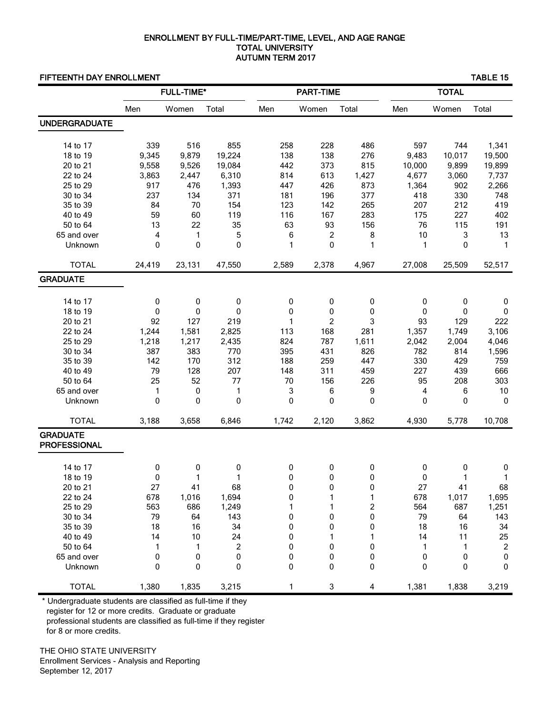## ENROLLMENT BY FULL-TIME/PART-TIME, LEVEL, AND AGE RANGE TOTAL UNIVERSITY AUTUMN TERM 2017

## FIFTEENTH DAY ENROLLMENT TABLE 15

|                                        |        | <b>FULL-TIME*</b> |                  |       | <b>PART-TIME</b> |                         | <b>TOTAL</b> |        |              |  |
|----------------------------------------|--------|-------------------|------------------|-------|------------------|-------------------------|--------------|--------|--------------|--|
|                                        | Men    | Women             | Total            | Men   | Women            | Total                   | Men          | Women  | Total        |  |
| <b>UNDERGRADUATE</b>                   |        |                   |                  |       |                  |                         |              |        |              |  |
|                                        |        |                   |                  |       |                  |                         |              |        |              |  |
| 14 to 17                               | 339    | 516               | 855              | 258   | 228              | 486                     | 597          | 744    | 1,341        |  |
| 18 to 19                               | 9,345  | 9,879             | 19,224           | 138   | 138              | 276                     | 9,483        | 10,017 | 19,500       |  |
| 20 to 21                               | 9,558  | 9,526             | 19,084           | 442   | 373              | 815                     | 10,000       | 9,899  | 19,899       |  |
| 22 to 24                               | 3,863  | 2,447             | 6,310            | 814   | 613              | 1,427                   | 4,677        | 3,060  | 7,737        |  |
| 25 to 29                               | 917    | 476               | 1,393            | 447   | 426              | 873                     | 1,364        | 902    | 2,266        |  |
| 30 to 34                               | 237    | 134               | 371              | 181   | 196              | 377                     | 418          | 330    | 748          |  |
| 35 to 39                               | 84     | 70                | 154              | 123   | 142              | 265                     | 207          | 212    | 419          |  |
| 40 to 49                               | 59     | 60                | 119              | 116   | 167              | 283                     | 175          | 227    | 402          |  |
| 50 to 64                               | 13     | 22                | 35               | 63    | 93               | 156                     | 76           | 115    | 191          |  |
| 65 and over                            | 4      | 1                 | 5                | 6     | 2                | 8                       | 10           | 3      | 13           |  |
| Unknown                                | 0      | 0                 | 0                | 1     | 0                | 1                       | 1            | 0      | $\mathbf{1}$ |  |
| <b>TOTAL</b>                           | 24,419 | 23,131            | 47,550           | 2,589 | 2,378            | 4,967                   | 27,008       | 25,509 | 52,517       |  |
| <b>GRADUATE</b>                        |        |                   |                  |       |                  |                         |              |        |              |  |
|                                        |        |                   |                  |       |                  |                         |              |        |              |  |
| 14 to 17                               | 0      | 0                 | 0                | 0     | 0                | 0                       | 0            | 0      | 0            |  |
| 18 to 19                               | 0      | 0                 | 0                | 0     | 0                | 0                       | 0            | 0      | 0            |  |
| 20 to 21                               | 92     | 127               | 219              | 1     | $\boldsymbol{2}$ | 3                       | 93           | 129    | 222          |  |
| 22 to 24                               | 1,244  | 1,581             | 2,825            | 113   | 168              | 281                     | 1,357        | 1,749  | 3,106        |  |
| 25 to 29                               | 1,218  | 1,217             | 2,435            | 824   | 787              | 1,611                   | 2,042        | 2,004  | 4,046        |  |
| 30 to 34                               | 387    | 383               | 770              | 395   | 431              | 826                     | 782          | 814    | 1,596        |  |
| 35 to 39                               | 142    | 170               | 312              | 188   | 259              | 447                     | 330          | 429    | 759          |  |
| 40 to 49                               | 79     | 128               | 207              | 148   | 311              | 459                     | 227          | 439    | 666          |  |
| 50 to 64                               | 25     | 52                | 77               | 70    | 156              | 226                     | 95           | 208    | 303          |  |
| 65 and over                            | 1      | $\pmb{0}$         | 1                | 3     | 6                | 9                       | 4            | 6      | $10$         |  |
| Unknown                                | 0      | 0                 | 0                | 0     | 0                | 0                       | 0            | 0      | 0            |  |
| <b>TOTAL</b>                           | 3,188  | 3,658             | 6,846            | 1,742 | 2,120            | 3,862                   | 4,930        | 5,778  | 10,708       |  |
| <b>GRADUATE</b><br><b>PROFESSIONAL</b> |        |                   |                  |       |                  |                         |              |        |              |  |
| 14 to 17                               | 0      | 0                 | 0                | 0     | 0                | 0                       | 0            | 0      | $\pmb{0}$    |  |
| 18 to 19                               | 0      | 1                 | 1                | 0     | 0                | 0                       | 0            | 1      | 1            |  |
| 20 to 21                               | 27     | 41                | 68               | 0     | <sup>n</sup>     | 0                       | 27           | 41     | 68           |  |
| 22 to 24                               | 678    | 1,016             | 1,694            | 0     | 1                | 1                       | 678          | 1,017  | 1,695        |  |
| 25 to 29                               | 563    | 686               | 1,249            | 1     |                  | $\overline{\mathbf{c}}$ | 564          | 687    | 1,251        |  |
| 30 to 34                               | 79     | 64                | 143              | 0     | 0                | 0                       | 79           | 64     | 143          |  |
| 35 to 39                               | 18     | 16                | 34               | 0     | 0                | 0                       | 18           | 16     | 34           |  |
| 40 to 49                               | 14     | 10                | 24               | 0     | 1                | 1                       | 14           | 11     | 25           |  |
| 50 to 64                               | 1      | 1                 | $\boldsymbol{2}$ | 0     | 0                | 0                       | 1            | 1      | $\sqrt{2}$   |  |
| 65 and over                            | 0      | 0                 | 0                | 0     | 0                | 0                       | 0            | 0      | $\pmb{0}$    |  |
| Unknown                                | 0      | 0                 | 0                | 0     | 0                | 0                       | 0            | 0      | $\pmb{0}$    |  |
| <b>TOTAL</b>                           | 1,380  | 1,835             | 3,215            | 1     | 3                | 4                       | 1,381        | 1,838  | 3,219        |  |

 \* Undergraduate students are classified as full-time if they register for 12 or more credits. Graduate or graduate professional students are classified as full-time if they register for 8 or more credits.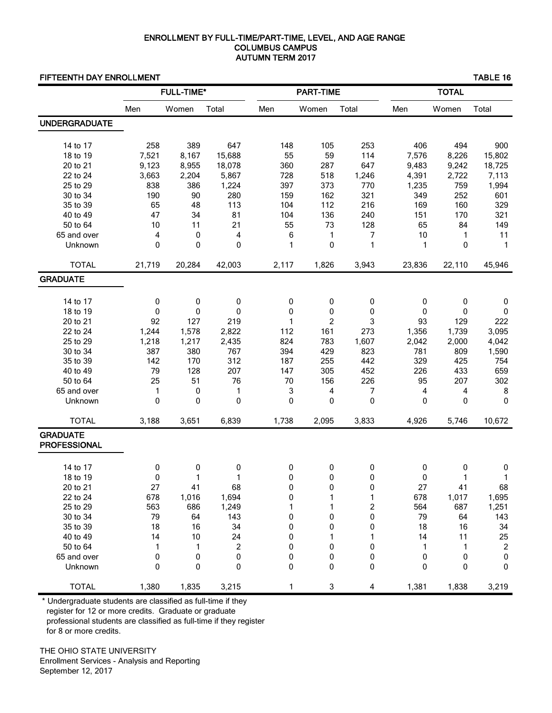## ENROLLMENT BY FULL-TIME/PART-TIME, LEVEL, AND AGE RANGE COLUMBUS CAMPUS AUTUMN TERM 2017

## FIFTEENTH DAY ENROLLMENT TABLE 16

|                                        |        | <b>FULL-TIME*</b> |                  |       | <b>PART-TIME</b> |              | <b>TOTAL</b> |                |                 |  |
|----------------------------------------|--------|-------------------|------------------|-------|------------------|--------------|--------------|----------------|-----------------|--|
|                                        | Men    | Women             | Total            | Men   | Women            | Total        | Men          | Women          | Total           |  |
| <b>UNDERGRADUATE</b>                   |        |                   |                  |       |                  |              |              |                |                 |  |
| 14 to 17                               | 258    | 389               | 647              | 148   | 105              | 253          | 406          | 494            | 900             |  |
| 18 to 19                               | 7,521  |                   | 15,688           | 55    | 59               | 114          | 7,576        |                | 15,802          |  |
| 20 to 21                               | 9,123  | 8,167<br>8,955    | 18,078           | 360   | 287              | 647          | 9,483        | 8,226<br>9,242 |                 |  |
| 22 to 24                               | 3,663  | 2,204             | 5,867            | 728   | 518              | 1,246        | 4,391        | 2,722          | 18,725<br>7,113 |  |
| 25 to 29                               | 838    | 386               | 1,224            | 397   | 373              | 770          | 1,235        | 759            | 1,994           |  |
| 30 to 34                               | 190    | 90                | 280              | 159   | 162              | 321          | 349          | 252            | 601             |  |
| 35 to 39                               | 65     | 48                | 113              | 104   | 112              | 216          | 169          | 160            | 329             |  |
| 40 to 49                               | 47     | 34                | 81               | 104   | 136              | 240          | 151          | 170            | 321             |  |
| 50 to 64                               | 10     | 11                | 21               | 55    | 73               | 128          | 65           | 84             | 149             |  |
| 65 and over                            | 4      | 0                 | 4                | 6     | 1                | 7            | 10           | $\mathbf{1}$   | 11              |  |
| Unknown                                | 0      | 0                 | 0                | 1     | 0                | 1            | 1            | 0              | $\mathbf{1}$    |  |
|                                        |        |                   |                  |       |                  |              |              |                |                 |  |
| <b>TOTAL</b>                           | 21,719 | 20,284            | 42,003           | 2,117 | 1,826            | 3,943        | 23,836       | 22,110         | 45,946          |  |
| <b>GRADUATE</b>                        |        |                   |                  |       |                  |              |              |                |                 |  |
|                                        |        |                   |                  |       |                  |              |              |                |                 |  |
| 14 to 17                               | 0      | $\mathbf 0$       | 0                | 0     | 0                | 0            | 0            | 0              | 0               |  |
| 18 to 19                               | 0      | 0                 | $\mathbf 0$      | 0     | 0                | $\Omega$     | 0            | 0              | 0               |  |
| 20 to 21                               | 92     | 127               | 219              | 1     | 2                | 3            | 93           | 129            | 222             |  |
| 22 to 24                               | 1,244  | 1,578             | 2,822            | 112   | 161              | 273          | 1,356        | 1,739          | 3,095           |  |
| 25 to 29                               | 1,218  | 1,217             | 2,435            | 824   | 783              | 1,607        | 2,042        | 2,000          | 4,042           |  |
| 30 to 34                               | 387    | 380               | 767              | 394   | 429              | 823          | 781          | 809            | 1,590           |  |
| 35 to 39                               | 142    | 170               | 312              | 187   | 255              | 442          | 329          | 425            | 754             |  |
| 40 to 49                               | 79     | 128               | 207              | 147   | 305              | 452          | 226          | 433            | 659             |  |
| 50 to 64                               | 25     | 51                | 76               | 70    | 156              | 226          | 95           | 207            | 302             |  |
| 65 and over                            | 1      | $\pmb{0}$         | $\mathbf{1}$     | 3     | 4                | 7            | 4            | 4              | 8               |  |
| Unknown                                | 0      | 0                 | 0                | 0     | $\mathbf 0$      | $\mathbf{0}$ | 0            | 0              | $\Omega$        |  |
| <b>TOTAL</b>                           | 3,188  | 3,651             | 6,839            | 1,738 | 2,095            | 3,833        | 4,926        | 5,746          | 10,672          |  |
| <b>GRADUATE</b><br><b>PROFESSIONAL</b> |        |                   |                  |       |                  |              |              |                |                 |  |
|                                        |        |                   |                  |       |                  |              |              |                |                 |  |
| 14 to 17                               | 0      | 0                 | 0                | 0     | 0                | 0            | 0            | 0              | 0               |  |
| 18 to 19                               | 0      | 1                 | 1                | 0     | 0                | 0            | 0            | 1              | 1               |  |
| 20 to 21                               | 27     | 41                | 68               | 0     |                  | 0            | 27           | 41             | 68              |  |
| 22 to 24                               | 678    | 1,016             | 1,694            | 0     | 1                | 1            | 678          | 1,017          | 1,695           |  |
| 25 to 29                               | 563    | 686               | 1,249            | 1     | 1                | 2            | 564          | 687            | 1,251           |  |
| 30 to 34                               | 79     | 64                | 143              | 0     | 0                | 0            | 79           | 64             | 143             |  |
| 35 to 39                               | 18     | 16                | 34               | 0     | 0                | 0            | 18           | 16             | 34              |  |
| 40 to 49                               | 14     | 10                | 24               | 0     | 1                | 1            | 14           | 11             | 25              |  |
| 50 to 64                               | 1      | 1                 | $\boldsymbol{2}$ | 0     | 0                | 0            | 1            | 1              | $\overline{c}$  |  |
| 65 and over                            | 0      | 0                 | 0                | 0     | 0                | 0            | 0            | 0              | $\pmb{0}$       |  |
| Unknown                                | 0      | 0                 | 0                | 0     | 0                | 0            | 0            | 0              | $\pmb{0}$       |  |
| <b>TOTAL</b>                           | 1,380  | 1,835             | 3,215            | 1     | 3                | 4            | 1,381        | 1,838          | 3,219           |  |

 \* Undergraduate students are classified as full-time if they register for 12 or more credits. Graduate or graduate professional students are classified as full-time if they register for 8 or more credits.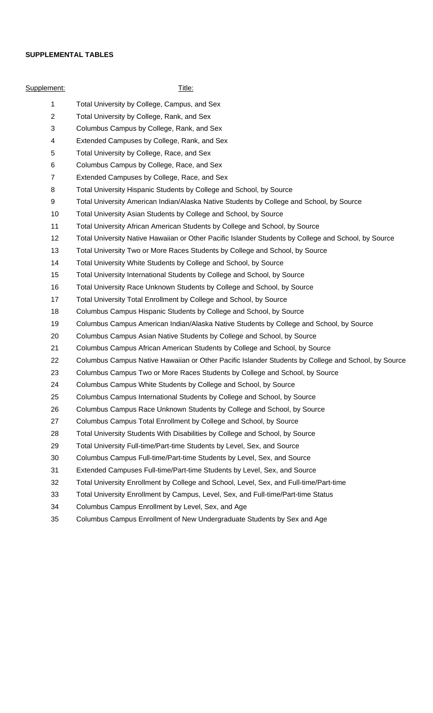## **SUPPLEMENTAL TABLES**

| Supplement:    | <u>Title:</u>                                                                                        |
|----------------|------------------------------------------------------------------------------------------------------|
| $\mathbf 1$    | Total University by College, Campus, and Sex                                                         |
| $\overline{2}$ | Total University by College, Rank, and Sex                                                           |
| 3              | Columbus Campus by College, Rank, and Sex                                                            |
| 4              | Extended Campuses by College, Rank, and Sex                                                          |
| 5              | Total University by College, Race, and Sex                                                           |
| 6              | Columbus Campus by College, Race, and Sex                                                            |
| $\overline{7}$ | Extended Campuses by College, Race, and Sex                                                          |
| 8              | Total University Hispanic Students by College and School, by Source                                  |
| 9              | Total University American Indian/Alaska Native Students by College and School, by Source             |
| 10             | Total University Asian Students by College and School, by Source                                     |
| 11             | Total University African American Students by College and School, by Source                          |
| 12             | Total University Native Hawaiian or Other Pacific Islander Students by College and School, by Source |
| 13             | Total University Two or More Races Students by College and School, by Source                         |
| 14             | Total University White Students by College and School, by Source                                     |
| 15             | Total University International Students by College and School, by Source                             |
| 16             | Total University Race Unknown Students by College and School, by Source                              |
| 17             | Total University Total Enrollment by College and School, by Source                                   |
| 18             | Columbus Campus Hispanic Students by College and School, by Source                                   |
| 19             | Columbus Campus American Indian/Alaska Native Students by College and School, by Source              |
| 20             | Columbus Campus Asian Native Students by College and School, by Source                               |
| 21             | Columbus Campus African American Students by College and School, by Source                           |
| 22             | Columbus Campus Native Hawaiian or Other Pacific Islander Students by College and School, by Source  |
| 23             | Columbus Campus Two or More Races Students by College and School, by Source                          |
| 24             | Columbus Campus White Students by College and School, by Source                                      |
| 25             | Columbus Campus International Students by College and School, by Source                              |
| 26             | Columbus Campus Race Unknown Students by College and School, by Source                               |
| 27             | Columbus Campus Total Enrollment by College and School, by Source                                    |
| 28             | Total University Students With Disabilities by College and School, by Source                         |
| 29             | Total University Full-time/Part-time Students by Level, Sex, and Source                              |
| 30             | Columbus Campus Full-time/Part-time Students by Level, Sex, and Source                               |
| 31             | Extended Campuses Full-time/Part-time Students by Level, Sex, and Source                             |
| 32             | Total University Enrollment by College and School, Level, Sex, and Full-time/Part-time               |
| 33             | Total University Enrollment by Campus, Level, Sex, and Full-time/Part-time Status                    |
| 34             | Columbus Campus Enrollment by Level, Sex, and Age                                                    |
| 35             | Columbus Campus Enrollment of New Undergraduate Students by Sex and Age                              |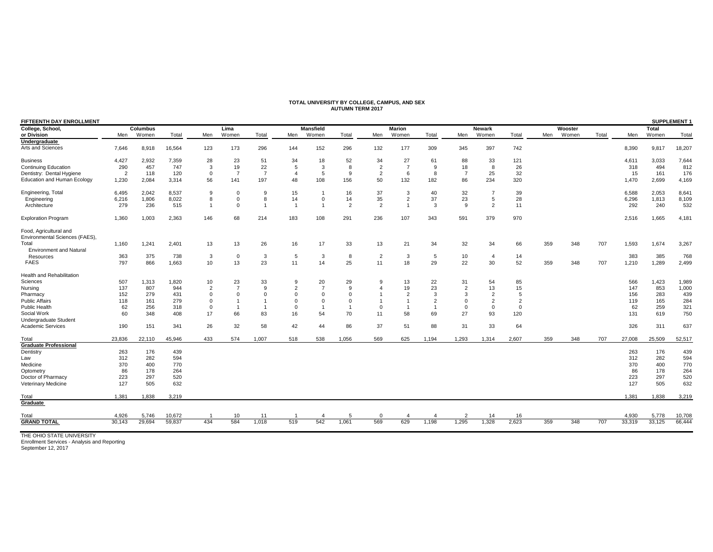## **TOTAL UNIVERSITY BY COLLEGE, CAMPUS, AND SEX AUTUMN TERM 2017**

| FIFTEENTH DAY ENROLLMENT                                 |                |                 |        |                |                |                |                |                  |                |                |                |                |                |                | <b>SUPPLEMENT 1</b> |     |                |       |        |        |        |
|----------------------------------------------------------|----------------|-----------------|--------|----------------|----------------|----------------|----------------|------------------|----------------|----------------|----------------|----------------|----------------|----------------|---------------------|-----|----------------|-------|--------|--------|--------|
| College, School,                                         |                | <b>Columbus</b> |        |                | Lima           |                |                | <b>Mansfield</b> |                |                | <b>Marion</b>  |                |                | <b>Newark</b>  |                     |     | <b>Wooster</b> |       |        | Total  |        |
| or Division                                              | Men            | Women           | Total  | Men            | Women          | Total          | Men            | Women            | Total          | Men            | Women          | Total          | Men            | Women          | Total               | Men | Women          | Total | Men    | Women  | Total  |
| Undergraduate                                            |                |                 |        |                |                |                |                |                  |                |                |                |                |                |                |                     |     |                |       |        |        |        |
| Arts and Sciences                                        | 7,646          | 8,918           | 16,564 | 123            | 173            | 296            | 144            | 152              | 296            | 132            | 177            | 309            | 345            | 397            | 742                 |     |                |       | 8,390  | 9,817  | 18,207 |
| <b>Business</b>                                          | 4,427          | 2,932           | 7,359  | 28             | 23             | 51             | 34             | 18               | 52             | 34             | 27             | 61             | 88             | 33             | 121                 |     |                |       | 4,611  | 3,033  | 7,644  |
| <b>Continuing Education</b>                              | 290            | 457             | 747    | 3              | 19             | 22             | 5              | 3                | 8              | $\overline{2}$ | $\overline{7}$ | 9              | 18             | 8              | 26                  |     |                |       | 318    | 494    | 812    |
| Dentistry: Dental Hygiene                                | $\overline{2}$ | 118             | 120    | $\mathbf 0$    | $\overline{7}$ | $\overline{7}$ | $\overline{4}$ | 5                | 9              | $\overline{2}$ | 6              | 8              | $\overline{7}$ | 25             | 32                  |     |                |       | 15     | 161    | 176    |
| <b>Education and Human Ecology</b>                       | 1,230          | 2,084           | 3,314  | 56             | 141            | 197            | 48             | 108              | 156            | 50             | 132            | 182            | 86             | 234            | 320                 |     |                |       | 1,470  | 2,699  | 4,169  |
| Engineering, Total                                       | 6,495          | 2,042           | 8,537  | 9              | $\Omega$       | 9              | 15             |                  | 16             | 37             | 3              | 40             | 32             | $\overline{7}$ | 39                  |     |                |       | 6,588  | 2,053  | 8,641  |
| Engineering                                              | 6,216          | 1,806           | 8,022  | 8              | $\Omega$       | 8              | 14             | $\mathbf 0$      | 14             | 35             | $\overline{2}$ | 37             | 23             | 5              | 28                  |     |                |       | 6,296  | 1,813  | 8,109  |
| Architecture                                             | 279            | 236             | 515    | $\mathbf{1}$   | $\Omega$       | $\mathbf{1}$   | $\overline{1}$ | $\overline{1}$   | $\overline{2}$ | $\overline{2}$ | $\overline{1}$ | 3              | 9              | $\overline{2}$ | 11                  |     |                |       | 292    | 240    | 532    |
| <b>Exploration Program</b>                               | 1,360          | 1,003           | 2,363  | 146            | 68             | 214            | 183            | 108              | 291            | 236            | 107            | 343            | 591            | 379            | 970                 |     |                |       | 2,516  | 1,665  | 4,181  |
| Food, Agricultural and<br>Environmental Sciences (FAES), |                |                 |        |                |                |                |                |                  |                |                |                |                |                |                |                     |     |                |       |        |        |        |
| Total                                                    | 1,160          | 1,241           | 2,401  | 13             | 13             | 26             | 16             | 17               | 33             | 13             | 21             | 34             | 32             | 34             | 66                  | 359 | 348            | 707   | 1,593  | 1,674  | 3,267  |
| <b>Environment and Natural</b>                           |                |                 |        |                |                |                |                |                  |                |                |                |                |                |                |                     |     |                |       |        |        |        |
| Resources                                                | 363            | 375             | 738    | 3              | $\mathbf 0$    | 3              | 5              | 3                | 8              | $\overline{2}$ | 3              | 5              | 10             | $\overline{4}$ | 14                  |     |                |       | 383    | 385    | 768    |
| <b>FAES</b>                                              | 797            | 866             | 1,663  | 10             | 13             | 23             | 11             | 14               | 25             | 11             | 18             | 29             | 22             | 30             | 52                  | 359 | 348            | 707   | 1,210  | 1,289  | 2,499  |
| Health and Rehabilitation                                |                |                 |        |                |                |                |                |                  |                |                |                |                |                |                |                     |     |                |       |        |        |        |
| Sciences                                                 | 507            | 1,313           | 1,820  | 10             | 23             | 33             | 9              | 20               | 29             | 9              | 13             | 22             | 31             | 54             | 85                  |     |                |       | 566    | 1,423  | 1,989  |
| Nursing                                                  | 137            | 807             | 944    | $\overline{2}$ | $\overline{7}$ | $\mathbf{Q}$   | $\overline{2}$ | $\overline{7}$   | 9              | 4              | 19             | 23             | $\overline{2}$ | 13             | 15                  |     |                |       | 147    | 853    | 1,000  |
| Pharmacy                                                 | 152            | 279             | 431    | $\mathbf 0$    | $\Omega$       |                | 0              | 0                | $\mathbf 0$    |                | $\overline{2}$ | 3              | 3              | $\overline{2}$ | 5                   |     |                |       | 156    | 283    | 439    |
| <b>Public Affairs</b>                                    | 118            | 161             | 279    | $\mathbf 0$    |                |                | $\mathbf 0$    | 0                | $\mathbf 0$    |                | $\mathbf{1}$   | $\overline{2}$ | 0              | $\overline{2}$ | $\overline{2}$      |     |                |       | 119    | 165    | 284    |
| Public Health                                            | 62             | 256             | 318    | $\mathbf 0$    | $\mathbf{1}$   |                | 0              |                  | $\overline{1}$ | $\mathbf 0$    |                | $\overline{1}$ | 0              | $\mathbf 0$    | $\Omega$            |     |                |       | 62     | 259    | 321    |
| Social Work                                              | 60             | 348             | 408    | 17             | 66             | 83             | 16             | 54               | 70             | 11             | 58             | 69             | 27             | 93             | 120                 |     |                |       | 131    | 619    | 750    |
| Undergraduate Student                                    |                |                 |        |                |                |                |                |                  |                |                |                |                |                |                |                     |     |                |       |        |        |        |
| <b>Academic Services</b>                                 | 190            | 151             | 341    | 26             | 32             | 58             | 42             | 44               | 86             | 37             | 51             | 88             | 31             | 33             | 64                  |     |                |       | 326    | 311    | 637    |
| Total                                                    | 23,836         | 22,110          | 45,946 | 433            | 574            | 1.007          | 518            | 538              | 1.056          | 569            | 625            | 1.194          | 1,293          | 1,314          | 2.607               | 359 | 348            | 707   | 27,008 | 25,509 | 52,517 |
| <b>Graduate Professional</b>                             |                |                 |        |                |                |                |                |                  |                |                |                |                |                |                |                     |     |                |       |        |        |        |
| Dentistry                                                | 263            | 176             | 439    |                |                |                |                |                  |                |                |                |                |                |                |                     |     |                |       | 263    | 176    | 439    |
| Law                                                      | 312            | 282             | 594    |                |                |                |                |                  |                |                |                |                |                |                |                     |     |                |       | 312    | 282    | 594    |
| Medicine                                                 | 370            | 400             | 770    |                |                |                |                |                  |                |                |                |                |                |                |                     |     |                |       | 370    | 400    | 770    |
| Optometry                                                | 86             | 178             | 264    |                |                |                |                |                  |                |                |                |                |                |                |                     |     |                |       | 86     | 178    | 264    |
| Doctor of Pharmacy                                       | 223            | 297             | 520    |                |                |                |                |                  |                |                |                |                |                |                |                     |     |                |       | 223    | 297    | 520    |
| Veterinary Medicine                                      | 127            | 505             | 632    |                |                |                |                |                  |                |                |                |                |                |                |                     |     |                |       | 127    | 505    | 632    |
| Total                                                    | 1,381          | 1,838           | 3,219  |                |                |                |                |                  |                |                |                |                |                |                |                     |     |                |       | 1,381  | 1,838  | 3,219  |
| Graduate                                                 |                |                 |        |                |                |                |                |                  |                |                |                |                |                |                |                     |     |                |       |        |        |        |
| Total                                                    | 4.926          | 5,746           | 10,672 |                | 10             | 11             |                |                  | 5              | $\Omega$       |                |                | 2              | 14             | 16                  |     |                |       | 4,930  | 5,778  | 10,708 |
| <b>GRAND TOTAL</b>                                       | 30,143         | 29,694          | 59,837 | 434            | 584            | 1,018          | 519            | 542              | 1,061          | 569            | 629            | 1,198          | 1,295          | 1,328          | 2,623               | 359 | 348            | 707   | 33,319 | 33,125 | 66,444 |
|                                                          |                |                 |        |                |                |                |                |                  |                |                |                |                |                |                |                     |     |                |       |        |        |        |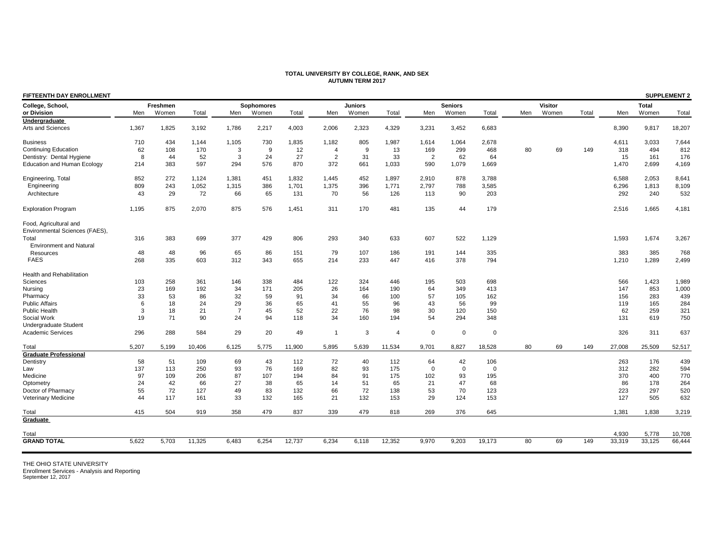### **TOTAL UNIVERSITY BY COLLEGE, RANK, AND SEX AUTUMN TERM 2017**

| <b>FIFTEENTH DAY ENROLLMENT</b>                          |       |          |        |                |            |        |                |                |                |                |                |                |     |                |       |        |              | <b>SUPPLEMENT 2</b> |
|----------------------------------------------------------|-------|----------|--------|----------------|------------|--------|----------------|----------------|----------------|----------------|----------------|----------------|-----|----------------|-------|--------|--------------|---------------------|
| College, School,                                         |       | Freshmen |        |                | Sophomores |        |                | <b>Juniors</b> |                |                | <b>Seniors</b> |                |     | <b>Visitor</b> |       |        | <b>Total</b> |                     |
| or Division                                              | Men   | Women    | Total  | Men            | Women      | Total  | Men            | Women          | Total          | Men            | Women          | Total          | Men | Women          | Total | Men    | Women        | Total               |
| Undergraduate                                            |       |          |        |                |            |        |                |                |                |                |                |                |     |                |       |        |              |                     |
| Arts and Sciences                                        | 1,367 | 1,825    | 3,192  | 1,786          | 2,217      | 4,003  | 2,006          | 2,323          | 4,329          | 3,231          | 3,452          | 6,683          |     |                |       | 8,390  | 9,817        | 18,207              |
| <b>Business</b>                                          | 710   | 434      | 1,144  | 1,105          | 730        | 1,835  | 1,182          | 805            | 1,987          | 1,614          | 1,064          | 2,678          |     |                |       | 4,611  | 3,033        | 7,644               |
| <b>Continuing Education</b>                              | 62    | 108      | 170    | 3              | 9          | 12     | $\overline{4}$ | 9              | 13             | 169            | 299            | 468            | 80  | 69             | 149   | 318    | 494          | 812                 |
| Dentistry: Dental Hygiene                                | 8     | 44       | 52     | 3              | 24         | 27     | $\overline{2}$ | 31             | 33             | $\overline{2}$ | 62             | 64             |     |                |       | 15     | 161          | 176                 |
| <b>Education and Human Ecology</b>                       | 214   | 383      | 597    | 294            | 576        | 870    | 372            | 661            | 1,033          | 590            | 1,079          | 1,669          |     |                |       | 1,470  | 2,699        | 4,169               |
| Engineering, Total                                       | 852   | 272      | 1,124  | 1,381          | 451        | 1,832  | 1,445          | 452            | 1,897          | 2,910          | 878            | 3,788          |     |                |       | 6,588  | 2,053        | 8,641               |
| Engineering                                              | 809   | 243      | 1,052  | 1,315          | 386        | 1,701  | 1,375          | 396            | 1,771          | 2,797          | 788            | 3,585          |     |                |       | 6,296  | 1,813        | 8,109               |
| Architecture                                             | 43    | 29       | 72     | 66             | 65         | 131    | 70             | 56             | 126            | 113            | 90             | 203            |     |                |       | 292    | 240          | 532                 |
| <b>Exploration Program</b>                               | 1,195 | 875      | 2,070  | 875            | 576        | 1,451  | 311            | 170            | 481            | 135            | 44             | 179            |     |                |       | 2,516  | 1,665        | 4,181               |
| Food, Agricultural and<br>Environmental Sciences (FAES), |       |          |        |                |            |        |                |                |                |                |                |                |     |                |       |        |              |                     |
| Total                                                    | 316   | 383      | 699    | 377            | 429        | 806    | 293            | 340            | 633            | 607            | 522            | 1,129          |     |                |       | 1,593  | 1,674        | 3,267               |
| <b>Environment and Natural</b>                           |       |          |        |                |            |        |                |                |                |                |                |                |     |                |       |        |              |                     |
| Resources                                                | 48    | 48       | 96     | 65             | 86         | 151    | 79             | 107            | 186            | 191            | 144            | 335            |     |                |       | 383    | 385          | 768                 |
| <b>FAES</b>                                              | 268   | 335      | 603    | 312            | 343        | 655    | 214            | 233            | 447            | 416            | 378            | 794            |     |                |       | 1,210  | 1,289        | 2,499               |
| <b>Health and Rehabilitation</b>                         |       |          |        |                |            |        |                |                |                |                |                |                |     |                |       |        |              |                     |
| Sciences                                                 | 103   | 258      | 361    | 146            | 338        | 484    | 122            | 324            | 446            | 195            | 503            | 698            |     |                |       | 566    | 1,423        | 1,989               |
| Nursing                                                  | 23    | 169      | 192    | 34             | 171        | 205    | 26             | 164            | 190            | 64             | 349            | 413            |     |                |       | 147    | 853          | 1,000               |
| Pharmacy                                                 | 33    | 53       | 86     | 32             | 59         | 91     | 34             | 66             | 100            | 57             | 105            | 162            |     |                |       | 156    | 283          | 439                 |
| <b>Public Affairs</b>                                    | 6     | 18       | 24     | 29             | 36         | 65     | 41             | 55             | 96             | 43             | 56             | 99             |     |                |       | 119    | 165          | 284                 |
| Public Health                                            | 3     | 18       | 21     | $\overline{7}$ | 45         | 52     | 22             | 76             | 98             | 30             | 120            | 150            |     |                |       | 62     | 259          | 321                 |
| Social Work                                              | 19    | 71       | 90     | 24             | 94         | 118    | 34             | 160            | 194            | 54             | 294            | 348            |     |                |       | 131    | 619          | 750                 |
| Undergraduate Student                                    |       |          |        |                |            |        |                |                |                |                |                |                |     |                |       |        |              |                     |
| <b>Academic Services</b>                                 | 296   | 288      | 584    | 29             | 20         | 49     | $\overline{1}$ | 3              | $\overline{4}$ | $\Omega$       | $\mathbf 0$    | $\Omega$       |     |                |       | 326    | 311          | 637                 |
| Total                                                    | 5,207 | 5,199    | 10,406 | 6,125          | 5,775      | 11,900 | 5,895          | 5,639          | 11,534         | 9,701          | 8,827          | 18,528         | 80  | 69             | 149   | 27,008 | 25,509       | 52,517              |
| <b>Graduate Professional</b>                             |       |          |        |                |            |        |                |                |                |                |                |                |     |                |       |        |              |                     |
| Dentistry                                                | 58    | 51       | 109    | 69             | 43         | 112    | 72             | 40             | 112            | 64             | 42             | 106            |     |                |       | 263    | 176          | 439                 |
| Law                                                      | 137   | 113      | 250    | 93             | 76         | 169    | 82             | 93             | 175            | $\Omega$       | $\Omega$       | $\overline{0}$ |     |                |       | 312    | 282          | 594                 |
| Medicine                                                 | 97    | 109      | 206    | 87             | 107        | 194    | 84             | 91             | 175            | 102            | 93             | 195            |     |                |       | 370    | 400          | 770                 |
| Optometry                                                | 24    | 42       | 66     | 27             | 38         | 65     | 14             | 51             | 65             | 21             | 47             | 68             |     |                |       | 86     | 178          | 264                 |
| Doctor of Pharmacy                                       | 55    | 72       | 127    | 49             | 83         | 132    | 66             | 72             | 138            | 53             | 70             | 123            |     |                |       | 223    | 297          | 520                 |
| Veterinary Medicine                                      | 44    | 117      | 161    | 33             | 132        | 165    | 21             | 132            | 153            | 29             | 124            | 153            |     |                |       | 127    | 505          | 632                 |
| Total                                                    | 415   | 504      | 919    | 358            | 479        | 837    | 339            | 479            | 818            | 269            | 376            | 645            |     |                |       | 1,381  | 1,838        | 3,219               |
| Graduate                                                 |       |          |        |                |            |        |                |                |                |                |                |                |     |                |       |        |              |                     |
| Total                                                    |       |          |        |                |            |        |                |                |                |                |                |                |     |                |       | 4,930  | 5,778        | 10,708              |
| <b>GRAND TOTAL</b>                                       | 5,622 | 5,703    | 11,325 | 6,483          | 6,254      | 12,737 | 6,234          | 6,118          | 12,352         | 9,970          | 9,203          | 19,173         | 80  | 69             | 149   | 33,319 | 33,125       | 66,444              |
|                                                          |       |          |        |                |            |        |                |                |                |                |                |                |     |                |       |        |              |                     |

THE OHIO STATE UNIVERSITY

Enrollment Services - Analysis and Reporting September 12, 2017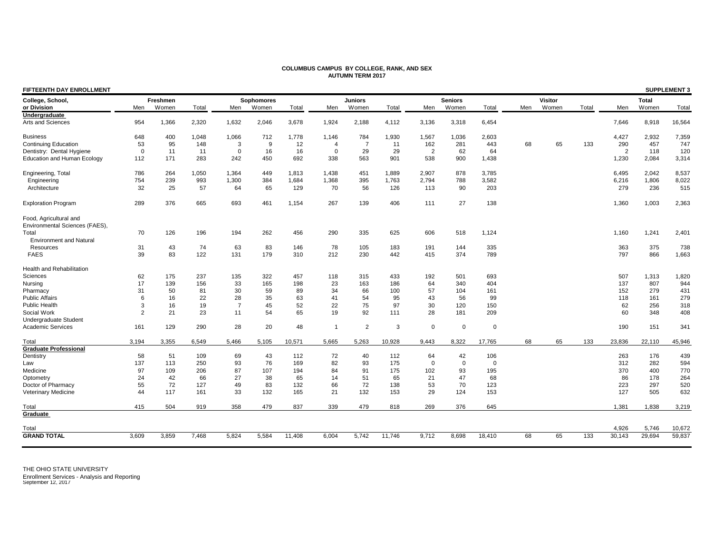| FIFTEENTH DAY ENROLLMENT                                 |                |          |       |                |                   |        |                |                |        |          |                |             |     |                |       |        |              | <b>SUPPLEMENT 3</b> |
|----------------------------------------------------------|----------------|----------|-------|----------------|-------------------|--------|----------------|----------------|--------|----------|----------------|-------------|-----|----------------|-------|--------|--------------|---------------------|
| College, School,                                         |                | Freshmen |       |                | <b>Sophomores</b> |        |                | <b>Juniors</b> |        |          | <b>Seniors</b> |             |     | <b>Visitor</b> |       |        | <b>Total</b> |                     |
| or Division                                              | Men            | Women    | Total | Men            | Women             | Total  | Men            | Women          | Total  | Men      | Women          | Total       | Men | Women          | Total | Men    | Women        | Total               |
| Undergraduate<br>Arts and Sciences                       | 954            | 1,366    | 2,320 | 1,632          | 2,046             | 3,678  | 1,924          | 2,188          | 4,112  | 3,136    | 3,318          | 6,454       |     |                |       | 7.646  | 8,918        | 16,564              |
| <b>Business</b>                                          | 648            | 400      | 1,048 | 1,066          | 712               | 1,778  | 1,146          | 784            | 1,930  | 1,567    | 1,036          | 2,603       |     |                |       | 4,427  | 2,932        | 7,359               |
| <b>Continuing Education</b>                              | 53             | 95       | 148   | 3              | 9                 | 12     | $\overline{4}$ | $\overline{7}$ | 11     | 162      | 281            | 443         | 68  | 65             | 133   | 290    | 457          | 747                 |
| Dentistry: Dental Hygiene                                | $\overline{0}$ | 11       | 11    | $\Omega$       | 16                | 16     | $\Omega$       | 29             | 29     | 2        | 62             | 64          |     |                |       | 2      | 118          | 120                 |
| <b>Education and Human Ecology</b>                       | 112            | 171      | 283   | 242            | 450               | 692    | 338            | 563            | 901    | 538      | 900            | 1,438       |     |                |       | 1,230  | 2,084        | 3,314               |
| Engineering, Total                                       | 786            | 264      | 1,050 | 1.364          | 449               | 1.813  | 1.438          | 451            | 1.889  | 2.907    | 878            | 3,785       |     |                |       | 6.495  | 2,042        | 8,537               |
| Engineering                                              | 754            | 239      | 993   | 1,300          | 384               | 1,684  | 1,368          | 395            | 1,763  | 2,794    | 788            | 3,582       |     |                |       | 6,216  | 1,806        | 8,022               |
| Architecture                                             | 32             | 25       | 57    | 64             | 65                | 129    | 70             | 56             | 126    | 113      | 90             | 203         |     |                |       | 279    | 236          | 515                 |
| <b>Exploration Program</b>                               | 289            | 376      | 665   | 693            | 461               | 1,154  | 267            | 139            | 406    | 111      | 27             | 138         |     |                |       | 1,360  | 1,003        | 2,363               |
| Food, Agricultural and<br>Environmental Sciences (FAES), |                |          |       |                |                   |        |                |                |        |          |                |             |     |                |       |        |              |                     |
| Total                                                    | 70             | 126      | 196   | 194            | 262               | 456    | 290            | 335            | 625    | 606      | 518            | 1,124       |     |                |       | 1,160  | 1,241        | 2,401               |
| <b>Environment and Natural</b>                           |                |          |       |                |                   |        |                |                |        |          |                |             |     |                |       |        |              |                     |
| Resources                                                | 31             | 43       | 74    | 63             | 83                | 146    | 78             | 105            | 183    | 191      | 144            | 335         |     |                |       | 363    | 375          | 738                 |
| <b>FAES</b>                                              | 39             | 83       | 122   | 131            | 179               | 310    | 212            | 230            | 442    | 415      | 374            | 789         |     |                |       | 797    | 866          | 1,663               |
| <b>Health and Rehabilitation</b>                         |                |          |       |                |                   |        |                |                |        |          |                |             |     |                |       |        |              |                     |
| Sciences                                                 | 62             | 175      | 237   | 135            | 322               | 457    | 118            | 315            | 433    | 192      | 501            | 693         |     |                |       | 507    | 1,313        | 1,820               |
| Nursing                                                  | 17             | 139      | 156   | 33             | 165               | 198    | 23             | 163            | 186    | 64       | 340            | 404         |     |                |       | 137    | 807          | 944                 |
| Pharmacy                                                 | 31             | 50       | 81    | 30             | 59                | 89     | 34             | 66             | 100    | 57       | 104            | 161         |     |                |       | 152    | 279          | 431                 |
| <b>Public Affairs</b>                                    | 6              | 16       | 22    | 28             | 35                | 63     | 41             | 54             | 95     | 43       | 56             | 99          |     |                |       | 118    | 161          | 279                 |
| <b>Public Health</b>                                     | 3              | 16       | 19    | $\overline{7}$ | 45                | 52     | 22             | 75             | 97     | 30       | 120            | 150         |     |                |       | 62     | 256          | 318                 |
| Social Work                                              | $\overline{2}$ | 21       | 23    | 11             | 54                | 65     | 19             | 92             | 111    | 28       | 181            | 209         |     |                |       | 60     | 348          | 408                 |
| Undergraduate Student                                    |                |          |       |                |                   |        |                |                |        |          |                |             |     |                |       |        |              |                     |
| <b>Academic Services</b>                                 | 161            | 129      | 290   | 28             | 20                | 48     | $\overline{1}$ | $\overline{2}$ | 3      | 0        | $\mathbf 0$    | $\Omega$    |     |                |       | 190    | 151          | 341                 |
| Total                                                    | 3.194          | 3.355    | 6.549 | 5.466          | 5.105             | 10,571 | 5.665          | 5,263          | 10.928 | 9.443    | 8.322          | 17,765      | 68  | 65             | 133   | 23.836 | 22.110       | 45,946              |
| <b>Graduate Professional</b>                             |                |          |       |                |                   |        |                |                |        |          |                |             |     |                |       |        |              |                     |
| Dentistry                                                | 58             | 51       | 109   | 69             | 43                | 112    | 72             | 40             | 112    | 64       | 42             | 106         |     |                |       | 263    | 176          | 439                 |
| Law                                                      | 137            | 113      | 250   | 93             | 76                | 169    | 82             | 93             | 175    | $\Omega$ | $\mathbf 0$    | $\mathbf 0$ |     |                |       | 312    | 282          | 594                 |
| Medicine                                                 | 97             | 109      | 206   | 87             | 107               | 194    | 84             | 91             | 175    | 102      | 93             | 195         |     |                |       | 370    | 400          | 770                 |
| Optometry                                                | 24             | 42       | 66    | 27             | 38                | 65     | 14             | 51             | 65     | 21       | 47             | 68          |     |                |       | 86     | 178          | 264                 |
| Doctor of Pharmacy                                       | 55             | 72       | 127   | 49             | 83                | 132    | 66             | 72             | 138    | 53       | 70             | 123         |     |                |       | 223    | 297          | 520                 |
| Veterinary Medicine                                      | 44             | 117      | 161   | 33             | 132               | 165    | 21             | 132            | 153    | 29       | 124            | 153         |     |                |       | 127    | 505          | 632                 |
| Total                                                    | 415            | 504      | 919   | 358            | 479               | 837    | 339            | 479            | 818    | 269      | 376            | 645         |     |                |       | 1,381  | 1,838        | 3,219               |
| Graduate                                                 |                |          |       |                |                   |        |                |                |        |          |                |             |     |                |       |        |              |                     |
| Total                                                    |                |          |       |                |                   |        |                |                |        |          |                |             |     |                |       | 4,926  | 5,746        | 10,672              |
| <b>GRAND TOTAL</b>                                       | 3,609          | 3,859    | 7,468 | 5,824          | 5,584             | 11,408 | 6,004          | 5,742          | 11,746 | 9,712    | 8,698          | 18,410      | 68  | 65             | 133   | 30,143 | 29,694       | 59,837              |
|                                                          |                |          |       |                |                   |        |                |                |        |          |                |             |     |                |       |        |              |                     |

### **COLUMBUS CAMPUS BY COLLEGE, RANK, AND SEX AUTUMN TERM 2017**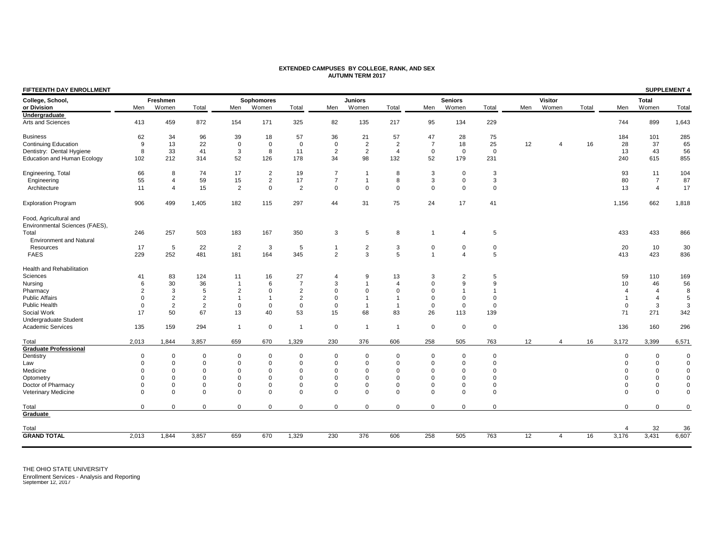### **EXTENDED CAMPUSES BY COLLEGE, RANK, AND SEX AUTUMN TERM 2017**

| FIFTEENTH DAY ENROLLMENT                                 |                |                |                |                |                   |                |                |                |                |                |                |             |     |                |       |          |                | <b>SUPPLEMENT 4</b> |
|----------------------------------------------------------|----------------|----------------|----------------|----------------|-------------------|----------------|----------------|----------------|----------------|----------------|----------------|-------------|-----|----------------|-------|----------|----------------|---------------------|
| College, School,                                         |                | Freshmen       |                |                | <b>Sophomores</b> |                |                | <b>Juniors</b> |                |                | <b>Seniors</b> |             |     | <b>Visitor</b> |       |          | <b>Total</b>   |                     |
| or Division                                              | Men            | Women          | Total          | Men            | Women             | Total          | Men            | Women          | Total          | Men            | Women          | Total       | Men | Women          | Total | Men      | Women          | Total               |
| Undergraduate                                            |                |                |                |                |                   |                |                |                |                |                |                |             |     |                |       |          |                |                     |
| Arts and Sciences                                        | 413            | 459            | 872            | 154            | 171               | 325            | 82             | 135            | 217            | 95             | 134            | 229         |     |                |       | 744      | 899            | 1,643               |
| <b>Business</b>                                          | 62             | 34             | 96             | 39             | 18                | 57             | 36             | 21             | 57             | 47             | 28             | 75          |     |                |       | 184      | 101            | 285                 |
| <b>Continuing Education</b>                              | 9              | 13             | 22             | $\mathbf 0$    | $\Omega$          | $\Omega$       | $\mathbf 0$    | $\overline{2}$ | $\overline{2}$ | $\overline{7}$ | 18             | 25          | 12  | $\overline{4}$ | 16    | 28       | 37             | 65                  |
| Dentistry: Dental Hygiene                                | 8              | 33             | 41             | 3              | 8                 | 11             | $\overline{2}$ | $\overline{2}$ | $\overline{4}$ | $\mathbf 0$    | $\mathbf 0$    | $\mathbf 0$ |     |                |       | 13       | 43             | 56                  |
| <b>Education and Human Ecology</b>                       | 102            | 212            | 314            | 52             | 126               | 178            | 34             | 98             | 132            | 52             | 179            | 231         |     |                |       | 240      | 615            | 855                 |
| Engineering, Total                                       | 66             | 8              | 74             | 17             | 2                 | 19             | $\overline{7}$ | $\mathbf{1}$   | 8              | 3              | $\mathbf 0$    | 3           |     |                |       | 93       | 11             | 104                 |
| Engineering                                              | 55             | 4              | 59             | 15             | 2                 | 17             | $\overline{7}$ | $\mathbf{1}$   | 8              | 3              | 0              | 3           |     |                |       | 80       | $\overline{7}$ | 87                  |
| Architecture                                             | 11             | 4              | 15             | 2              | $\Omega$          | $\overline{2}$ | $\Omega$       | $\mathbf{0}$   | $\mathbf 0$    | $\mathbf 0$    | $\Omega$       | $\Omega$    |     |                |       | 13       | $\overline{4}$ | 17                  |
| <b>Exploration Program</b>                               | 906            | 499            | 1,405          | 182            | 115               | 297            | 44             | 31             | 75             | 24             | 17             | 41          |     |                |       | 1,156    | 662            | 1,818               |
| Food, Agricultural and<br>Environmental Sciences (FAES), |                |                |                |                |                   |                |                |                |                |                |                |             |     |                |       |          |                |                     |
| Total                                                    | 246            | 257            | 503            | 183            | 167               | 350            | 3              | 5              | 8              |                | $\Delta$       | 5           |     |                |       | 433      | 433            | 866                 |
| <b>Environment and Natural</b>                           |                |                |                |                |                   |                |                |                |                |                |                |             |     |                |       |          |                |                     |
| Resources                                                | 17             | 5              | 22             | $\overline{2}$ | 3                 | 5              | $\overline{1}$ | $\overline{2}$ | 3              | $\mathbf 0$    | $\Omega$       | $\mathbf 0$ |     |                |       | 20       | 10             | 30                  |
| <b>FAES</b>                                              | 229            | 252            | 481            | 181            | 164               | 345            | $\overline{2}$ | 3              | 5              | $\overline{1}$ | $\Delta$       | 5           |     |                |       | 413      | 423            | 836                 |
|                                                          |                |                |                |                |                   |                |                |                |                |                |                |             |     |                |       |          |                |                     |
| Health and Rehabilitation                                |                |                |                |                |                   |                |                |                |                |                |                |             |     |                |       |          |                |                     |
| Sciences                                                 | 41             | 83             | 124            | 11             | 16                | 27             | $\overline{4}$ | 9              | 13             | 3              | $\overline{2}$ | 5           |     |                |       | 59       | 110            | 169                 |
| Nursing                                                  | 6              | 30             | 36             | $\overline{1}$ | 6                 | $\overline{7}$ | 3              | $\mathbf 1$    | $\overline{4}$ | $\Omega$       | <sub>9</sub>   | 9           |     |                |       | 10       | 46             | 56                  |
| Pharmacy                                                 | $\overline{2}$ | 3              | 5              | 2              | $\Omega$          | $\overline{2}$ | $\Omega$       | $\mathbf 0$    | $\mathbf 0$    | $\Omega$       |                | $\mathbf 1$ |     |                |       |          | $\Delta$       | 8                   |
| <b>Public Affairs</b>                                    | $\Omega$       | $\overline{2}$ | $\overline{2}$ | $\mathbf{1}$   | $\overline{1}$    | 2              | $\Omega$       | $\overline{1}$ | $\overline{1}$ | $\Omega$       |                | $\mathbf 0$ |     |                |       |          |                | 5                   |
| Public Health                                            | $\mathbf 0$    | $\overline{2}$ | $\overline{2}$ | $\mathbf 0$    | $\mathbf 0$       | $\mathbf 0$    | $\mathbf 0$    | $\overline{1}$ | $\mathbf{1}$   | $\mathbf 0$    | $\Omega$       | $\mathbf 0$ |     |                |       | 0        | 3              | 3                   |
| Social Work                                              | 17             | 50             | 67             | 13             | 40                | 53             | 15             | 68             | 83             | 26             | 113            | 139         |     |                |       | 71       | 271            | 342                 |
| Undergraduate Student                                    |                |                |                |                |                   |                |                |                |                |                |                |             |     |                |       |          |                |                     |
| Academic Services                                        | 135            | 159            | 294            | $\mathbf{1}$   | $\mathbf 0$       | $\overline{1}$ | $\mathbf 0$    | $\mathbf{1}$   | $\overline{1}$ | $\mathbf 0$    | $\mathbf 0$    | $\mathbf 0$ |     |                |       | 136      | 160            | 296                 |
| Total                                                    | 2,013          | 1,844          | 3,857          | 659            | 670               | 1,329          | 230            | 376            | 606            | 258            | 505            | 763         | 12  | $\overline{4}$ | 16    | 3,172    | 3,399          | 6,571               |
| <b>Graduate Professional</b>                             |                |                |                |                |                   |                |                |                |                |                |                |             |     |                |       |          |                |                     |
| Dentistry                                                | $\mathbf 0$    | 0              | $\mathbf 0$    | $\mathbf 0$    | $\mathbf 0$       | $\Omega$       | $\mathbf 0$    | $\mathbf 0$    | 0              | $\mathbf 0$    | $\mathbf 0$    | $\mathbf 0$ |     |                |       | $\Omega$ | $\mathbf 0$    | $\Omega$            |
| Law                                                      | $\Omega$       | $\mathbf 0$    | $\mathbf 0$    | $\mathbf 0$    | $\mathbf 0$       | $\Omega$       | $\mathbf 0$    | $\mathbf 0$    | $\mathbf 0$    | $\Omega$       | $\Omega$       | $\mathbf 0$ |     |                |       |          | $\mathbf 0$    | $\Omega$            |
| Medicine                                                 | $\Omega$       | $\Omega$       | $\mathbf 0$    | $\mathbf 0$    | $\mathbf 0$       | $\Omega$       | $\Omega$       | $\mathbf 0$    | $\mathbf 0$    | $\mathbf 0$    | $\Omega$       | $\mathbf 0$ |     |                |       |          | $\mathbf 0$    | $\mathbf 0$         |
| Optometry                                                | $\Omega$       | $\Omega$       | $\mathbf 0$    | $\mathbf 0$    | $\mathbf 0$       | $\Omega$       | $\Omega$       | $\mathbf 0$    | $\mathbf 0$    | $\mathbf 0$    | $\Omega$       | $\mathbf 0$ |     |                |       |          | $\Omega$       | $\Omega$            |
| Doctor of Pharmacy                                       | $\Omega$       | $\Omega$       | 0              | 0              | $\mathbf 0$       | $\Omega$       | $\Omega$       | $\mathbf 0$    | $\mathbf 0$    | $\mathbf 0$    | $\Omega$       | $\mathbf 0$ |     |                |       | $\Omega$ | $\Omega$       | $\Omega$            |
| Veterinary Medicine                                      | $\Omega$       | $\mathbf 0$    | $\mathbf 0$    | $\mathbf 0$    | $\Omega$          | $\Omega$       | $\Omega$       | $\mathbf 0$    | $\mathbf 0$    | $\mathbf 0$    | $\Omega$       | $\mathbf 0$ |     |                |       | $\Omega$ | $\Omega$       | $\Omega$            |
| Total                                                    | $\Omega$       | $\Omega$       | $\mathbf 0$    | $\mathbf 0$    | $\Omega$          | $\Omega$       | $\Omega$       | $\Omega$       | $\Omega$       | $\mathbf{0}$   | $\Omega$       | $\Omega$    |     |                |       | $\Omega$ | $\Omega$       | $\Omega$            |
| Graduate                                                 |                |                |                |                |                   |                |                |                |                |                |                |             |     |                |       |          |                |                     |
| Total                                                    |                |                |                |                |                   |                |                |                |                |                |                |             |     |                |       | 4        | 32             | 36                  |
| <b>GRAND TOTAL</b>                                       | 2,013          | 1,844          | 3,857          | 659            | 670               | 1,329          | 230            | 376            | 606            | 258            | 505            | 763         | 12  | $\overline{4}$ | 16    | 3,176    | 3,431          | 6,607               |
|                                                          |                |                |                |                |                   |                |                |                |                |                |                |             |     |                |       |          |                |                     |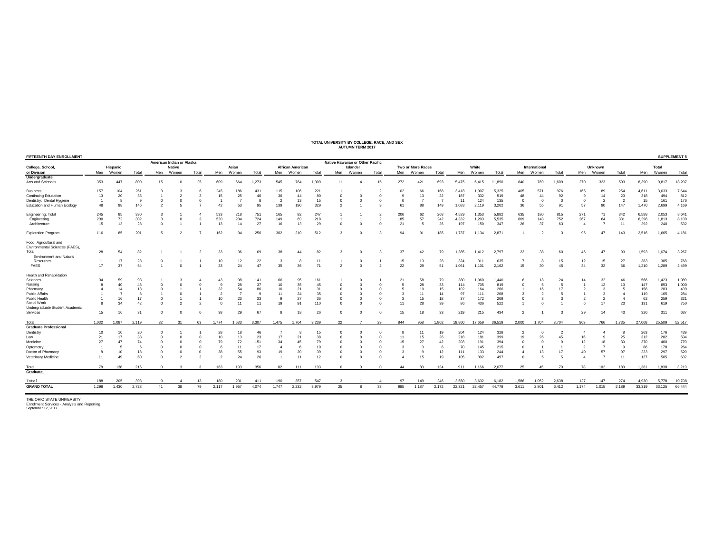| TOTAL UNIVERSITY BY COLLEGE, RACE, AND SEX |
|--------------------------------------------|
|                                            |
| <b>AUTUMN TERM 2017</b>                    |
|                                            |

|                                                          |                |                |          |            | American Indian or Alaska |       |              |       |          |                |                         |                 | Native Hawaiian or Other Pacific |                |                |              |                   |                |        |        |        |          |               |                         |              |                |                |        |        |        |
|----------------------------------------------------------|----------------|----------------|----------|------------|---------------------------|-------|--------------|-------|----------|----------------|-------------------------|-----------------|----------------------------------|----------------|----------------|--------------|-------------------|----------------|--------|--------|--------|----------|---------------|-------------------------|--------------|----------------|----------------|--------|--------|--------|
| College, School,                                         |                | Hispanic       |          |            | <b>Native</b>             |       |              | Asian |          |                | <b>African American</b> |                 |                                  | Islander       |                |              | Two or More Races |                |        | White  |        |          | International |                         |              | <b>Unknown</b> |                |        | Total  |        |
| or Division                                              | Men            | Women          | Total    | Men        | Women                     | Total | Men          | Women | Total    | Men            | Women                   | Total           | Men                              | Women          | Total          | Men          | Women             | Total          | Men    | Women  | Total  | Men      | Women         | Total                   | Men          | Women          | Total          | Men    | Women  | Total  |
| Undergraduate                                            |                |                |          |            |                           |       |              |       |          |                |                         |                 |                                  |                |                |              |                   |                |        |        |        |          |               |                         |              |                |                |        |        |        |
| Arts and Sciences                                        | 353            | 447            | 800      | 15         | 10                        | 25    | 609          | 664   | 1,273    | 545            | 764                     | 1,309           | 11                               |                | 15             | 272          | 421               | 693            | 5,475  | 6,415  | 11,890 | 840      | 769           | 1,609                   | 270          | 323            | 593            | 8,390  | 9,817  | 18,207 |
| <b>Business</b>                                          | 157            | 104            | 261      |            |                           |       | 245          | 186   | 431      | 115            | 106                     | 221             |                                  |                |                | 102          | 66                | 168            | 3,418  | 1,907  | 5,325  | 405      | 57            | 976                     | 165          | 89             | 254            | 4,611  | 3,033  | 7,644  |
| <b>Continuing Education</b>                              | 13             | 20             | 33       |            |                           |       | 15           | 25    | 40       | 36             | 44                      | 80              |                                  |                |                | $\mathbf{q}$ | 13                | 22             | 187    | 332    | 519    | 48       | 44            | 92                      | $\mathbf{Q}$ | 14             | 23             | 318    | 494    | 812    |
| Dentistry: Dental Hygiene                                | $\overline{1}$ | 8              | <b>Q</b> | $^{\circ}$ | $^{\circ}$                |       |              |       | -8       | $\overline{2}$ | 13                      | 15              | $\Omega$                         | $\Omega$       |                | $\Omega$     |                   | $\overline{7}$ | 11     | 124    | 135    | $\Omega$ | $\Omega$      | $\overline{\mathbf{0}}$ | $\Omega$     | $\overline{2}$ | $\overline{2}$ | 15     | 161    | 176    |
| Education and Human Ecology                              | 48             | 98             | 146      |            |                           |       | 42           | 53    | 95       | 139            | 190                     | 329             |                                  |                |                | 61           | 88                | 149            | 1.083  | 2,119  | 3,202  | 36       | 55            | 91                      | 57           | 90             | 147            | 1,470  | 2,699  | 4,169  |
| Engineering, Total                                       | 245            | 85             | 330      |            |                           |       | 533          | 218   | 751      | 165            | 82                      | 247             |                                  |                |                | 206          | 62                | 268            | 4,529  | 1,353  | 5,882  | 635      | 180           | 815                     | 271          | 71             | 342            | 6,588  | 2,053  | 8,641  |
| Engineering                                              | 230            | 72             | 302      | 3          |                           |       | 520          | 204   | 724      | 149            | 69                      | 218             |                                  |                |                | 185          | 57                | 242            | 4,332  | 1,203  | 5,535  | 609      | 143           | 752                     | 267          | 64             | 331            | 6,296  | 1,813  | 8,109  |
| Architecture                                             | 15             | 13             | 28       | $\Omega$   |                           |       | 13           | 14    | 27       | 16             | 13                      | 29              | $\Omega$                         |                |                | 21           | 5                 | 26             | 197    | 150    | 347    | 26       | 37            | 63                      | $\Delta$     |                | 11             | 292    | 240    | 532    |
| <b>Exploration Program</b>                               | 116            |                | 201      |            |                           |       | 162          | 94    | 256      | 302            | 210                     | 512             |                                  |                |                | 94           | 91                | 185            | 1,737  | 1,134  | 2,87'  |          |               |                         | 96           | 47             | 143            | 2,516  | 1.665  | 4,181  |
| Food, Agricultural and<br>Environmental Sciences (FAES), |                |                |          |            |                           |       |              |       |          |                |                         |                 |                                  |                |                |              |                   |                |        |        |        |          |               |                         |              |                |                |        |        |        |
| Total                                                    | 28             | 54             | 82       |            |                           |       | 33           | 36    | 69       | 38             | 44                      |                 |                                  |                |                | 37           | 42                | 79             | 1,385  | 1,412  | 2,797  | 22       | 38            | 60                      |              |                | 93             | 1,593  | 1.674  | 3,267  |
| <b>Environment and Natural</b>                           |                |                |          |            |                           |       |              |       |          |                |                         |                 |                                  |                |                |              |                   |                |        |        |        |          |               |                         |              |                |                |        |        |        |
| Resources                                                | 11             | 17             | 28       |            |                           |       | 10           | 12    | 22       | -3             | 8                       |                 |                                  |                |                | 15           | 13                | 28             | 324    | 311    | 635    |          |               | 15                      | 12           | 15             | 27             | 383    | 385    | 768    |
| FAES                                                     | 17             | 37             | 54       |            | $\Omega$                  |       | 23           | 24    | 47       | 35             | 36                      | 71              |                                  | $\Omega$       | $\mathcal{P}$  | 22           | 29                | 51             | 1,061  | 1,101  | 2.162  | 15       | 30            | 45                      | 34           | 32             | 66             | 1,210  | 1,289  | 2,499  |
| Health and Rehabilitation                                |                |                |          |            |                           |       |              |       |          |                |                         |                 |                                  |                |                |              |                   |                |        |        |        |          |               |                         |              |                |                |        |        |        |
| Sciences                                                 |                | 59             | 93       |            |                           |       | 43           |       | 141      | 66             | 95                      | 16 <sup>°</sup> |                                  |                |                |              | 58                | 79             | 380    | 1.060  | 1.440  |          |               | 24                      |              | 32             | 46             | 566    | .423   | 1,989  |
| Nursing                                                  |                | 40             | 48       |            |                           |       | $\mathbf{q}$ | 28    | 37       | 10             | 35                      | 45              |                                  |                |                |              | 28                | 33             | 114    | 705    | 819    |          |               |                         |              | 12             | 13             | 147    | 853    | 1,000  |
| Pharmacy                                                 |                | 14             | 18       |            |                           |       | 32           |       | 86       | 10             | 21                      | 31              |                                  |                |                |              | 10                | 15             | 102    | 164    | 266    |          |               | 17                      |              |                |                | 156    | 283    | 439    |
| <b>Public Affairs</b>                                    |                |                |          |            |                           |       |              |       | $\alpha$ | 11             | 24                      | 35              | $\Omega$                         |                |                | 3            | 11                | 14             | 97     | 111    | 208    |          |               | 5                       |              |                | $\overline{4}$ | 119    | 165    | 284    |
| Public Health                                            |                | 16             | 17       |            |                           |       | 10           | 23    | 33       | 9              | 27                      | 36              | $\Omega$                         |                |                | -3           | 15                | 18             | 37     | 172    | 209    |          |               |                         |              | $\overline{2}$ | $\overline{4}$ | 62     | 259    | 321    |
| Social Work                                              |                | 34             | 42       |            |                           |       |              | 11    | 11       | 19             | 91                      | 110             | $\Omega$                         |                |                | 11           | 28                | 39             | 86     | 436    | 522    |          |               |                         |              | 17             | 23             | 131    | 619    | 750    |
| Undergraduate Student Academic                           |                |                |          |            |                           |       |              |       |          |                |                         |                 |                                  |                |                |              |                   |                |        |        |        |          |               |                         |              |                |                |        |        |        |
| Services                                                 | 15             | 16             | 31       |            |                           |       | 38           | 29    | 67       |                | 18                      | 26              | -C                               |                |                | 15           |                   | 33             | 219    | 215    | 434    |          |               |                         | 29           |                | 43             | 326    | 311    | 637    |
|                                                          |                |                |          |            |                           |       |              |       |          |                |                         |                 |                                  |                |                |              |                   |                |        |        |        |          |               |                         |              |                |                |        |        |        |
| Total<br><b>Graduate Professional</b>                    | 1,032          | 1.087          | 2,119    | 32         | 31                        | 63    | 1.774        | 1,533 | 3,307    | 1,475          | 1,764                   | 3,239           | 22                               | $\overline{7}$ | 29             | 844          | 958               | 1,802          | 18,860 | 17,659 | 36,519 | 2,000    | 1,704         | 3,704                   | 969          | 766            | 1,735          | 27,008 | 25,509 | 52,517 |
|                                                          |                |                |          |            |                           |       |              |       |          |                |                         |                 |                                  |                |                |              |                   |                |        |        |        |          |               |                         |              |                |                |        |        |        |
| Dentistry                                                | 10             | 10             | 20       |            |                           |       | 28           |       | 46       |                |                         | 15              |                                  |                |                |              |                   | 19             | 204    | 124    | 328    |          |               |                         |              |                |                | 263    | 176    | 439    |
| Law                                                      | 21             | 17             | 38       |            |                           |       | 10           | 13    | 23       | 17             | 21                      | 38              |                                  |                |                | 11           | 15                | 26             | 218    | 181    | 399    | 19       |               | 45                      | 16           |                | 25             | 312    | 282    | 594    |
| Medicine                                                 | 27             | 47             | 74       |            |                           |       | 79           | 72    | 151      | 34             | 45                      | 79              |                                  |                |                | 15           | 27                | 42             | 203    | 191    | 394    |          |               |                         | 12           | 18             | 30             | 370    | 400    | 770    |
| Optometry                                                |                |                |          |            |                           |       |              | 11    | 17       | $\overline{4}$ | 6                       | 10              | $\Omega$                         |                |                | -3           |                   |                | 70     | 145    | 215    |          |               |                         |              |                | $\mathbf{q}$   | 86     | 178    | 264    |
| Doctor of Pharmacy                                       |                | 10             | 18       |            | $\Omega$                  |       | 38           | 55    | 93       | 19             | 20                      | 39              | $\Omega$                         |                |                |              |                   | 12             | 111    | 133    | 244    |          | 13            | 17                      | 40           | 57             | 97             | 223    | 297    | 520    |
| Veterinary Medicine                                      | 11             | 4 <sup>c</sup> | 60       |            |                           |       |              | 24    | 26       |                | 11                      | 12              | $\Omega$                         |                |                |              | 15                | 19             | 105    | 392    | 497    |          |               |                         |              |                | 11             | 127    | 505    | 632    |
| Total                                                    | 78             | 138            | 216      | $\Omega$   | $\mathbf{3}$              | 3     | 163          | 193   | 356      | 82             | 111                     | 193             | $^{\circ}$                       | $\overline{0}$ | $\overline{0}$ | 44           | 80                | 124            | 911    | 1.166  | 2.077  | 25       | 45            | 70                      | 78           | 102            | 180            | 1.381  | 1.838  | 3,219  |
| Graduate                                                 |                |                |          |            |                           |       |              |       |          |                |                         |                 |                                  |                |                |              |                   |                |        |        |        |          |               |                         |              |                |                |        |        |        |
| Total                                                    | 188            | 205            | 393      | ٠Q         | $\mathbf{A}$              | 13    | 180          | 231   | 411      | 190            | 357                     | 547             |                                  |                | 4              | 97           | 149               | 246            | 2.550  | 3.632  | 6.182  | 1.586    | 1.052         | 2.638                   | 127          | 147            | 274            | 4.930  | 5.778  | 10,708 |
|                                                          |                |                |          |            |                           |       |              |       |          |                |                         |                 |                                  |                |                |              |                   |                |        |        |        |          |               |                         |              |                |                |        |        |        |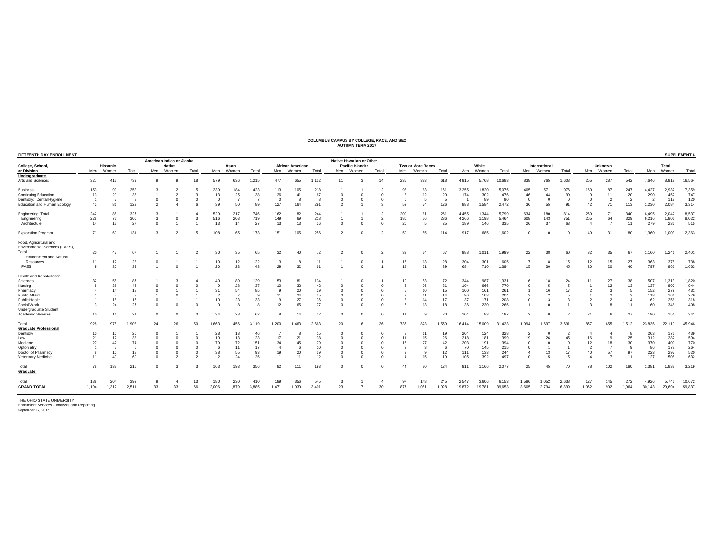### **COLUMBUS CAMPUS BY COLLEGE, RACE, AND SEX AUTUMN TERM 2017**

| <b>FIFTEENTH DAY ENROLLMENT</b>                          |                |          |       |             | American Indian or Alaska |       |                |           |                |                |                         |       |          | Native Hawaiian or Other |                |     |                          |       |        |        |        |            |               |       |                |                |                |                |        | SUPPLEMENT 6 |
|----------------------------------------------------------|----------------|----------|-------|-------------|---------------------------|-------|----------------|-----------|----------------|----------------|-------------------------|-------|----------|--------------------------|----------------|-----|--------------------------|-------|--------|--------|--------|------------|---------------|-------|----------------|----------------|----------------|----------------|--------|--------------|
| College, School,                                         |                | Hispanic |       |             | <b>Native</b>             |       |                | Asian     |                |                | <b>African American</b> |       |          | <b>Pacific Islander</b>  |                |     | <b>Two or More Races</b> |       |        | White  |        |            | International |       |                | Unknown        |                |                | Total  |              |
| or Division                                              | Men            | Women    | Total | Men         | Women                     | Total |                | Men Women | Total          |                | Men Women               | Total | Men      | Women                    | Total          | Men | Women                    | Total | Men    | Women  | Total  | Men        | Women         | Total |                | Men Women      | Total          | Men            | Women  | Total        |
| Undergraduate<br>Arts and Sciences                       | 327            | 412      | 739   |             |                           |       | 579            | 636       | 1,215          | 477            | 655                     | 1,132 | 11       |                          | 14             | 235 | 383                      | 618   | 4,915  | 5.768  | 10,683 | 838        | 765           | 1,603 | 255            | 287            | 542            | 7.646          | 8.91   | 16,564       |
| <b>Business</b>                                          | 153            | 99       | 252   |             |                           |       | 239            | 184       | 423            | 113            | 105                     | 218   |          |                          |                |     | 63                       | 161   | 3,255  | 1,820  | 5.075  | 405        | 57            | 976   | 160            | 87             | 247            | 4,427          | 2.932  | 7,359        |
| Continuing Education                                     | 13             | 20       | 33    |             |                           |       | 13             | 25        | 38             | 26             | 41                      | 67    |          | $\Omega$                 |                |     | 12                       | 20    | 174    | 302    | 476    | 46         | 44            | 90    | 9              | 11             | 20             | 290            | 457    | 747          |
| Dentistry: Dental Hygiene                                | $\overline{1}$ |          |       | 0           | $\overline{0}$            |       | $\circ$        |           | $\overline{7}$ | $\overline{0}$ | 8                       |       |          |                          | $\Omega$       |     | 5                        | 5     |        | 89     | 90     | $^{\circ}$ | $\Omega$      |       | $\Omega$       | $\overline{2}$ | $\overline{2}$ | $\overline{2}$ | 118    | 120          |
| Education and Human Ecology                              | 42             | 81       | 123   |             |                           |       | 39             | 50        | 89             | 127            | 164                     | 291   |          |                          |                | 52  | 74                       | 126   | 888    | 1,584  | 2.472  | 36         | 55            | 91    | 42             | 71             | 113            | 1,230          | 2.084  | 3,314        |
| Engineering, Total                                       | 242            | 85       | 327   | 3           |                           |       | 529            | 217       | 746            | 162            | 82                      | 244   |          |                          |                | 200 | 61                       | 261   | 4.455  | 1,344  | 5.799  | 634        | 180           | 814   | 269            | 71             | 340            | 6,495          | 2.042  | 8,537        |
| Engineering                                              | 228            | 72       | 300   | 3           | $\overline{0}$            |       | 516            | 203       | 719            | 149            | 69                      | 218   |          |                          |                | 180 | 56                       | 236   | 4,266  | 1,198  | 5,464  | 608        | 143           | 751   | 265            | 64             | 329            | 6,216          | 1,806  | 8,022        |
| Architecture                                             | 14             | 13       | 27    | $\mathbf 0$ |                           |       | 13             | 14        | 27             | 13             | 13                      | 26    |          | $\Omega$                 |                | 20  | 5                        | 25    | 189    | 146    | 335    | 26         | 37            | 63    | $\overline{4}$ |                | 11             | 279            | 236    | 515          |
| <b>Exploration Program</b>                               | 71             | 60       | 131   |             |                           |       | 108            | 65        | 173            | 151            | 105                     | 256   |          |                          |                | 59  | 55                       | 114   | 917    | 685    | 1,602  |            |               |       | 49             | 31             | 80             | 1,360          | 1,003  | 2,363        |
| Food, Agricultural and<br>Environmental Sciences (FAES), |                |          |       |             |                           |       |                |           |                |                |                         |       |          |                          |                |     |                          |       |        |        |        |            |               |       |                |                |                |                |        |              |
| Total<br><b>Environment and Natural</b>                  | 20             | 47       | 67    |             |                           |       | 30             | 35        | 65             | 32             | 40                      | 72    |          |                          |                | 33  | 34                       | 67    | 988    | 1,011  | 1,999  | 22         | 38            | 60    | 32             | 35             | 67             | 1,160          | 1,241  | 2,401        |
| Resources                                                | 11             | 17       | 28    |             |                           |       | 10             | 12        | 22             | 3              | 8                       | 11    |          |                          |                | 15  | 13                       | 28    | 304    | 301    | 605    |            | -8            | 15    | 12             | 15             | 27             | 363            | 375    | 738          |
| FAES                                                     | $\overline{9}$ | 30       | 39    |             | $\Omega$                  |       | 20             | 23        | 43             | 29             | 32                      | 61    |          | $\Omega$                 |                | 18  | 21                       | 39    | 684    | 710    | 1,394  | 15         | 30            | 45    | 20             | 20             | 40             | 797            | 866    | 1,663        |
| Health and Rehabilitation                                |                |          |       |             |                           |       |                |           |                |                |                         |       |          |                          |                |     |                          |       |        |        |        |            |               |       |                |                |                |                |        |              |
| Sciences                                                 | 32             | 55       | 87    |             |                           |       | 40             | 89        | 129            | 53             | 81                      | 134   |          |                          |                | 19  | 53                       | 72    | 344    | 987    | 1,331  |            | 18            | -24   | 11             | 27             | 38             | 507            | 1.313  | 1,820        |
| Nursing                                                  |                | 38       | 46    |             | $\Omega$                  |       | q              | 28        | 37             | 10             | 32                      | 42    |          |                          |                |     | 26                       | 31    | 104    | 666    | 770    |            | 5             |       |                | 12             | 13             | 137            | 807    | 944          |
| Pharmacy                                                 |                | 14       | 18    |             |                           |       | 31             | 54        | 85             | 9              | 20                      | 29    |          |                          |                |     | 10                       | 15    | 100    | 161    | 261    |            | 16            | 17    |                |                |                | 152            | 279    | 431          |
| Public Affairs                                           |                |          |       |             | $\Omega$                  |       | $\overline{2}$ |           | $\mathbf{q}$   | 11             | 24                      | 35    |          |                          |                |     | 11                       | 14    | 96     | 108    | 204    |            |               |       |                |                |                | 118            | 161    | 279          |
| Public Health                                            |                | 15       | 16    | O           |                           |       | 10             | 23        | 33             | 9              | 27                      | 36    |          | $\mathsf{C}$             | $\Omega$       |     | 14                       | 17    | 37     | 171    | 208    |            | 3             |       |                | $\overline{2}$ | $\Delta$       | 62             | 256    | 318          |
| Social Work                                              | $\mathbf{R}$   | 24       | 27    | $\Omega$    | $\Omega$                  |       | $\Omega$       |           | -8             | 12             | 65                      | 77    | $\Omega$ | $\Omega$                 | $\Omega$       |     | 13                       | 18    | 36     | 230    | 266    |            | $\Omega$      |       | -3             | 8              | 11             | 60             | 348    | 408          |
| Undergraduate Student                                    |                |          |       |             |                           |       |                |           |                |                |                         |       |          |                          |                |     |                          |       |        |        |        |            |               |       |                |                |                |                |        |              |
| Academic Services                                        | 10             |          | 21    | n           | $\Omega$                  |       | 34             | 28        | 62             | -8             | 14                      | 22    |          |                          | ſ              |     |                          | 20    | 104    | -83    | 187    |            |               |       | 21             |                | 27             | 190            | 151    | 34           |
| Total                                                    | 928            | 975      | 1.903 | 24          | 26                        | 50    | 1.663          | 1,456     | 3.119          | 1,200          | 1,463                   | 2.663 | 20       | -6                       | 26             | 736 | 823                      | 1,559 | 16.414 | 15.009 | 31,423 | 1.994      | 1.697         | 3.691 | 857            | 655            | 1.512          | 23,836         | 22,110 | 45,946       |
| <b>Graduate Professional</b>                             |                |          |       |             |                           |       |                |           |                |                |                         |       |          |                          |                |     |                          |       |        |        |        |            |               |       |                |                |                |                |        |              |
| Dentistry                                                | 10             | 10       | 20    |             |                           |       | 28             | 18        | 46             |                |                         | 15    |          |                          |                |     | 11                       | 19    | 204    | 124    | 328    |            |               |       |                |                |                | 263            | 176    | 439          |
| Law                                                      | 21             | 17       | 38    |             | $\Omega$                  |       | 10             | 13        | 23             | 17             | 21                      | 38    |          |                          |                | 11  | 15                       | 26    | 218    | 181    | 399    | 19         | 26            | 45    | 16             | 9              | 25             | 312            | 282    | 594          |
| Medicine                                                 | 27             | 47       | 74    |             | $\Omega$                  |       | 79             | 72        | 151            | 34             | 45                      | 79    |          | $\Omega$                 |                | 15  | 27                       | 42    | 203    | 191    | 394    |            | $\Omega$      |       | 12             | 18             | 30             | 370            | 400    | 770          |
| Optometry                                                |                |          |       |             | $\Omega$                  |       | -6             | 11        | 17             | $\overline{4}$ |                         | 10    |          |                          |                |     |                          | 6     | 70     | 145    | 215    |            |               |       |                |                | $\mathbf{q}$   | 86             | 178    | 264          |
| Doctor of Pharmacy                                       | 8              | 10       | 18    | O           | $\overline{0}$            |       | 38             | 55        | 93             | 19             | 20                      | 39    |          | $\Omega$                 | $\Omega$       |     | $\mathbf{q}$             | 12    | 111    | 133    | 244    |            | 13            | 17    | 40             | 57             | 97             | 223            | 297    | 520          |
| Veterinary Medicine                                      | 11             | 49       | 60    | $\Omega$    | $\overline{2}$            |       | $\mathcal{D}$  | 24        | 26             |                | 11                      | 12    |          | $\Omega$                 | $\Omega$       |     | 15                       | 19    | 105    | 392    | 497    |            | 5             |       | $\Delta$       | $\overline{z}$ | 11             | 127            | 505    | 632          |
| Total                                                    | 78             | 138      | 216   |             | $\mathbf{z}$              |       | 163            | 193       | 356            | 82             | 111                     | 193   |          | $\Omega$                 | $\Omega$       | 44  | 80                       | 124   | 911    | 1,166  | 2,077  | 25         | 45            | 70    | 78             | 102            | 180            | 1.381          | 1.838  | 3,219        |
| Graduate                                                 |                |          |       |             |                           |       |                |           |                |                |                         |       |          |                          |                |     |                          |       |        |        |        |            |               |       |                |                |                |                |        |              |
| Total                                                    | 188            | 204      | 392   | q           | $\overline{4}$            | 13    | 180            | 230       | 410            | 189            | 356                     | 545   |          |                          | $\overline{4}$ | 97  | 148                      | 245   | 2,547  | 3,606  | 6,153  | 1,586      | 1,052         | 2,638 | 127            | 145            | 272            | 4,926          | 5,746  | 10,672       |
| <b>GRAND TOTAL</b>                                       | 1.194          | 1,317    | 2,511 | 33          | 33                        | 66    | 2,006          | 1.879     | 3.885          | 1.471          | 1.930                   | 3.401 | 23       | $\overline{7}$           | 30             | 877 | 1,051                    | 1,928 | 19,872 | 19,781 | 39,653 | 3,605      | 2.794         | 6,399 | 1.062          | 902            | 1,964          | 30,143         | 29,694 | 59,837       |
|                                                          |                |          |       |             |                           |       |                |           |                |                |                         |       |          |                          |                |     |                          |       |        |        |        |            |               |       |                |                |                |                |        |              |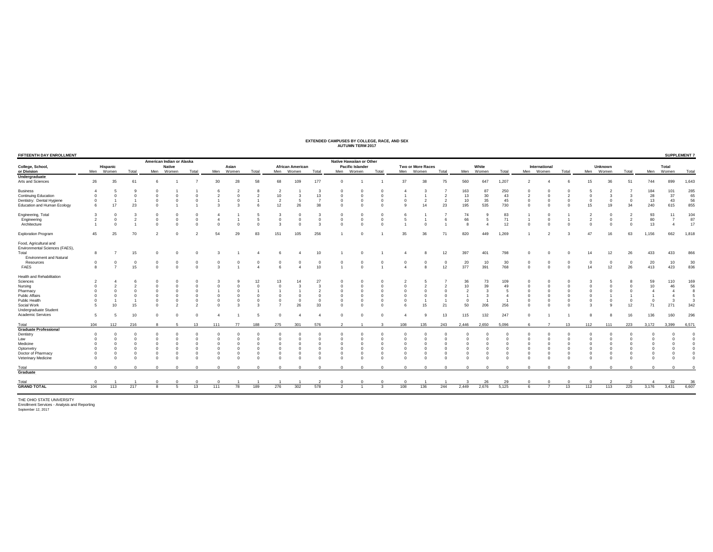## **EXTENDED CAMPUSES BY COLLEGE, RACE, AND SEX AUTUMN TERM 2017**

| FIFTEENTH DAY ENROLLMENT                                 |                |                |          |          | American Indian or Alaska |          |              |           |          |                |                         |          | Native Hawaiian or Other |                  |                         |              |                   |                |                |            |          |            |               |            |                |                |                |                |                | <b>SUPPLEMENT 7</b> |
|----------------------------------------------------------|----------------|----------------|----------|----------|---------------------------|----------|--------------|-----------|----------|----------------|-------------------------|----------|--------------------------|------------------|-------------------------|--------------|-------------------|----------------|----------------|------------|----------|------------|---------------|------------|----------------|----------------|----------------|----------------|----------------|---------------------|
| College, School,                                         |                | Hispanic       |          |          | <b>Native</b>             |          |              | Asian     |          |                | <b>African American</b> |          |                          | Pacific Islander |                         |              | Two or More Races |                |                | White      |          |            | International |            |                | <b>Unknown</b> |                |                | Total          |                     |
| or Division                                              | Men            | Women          | Total    | Men      | Women                     | Total    |              | Men Women | Total    |                | Men Women               | Total    | Men Women                |                  | Total                   | Men Women    |                   | Total          |                | Men Women  | Total    |            | Men Women     | Total      | Men            | Women          | Total          | Men            | Women          | Total               |
| Undergraduate                                            |                |                |          |          |                           |          |              |           |          |                |                         |          |                          |                  |                         |              |                   |                |                |            |          |            |               |            |                |                |                |                |                |                     |
| Arts and Sciences                                        | 26             | 35             | 61       |          |                           |          | 30           | 28        | 58       | 68             | 109                     | 177      |                          |                  |                         | 37           | 38                | 75             | 560            | 647        | 1,207    |            |               |            | 15             | 36             | 51             | 744            | 899            | 1,643               |
| <b>Business</b>                                          |                |                |          |          |                           |          |              |           |          |                |                         |          |                          |                  |                         |              |                   |                | 163            | 87         | 250      |            |               |            |                |                |                | 184            | 101            | 285                 |
| <b>Continuing Education</b>                              | $\Omega$       |                |          |          |                           |          |              |           |          | 10             |                         | 13       |                          | $\Omega$         |                         |              |                   | $\overline{2}$ | 13             | 30         | 43       |            |               |            |                |                |                | 28             | 37             | 65                  |
| Dentistry: Dental Hygiene                                | $\Omega$       |                |          |          |                           |          |              |           |          | $\overline{2}$ | 5                       |          |                          | $\Omega$         | $\Omega$                |              | $\overline{2}$    | $\overline{2}$ | 10             | 35         | 45       | $\Omega$   |               | $\Omega$   | $\Omega$       | $\circ$        | $\overline{0}$ | 13             | 43             | 56                  |
| Education and Human Ecology                              | 6              | 17             | 23       |          |                           |          |              |           |          | 12             | 26                      | 38       |                          | $\Omega$         |                         |              | 14                | 23             | 195            | 535        | 730      | $\Omega$   |               | $\Omega$   | 15             | 19             | 34             | 240            | 615            | 855                 |
| Engineering, Total                                       |                |                |          |          |                           |          |              |           |          | 3              |                         |          |                          | $\Omega$         |                         |              |                   | -7             | 74             |            | 83       |            | $\Omega$      |            | $\overline{2}$ | $\Omega$       |                | 93             | 11             | 104                 |
| Engineering                                              | $\overline{2}$ | $\Omega$       |          |          | $\Omega$                  |          |              |           |          | $\Omega$       |                         |          |                          | $\Omega$         |                         |              |                   | 6              | 66             |            | 71       |            |               |            | $\overline{2}$ | $\Omega$       | $\overline{2}$ | 80             | $\overline{7}$ | 87                  |
| Architecture                                             |                |                |          |          |                           |          |              |           |          |                |                         |          |                          | $\Omega$         |                         |              | $\Omega$          |                | $\mathbf{a}$   |            | 12       |            |               |            |                |                |                | 13             |                | 17                  |
| <b>Exploration Program</b>                               | 45             | 25             | 70       |          | $\Omega$                  |          | 54           | 29        | 83       | 151            | 105                     | 256      |                          | $\Omega$         |                         | 35           | 36                | 71             | 820            | 449        | 1,269    |            |               |            | 47             | 16             | 63             | 1,156          | 662            | 1,818               |
| Food, Agricultural and<br>Environmental Sciences (FAES), |                |                |          |          |                           |          |              |           |          |                |                         |          |                          |                  |                         |              |                   |                |                |            |          |            |               |            |                |                |                |                |                |                     |
| Total                                                    | 8              |                | 15       | $\Omega$ |                           |          |              |           |          | 6              |                         | 10       |                          | $^{\circ}$       |                         |              | 8                 | 12             | 397            | 401        | 798      | $\Omega$   |               | $\Omega$   | 14             | 12             | 26             | 433            | 433            | 866                 |
| <b>Environment and Natural</b>                           |                |                |          |          |                           |          |              |           |          |                |                         |          |                          |                  |                         |              |                   |                |                |            |          |            |               |            |                |                |                |                |                |                     |
| Resources                                                | $\Omega$       | 0              | $\Omega$ |          | $^{\circ}$                |          |              |           |          | $^{\circ}$     |                         | $\Omega$ |                          | $\Omega$         |                         |              | $^{\circ}$        | $\overline{0}$ | 20             | 10         | 30       | $^{\circ}$ |               | $^{\circ}$ | $\bf{0}$       | $\circ$        | $^{\circ}$     | 20             | 10             | 30                  |
| FAES                                                     | $\mathbf{R}$   | $\overline{ }$ | 15       |          | $\Omega$                  |          | $\mathbf{R}$ |           |          | 6              |                         | 10       |                          | $\Omega$         |                         |              | 8                 | 12             | 377            | 391        | 768      | $\Omega$   | $\Omega$      | $\Omega$   | 14             | 12             | 26             | 413            | 423            | 836                 |
|                                                          |                |                |          |          |                           |          |              |           |          |                |                         |          |                          |                  |                         |              |                   |                |                |            |          |            |               |            |                |                |                |                |                |                     |
| Health and Rehabilitation                                |                |                |          |          |                           |          |              |           |          |                |                         |          |                          |                  |                         |              |                   |                |                |            |          |            |               |            |                |                |                |                |                |                     |
| Sciences                                                 |                |                |          |          |                           |          |              |           |          | 13             | 14                      | 27       |                          | $\Omega$         |                         |              |                   |                | 36             | 73         | 109      |            |               |            |                |                |                | 59             | 110            | 169                 |
| Nursing                                                  | $\Omega$       |                |          |          |                           |          |              |           |          | $\Omega$       |                         |          |                          | $\Omega$         |                         |              |                   |                | 10             | 39         | 49       |            |               |            |                |                |                | 10             | 46             | 56                  |
| Pharmacy                                                 |                |                |          |          |                           |          |              |           |          |                |                         |          |                          | $\Omega$         |                         |              | $\Omega$          |                |                |            | 5        |            |               |            |                |                |                |                |                |                     |
| Public Affairs                                           |                |                |          |          |                           |          |              |           |          | $\Omega$       |                         |          |                          | $\Omega$         |                         |              | $\Omega$          |                |                |            |          |            |               |            |                |                |                |                |                |                     |
| Public Health                                            | $\Omega$       |                |          | $\Omega$ | $\overline{0}$            |          | $\Omega$     |           | $\Omega$ | $\Omega$       | $\Omega$                | $\Omega$ | $\Omega$                 | $\Omega$         | $\Omega$                |              |                   |                | $\overline{0}$ |            |          | $\Omega$   | $\Omega$      | $\Omega$   |                | $\Omega$       | $\Omega$       | $\Omega$       | 3              |                     |
| Social Work                                              |                | 10             | 15       |          | $\overline{2}$            |          |              |           |          |                | 26                      | 33       |                          | $\Omega$         |                         |              | 15                | 21             | 50             | 206        | 256      | $\Omega$   |               | $\Omega$   |                |                | 12             | 71             | 271            | 342                 |
| Undergraduate Student                                    |                |                |          |          |                           |          |              |           |          |                |                         |          |                          |                  |                         |              |                   |                |                |            |          |            |               |            |                |                |                |                |                |                     |
| Academic Services                                        | 5              | 5              | 10       | $\Omega$ | $\Omega$                  |          | -4           |           |          | $\Omega$       |                         |          |                          | $\Omega$         | $\Omega$                |              | $\alpha$          | 13             | 115            | 132        | 247      | $\Omega$   |               |            |                |                | 16             | 136            | 160            | 296                 |
| Total                                                    | 104            | 112            | 216      |          | 5                         | 13       | 111          | 77        | 188      | 275            | 301                     | 576      |                          |                  | -3                      | 108          | 135               | 243            | 2.446          | 2,650      | 5.096    | 6          |               | 13         | 112            | 111            | 223            | 3,172          | 3.399          | 6,571               |
| <b>Graduate Professional</b>                             |                |                |          |          |                           |          |              |           |          |                |                         |          |                          |                  |                         |              |                   |                |                |            |          |            |               |            |                |                |                |                |                |                     |
| Dentistry                                                |                |                |          |          |                           |          |              |           |          | $\Omega$       |                         |          |                          | $\Omega$         |                         |              | $\Omega$          |                |                |            |          |            |               |            |                |                |                |                |                |                     |
| Law                                                      |                |                |          |          |                           |          |              |           |          | $\Omega$       |                         |          |                          | $\Omega$         |                         |              | $\Omega$          |                |                |            | $\Omega$ |            |               |            |                |                |                |                |                |                     |
| Medicine                                                 |                |                |          |          |                           |          |              |           |          | $^{\circ}$     |                         |          |                          | $\Omega$         |                         |              | $^{\circ}$        |                | $\Omega$       |            | $\Omega$ |            |               | $\Omega$   |                |                |                |                |                |                     |
| Optometry                                                | $\Omega$       | $\Omega$       | $\Omega$ | $\Omega$ | $\Omega$                  |          | $\Omega$     |           | $\Omega$ | $^{\circ}$     | $\Omega$                |          | $\Omega$                 | $\Omega$         | $\Omega$                | $\mathbf 0$  | $^{\circ}$        | $\Omega$       | $\Omega$       |            | $\Omega$ | $\Omega$   | $\Omega$      | $\Omega$   |                | $\Omega$       | $\Omega$       |                |                |                     |
| Doctor of Pharmacy                                       | $\Omega$       |                |          |          | $\Omega$                  |          | $\Omega$     |           | $\Omega$ | $\Omega$       |                         |          |                          | $\Omega$         | $\Omega$                |              | $\Omega$          | $\mathbf{C}$   | $\Omega$       |            | $\Omega$ | $\Omega$   | $\Omega$      | $\Omega$   |                | $\Omega$       | $\Omega$       |                |                |                     |
| Veterinary Medicine                                      | $\Omega$       |                |          |          |                           |          |              |           |          |                |                         |          |                          | $\Omega$         |                         |              | $\Omega$          |                |                |            |          |            |               |            |                |                |                |                |                |                     |
| Total                                                    | $\Omega$       | $\Omega$       |          | $\Omega$ | $\Omega$                  | $\Omega$ | $\Omega$     | $\Omega$  | $\Omega$ | $^{\circ}$     | $\Omega$                | $\Omega$ | $\overline{0}$           | $^{\circ}$       | $\Omega$                | $\mathbf{0}$ | $^{\circ}$        | $\Omega$       | $^{\circ}$     | $^{\circ}$ | $\Omega$ | $\Omega$   | $\Omega$      | $\Omega$   | $\Omega$       | $\Omega$       | $\Omega$       | $\overline{0}$ | $^{\circ}$     |                     |
| Graduate                                                 |                |                |          |          |                           |          |              |           |          |                |                         |          |                          |                  |                         |              |                   |                |                |            |          |            |               |            |                |                |                |                |                |                     |
| Total                                                    | $\Omega$       |                |          | $\Omega$ | $\Omega$                  |          | $\Omega$     |           |          |                |                         |          | $\Omega$                 | $\Omega$         | $\Omega$                | $\Omega$     |                   |                | $\mathbf{3}$   | 26         | 29       | $\Omega$   | $\Omega$      | $\Omega$   | $\Omega$       | $\overline{2}$ | 2              | $\Delta$       | 32             | 36                  |
| <b>GRAND TOTAL</b>                                       | 104            | 113            | 217      | -8       | -5                        | 13       | 111          | 78        | 189      | 276            | 302                     | 578      |                          | $\overline{1}$   | $\overline{\mathbf{3}}$ | 108          | 136               | 244            | 2.449          | 2,676      | 5,125    | 6          |               | 13         | 112            | 113            | 225            | 3,176          | 3,431          | 6.607               |
|                                                          |                |                |          |          |                           |          |              |           |          |                |                         |          |                          |                  |                         |              |                   |                |                |            |          |            |               |            |                |                |                |                |                |                     |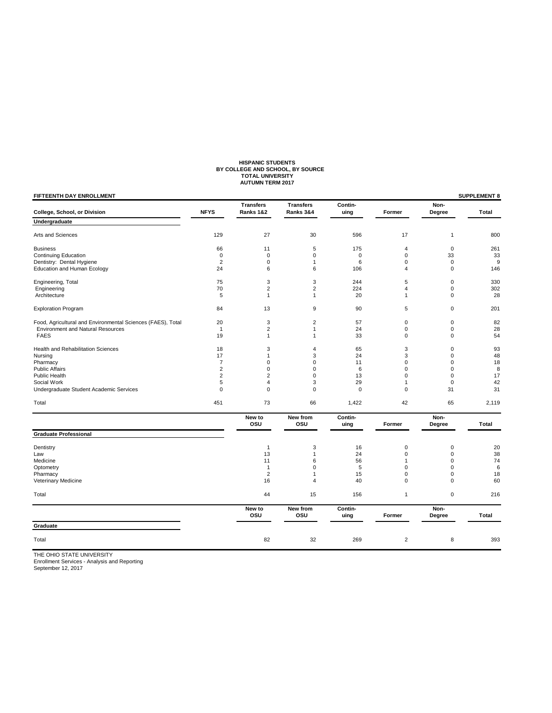# **HISPANIC STUDENTS BY COLLEGE AND SCHOOL, BY SOURCE TOTAL UNIVERSITY AUTUMN TERM 2017**

| FIFTEENTH DAY ENROLLMENT                                    |                |                               |                               |                 |                |                | <b>SUPPLEMENT 8</b> |
|-------------------------------------------------------------|----------------|-------------------------------|-------------------------------|-----------------|----------------|----------------|---------------------|
| College, School, or Division                                | <b>NFYS</b>    | <b>Transfers</b><br>Ranks 1&2 | <b>Transfers</b><br>Ranks 3&4 | Contin-<br>uing | Former         | Non-<br>Degree | Total               |
| Undergraduate                                               |                |                               |                               |                 |                |                |                     |
| Arts and Sciences                                           | 129            | 27                            | 30                            | 596             | 17             | $\mathbf{1}$   | 800                 |
| <b>Business</b>                                             | 66             | 11                            | 5                             | 175             | 4              | $\mathbf 0$    | 261                 |
| <b>Continuing Education</b>                                 | $\mathbf 0$    | $\pmb{0}$                     | $\mathbf 0$                   | $\pmb{0}$       | $\mathbf 0$    | 33             | 33                  |
| Dentistry: Dental Hygiene                                   | $\overline{2}$ | 0                             | $\mathbf{1}$                  | 6               | $\mathbf 0$    | $\mathbf 0$    | 9                   |
| <b>Education and Human Ecology</b>                          | 24             | 6                             | 6                             | 106             | $\overline{4}$ | $\mathbf 0$    | 146                 |
| Engineering, Total                                          | 75             | 3                             | 3                             | 244             | 5              | $\mathbf 0$    | 330                 |
| Engineering                                                 | 70             | $\overline{c}$                | $\overline{2}$                | 224             | 4              | $\mathbf 0$    | 302                 |
| Architecture                                                | 5              | $\mathbf{1}$                  | $\mathbf{1}$                  | 20              | 1              | $\mathbf 0$    | 28                  |
| <b>Exploration Program</b>                                  | 84             | 13                            | 9                             | 90              | 5              | $\mathbf 0$    | 201                 |
| Food, Agricultural and Environmental Sciences (FAES), Total | 20             | 3                             | $\overline{2}$                | 57              | 0              | $\mathbf 0$    | 82                  |
| <b>Environment and Natural Resources</b>                    | $\overline{1}$ | $\boldsymbol{2}$              | $\mathbf{1}$                  | 24              | $\pmb{0}$      | $\mathsf 0$    | 28                  |
| <b>FAES</b>                                                 | 19             | $\mathbf{1}$                  | $\mathbf{1}$                  | 33              | $\mathbf 0$    | $\mathbf 0$    | 54                  |
| <b>Health and Rehabilitation Sciences</b>                   | 18             | 3                             | $\overline{4}$                | 65              | 3              | $\mathbf 0$    | 93                  |
| Nursing                                                     | 17             | $\mathbf{1}$                  | 3                             | 24              | 3              | $\mathbf 0$    | 48                  |
| Pharmacy                                                    | 7              | 0                             | $\mathbf 0$                   | 11              | $\Omega$       | $\mathbf 0$    | 18                  |
| <b>Public Affairs</b>                                       | $\overline{c}$ | 0                             | $\Omega$                      | 6               | $\Omega$       | $\mathbf 0$    | 8                   |
| Public Health                                               | $\overline{c}$ | $\overline{c}$                | $\mathbf 0$                   | 13              | 0              | $\mathbf 0$    | 17                  |
| Social Work                                                 | 5              | 4                             | 3                             | 29              | 1              | $\mathbf 0$    | 42                  |
| Undergraduate Student Academic Services                     | $\mathbf 0$    | 0                             | $\Omega$                      | $\mathbf 0$     | $\mathbf 0$    | 31             | 31                  |
| Total                                                       | 451            | 73                            | 66                            | 1,422           | 42             | 65             | 2,119               |
|                                                             |                | New to<br>osu                 | New from<br>osu               | Contin-<br>uing | Former         | Non-<br>Degree | Total               |
| <b>Graduate Professional</b>                                |                |                               |                               |                 |                |                |                     |
| Dentistry                                                   |                | $\mathbf{1}$                  | 3                             | 16              | 0              | $\mathbf 0$    | 20                  |
| Law                                                         |                | 13                            | $\mathbf{1}$                  | 24              | $\Omega$       | $\mathbf 0$    | 38                  |
| Medicine                                                    |                | 11                            | 6                             | 56              | 1              | $\mathbf 0$    | 74                  |
| Optometry                                                   |                | $\mathbf{1}$                  | $\mathbf 0$                   | 5               | $\mathbf 0$    | $\mathbf 0$    | 6                   |
| Pharmacy                                                    |                | $\overline{2}$                | $\mathbf{1}$                  | 15              | $\mathbf 0$    | $\mathbf 0$    | 18                  |
| Veterinary Medicine                                         |                | 16                            | $\overline{4}$                | 40              | $\mathbf 0$    | $\Omega$       | 60                  |
| Total                                                       |                | 44                            | 15                            | 156             | $\mathbf{1}$   | $\mathbf 0$    | 216                 |
|                                                             |                | New to<br>osu                 | New from<br>osu               | Contin-<br>uing | Former         | Non-<br>Degree | Total               |
| Graduate                                                    |                |                               |                               |                 |                |                |                     |
| Total                                                       |                | 82                            | 32                            | 269             | $\overline{2}$ | 8              | 393                 |
|                                                             |                |                               |                               |                 |                |                |                     |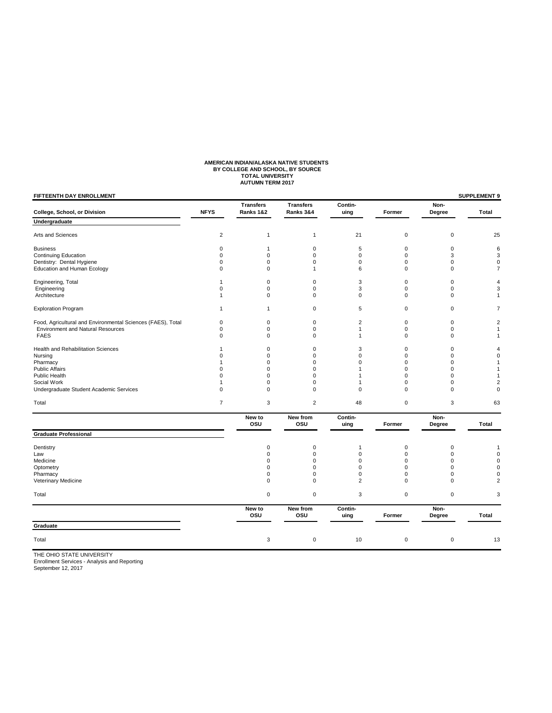# **AMERICAN INDIAN/ALASKA NATIVE STUDENTS BY COLLEGE AND SCHOOL, BY SOURCE TOTAL UNIVERSITY AUTUMN TERM 2017**

| <b>Transfers</b><br><b>Transfers</b><br>Contin-<br>Non-<br><b>NFYS</b><br>College, School, or Division<br>Ranks 1&2<br>Ranks 3&4<br>Former<br>Degree<br>uing<br>Undergraduate<br>$\mathbf 2$<br>Arts and Sciences<br>21<br>$\mathbf 0$<br>$\mathbf 0$<br>1<br>$\mathbf{1}$<br><b>Business</b><br>0<br>$\mathbf{1}$<br>$\mathbf 0$<br>5<br>0<br>0<br>$\mathbf 0$<br>$\mathbf 0$<br><b>Continuing Education</b><br>$\mathbf 0$<br>$\mathbf 0$<br>$\mathbf 0$<br>3<br>Dentistry: Dental Hygiene<br>$\pmb{0}$<br>$\pmb{0}$<br>$\mathbf 0$<br>$\mathbf 0$<br>$\pmb{0}$<br>$\mathbf 0$<br><b>Education and Human Ecology</b><br>$\mathbf 0$<br>$\mathbf 0$<br>6<br>$\mathbf 0$<br>$\Omega$<br>$\mathbf{1}$<br>Engineering, Total<br>0<br>3<br>$\mathbf 0$<br>$\mathbf{1}$<br>$\mathbf 0$<br>$\mathbf 0$<br>$\pmb{0}$<br>$\pmb{0}$<br>3<br>$\pmb{0}$<br>Engineering<br>$\mathbf 0$<br>$\mathbf 0$<br>Architecture<br>$\mathbf 0$<br>$\mathbf 0$<br>$\mathbf 0$<br>$\mathbf 0$<br>$\mathbf 0$<br>$\mathbf{1}$<br>$\sqrt{5}$<br>$\mathbf 0$<br>$\mathbf 0$<br><b>Exploration Program</b><br>$\mathbf 0$<br>$\mathbf{1}$<br>$\mathbf{1}$<br>Food, Agricultural and Environmental Sciences (FAES), Total<br>0<br>0<br>$\overline{2}$<br>$\mathbf 0$<br>$\mathbf 0$<br>$\mathbf 0$<br><b>Environment and Natural Resources</b><br>$\mathbf 0$<br>$\mathbf 0$<br>$\mathbf 0$<br>$\mathbf{1}$<br>$\mathbf 0$<br>$\mathbf 0$<br><b>FAES</b><br>$\mathbf 0$<br>$\mathbf 0$<br>$\mathbf 0$<br>$\mathbf{1}$<br>$\mathbf 0$<br>$\Omega$<br>Health and Rehabilitation Sciences<br>$\mathbf 0$<br>$\mathbf 0$<br>3<br>$\mathbf 0$<br>$\mathbf 0$<br>$\mathbf{1}$<br>0<br>$\mathbf 0$<br>$\mathbf 0$<br>Nursing<br>0<br>$\mathbf 0$<br>0<br>Pharmacy<br>$\mathbf 0$<br>$\mathbf 0$<br>$\mathbf 0$<br>$\mathbf 0$<br>$\mathbf 0$<br>$\mathbf{1}$<br><b>Public Affairs</b><br>0<br>0<br>$\Omega$<br>0<br>$\Omega$<br>1<br><b>Public Health</b><br>$\Omega$<br>$\Omega$<br>$\Omega$<br>$\Omega$<br>$\Omega$<br>$\mathbf{1}$<br>$\pmb{0}$<br>Social Work<br>$\mathbf{1}$<br>0<br>$\mathbf 0$<br>$\mathbf{1}$<br>$\mathbf 0$<br>Undergraduate Student Academic Services<br>$\mathbf 0$<br>$\mathbf 0$<br>$\mathbf 0$<br>$\mathbf 0$<br>$\Omega$<br>$\Omega$<br>$\overline{7}$<br>3<br>$\overline{2}$<br>48<br>$\mathbf 0$<br>3<br>Total<br>New to<br>Contin-<br>Non-<br>New from<br>osu<br>osu<br>uing<br>Former<br>Degree<br><b>Graduate Professional</b><br>Dentistry<br>$\mathbf 0$<br>$\mathbf 0$<br>$\mathbf 0$<br>$\mathbf 0$<br>$\mathbf{1}$<br>$\mathbf 0$<br>$\Omega$<br>$\mathbf 0$<br>$\mathbf 0$<br>$\Omega$<br>Law<br>$\mathbf 0$<br>$\mathbf 0$<br>$\Omega$<br>$\mathbf 0$<br>$\Omega$<br>Medicine<br>$\mathbf 0$<br>Optometry<br>$\mathbf 0$<br>$\mathbf 0$<br>$\mathbf 0$<br>$\Omega$<br>Pharmacy<br>$\mathbf 0$<br>$\mathbf 0$<br>$\mathbf 0$<br>$\mathbf 0$<br>$\mathbf 0$<br>2<br>Veterinary Medicine<br>$\mathbf 0$<br>$\mathbf 0$<br>$\mathbf 0$<br>$\Omega$ | <b>SUPPLEMENT 9</b>     |             |           |   |             |           | <b>FIFTEENTH DAY ENROLLMENT</b> |
|--------------------------------------------------------------------------------------------------------------------------------------------------------------------------------------------------------------------------------------------------------------------------------------------------------------------------------------------------------------------------------------------------------------------------------------------------------------------------------------------------------------------------------------------------------------------------------------------------------------------------------------------------------------------------------------------------------------------------------------------------------------------------------------------------------------------------------------------------------------------------------------------------------------------------------------------------------------------------------------------------------------------------------------------------------------------------------------------------------------------------------------------------------------------------------------------------------------------------------------------------------------------------------------------------------------------------------------------------------------------------------------------------------------------------------------------------------------------------------------------------------------------------------------------------------------------------------------------------------------------------------------------------------------------------------------------------------------------------------------------------------------------------------------------------------------------------------------------------------------------------------------------------------------------------------------------------------------------------------------------------------------------------------------------------------------------------------------------------------------------------------------------------------------------------------------------------------------------------------------------------------------------------------------------------------------------------------------------------------------------------------------------------------------------------------------------------------------------------------------------------------------------------------------------------------------------------------------------------------------------------------------------------------------------------------------------------------------------------------------------------------------------------------------------------------------------------------------------------------------------------------------------------------------------------------------------------------|-------------------------|-------------|-----------|---|-------------|-----------|---------------------------------|
|                                                                                                                                                                                                                                                                                                                                                                                                                                                                                                                                                                                                                                                                                                                                                                                                                                                                                                                                                                                                                                                                                                                                                                                                                                                                                                                                                                                                                                                                                                                                                                                                                                                                                                                                                                                                                                                                                                                                                                                                                                                                                                                                                                                                                                                                                                                                                                                                                                                                                                                                                                                                                                                                                                                                                                                                                                                                                                                                                        | Total                   |             |           |   |             |           |                                 |
|                                                                                                                                                                                                                                                                                                                                                                                                                                                                                                                                                                                                                                                                                                                                                                                                                                                                                                                                                                                                                                                                                                                                                                                                                                                                                                                                                                                                                                                                                                                                                                                                                                                                                                                                                                                                                                                                                                                                                                                                                                                                                                                                                                                                                                                                                                                                                                                                                                                                                                                                                                                                                                                                                                                                                                                                                                                                                                                                                        |                         |             |           |   |             |           |                                 |
|                                                                                                                                                                                                                                                                                                                                                                                                                                                                                                                                                                                                                                                                                                                                                                                                                                                                                                                                                                                                                                                                                                                                                                                                                                                                                                                                                                                                                                                                                                                                                                                                                                                                                                                                                                                                                                                                                                                                                                                                                                                                                                                                                                                                                                                                                                                                                                                                                                                                                                                                                                                                                                                                                                                                                                                                                                                                                                                                                        | 25                      |             |           |   |             |           |                                 |
|                                                                                                                                                                                                                                                                                                                                                                                                                                                                                                                                                                                                                                                                                                                                                                                                                                                                                                                                                                                                                                                                                                                                                                                                                                                                                                                                                                                                                                                                                                                                                                                                                                                                                                                                                                                                                                                                                                                                                                                                                                                                                                                                                                                                                                                                                                                                                                                                                                                                                                                                                                                                                                                                                                                                                                                                                                                                                                                                                        | 6                       |             |           |   |             |           |                                 |
|                                                                                                                                                                                                                                                                                                                                                                                                                                                                                                                                                                                                                                                                                                                                                                                                                                                                                                                                                                                                                                                                                                                                                                                                                                                                                                                                                                                                                                                                                                                                                                                                                                                                                                                                                                                                                                                                                                                                                                                                                                                                                                                                                                                                                                                                                                                                                                                                                                                                                                                                                                                                                                                                                                                                                                                                                                                                                                                                                        | 3                       |             |           |   |             |           |                                 |
|                                                                                                                                                                                                                                                                                                                                                                                                                                                                                                                                                                                                                                                                                                                                                                                                                                                                                                                                                                                                                                                                                                                                                                                                                                                                                                                                                                                                                                                                                                                                                                                                                                                                                                                                                                                                                                                                                                                                                                                                                                                                                                                                                                                                                                                                                                                                                                                                                                                                                                                                                                                                                                                                                                                                                                                                                                                                                                                                                        | 0                       |             |           |   |             |           |                                 |
|                                                                                                                                                                                                                                                                                                                                                                                                                                                                                                                                                                                                                                                                                                                                                                                                                                                                                                                                                                                                                                                                                                                                                                                                                                                                                                                                                                                                                                                                                                                                                                                                                                                                                                                                                                                                                                                                                                                                                                                                                                                                                                                                                                                                                                                                                                                                                                                                                                                                                                                                                                                                                                                                                                                                                                                                                                                                                                                                                        | 7                       |             |           |   |             |           |                                 |
|                                                                                                                                                                                                                                                                                                                                                                                                                                                                                                                                                                                                                                                                                                                                                                                                                                                                                                                                                                                                                                                                                                                                                                                                                                                                                                                                                                                                                                                                                                                                                                                                                                                                                                                                                                                                                                                                                                                                                                                                                                                                                                                                                                                                                                                                                                                                                                                                                                                                                                                                                                                                                                                                                                                                                                                                                                                                                                                                                        | 4                       |             |           |   |             |           |                                 |
|                                                                                                                                                                                                                                                                                                                                                                                                                                                                                                                                                                                                                                                                                                                                                                                                                                                                                                                                                                                                                                                                                                                                                                                                                                                                                                                                                                                                                                                                                                                                                                                                                                                                                                                                                                                                                                                                                                                                                                                                                                                                                                                                                                                                                                                                                                                                                                                                                                                                                                                                                                                                                                                                                                                                                                                                                                                                                                                                                        | 3                       |             |           |   |             |           |                                 |
|                                                                                                                                                                                                                                                                                                                                                                                                                                                                                                                                                                                                                                                                                                                                                                                                                                                                                                                                                                                                                                                                                                                                                                                                                                                                                                                                                                                                                                                                                                                                                                                                                                                                                                                                                                                                                                                                                                                                                                                                                                                                                                                                                                                                                                                                                                                                                                                                                                                                                                                                                                                                                                                                                                                                                                                                                                                                                                                                                        | 1                       |             |           |   |             |           |                                 |
|                                                                                                                                                                                                                                                                                                                                                                                                                                                                                                                                                                                                                                                                                                                                                                                                                                                                                                                                                                                                                                                                                                                                                                                                                                                                                                                                                                                                                                                                                                                                                                                                                                                                                                                                                                                                                                                                                                                                                                                                                                                                                                                                                                                                                                                                                                                                                                                                                                                                                                                                                                                                                                                                                                                                                                                                                                                                                                                                                        | 7                       |             |           |   |             |           |                                 |
|                                                                                                                                                                                                                                                                                                                                                                                                                                                                                                                                                                                                                                                                                                                                                                                                                                                                                                                                                                                                                                                                                                                                                                                                                                                                                                                                                                                                                                                                                                                                                                                                                                                                                                                                                                                                                                                                                                                                                                                                                                                                                                                                                                                                                                                                                                                                                                                                                                                                                                                                                                                                                                                                                                                                                                                                                                                                                                                                                        | 2                       |             |           |   |             |           |                                 |
|                                                                                                                                                                                                                                                                                                                                                                                                                                                                                                                                                                                                                                                                                                                                                                                                                                                                                                                                                                                                                                                                                                                                                                                                                                                                                                                                                                                                                                                                                                                                                                                                                                                                                                                                                                                                                                                                                                                                                                                                                                                                                                                                                                                                                                                                                                                                                                                                                                                                                                                                                                                                                                                                                                                                                                                                                                                                                                                                                        | $\mathbf{1}$            |             |           |   |             |           |                                 |
|                                                                                                                                                                                                                                                                                                                                                                                                                                                                                                                                                                                                                                                                                                                                                                                                                                                                                                                                                                                                                                                                                                                                                                                                                                                                                                                                                                                                                                                                                                                                                                                                                                                                                                                                                                                                                                                                                                                                                                                                                                                                                                                                                                                                                                                                                                                                                                                                                                                                                                                                                                                                                                                                                                                                                                                                                                                                                                                                                        | 1                       |             |           |   |             |           |                                 |
|                                                                                                                                                                                                                                                                                                                                                                                                                                                                                                                                                                                                                                                                                                                                                                                                                                                                                                                                                                                                                                                                                                                                                                                                                                                                                                                                                                                                                                                                                                                                                                                                                                                                                                                                                                                                                                                                                                                                                                                                                                                                                                                                                                                                                                                                                                                                                                                                                                                                                                                                                                                                                                                                                                                                                                                                                                                                                                                                                        | 4                       |             |           |   |             |           |                                 |
|                                                                                                                                                                                                                                                                                                                                                                                                                                                                                                                                                                                                                                                                                                                                                                                                                                                                                                                                                                                                                                                                                                                                                                                                                                                                                                                                                                                                                                                                                                                                                                                                                                                                                                                                                                                                                                                                                                                                                                                                                                                                                                                                                                                                                                                                                                                                                                                                                                                                                                                                                                                                                                                                                                                                                                                                                                                                                                                                                        | 0                       |             |           |   |             |           |                                 |
|                                                                                                                                                                                                                                                                                                                                                                                                                                                                                                                                                                                                                                                                                                                                                                                                                                                                                                                                                                                                                                                                                                                                                                                                                                                                                                                                                                                                                                                                                                                                                                                                                                                                                                                                                                                                                                                                                                                                                                                                                                                                                                                                                                                                                                                                                                                                                                                                                                                                                                                                                                                                                                                                                                                                                                                                                                                                                                                                                        | 1                       |             |           |   |             |           |                                 |
|                                                                                                                                                                                                                                                                                                                                                                                                                                                                                                                                                                                                                                                                                                                                                                                                                                                                                                                                                                                                                                                                                                                                                                                                                                                                                                                                                                                                                                                                                                                                                                                                                                                                                                                                                                                                                                                                                                                                                                                                                                                                                                                                                                                                                                                                                                                                                                                                                                                                                                                                                                                                                                                                                                                                                                                                                                                                                                                                                        | 1                       |             |           |   |             |           |                                 |
|                                                                                                                                                                                                                                                                                                                                                                                                                                                                                                                                                                                                                                                                                                                                                                                                                                                                                                                                                                                                                                                                                                                                                                                                                                                                                                                                                                                                                                                                                                                                                                                                                                                                                                                                                                                                                                                                                                                                                                                                                                                                                                                                                                                                                                                                                                                                                                                                                                                                                                                                                                                                                                                                                                                                                                                                                                                                                                                                                        | 1                       |             |           |   |             |           |                                 |
|                                                                                                                                                                                                                                                                                                                                                                                                                                                                                                                                                                                                                                                                                                                                                                                                                                                                                                                                                                                                                                                                                                                                                                                                                                                                                                                                                                                                                                                                                                                                                                                                                                                                                                                                                                                                                                                                                                                                                                                                                                                                                                                                                                                                                                                                                                                                                                                                                                                                                                                                                                                                                                                                                                                                                                                                                                                                                                                                                        | 2                       |             |           |   |             |           |                                 |
|                                                                                                                                                                                                                                                                                                                                                                                                                                                                                                                                                                                                                                                                                                                                                                                                                                                                                                                                                                                                                                                                                                                                                                                                                                                                                                                                                                                                                                                                                                                                                                                                                                                                                                                                                                                                                                                                                                                                                                                                                                                                                                                                                                                                                                                                                                                                                                                                                                                                                                                                                                                                                                                                                                                                                                                                                                                                                                                                                        | 0                       |             |           |   |             |           |                                 |
|                                                                                                                                                                                                                                                                                                                                                                                                                                                                                                                                                                                                                                                                                                                                                                                                                                                                                                                                                                                                                                                                                                                                                                                                                                                                                                                                                                                                                                                                                                                                                                                                                                                                                                                                                                                                                                                                                                                                                                                                                                                                                                                                                                                                                                                                                                                                                                                                                                                                                                                                                                                                                                                                                                                                                                                                                                                                                                                                                        | 63                      |             |           |   |             |           |                                 |
|                                                                                                                                                                                                                                                                                                                                                                                                                                                                                                                                                                                                                                                                                                                                                                                                                                                                                                                                                                                                                                                                                                                                                                                                                                                                                                                                                                                                                                                                                                                                                                                                                                                                                                                                                                                                                                                                                                                                                                                                                                                                                                                                                                                                                                                                                                                                                                                                                                                                                                                                                                                                                                                                                                                                                                                                                                                                                                                                                        | <b>Total</b>            |             |           |   |             |           |                                 |
|                                                                                                                                                                                                                                                                                                                                                                                                                                                                                                                                                                                                                                                                                                                                                                                                                                                                                                                                                                                                                                                                                                                                                                                                                                                                                                                                                                                                                                                                                                                                                                                                                                                                                                                                                                                                                                                                                                                                                                                                                                                                                                                                                                                                                                                                                                                                                                                                                                                                                                                                                                                                                                                                                                                                                                                                                                                                                                                                                        |                         |             |           |   |             |           |                                 |
|                                                                                                                                                                                                                                                                                                                                                                                                                                                                                                                                                                                                                                                                                                                                                                                                                                                                                                                                                                                                                                                                                                                                                                                                                                                                                                                                                                                                                                                                                                                                                                                                                                                                                                                                                                                                                                                                                                                                                                                                                                                                                                                                                                                                                                                                                                                                                                                                                                                                                                                                                                                                                                                                                                                                                                                                                                                                                                                                                        |                         |             |           |   |             |           |                                 |
|                                                                                                                                                                                                                                                                                                                                                                                                                                                                                                                                                                                                                                                                                                                                                                                                                                                                                                                                                                                                                                                                                                                                                                                                                                                                                                                                                                                                                                                                                                                                                                                                                                                                                                                                                                                                                                                                                                                                                                                                                                                                                                                                                                                                                                                                                                                                                                                                                                                                                                                                                                                                                                                                                                                                                                                                                                                                                                                                                        | 1                       |             |           |   |             |           |                                 |
|                                                                                                                                                                                                                                                                                                                                                                                                                                                                                                                                                                                                                                                                                                                                                                                                                                                                                                                                                                                                                                                                                                                                                                                                                                                                                                                                                                                                                                                                                                                                                                                                                                                                                                                                                                                                                                                                                                                                                                                                                                                                                                                                                                                                                                                                                                                                                                                                                                                                                                                                                                                                                                                                                                                                                                                                                                                                                                                                                        | 0                       |             |           |   |             |           |                                 |
|                                                                                                                                                                                                                                                                                                                                                                                                                                                                                                                                                                                                                                                                                                                                                                                                                                                                                                                                                                                                                                                                                                                                                                                                                                                                                                                                                                                                                                                                                                                                                                                                                                                                                                                                                                                                                                                                                                                                                                                                                                                                                                                                                                                                                                                                                                                                                                                                                                                                                                                                                                                                                                                                                                                                                                                                                                                                                                                                                        | 0                       |             |           |   |             |           |                                 |
|                                                                                                                                                                                                                                                                                                                                                                                                                                                                                                                                                                                                                                                                                                                                                                                                                                                                                                                                                                                                                                                                                                                                                                                                                                                                                                                                                                                                                                                                                                                                                                                                                                                                                                                                                                                                                                                                                                                                                                                                                                                                                                                                                                                                                                                                                                                                                                                                                                                                                                                                                                                                                                                                                                                                                                                                                                                                                                                                                        | $\Omega$                |             |           |   |             |           |                                 |
|                                                                                                                                                                                                                                                                                                                                                                                                                                                                                                                                                                                                                                                                                                                                                                                                                                                                                                                                                                                                                                                                                                                                                                                                                                                                                                                                                                                                                                                                                                                                                                                                                                                                                                                                                                                                                                                                                                                                                                                                                                                                                                                                                                                                                                                                                                                                                                                                                                                                                                                                                                                                                                                                                                                                                                                                                                                                                                                                                        | 0                       |             |           |   |             |           |                                 |
|                                                                                                                                                                                                                                                                                                                                                                                                                                                                                                                                                                                                                                                                                                                                                                                                                                                                                                                                                                                                                                                                                                                                                                                                                                                                                                                                                                                                                                                                                                                                                                                                                                                                                                                                                                                                                                                                                                                                                                                                                                                                                                                                                                                                                                                                                                                                                                                                                                                                                                                                                                                                                                                                                                                                                                                                                                                                                                                                                        | $\overline{\mathbf{c}}$ |             |           |   |             |           |                                 |
|                                                                                                                                                                                                                                                                                                                                                                                                                                                                                                                                                                                                                                                                                                                                                                                                                                                                                                                                                                                                                                                                                                                                                                                                                                                                                                                                                                                                                                                                                                                                                                                                                                                                                                                                                                                                                                                                                                                                                                                                                                                                                                                                                                                                                                                                                                                                                                                                                                                                                                                                                                                                                                                                                                                                                                                                                                                                                                                                                        | 3                       | $\mathbf 0$ | $\pmb{0}$ | 3 | $\mathbf 0$ | $\pmb{0}$ | Total                           |
| New to<br>New from<br>Contin-<br>Non-<br>osu<br>osu<br>uing<br>Former<br>Degree                                                                                                                                                                                                                                                                                                                                                                                                                                                                                                                                                                                                                                                                                                                                                                                                                                                                                                                                                                                                                                                                                                                                                                                                                                                                                                                                                                                                                                                                                                                                                                                                                                                                                                                                                                                                                                                                                                                                                                                                                                                                                                                                                                                                                                                                                                                                                                                                                                                                                                                                                                                                                                                                                                                                                                                                                                                                        | Total                   |             |           |   |             |           |                                 |
| Graduate                                                                                                                                                                                                                                                                                                                                                                                                                                                                                                                                                                                                                                                                                                                                                                                                                                                                                                                                                                                                                                                                                                                                                                                                                                                                                                                                                                                                                                                                                                                                                                                                                                                                                                                                                                                                                                                                                                                                                                                                                                                                                                                                                                                                                                                                                                                                                                                                                                                                                                                                                                                                                                                                                                                                                                                                                                                                                                                                               |                         |             |           |   |             |           |                                 |
| 3<br>$\mathsf 0$<br>10<br>$\pmb{0}$<br>$\mathbf 0$<br>Total                                                                                                                                                                                                                                                                                                                                                                                                                                                                                                                                                                                                                                                                                                                                                                                                                                                                                                                                                                                                                                                                                                                                                                                                                                                                                                                                                                                                                                                                                                                                                                                                                                                                                                                                                                                                                                                                                                                                                                                                                                                                                                                                                                                                                                                                                                                                                                                                                                                                                                                                                                                                                                                                                                                                                                                                                                                                                            | 13                      |             |           |   |             |           |                                 |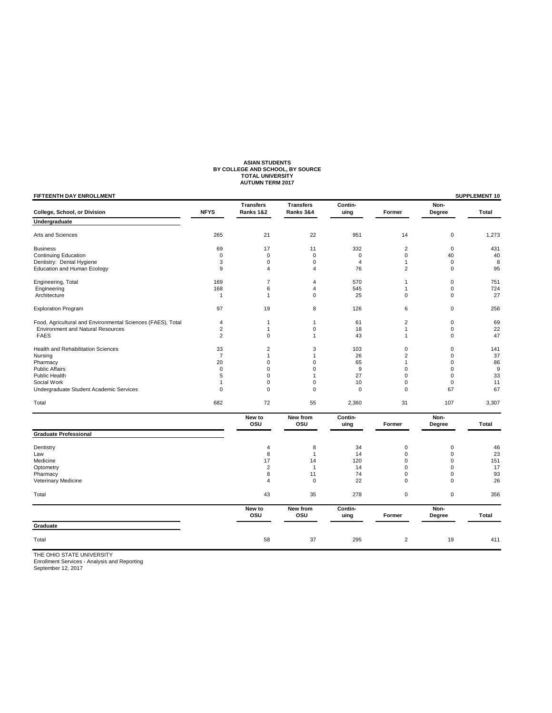# ASIAN STUDENTS<br>BY COLLEGE AND SCHOOL, BY SOURCE<br>TOTAL UNIVERSITY<br>AUTUMN TERM 2017

| <b>Transfers</b><br><b>Transfers</b><br>Contin-<br><b>NFYS</b><br>Ranks 3&4<br>College, School, or Division<br>Ranks 1&2<br>uing<br>Former<br>Undergraduate<br>21<br>22<br>Arts and Sciences<br>265<br>951<br>14<br>17<br>$\overline{c}$<br><b>Business</b><br>69<br>11<br>332<br>$\mathbf 0$<br>$\mathsf 0$<br>$\mathbf 0$<br><b>Continuing Education</b><br>$\mathbf 0$<br>0<br>Dentistry: Dental Hygiene<br>3<br>0<br>0<br>4<br>$\mathbf{1}$<br>9<br><b>Education and Human Ecology</b><br>4<br>76<br>$\overline{2}$<br>$\overline{\mathbf{4}}$<br>$\overline{7}$<br>Engineering, Total<br>169<br>570<br>4<br>1<br>168<br>6<br>545<br>Engineering<br>4<br>1<br>$\overline{1}$<br>$\mathbf{1}$<br>0<br>25<br>$\mathbf 0$<br>Architecture<br><b>Exploration Program</b><br>97<br>19<br>8<br>126<br>6<br>4<br>61<br>$\overline{2}$<br>Food, Agricultural and Environmental Sciences (FAES), Total<br>$\mathbf{1}$<br>$\mathbf{1}$ | Non-<br>Degree<br>$\mathbf 0$<br>$\mathbf 0$<br>40<br>$\mathbf 0$<br>$\mathbf 0$<br>$\mathbf 0$<br>$\mathbf 0$<br>$\mathbf 0$<br>$\mathbf 0$ | Total<br>1,273<br>431<br>40<br>8<br>95<br>751<br>724<br>27<br>256 |
|-----------------------------------------------------------------------------------------------------------------------------------------------------------------------------------------------------------------------------------------------------------------------------------------------------------------------------------------------------------------------------------------------------------------------------------------------------------------------------------------------------------------------------------------------------------------------------------------------------------------------------------------------------------------------------------------------------------------------------------------------------------------------------------------------------------------------------------------------------------------------------------------------------------------------------------|----------------------------------------------------------------------------------------------------------------------------------------------|-------------------------------------------------------------------|
|                                                                                                                                                                                                                                                                                                                                                                                                                                                                                                                                                                                                                                                                                                                                                                                                                                                                                                                                   |                                                                                                                                              |                                                                   |
|                                                                                                                                                                                                                                                                                                                                                                                                                                                                                                                                                                                                                                                                                                                                                                                                                                                                                                                                   |                                                                                                                                              |                                                                   |
|                                                                                                                                                                                                                                                                                                                                                                                                                                                                                                                                                                                                                                                                                                                                                                                                                                                                                                                                   |                                                                                                                                              |                                                                   |
|                                                                                                                                                                                                                                                                                                                                                                                                                                                                                                                                                                                                                                                                                                                                                                                                                                                                                                                                   |                                                                                                                                              |                                                                   |
|                                                                                                                                                                                                                                                                                                                                                                                                                                                                                                                                                                                                                                                                                                                                                                                                                                                                                                                                   |                                                                                                                                              |                                                                   |
|                                                                                                                                                                                                                                                                                                                                                                                                                                                                                                                                                                                                                                                                                                                                                                                                                                                                                                                                   |                                                                                                                                              |                                                                   |
|                                                                                                                                                                                                                                                                                                                                                                                                                                                                                                                                                                                                                                                                                                                                                                                                                                                                                                                                   |                                                                                                                                              |                                                                   |
|                                                                                                                                                                                                                                                                                                                                                                                                                                                                                                                                                                                                                                                                                                                                                                                                                                                                                                                                   |                                                                                                                                              |                                                                   |
|                                                                                                                                                                                                                                                                                                                                                                                                                                                                                                                                                                                                                                                                                                                                                                                                                                                                                                                                   |                                                                                                                                              |                                                                   |
|                                                                                                                                                                                                                                                                                                                                                                                                                                                                                                                                                                                                                                                                                                                                                                                                                                                                                                                                   |                                                                                                                                              |                                                                   |
|                                                                                                                                                                                                                                                                                                                                                                                                                                                                                                                                                                                                                                                                                                                                                                                                                                                                                                                                   |                                                                                                                                              |                                                                   |
|                                                                                                                                                                                                                                                                                                                                                                                                                                                                                                                                                                                                                                                                                                                                                                                                                                                                                                                                   | $\mathbf 0$                                                                                                                                  | 69                                                                |
| <b>Environment and Natural Resources</b><br>2<br>$\mathbf 0$<br>18<br>$\mathbf{1}$<br>$\mathbf{1}$                                                                                                                                                                                                                                                                                                                                                                                                                                                                                                                                                                                                                                                                                                                                                                                                                                | $\mathbf 0$                                                                                                                                  | 22                                                                |
| $\overline{c}$<br><b>FAES</b><br>0<br>43<br>$\mathbf{1}$<br>1                                                                                                                                                                                                                                                                                                                                                                                                                                                                                                                                                                                                                                                                                                                                                                                                                                                                     | $\mathbf 0$                                                                                                                                  | 47                                                                |
| Health and Rehabilitation Sciences<br>33<br>$\overline{2}$<br>3<br>103<br>$\mathbf 0$                                                                                                                                                                                                                                                                                                                                                                                                                                                                                                                                                                                                                                                                                                                                                                                                                                             | $\mathbf 0$                                                                                                                                  | 141                                                               |
| $\overline{7}$<br>1<br>1<br>26<br>$\overline{2}$<br>Nursing                                                                                                                                                                                                                                                                                                                                                                                                                                                                                                                                                                                                                                                                                                                                                                                                                                                                       | $\mathbf 0$                                                                                                                                  | 37                                                                |
| 20<br>0<br>$\mathbf 0$<br>65<br>Pharmacy<br>1                                                                                                                                                                                                                                                                                                                                                                                                                                                                                                                                                                                                                                                                                                                                                                                                                                                                                     | $\mathbf 0$                                                                                                                                  | 86                                                                |
| 0<br>9<br><b>Public Affairs</b><br>$\mathbf 0$<br>0<br>$\mathbf 0$                                                                                                                                                                                                                                                                                                                                                                                                                                                                                                                                                                                                                                                                                                                                                                                                                                                                | $\pmb{0}$                                                                                                                                    | $\boldsymbol{9}$                                                  |
| 5<br>27<br><b>Public Health</b><br>0<br>0<br>1                                                                                                                                                                                                                                                                                                                                                                                                                                                                                                                                                                                                                                                                                                                                                                                                                                                                                    | $\mathbf 0$                                                                                                                                  | 33                                                                |
| Social Work<br>0<br>0<br>10<br>$\mathbf 0$<br>1                                                                                                                                                                                                                                                                                                                                                                                                                                                                                                                                                                                                                                                                                                                                                                                                                                                                                   | $\mathbf 0$                                                                                                                                  | 11                                                                |
| Undergraduate Student Academic Services<br>0<br>0<br>$\mathbf 0$<br>0<br>$\mathbf 0$                                                                                                                                                                                                                                                                                                                                                                                                                                                                                                                                                                                                                                                                                                                                                                                                                                              | 67                                                                                                                                           | 67                                                                |
| 72<br>682<br>55<br>2,360<br>Total<br>31                                                                                                                                                                                                                                                                                                                                                                                                                                                                                                                                                                                                                                                                                                                                                                                                                                                                                           | 107                                                                                                                                          | 3,307                                                             |
| Contin-<br>New to<br>New from<br>osu<br>osu<br>uing<br>Former                                                                                                                                                                                                                                                                                                                                                                                                                                                                                                                                                                                                                                                                                                                                                                                                                                                                     | Non-<br>Degree                                                                                                                               | Total                                                             |
| <b>Graduate Professional</b>                                                                                                                                                                                                                                                                                                                                                                                                                                                                                                                                                                                                                                                                                                                                                                                                                                                                                                      |                                                                                                                                              |                                                                   |
| 8<br>34<br>Dentistry<br>4<br>$\mathbf 0$                                                                                                                                                                                                                                                                                                                                                                                                                                                                                                                                                                                                                                                                                                                                                                                                                                                                                          | $\mathbf 0$                                                                                                                                  | 46                                                                |
| 8<br>$\mathbf 0$<br>Law<br>$\overline{1}$<br>14                                                                                                                                                                                                                                                                                                                                                                                                                                                                                                                                                                                                                                                                                                                                                                                                                                                                                   | $\mathbf 0$                                                                                                                                  | 23                                                                |
| Medicine<br>17<br>14<br>120<br>$\mathbf 0$                                                                                                                                                                                                                                                                                                                                                                                                                                                                                                                                                                                                                                                                                                                                                                                                                                                                                        | $\mathbf 0$                                                                                                                                  | 151                                                               |
| $\overline{2}$<br>$\overline{1}$<br>$\mathbf 0$<br>Optometry<br>14                                                                                                                                                                                                                                                                                                                                                                                                                                                                                                                                                                                                                                                                                                                                                                                                                                                                | $\mathbf 0$                                                                                                                                  | 17                                                                |
| 11<br>Pharmacy<br>8<br>74<br>$\mathbf 0$                                                                                                                                                                                                                                                                                                                                                                                                                                                                                                                                                                                                                                                                                                                                                                                                                                                                                          | 0                                                                                                                                            | 93                                                                |
| 22<br>$\mathsf 0$<br>Veterinary Medicine<br>4<br>$\mathbf 0$                                                                                                                                                                                                                                                                                                                                                                                                                                                                                                                                                                                                                                                                                                                                                                                                                                                                      | $\mathbf 0$                                                                                                                                  | 26                                                                |
| 43<br>35<br>278<br>$\mathbf 0$<br>Total                                                                                                                                                                                                                                                                                                                                                                                                                                                                                                                                                                                                                                                                                                                                                                                                                                                                                           | $\mathbf 0$                                                                                                                                  | 356                                                               |
| New to<br>New from<br>Contin-<br>osu<br>osu<br>uing<br>Former                                                                                                                                                                                                                                                                                                                                                                                                                                                                                                                                                                                                                                                                                                                                                                                                                                                                     | Non-<br>Degree                                                                                                                               | Total                                                             |
| Graduate                                                                                                                                                                                                                                                                                                                                                                                                                                                                                                                                                                                                                                                                                                                                                                                                                                                                                                                          |                                                                                                                                              |                                                                   |
| $\overline{2}$<br>Total<br>58<br>37<br>295                                                                                                                                                                                                                                                                                                                                                                                                                                                                                                                                                                                                                                                                                                                                                                                                                                                                                        | 19                                                                                                                                           | 411                                                               |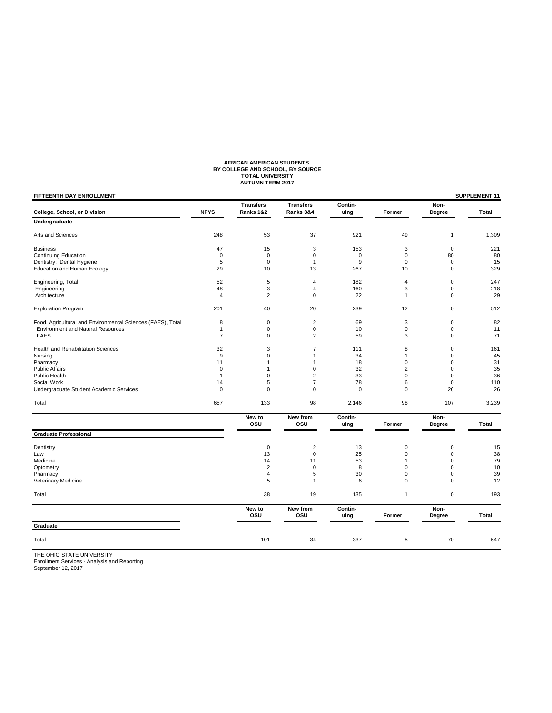# **AFRICAN AMERICAN STUDENTS BY COLLEGE AND SCHOOL, BY SOURCE TOTAL UNIVERSITY AUTUMN TERM 2017**

| FIFTEENTH DAY ENROLLMENT                                    |                |                               |                               |                 |                |                | SUPPLEMENT 11 |
|-------------------------------------------------------------|----------------|-------------------------------|-------------------------------|-----------------|----------------|----------------|---------------|
| College, School, or Division                                | <b>NFYS</b>    | <b>Transfers</b><br>Ranks 1&2 | <b>Transfers</b><br>Ranks 3&4 | Contin-<br>uing | Former         | Non-<br>Degree | Total         |
| Undergraduate                                               |                |                               |                               |                 |                |                |               |
| Arts and Sciences                                           | 248            | 53                            | 37                            | 921             | 49             | $\mathbf{1}$   | 1,309         |
| <b>Business</b>                                             | 47             | 15                            | 3                             | 153             | 3              | $\mathbf 0$    | 221           |
| <b>Continuing Education</b>                                 | $\mathbf 0$    | $\mathbf 0$                   | $\Omega$                      | 0               | $\mathbf 0$    | 80             | 80            |
| Dentistry: Dental Hygiene                                   | 5              | $\mathbf 0$                   | $\mathbf{1}$                  | 9               | 0              | $\mathbf 0$    | 15            |
| Education and Human Ecology                                 | 29             | 10                            | 13                            | 267             | 10             | $\mathbf 0$    | 329           |
| Engineering, Total                                          | 52             | 5                             | 4                             | 182             | $\overline{4}$ | $\mathbf 0$    | 247           |
| Engineering                                                 | 48             | 3                             | 4                             | 160             | 3              | $\mathbf 0$    | 218           |
| Architecture                                                | $\overline{4}$ | $\overline{2}$                | $\Omega$                      | 22              | $\mathbf{1}$   | $\Omega$       | 29            |
| <b>Exploration Program</b>                                  | 201            | 40                            | 20                            | 239             | 12             | $\mathbf 0$    | 512           |
| Food, Agricultural and Environmental Sciences (FAES), Total | 8              | $\mathbf 0$                   | $\overline{2}$                | 69              | 3              | $\mathbf 0$    | 82            |
| <b>Environment and Natural Resources</b>                    | $\mathbf{1}$   | 0                             | 0                             | 10              | $\mathbf 0$    | $\mathbf 0$    | 11            |
| <b>FAES</b>                                                 | $\overline{7}$ | 0                             | $\overline{c}$                | 59              | 3              | $\mathbf 0$    | 71            |
| Health and Rehabilitation Sciences                          | 32             | 3                             | 7                             | 111             | 8              | $\mathbf 0$    | 161           |
| Nursing                                                     | 9              | 0                             | $\mathbf{1}$                  | 34              | $\mathbf{1}$   | $\mathbf 0$    | 45            |
| Pharmacy                                                    | 11             | 1                             | 1                             | 18              | 0              | $\mathbf 0$    | 31            |
| <b>Public Affairs</b>                                       | $\mathbf 0$    | 1                             | 0                             | 32              | $\overline{2}$ | $\mathbf 0$    | 35            |
| <b>Public Health</b>                                        | $\overline{1}$ | 0                             | $\overline{c}$                | 33              | $\Omega$       | $\mathbf 0$    | 36            |
| Social Work                                                 | 14             | 5                             | $\overline{7}$                | 78              | 6              | $\mathbf 0$    | 110           |
| Undergraduate Student Academic Services                     | $\mathbf 0$    | 0                             | $\mathbf 0$                   | $\mathbf 0$     | 0              | 26             | 26            |
| Total                                                       | 657            | 133                           | 98                            | 2,146           | 98             | 107            | 3,239         |
|                                                             |                | New to<br>osu                 | New from<br>osu               | Contin-<br>uing | Former         | Non-<br>Degree | Total         |
| <b>Graduate Professional</b>                                |                |                               |                               |                 |                |                |               |
| Dentistry                                                   |                | $\mathbf 0$                   | $\overline{2}$                | 13              | $\mathbf 0$    | $\mathbf 0$    | 15            |
| Law                                                         |                | 13                            | 0                             | 25              | 0              | $\mathbf 0$    | 38            |
| Medicine                                                    |                | 14                            | 11                            | 53              | 1              | $\Omega$       | 79            |
| Optometry                                                   |                | $\overline{2}$                | $\mathbf 0$                   | 8               | $\Omega$       | $\mathbf 0$    | 10            |
| Pharmacy                                                    |                | 4                             | 5                             | 30              | 0              | $\mathbf 0$    | 39            |
| Veterinary Medicine                                         |                | 5                             | $\mathbf{1}$                  | 6               | 0              | $\mathbf 0$    | 12            |
| Total                                                       |                | 38                            | 19                            | 135             | $\mathbf{1}$   | $\mathbf 0$    | 193           |
|                                                             |                | New to                        | New from                      | Contin-         |                | Non-           |               |
| Graduate                                                    |                | OSU                           | OSU                           | uing            | Former         | Degree         | Total         |
|                                                             |                |                               |                               |                 |                |                |               |
| Total                                                       |                | 101                           | 34                            | 337             | 5              | 70             | 547           |
| <b>IF OUIO CTATE UNIVERSITY</b>                             |                |                               |                               |                 |                |                |               |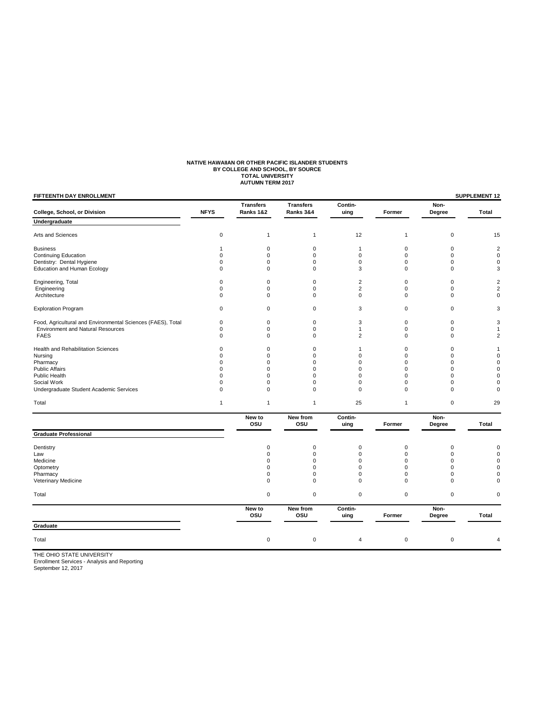# **NATIVE HAWAIIAN OR OTHER PACIFIC ISLANDER STUDENTS<br>BY COLLEGE AND SCHOOL, BY SOURCE<br>TOTAL UNIVERSITY<br>AUTUMN TERM 2017**

| College, School, or Division                                |              |                               |                               |                 |              |                |                         |
|-------------------------------------------------------------|--------------|-------------------------------|-------------------------------|-----------------|--------------|----------------|-------------------------|
|                                                             | <b>NFYS</b>  | <b>Transfers</b><br>Ranks 1&2 | <b>Transfers</b><br>Ranks 3&4 | Contin-<br>uing | Former       | Non-<br>Degree | Total                   |
| Undergraduate                                               |              |                               |                               |                 |              |                |                         |
| Arts and Sciences                                           | 0            | $\mathbf{1}$                  | $\mathbf{1}$                  | 12              | $\mathbf{1}$ | $\mathbf 0$    | 15                      |
| <b>Business</b>                                             | 1            | $\mathbf 0$                   | $\mathbf 0$                   | $\mathbf{1}$    | $\mathbf 0$  | $\mathbf 0$    | $\overline{\mathbf{c}}$ |
| <b>Continuing Education</b>                                 | 0            | 0                             | $\mathbf 0$                   | $\mathbf 0$     | $\mathbf 0$  | 0              | 0                       |
| Dentistry: Dental Hygiene                                   | $\mathbf 0$  | $\mathbf 0$                   | $\Omega$                      | $\mathbf 0$     | $\Omega$     | $\Omega$       | 0                       |
| <b>Education and Human Ecology</b>                          | $\pmb{0}$    | $\pmb{0}$                     | $\mathbf 0$                   | 3               | $\pmb{0}$    | $\mathbf 0$    | 3                       |
| Engineering, Total                                          | 0            | 0                             | $\mathbf 0$                   | 2               | $\pmb{0}$    | $\mathbf 0$    | $\overline{c}$          |
| Engineering                                                 | 0            | 0                             | $\mathbf 0$                   | $\overline{2}$  | $\mathbf 0$  | $\mathbf 0$    | $\overline{c}$          |
| Architecture                                                | $\mathbf 0$  | $\mathbf 0$                   | $\mathbf 0$                   | $\mathbf 0$     | $\mathbf 0$  | $\mathbf 0$    | $\overline{0}$          |
| <b>Exploration Program</b>                                  | 0            | 0                             | $\mathbf 0$                   | 3               | $\mathbf 0$  | $\mathbf 0$    | 3                       |
| Food, Agricultural and Environmental Sciences (FAES), Total | $\pmb{0}$    | $\mathbf 0$                   | $\mathbf 0$                   | 3               | $\mathbf 0$  | $\mathbf 0$    | 3                       |
| <b>Environment and Natural Resources</b>                    | $\mathbf 0$  | $\mathbf 0$                   | $\mathbf 0$                   | $\mathbf{1}$    | $\mathbf 0$  | $\mathbf 0$    | 1                       |
| <b>FAES</b>                                                 | $\mathbf 0$  | $\mathbf 0$                   | $\mathbf 0$                   | $\overline{2}$  | $\mathbf 0$  | $\mathbf 0$    | 2                       |
| Health and Rehabilitation Sciences                          | $\mathbf 0$  | $\mathbf 0$                   | $\mathbf 0$                   | $\mathbf{1}$    | $\mathbf 0$  | $\mathbf 0$    | 1                       |
| Nursing                                                     | $\mathbf 0$  | $\mathbf 0$                   | $\Omega$                      | $\Omega$        | $\mathbf 0$  | $\Omega$       | 0                       |
| Pharmacy                                                    | $\mathbf 0$  | $\mathbf 0$                   | $\mathbf 0$                   | $\mathbf 0$     | $\mathbf 0$  | $\mathbf 0$    | 0                       |
| <b>Public Affairs</b>                                       | $\mathbf 0$  | $\mathbf 0$                   | $\Omega$                      | $\mathbf 0$     | 0            | $\Omega$       | 0                       |
| Public Health                                               | $\mathbf 0$  | $\mathbf 0$                   | $\Omega$                      | $\mathbf 0$     | 0            | $\Omega$       | 0                       |
| Social Work                                                 | $\mathbf 0$  | $\mathbf 0$                   | $\mathbf 0$                   | $\mathbf 0$     | $\mathbf 0$  | $\Omega$       | 0                       |
| Undergraduate Student Academic Services                     | 0            | 0                             | $\mathbf 0$                   | $\mathbf 0$     | $\mathbf 0$  | $\mathbf 0$    | 0                       |
| Total                                                       | $\mathbf{1}$ | $\mathbf{1}$                  | $\mathbf{1}$                  | 25              | $\mathbf{1}$ | $\pmb{0}$      | 29                      |
|                                                             |              | New to<br>osu                 | New from<br>osu               | Contin-<br>uing | Former       | Non-<br>Degree | Total                   |
| <b>Graduate Professional</b>                                |              |                               |                               |                 |              |                |                         |
| Dentistry                                                   |              | $\mathbf 0$                   | $\mathbf 0$                   | $\mathbf 0$     | $\pmb{0}$    | $\mathbf 0$    | 0                       |
| Law                                                         |              | $\mathbf 0$                   | $\mathbf 0$                   | $\mathbf 0$     | $\mathbf 0$  | $\mathbf 0$    | 0                       |
| Medicine                                                    |              | $\Omega$                      | $\Omega$                      | $\Omega$        | $\Omega$     | $\Omega$       | $\Omega$                |
| Optometry                                                   |              | $\mathbf 0$                   | $\mathbf 0$                   | $\mathbf 0$     | $\mathbf 0$  | $\mathbf 0$    | $\overline{0}$          |
| Pharmacy                                                    |              | $\mathbf 0$                   | $\mathbf 0$                   | $\mathbf 0$     | $\mathbf 0$  | $\mathbf 0$    | 0                       |
| Veterinary Medicine                                         |              | $\mathbf 0$                   | $\mathbf 0$                   | $\mathbf 0$     | $\mathbf 0$  | $\mathbf 0$    | 0                       |
| Total                                                       |              | $\mathbf 0$                   | $\mathbf 0$                   | $\mathbf 0$     | $\pmb{0}$    | $\mathbf 0$    | 0                       |
|                                                             |              | New to<br>osu                 | New from<br>osu               | Contin-<br>uing | Former       | Non-<br>Degree | Total                   |
| Graduate                                                    |              |                               |                               |                 |              |                |                         |
| Total                                                       |              | $\pmb{0}$                     | $\mathbf 0$                   | $\overline{4}$  | $\pmb{0}$    | $\mathbf 0$    | 4                       |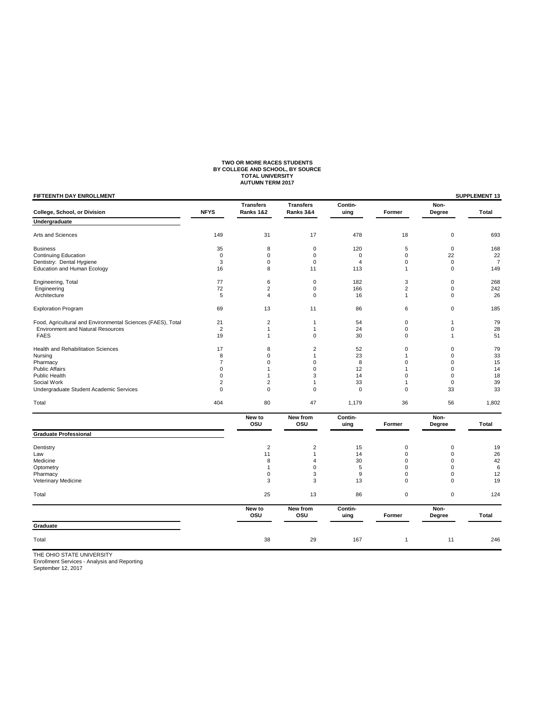# **TWO OR MORE RACES STUDENTS BY COLLEGE AND SCHOOL, BY SOURCE TOTAL UNIVERSITY AUTUMN TERM 2017**

| <b>Transfers</b><br><b>Transfers</b><br>Contin-<br><b>NFYS</b><br>Ranks 3&4<br>College, School, or Division<br>Ranks 1&2<br>uing<br>Former<br>Undergraduate<br>31<br>17<br>Arts and Sciences<br>149<br>478<br>18<br>8<br>$\pmb{0}$<br>5<br><b>Business</b><br>35<br>120<br>0<br><b>Continuing Education</b><br>0<br>0<br>0<br>$\mathbf 0$<br>Dentistry: Dental Hygiene<br>3<br>0<br>$\mathbf 0$<br>$\mathbf 0$<br>$\overline{4}$<br>Education and Human Ecology<br>16<br>8<br>11<br>113<br>$\mathbf{1}$<br>6<br>3<br>Engineering, Total<br>77<br>$\mathbf 0$<br>182<br>72<br>$\overline{\mathbf{c}}$<br>$\mathbf 0$<br>166<br>2<br>Engineering<br>Architecture<br>5<br>4<br>$\mathbf 0$<br>16<br>$\mathbf{1}$<br>69<br>13<br>11<br>86<br>6<br><b>Exploration Program</b><br>21<br>$\overline{\mathbf{c}}$<br>54<br>$\mathbf 0$<br>Food, Agricultural and Environmental Sciences (FAES), Total<br>$\mathbf{1}$<br><b>Environment and Natural Resources</b><br>$\overline{2}$<br>$\mathbf{1}$<br>24<br>$\mathbf 0$<br>$\mathbf{1}$ | Non-<br>Degree<br>Total<br>$\mathbf 0$<br>693<br>$\mathbf 0$<br>168<br>22<br>22<br>$\mathbf 0$<br>$\overline{7}$<br>$\mathbf 0$<br>149<br>$\mathbf 0$<br>268<br>$\mathbf 0$<br>242<br>$\mathbf 0$<br>26<br>$\mathbf 0$<br>185<br>79<br>$\mathbf{1}$<br>28<br>$\mathbf 0$<br>51<br>$\mathbf{1}$<br>79<br>$\mathbf 0$ |
|----------------------------------------------------------------------------------------------------------------------------------------------------------------------------------------------------------------------------------------------------------------------------------------------------------------------------------------------------------------------------------------------------------------------------------------------------------------------------------------------------------------------------------------------------------------------------------------------------------------------------------------------------------------------------------------------------------------------------------------------------------------------------------------------------------------------------------------------------------------------------------------------------------------------------------------------------------------------------------------------------------------------------------|---------------------------------------------------------------------------------------------------------------------------------------------------------------------------------------------------------------------------------------------------------------------------------------------------------------------|
|                                                                                                                                                                                                                                                                                                                                                                                                                                                                                                                                                                                                                                                                                                                                                                                                                                                                                                                                                                                                                                  |                                                                                                                                                                                                                                                                                                                     |
|                                                                                                                                                                                                                                                                                                                                                                                                                                                                                                                                                                                                                                                                                                                                                                                                                                                                                                                                                                                                                                  |                                                                                                                                                                                                                                                                                                                     |
|                                                                                                                                                                                                                                                                                                                                                                                                                                                                                                                                                                                                                                                                                                                                                                                                                                                                                                                                                                                                                                  |                                                                                                                                                                                                                                                                                                                     |
|                                                                                                                                                                                                                                                                                                                                                                                                                                                                                                                                                                                                                                                                                                                                                                                                                                                                                                                                                                                                                                  |                                                                                                                                                                                                                                                                                                                     |
|                                                                                                                                                                                                                                                                                                                                                                                                                                                                                                                                                                                                                                                                                                                                                                                                                                                                                                                                                                                                                                  |                                                                                                                                                                                                                                                                                                                     |
|                                                                                                                                                                                                                                                                                                                                                                                                                                                                                                                                                                                                                                                                                                                                                                                                                                                                                                                                                                                                                                  |                                                                                                                                                                                                                                                                                                                     |
|                                                                                                                                                                                                                                                                                                                                                                                                                                                                                                                                                                                                                                                                                                                                                                                                                                                                                                                                                                                                                                  |                                                                                                                                                                                                                                                                                                                     |
|                                                                                                                                                                                                                                                                                                                                                                                                                                                                                                                                                                                                                                                                                                                                                                                                                                                                                                                                                                                                                                  |                                                                                                                                                                                                                                                                                                                     |
|                                                                                                                                                                                                                                                                                                                                                                                                                                                                                                                                                                                                                                                                                                                                                                                                                                                                                                                                                                                                                                  |                                                                                                                                                                                                                                                                                                                     |
|                                                                                                                                                                                                                                                                                                                                                                                                                                                                                                                                                                                                                                                                                                                                                                                                                                                                                                                                                                                                                                  |                                                                                                                                                                                                                                                                                                                     |
|                                                                                                                                                                                                                                                                                                                                                                                                                                                                                                                                                                                                                                                                                                                                                                                                                                                                                                                                                                                                                                  |                                                                                                                                                                                                                                                                                                                     |
|                                                                                                                                                                                                                                                                                                                                                                                                                                                                                                                                                                                                                                                                                                                                                                                                                                                                                                                                                                                                                                  |                                                                                                                                                                                                                                                                                                                     |
|                                                                                                                                                                                                                                                                                                                                                                                                                                                                                                                                                                                                                                                                                                                                                                                                                                                                                                                                                                                                                                  |                                                                                                                                                                                                                                                                                                                     |
| 19<br>$\mathbf 0$<br><b>FAES</b><br>30<br>0<br>1                                                                                                                                                                                                                                                                                                                                                                                                                                                                                                                                                                                                                                                                                                                                                                                                                                                                                                                                                                                 |                                                                                                                                                                                                                                                                                                                     |
| Health and Rehabilitation Sciences<br>17<br>8<br>$\overline{2}$<br>52<br>$\mathbf 0$                                                                                                                                                                                                                                                                                                                                                                                                                                                                                                                                                                                                                                                                                                                                                                                                                                                                                                                                             |                                                                                                                                                                                                                                                                                                                     |
| 23<br>8<br>0<br>Nursing<br>1<br>1                                                                                                                                                                                                                                                                                                                                                                                                                                                                                                                                                                                                                                                                                                                                                                                                                                                                                                                                                                                                | 33<br>$\mathbf 0$                                                                                                                                                                                                                                                                                                   |
| $\overline{7}$<br>0<br>8<br>$\mathbf 0$<br>Pharmacy<br>$\Omega$                                                                                                                                                                                                                                                                                                                                                                                                                                                                                                                                                                                                                                                                                                                                                                                                                                                                                                                                                                  | 15<br>$\mathbf 0$                                                                                                                                                                                                                                                                                                   |
| 0<br>12<br><b>Public Affairs</b><br>$\mathbf{1}$<br>$\mathbf 0$<br>1                                                                                                                                                                                                                                                                                                                                                                                                                                                                                                                                                                                                                                                                                                                                                                                                                                                                                                                                                             | $\mathbf 0$<br>14                                                                                                                                                                                                                                                                                                   |
| Public Health<br>0<br>3<br>14<br>1<br>0                                                                                                                                                                                                                                                                                                                                                                                                                                                                                                                                                                                                                                                                                                                                                                                                                                                                                                                                                                                          | 18<br>$\mathbf 0$                                                                                                                                                                                                                                                                                                   |
| Social Work<br>2<br>2<br>33<br>1<br>1                                                                                                                                                                                                                                                                                                                                                                                                                                                                                                                                                                                                                                                                                                                                                                                                                                                                                                                                                                                            | 39<br>$\mathbf 0$                                                                                                                                                                                                                                                                                                   |
| $\mathbf 0$<br>Undergraduate Student Academic Services<br>0<br>0<br>$\mathbf 0$<br>$\mathbf 0$                                                                                                                                                                                                                                                                                                                                                                                                                                                                                                                                                                                                                                                                                                                                                                                                                                                                                                                                   | 33<br>33                                                                                                                                                                                                                                                                                                            |
| 404<br>80<br>47<br>1,179<br>36<br>Total                                                                                                                                                                                                                                                                                                                                                                                                                                                                                                                                                                                                                                                                                                                                                                                                                                                                                                                                                                                          | 56<br>1,802                                                                                                                                                                                                                                                                                                         |
| New to<br>New from<br>Contin-<br>osu<br>osu<br>uing<br>Former                                                                                                                                                                                                                                                                                                                                                                                                                                                                                                                                                                                                                                                                                                                                                                                                                                                                                                                                                                    | Non-<br>Total<br>Degree                                                                                                                                                                                                                                                                                             |
| <b>Graduate Professional</b>                                                                                                                                                                                                                                                                                                                                                                                                                                                                                                                                                                                                                                                                                                                                                                                                                                                                                                                                                                                                     |                                                                                                                                                                                                                                                                                                                     |
| $\overline{2}$<br>$\mathbf 2$<br>Dentistry<br>15<br>$\mathbf 0$                                                                                                                                                                                                                                                                                                                                                                                                                                                                                                                                                                                                                                                                                                                                                                                                                                                                                                                                                                  | $\mathbf 0$<br>19                                                                                                                                                                                                                                                                                                   |
| $\overline{0}$<br>Law<br>11<br>$\overline{1}$<br>14                                                                                                                                                                                                                                                                                                                                                                                                                                                                                                                                                                                                                                                                                                                                                                                                                                                                                                                                                                              | 26<br>$\mathbf 0$                                                                                                                                                                                                                                                                                                   |
| Medicine<br>8<br>30<br>$\overline{4}$<br>0                                                                                                                                                                                                                                                                                                                                                                                                                                                                                                                                                                                                                                                                                                                                                                                                                                                                                                                                                                                       | 42<br>$\mathbf 0$                                                                                                                                                                                                                                                                                                   |
| 5<br>$\mathbf 0$<br>0<br>Optometry<br>1                                                                                                                                                                                                                                                                                                                                                                                                                                                                                                                                                                                                                                                                                                                                                                                                                                                                                                                                                                                          | 6<br>$\mathbf 0$                                                                                                                                                                                                                                                                                                    |
| 0<br>$\boldsymbol{9}$<br>Pharmacy<br>3<br>0                                                                                                                                                                                                                                                                                                                                                                                                                                                                                                                                                                                                                                                                                                                                                                                                                                                                                                                                                                                      | $\mathbf 0$<br>12                                                                                                                                                                                                                                                                                                   |
| 3<br>3<br>$\overline{0}$<br>Veterinary Medicine<br>13                                                                                                                                                                                                                                                                                                                                                                                                                                                                                                                                                                                                                                                                                                                                                                                                                                                                                                                                                                            | $\mathbf 0$<br>19                                                                                                                                                                                                                                                                                                   |
| 25<br>13<br>86<br>$\mathbf 0$<br>Total                                                                                                                                                                                                                                                                                                                                                                                                                                                                                                                                                                                                                                                                                                                                                                                                                                                                                                                                                                                           | $\mathbf 0$<br>124                                                                                                                                                                                                                                                                                                  |
| New to<br>New from<br>Contin-<br>osu<br>osu<br>Former<br>uing                                                                                                                                                                                                                                                                                                                                                                                                                                                                                                                                                                                                                                                                                                                                                                                                                                                                                                                                                                    | Non-<br><b>Total</b><br>Degree                                                                                                                                                                                                                                                                                      |
| Graduate                                                                                                                                                                                                                                                                                                                                                                                                                                                                                                                                                                                                                                                                                                                                                                                                                                                                                                                                                                                                                         |                                                                                                                                                                                                                                                                                                                     |
| Total<br>38<br>29<br>167<br>$\mathbf{1}$                                                                                                                                                                                                                                                                                                                                                                                                                                                                                                                                                                                                                                                                                                                                                                                                                                                                                                                                                                                         | 11<br>246                                                                                                                                                                                                                                                                                                           |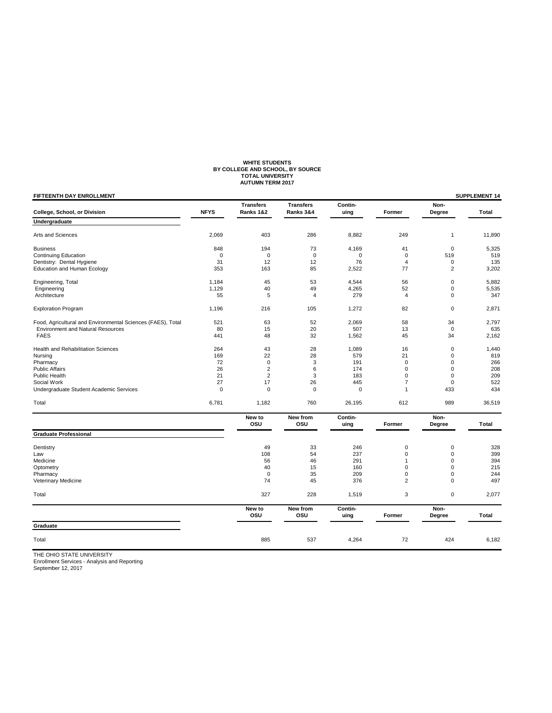# WHITE STUDENTS<br>BY COLLEGE AND SCHOOL, BY SOURCE<br>TOTAL UNIVERSITY<br>AUTUMN TERM 2017

| FIFTEENTH DAY ENROLLMENT                                    |             |                               |                               |                 |                |                | SUPPLEMENT 14 |
|-------------------------------------------------------------|-------------|-------------------------------|-------------------------------|-----------------|----------------|----------------|---------------|
| College, School, or Division                                | <b>NFYS</b> | <b>Transfers</b><br>Ranks 1&2 | <b>Transfers</b><br>Ranks 3&4 | Contin-<br>uing | Former         | Non-<br>Degree | Total         |
| Undergraduate                                               |             |                               |                               |                 |                |                |               |
| Arts and Sciences                                           | 2,069       | 403                           | 286                           | 8,882           | 249            | 1              | 11,890        |
| <b>Business</b>                                             | 848         | 194                           | 73                            | 4,169           | 41             | $\mathbf 0$    | 5,325         |
| <b>Continuing Education</b>                                 | $\mathbf 0$ | $\mathbf 0$                   | $\mathbf 0$                   | 0               | $\mathbf 0$    | 519            | 519           |
| Dentistry: Dental Hygiene                                   | 31          | 12                            | 12                            | 76              | $\overline{4}$ | $\pmb{0}$      | 135           |
| Education and Human Ecology                                 | 353         | 163                           | 85                            | 2,522           | 77             | $\overline{2}$ | 3,202         |
| Engineering, Total                                          | 1,184       | 45                            | 53                            | 4,544           | 56             | $\mathbf 0$    | 5,882         |
| Engineering                                                 | 1,129       | 40                            | 49                            | 4,265           | 52             | $\mathbf 0$    | 5,535         |
| Architecture                                                | 55          | 5                             | 4                             | 279             | $\overline{4}$ | $\mathbf 0$    | 347           |
| <b>Exploration Program</b>                                  | 1,196       | 216                           | 105                           | 1,272           | 82             | $\mathbf 0$    | 2,871         |
| Food, Agricultural and Environmental Sciences (FAES), Total | 521         | 63                            | 52                            | 2,069           | 58             | 34             | 2,797         |
| <b>Environment and Natural Resources</b>                    | 80          | 15                            | 20                            | 507             | 13             | $\mathbf 0$    | 635           |
| <b>FAES</b>                                                 | 441         | 48                            | 32                            | 1,562           | 45             | 34             | 2,162         |
| Health and Rehabilitation Sciences                          | 264         | 43                            | 28                            | 1,089           | 16             | $\pmb{0}$      | 1,440         |
| Nursing                                                     | 169         | 22                            | 28                            | 579             | 21             | $\pmb{0}$      | 819           |
| Pharmacy                                                    | 72          | $\mathbf 0$                   | 3                             | 191             | $\mathbf 0$    | $\mathbf 0$    | 266           |
| <b>Public Affairs</b>                                       | 26          | $\overline{2}$                | 6                             | 174             | 0              | $\mathbf 0$    | 208           |
| Public Health                                               | 21          | $\overline{2}$                | 3                             | 183             | $\Omega$       | $\mathbf 0$    | 209           |
| Social Work                                                 | 27          | 17                            | 26                            | 445             | $\overline{7}$ | $\mathbf 0$    | 522           |
| Undergraduate Student Academic Services                     | $\mathbf 0$ | $\mathbf 0$                   | $\mathbf 0$                   | $\mathbf 0$     | $\mathbf{1}$   | 433            | 434           |
| Total                                                       | 6,781       | 1,182                         | 760                           | 26,195          | 612            | 989            | 36,519        |
|                                                             |             | New to<br>OSU                 | New from<br>osu               | Contin-<br>uing | Former         | Non-<br>Degree | Total         |
| <b>Graduate Professional</b>                                |             |                               |                               |                 |                |                |               |
| Dentistry                                                   |             | 49                            | 33                            | 246             | 0              | $\mathbf 0$    | 328           |
| Law                                                         |             | 108                           | 54                            | 237             | 0              | $\pmb{0}$      | 399           |
| Medicine                                                    |             | 56                            | 46                            | 291             | 1              | $\mathbf 0$    | 394           |
| Optometry                                                   |             | 40                            | 15                            | 160             | 0              | $\mathbf 0$    | 215           |
| Pharmacy                                                    |             | $\mathbf 0$                   | 35                            | 209             | 0              | $\mathbf 0$    | 244           |
| <b>Veterinary Medicine</b>                                  |             | 74                            | 45                            | 376             | $\overline{2}$ | $\mathbf 0$    | 497           |
| Total                                                       |             | 327                           | 228                           | 1,519           | 3              | $\pmb{0}$      | 2,077         |
|                                                             |             | New to<br>OSU                 | New from<br>OSU               | Contin-<br>uing | Former         | Non-<br>Degree | Total         |
| Graduate                                                    |             |                               |                               |                 |                |                |               |
| Total                                                       |             | 885                           | 537                           | 4,264           | 72             | 424            | 6,182         |
|                                                             |             |                               |                               |                 |                |                |               |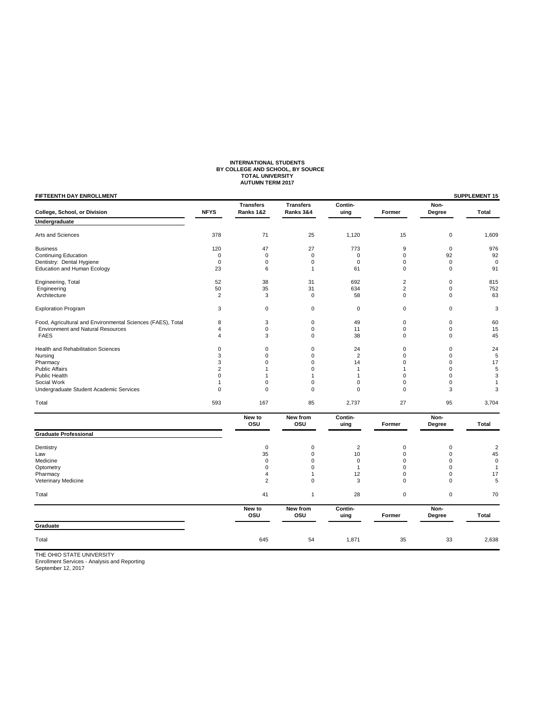# **INTERNATIONAL STUDENTS BY COLLEGE AND SCHOOL, BY SOURCE TOTAL UNIVERSITY AUTUMN TERM 2017**

| FIFTEENTH DAY ENROLLMENT                                    |                |                               |                               |                 |                |                | SUPPLEMENT 15           |
|-------------------------------------------------------------|----------------|-------------------------------|-------------------------------|-----------------|----------------|----------------|-------------------------|
| College, School, or Division                                | <b>NFYS</b>    | <b>Transfers</b><br>Ranks 1&2 | <b>Transfers</b><br>Ranks 3&4 | Contin-<br>uing | Former         | Non-<br>Degree | Total                   |
| Undergraduate                                               |                |                               |                               |                 |                |                |                         |
| Arts and Sciences                                           | 378            | 71                            | 25                            | 1,120           | 15             | $\mathbf 0$    | 1,609                   |
| <b>Business</b>                                             | 120            | 47                            | 27                            | 773             | 9              | $\mathbf 0$    | 976                     |
| <b>Continuing Education</b>                                 | $\Omega$       | $\mathbf 0$                   | $\mathbf 0$                   | $\Omega$        | $\Omega$       | 92             | 92                      |
| Dentistry: Dental Hygiene                                   | $\mathbf 0$    | 0                             | $\mathbf 0$                   | $\mathbf 0$     | 0              | $\mathbf 0$    | $\mathbf 0$             |
| <b>Education and Human Ecology</b>                          | 23             | 6                             | $\mathbf{1}$                  | 61              | $\mathbf 0$    | $\mathbf 0$    | 91                      |
| Engineering, Total                                          | 52             | 38                            | 31                            | 692             | $\overline{2}$ | $\mathbf 0$    | 815                     |
| Engineering                                                 | 50             | 35                            | 31                            | 634             | $\overline{2}$ | $\mathbf 0$    | 752                     |
| Architecture                                                | $\overline{2}$ | 3                             | $\mathbf 0$                   | 58              | $\Omega$       | $\Omega$       | 63                      |
| <b>Exploration Program</b>                                  | 3              | 0                             | $\mathbf 0$                   | $\mathbf 0$     | 0              | $\mathbf 0$    | 3                       |
| Food, Agricultural and Environmental Sciences (FAES), Total | 8              | 3                             | $\mathbf 0$                   | 49              | $\pmb{0}$      | $\mathbf 0$    | 60                      |
| <b>Environment and Natural Resources</b>                    | 4              | 0                             | $\mathbf 0$                   | 11              | $\mathbf 0$    | $\mathbf 0$    | 15                      |
| <b>FAES</b>                                                 | 4              | 3                             | $\mathbf 0$                   | 38              | $\mathbf 0$    | $\mathbf 0$    | 45                      |
| Health and Rehabilitation Sciences                          | $\mathbf 0$    | 0                             | $\mathbf 0$                   | 24              | $\mathbf 0$    | $\mathbf 0$    | 24                      |
| Nursing                                                     | 3              | 0                             | $\mathbf 0$                   | $\overline{2}$  | $\mathbf 0$    | $\mathbf 0$    | 5                       |
| Pharmacy                                                    | 3              | 0                             | $\mathbf 0$                   | 14              | 0              | $\mathbf 0$    | 17                      |
| <b>Public Affairs</b>                                       | $\overline{2}$ | 1                             | $\mathbf 0$                   | $\mathbf{1}$    | 1              | $\mathbf 0$    | 5                       |
| <b>Public Health</b>                                        | $\mathbf 0$    | 1                             | $\mathbf{1}$                  | $\mathbf{1}$    | $\Omega$       | $\mathbf 0$    | 3                       |
| Social Work                                                 | $\overline{1}$ | 0                             | $\mathbf 0$                   | 0               | $\mathbf 0$    | $\mathbf 0$    | $\mathbf{1}$            |
| Undergraduate Student Academic Services                     | $\mathbf 0$    | 0                             | $\mathbf 0$                   | $\mathbf 0$     | 0              | 3              | 3                       |
| Total                                                       | 593            | 167                           | 85                            | 2,737           | 27             | 95             | 3,704                   |
|                                                             |                | New to<br>osu                 | New from<br>osu               | Contin-<br>uing | Former         | Non-<br>Degree | Total                   |
| <b>Graduate Professional</b>                                |                |                               |                               |                 |                |                |                         |
| Dentistry                                                   |                | $\pmb{0}$                     | $\mathbf 0$                   | $\overline{2}$  | $\mathbf 0$    | $\mathbf 0$    | $\overline{\mathbf{c}}$ |
| Law                                                         |                | 35                            | $\mathbf 0$                   | 10              | 0              | $\mathbf 0$    | 45                      |
| Medicine                                                    |                | $\mathbf 0$                   | $\Omega$                      | $\mathbf 0$     | $\Omega$       | $\Omega$       | $\pmb{0}$               |
| Optometry                                                   |                | 0                             | $\mathbf 0$                   | $\mathbf{1}$    | 0              | $\mathbf 0$    | $\mathbf{1}$            |
| Pharmacy                                                    |                | 4                             | $\mathbf{1}$                  | 12              | $\Omega$       | $\mathbf 0$    | 17                      |
| Veterinary Medicine                                         |                | $\overline{2}$                | $\mathbf 0$                   | 3               | $\mathbf 0$    | $\mathbf 0$    | 5                       |
| Total                                                       |                | 41                            | $\mathbf{1}$                  | 28              | $\mathbf 0$    | $\mathbf 0$    | 70                      |
|                                                             |                | New to<br>OSU                 | New from<br>osu               | Contin-<br>uing | Former         | Non-<br>Degree | Total                   |
| Graduate                                                    |                |                               |                               |                 |                |                |                         |
| Total                                                       |                | 645                           | 54                            | 1,871           | 35             | 33             | 2,638                   |
| <b>UE OUIO CTATE UNIVERSITY</b>                             |                |                               |                               |                 |                |                |                         |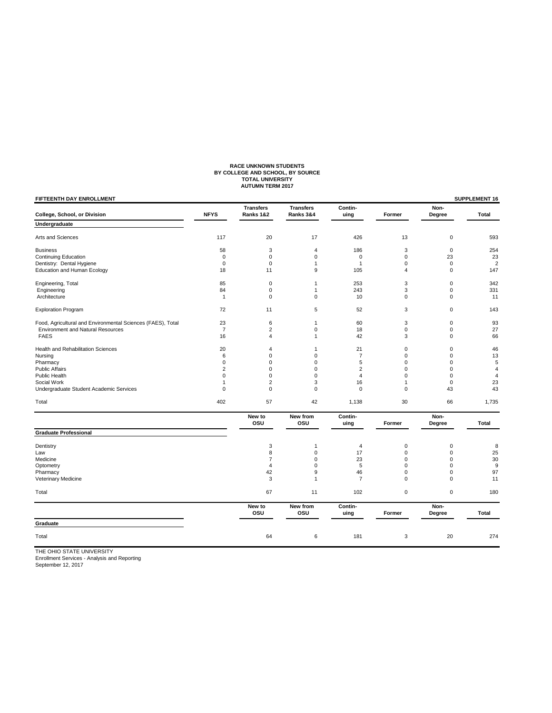# RACE UNKNOWN STUDENTS<br>BY COLLEGE AND SCHOOL, BY SOURCE<br>TOTAL UNIVERSITY<br>AUTUMN TERM 2017

| FIFTEENTH DAY ENROLLMENT                                    |                |                               |                               |                 |              |                | SUPPLEMENT 16  |
|-------------------------------------------------------------|----------------|-------------------------------|-------------------------------|-----------------|--------------|----------------|----------------|
| College, School, or Division                                | <b>NFYS</b>    | <b>Transfers</b><br>Ranks 1&2 | <b>Transfers</b><br>Ranks 3&4 | Contin-<br>uing | Former       | Non-<br>Degree | <b>Total</b>   |
| Undergraduate                                               |                |                               |                               |                 |              |                |                |
| Arts and Sciences                                           | 117            | 20                            | 17                            | 426             | 13           | $\mathbf 0$    | 593            |
| <b>Business</b>                                             | 58             | 3                             | $\overline{4}$                | 186             | 3            | $\mathbf 0$    | 254            |
| <b>Continuing Education</b>                                 | $\mathbf 0$    | $\mathbf 0$                   | $\mathbf 0$                   | $\mathbf 0$     | $\mathbf 0$  | 23             | 23             |
| Dentistry: Dental Hygiene                                   | $\mathbf 0$    | $\mathbf 0$                   | $\mathbf{1}$                  | 1               | $\mathbf 0$  | $\mathbf 0$    | $\overline{2}$ |
| Education and Human Ecology                                 | 18             | 11                            | 9                             | 105             | 4            | $\mathbf 0$    | 147            |
| Engineering, Total                                          | 85             | $\pmb{0}$                     | 1                             | 253             | 3            | $\mathbf 0$    | 342            |
| Engineering                                                 | 84             | $\mathbf 0$                   | $\mathbf{1}$                  | 243             | 3            | $\mathbf 0$    | 331            |
| Architecture                                                | 1              | $\mathbf 0$                   | $\mathbf 0$                   | 10              | $\mathbf 0$  | 0              | 11             |
| <b>Exploration Program</b>                                  | 72             | 11                            | 5                             | 52              | 3            | $\pmb{0}$      | 143            |
| Food, Agricultural and Environmental Sciences (FAES), Total | 23             | 6                             | $\mathbf{1}$                  | 60              | 3            | $\mathbf 0$    | 93             |
| <b>Environment and Natural Resources</b>                    | $\overline{7}$ | $\overline{2}$                | $\mathbf 0$                   | 18              | $\mathbf 0$  | $\mathsf 0$    | 27             |
| <b>FAES</b>                                                 | 16             | $\overline{4}$                | $\mathbf{1}$                  | 42              | 3            | $\Omega$       | 66             |
| Health and Rehabilitation Sciences                          | 20             | 4                             | $\mathbf{1}$                  | 21              | $\mathbf 0$  | $\mathbf 0$    | 46             |
| Nursing                                                     | 6              | $\mathbf 0$                   | $\mathbf 0$                   | $\overline{7}$  | $\mathbf 0$  | $\mathbf 0$    | 13             |
| Pharmacy                                                    | $\Omega$       | $\Omega$                      | $\Omega$                      | 5               | $\mathbf 0$  | $\Omega$       | 5              |
| <b>Public Affairs</b>                                       | $\overline{2}$ | 0                             | $\mathbf 0$                   | $\overline{2}$  | $\mathbf 0$  | $\mathbf 0$    | $\overline{4}$ |
| Public Health                                               | 0              | 0                             | $\mathbf 0$                   | $\overline{4}$  | $\mathbf 0$  | $\mathbf 0$    | $\overline{4}$ |
| Social Work                                                 | 1              | $\overline{2}$                | 3                             | 16              | $\mathbf{1}$ | $\mathbf 0$    | 23             |
| Undergraduate Student Academic Services                     | 0              | $\mathbf 0$                   | $\mathbf 0$                   | $\mathbf 0$     | $\mathbf 0$  | 43             | 43             |
| Total                                                       | 402            | 57                            | 42                            | 1,138           | 30           | 66             | 1,735          |
|                                                             |                | New to<br>osu                 | New from<br>osu               | Contin-<br>uing | Former       | Non-<br>Degree | <b>Total</b>   |
| <b>Graduate Professional</b>                                |                |                               |                               |                 |              |                |                |
| Dentistry                                                   |                | 3                             | 1                             | 4               | 0            | $\mathbf 0$    | 8              |
| Law                                                         |                | 8                             | $\mathbf 0$                   | 17              | $\mathbf 0$  | $\pmb{0}$      | 25             |
| Medicine                                                    |                | 7                             | $\mathbf 0$                   | 23              | $\mathbf 0$  | $\mathbf 0$    | 30             |
| Optometry                                                   |                | 4                             | $\mathbf 0$                   | 5               | $\mathbf 0$  | $\mathbf 0$    | 9              |
| Pharmacy                                                    |                | 42                            | 9                             | 46              | $\mathbf 0$  | 0              | 97             |
| Veterinary Medicine                                         |                | 3                             | $\mathbf{1}$                  | $\overline{7}$  | $\mathbf 0$  | $\mathbf 0$    | 11             |
| Total                                                       |                | 67                            | 11                            | 102             | $\mathbf 0$  | $\mathbf 0$    | 180            |
|                                                             |                | New to<br>osu                 | New from<br>osu               | Contin-<br>uing | Former       | Non-<br>Degree | <b>Total</b>   |
| Graduate                                                    |                |                               |                               |                 |              |                |                |
| Total                                                       |                | 64                            | 6                             | 181             | 3            | 20             | 274            |
| $F \cap U \cap T$                                           |                |                               |                               |                 |              |                |                |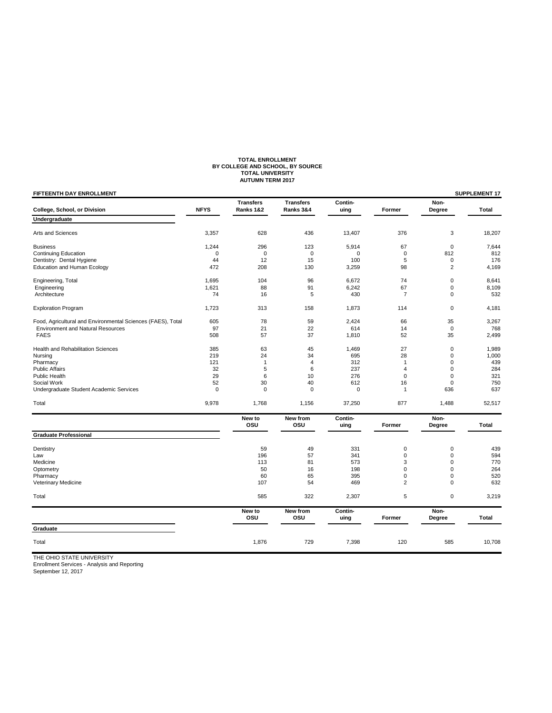# **TOTAL ENROLLMENT BY COLLEGE AND SCHOOL, BY SOURCE TOTAL UNIVERSITY AUTUMN TERM 2017**

| FIFTEENTH DAY ENROLLMENT                                    |             |                               |                               |                 |                |                | SUPPLEMENT 17 |
|-------------------------------------------------------------|-------------|-------------------------------|-------------------------------|-----------------|----------------|----------------|---------------|
| College, School, or Division                                | <b>NFYS</b> | <b>Transfers</b><br>Ranks 1&2 | <b>Transfers</b><br>Ranks 3&4 | Contin-<br>uing | Former         | Non-<br>Degree | Total         |
| Undergraduate                                               |             |                               |                               |                 |                |                |               |
| Arts and Sciences                                           | 3,357       | 628                           | 436                           | 13,407          | 376            | 3              | 18,207        |
| <b>Business</b>                                             | 1,244       | 296                           | 123                           | 5,914           | 67             | $\mathbf 0$    | 7,644         |
| <b>Continuing Education</b>                                 | 0           | $\mathbf 0$                   | $\Omega$                      | $\mathbf 0$     | $\mathbf 0$    | 812            | 812           |
| Dentistry: Dental Hygiene                                   | 44          | 12                            | 15                            | 100             | 5              | 0              | 176           |
| <b>Education and Human Ecology</b>                          | 472         | 208                           | 130                           | 3,259           | 98             | $\overline{2}$ | 4,169         |
| Engineering, Total                                          | 1,695       | 104                           | 96                            | 6,672           | 74             | 0              | 8,641         |
| Engineering                                                 | 1,621       | 88                            | 91                            | 6,242           | 67             | 0              | 8,109         |
| Architecture                                                | 74          | 16                            | 5                             | 430             | $\overline{7}$ | 0              | 532           |
| <b>Exploration Program</b>                                  | 1,723       | 313                           | 158                           | 1,873           | 114            | $\pmb{0}$      | 4,181         |
| Food, Agricultural and Environmental Sciences (FAES), Total | 605         | 78                            | 59                            | 2,424           | 66             | 35             | 3,267         |
| <b>Environment and Natural Resources</b>                    | 97          | 21                            | 22                            | 614             | 14             | $\pmb{0}$      | 768           |
| <b>FAES</b>                                                 | 508         | 57                            | 37                            | 1,810           | 52             | 35             | 2,499         |
| <b>Health and Rehabilitation Sciences</b>                   | 385         | 63                            | 45                            | 1,469           | 27             | $\mathbf 0$    | 1,989         |
| Nursing                                                     | 219         | 24                            | 34                            | 695             | 28             | 0              | 1,000         |
| Pharmacy                                                    | 121         | $\mathbf{1}$                  | $\overline{4}$                | 312             | $\mathbf{1}$   | 0              | 439           |
| <b>Public Affairs</b>                                       | 32          | 5                             | 6                             | 237             | $\overline{4}$ | 0              | 284           |
| Public Health                                               | 29          | 6                             | 10                            | 276             | $\mathbf 0$    | $\mathbf 0$    | 321           |
| Social Work                                                 | 52          | 30                            | 40                            | 612             | 16             | 0              | 750           |
| Undergraduate Student Academic Services                     | $\mathbf 0$ | $\mathbf 0$                   | $\mathbf 0$                   | $\mathbf 0$     | $\mathbf{1}$   | 636            | 637           |
| Total                                                       | 9,978       | 1,768                         | 1,156                         | 37,250          | 877            | 1,488          | 52,517        |
|                                                             |             | New to<br>osu                 | New from<br>OSU               | Contin-<br>uing | Former         | Non-<br>Degree | Total         |
| <b>Graduate Professional</b>                                |             |                               |                               |                 |                |                |               |
| Dentistry                                                   |             | 59                            | 49                            | 331             | 0              | $\pmb{0}$      | 439           |
| Law                                                         |             | 196                           | 57                            | 341             | $\mathbf 0$    | 0              | 594           |
| Medicine                                                    |             | 113                           | 81                            | 573             | 3              | 0              | 770           |
| Optometry                                                   |             | 50                            | 16                            | 198             | $\mathbf 0$    | $\Omega$       | 264           |
| Pharmacy                                                    |             | 60                            | 65                            | 395             | $\mathbf 0$    | 0              | 520           |
| Veterinary Medicine                                         |             | 107                           | 54                            | 469             | $\overline{2}$ | $\mathbf 0$    | 632           |
| Total                                                       |             | 585                           | 322                           | 2,307           | 5              | $\pmb{0}$      | 3,219         |
|                                                             |             | New to<br>osu                 | New from<br>osu               | Contin-<br>uing | Former         | Non-<br>Degree | Total         |
| Graduate                                                    |             |                               |                               |                 |                |                |               |
| Total                                                       |             | 1,876                         | 729                           | 7,398           | 120            | 585            | 10,708        |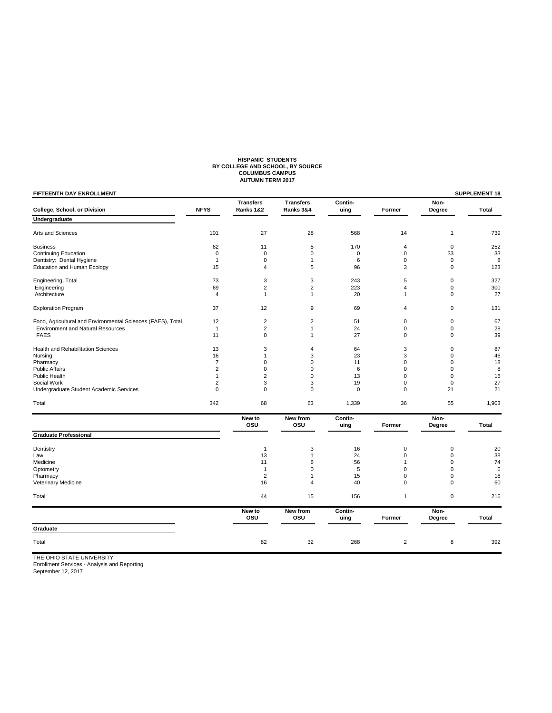# **HISPANIC STUDENTS BY COLLEGE AND SCHOOL, BY SOURCE COLUMBUS CAMPUS AUTUMN TERM 2017**

| FIFTEENTH DAY ENROLLMENT                                    |                |                               |                               |                 |                |                | SUPPLEMENT 18 |
|-------------------------------------------------------------|----------------|-------------------------------|-------------------------------|-----------------|----------------|----------------|---------------|
| College, School, or Division                                | <b>NFYS</b>    | <b>Transfers</b><br>Ranks 1&2 | <b>Transfers</b><br>Ranks 3&4 | Contin-<br>uing | Former         | Non-<br>Degree | Total         |
| Undergraduate                                               |                |                               |                               |                 |                |                |               |
| Arts and Sciences                                           | 101            | 27                            | 28                            | 568             | 14             | 1              | 739           |
| <b>Business</b>                                             | 62             | 11                            | 5                             | 170             | 4              | $\mathbf 0$    | 252           |
| <b>Continuing Education</b>                                 | $\mathbf 0$    | $\mathbf 0$                   | $\Omega$                      | $\mathbf 0$     | $\mathbf 0$    | 33             | 33            |
| Dentistry: Dental Hygiene                                   | $\mathbf{1}$   | $\mathbf 0$                   | $\mathbf{1}$                  | 6               | $\mathbf 0$    | $\mathbf 0$    | 8             |
| <b>Education and Human Ecology</b>                          | 15             | 4                             | 5                             | 96              | 3              | 0              | 123           |
| Engineering, Total                                          | 73             | 3                             | 3                             | 243             | 5              | 0              | 327           |
| Engineering                                                 | 69             | $\overline{2}$                | $\overline{2}$                | 223             | $\overline{4}$ | 0              | 300           |
| Architecture                                                | 4              | $\mathbf{1}$                  | $\mathbf{1}$                  | 20              | $\mathbf{1}$   | 0              | 27            |
| <b>Exploration Program</b>                                  | 37             | 12                            | 9                             | 69              | 4              | 0              | 131           |
| Food, Agricultural and Environmental Sciences (FAES), Total | 12             | 2                             | $\overline{2}$                | 51              | 0              | 0              | 67            |
| <b>Environment and Natural Resources</b>                    | $\mathbf{1}$   | $\overline{2}$                | 1                             | 24              | $\mathbf 0$    | 0              | 28            |
| <b>FAES</b>                                                 | 11             | $\mathbf 0$                   | $\mathbf{1}$                  | 27              | $\mathbf 0$    | 0              | 39            |
| Health and Rehabilitation Sciences                          | 13             | 3                             | $\overline{4}$                | 64              | 3              | 0              | 87            |
| Nursing                                                     | 16             | 1                             | 3                             | 23              | 3              | 0              | 46            |
| Pharmacy                                                    | $\overline{7}$ | 0                             | 0                             | 11              | $\mathbf 0$    | 0              | 18            |
| <b>Public Affairs</b>                                       | $\overline{2}$ | 0                             | 0                             | 6               | 0              | 0              | 8             |
| <b>Public Health</b>                                        | 1              | $\overline{2}$                | 0                             | 13              | $\mathbf 0$    | 0              | 16            |
| Social Work                                                 | 2              | 3                             | 3                             | 19              | 0              | 0              | 27            |
| Undergraduate Student Academic Services                     | $\mathbf 0$    | $\mathbf 0$                   | $\mathbf 0$                   | $\mathbf 0$     | $\mathbf 0$    | 21             | 21            |
| Total                                                       | 342            | 68                            | 63                            | 1,339           | 36             | 55             | 1,903         |
|                                                             |                | New to<br>osu                 | New from<br>osu               | Contin-<br>uing | Former         | Non-<br>Degree | Total         |
| <b>Graduate Professional</b>                                |                |                               |                               |                 |                |                |               |
| Dentistry                                                   |                | $\mathbf{1}$                  | 3                             | 16              | 0              | 0              | 20            |
| Law                                                         |                | 13                            | 1                             | 24              | 0              | 0              | 38            |
| Medicine                                                    |                | 11                            | 6                             | 56              | $\mathbf{1}$   | 0              | 74            |
| Optometry                                                   |                | $\mathbf{1}$                  | 0                             | 5               | 0              | 0              | 6             |
| Pharmacy                                                    |                | $\overline{2}$                | $\mathbf{1}$                  | 15              | 0              | 0              | 18            |
| Veterinary Medicine                                         |                | 16                            | $\overline{4}$                | 40              | $\mathbf 0$    | 0              | 60            |
| Total                                                       |                | 44                            | 15                            | 156             | $\mathbf{1}$   | 0              | 216           |
|                                                             |                | New to<br>osu                 | New from<br>osu               | Contin-<br>uing | Former         | Non-<br>Degree | Total         |
| Graduate                                                    |                |                               |                               |                 |                |                |               |
| Total                                                       |                | 82                            | 32                            | 268             | $\overline{2}$ | 8              | 392           |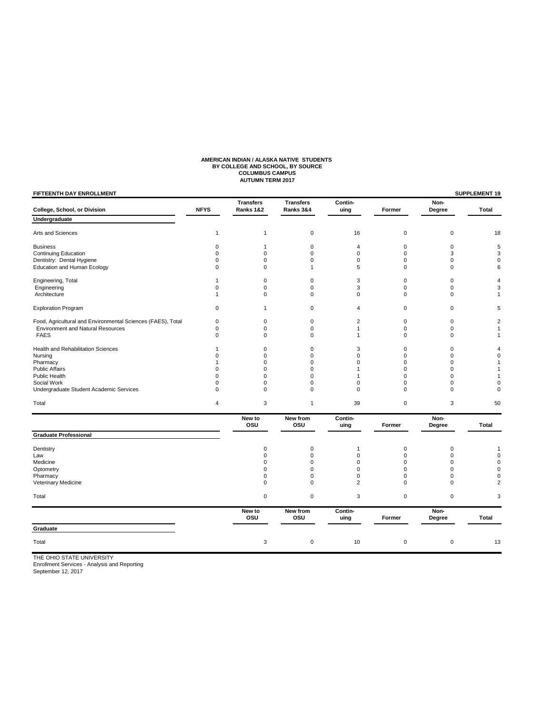# **AMERICAN INDIAN / ALASKA NATIVE STUDENTS<br>BY COLLEGE AND SCHOOL, BY SOURCE<br>COLUMBUS CAMPUS<br>AUTUMN TERM 2017**

| <b>FIFTEENTH DAY ENROLLMENT</b>                             |                |                               |                               |                 |             |                | <b>SUPPLEMENT 19</b> |
|-------------------------------------------------------------|----------------|-------------------------------|-------------------------------|-----------------|-------------|----------------|----------------------|
| College, School, or Division                                | <b>NFYS</b>    | <b>Transfers</b><br>Ranks 1&2 | <b>Transfers</b><br>Ranks 3&4 | Contin-<br>uing | Former      | Non-<br>Degree | <b>Total</b>         |
| Undergraduate                                               |                |                               |                               |                 |             |                |                      |
| Arts and Sciences                                           | $\mathbf{1}$   | 1                             | $\mathbf 0$                   | 16              | $\mathbf 0$ | $\mathbf 0$    | 18                   |
| <b>Business</b>                                             | 0              | 1                             | $\mathbf 0$                   | $\overline{4}$  | $\mathbf 0$ | $\mathbf 0$    | 5                    |
| <b>Continuing Education</b>                                 | 0              | 0                             | $\mathbf 0$                   | $\mathbf 0$     | 0           | 3              | 3                    |
| Dentistry: Dental Hygiene                                   | $\mathbf 0$    | 0                             | $\mathbf 0$                   | $\mathbf 0$     | $\mathbf 0$ | $\mathbf 0$    | $\mathbf 0$          |
| <b>Education and Human Ecology</b>                          | $\mathbf 0$    | 0                             | 1                             | 5               | $\mathbf 0$ | $\mathbf 0$    | 6                    |
| Engineering, Total                                          |                | 0                             | $\mathbf 0$                   | 3               | $\mathbf 0$ | $\mathbf 0$    | 4                    |
| Engineering                                                 | 0              | 0                             | 0                             | 3               | $\mathbf 0$ | 0              | 3                    |
| Architecture                                                | 1              | 0                             | $\mathbf 0$                   | $\mathbf 0$     | $\mathbf 0$ | $\mathbf 0$    | 1                    |
| <b>Exploration Program</b>                                  | $\mathbf 0$    | $\mathbf{1}$                  | $\mathbf 0$                   | 4               | $\mathbf 0$ | $\mathbf 0$    | 5                    |
| Food, Agricultural and Environmental Sciences (FAES), Total | 0              | 0                             | 0                             | $\overline{2}$  | $\mathbf 0$ | 0              | $\overline{2}$       |
| <b>Environment and Natural Resources</b>                    | $\mathbf 0$    | 0                             | $\mathbf 0$                   | $\mathbf{1}$    | $\mathbf 0$ | $\mathbf 0$    | 1                    |
| <b>FAES</b>                                                 | $\mathbf 0$    | 0                             | $\mathbf 0$                   | 1               | $\mathbf 0$ | $\mathbf 0$    | 1                    |
| Health and Rehabilitation Sciences                          | -1             | 0                             | $\mathbf 0$                   | 3               | $\mathbf 0$ | $\mathbf 0$    | 4                    |
| Nursing                                                     | $\Omega$       | 0                             | $\mathbf 0$                   | $\Omega$        | 0           | $\Omega$       | $\mathbf 0$          |
| Pharmacy                                                    |                | 0                             | $\mathbf 0$                   | $\mathbf 0$     | $\mathbf 0$ | $\mathbf 0$    | 1                    |
| <b>Public Affairs</b>                                       | $\Omega$       | 0                             | $\mathbf 0$                   | 1               | $\Omega$    | $\mathbf 0$    | 1                    |
| Public Health                                               | $\Omega$       | $\Omega$                      | $\Omega$                      | 1               | $\Omega$    | $\Omega$       | 1                    |
| Social Work                                                 | $\Omega$       | 0                             | $\mathbf 0$                   | $\mathbf 0$     | $\mathbf 0$ | $\mathbf 0$    | $\mathbf 0$          |
| Undergraduate Student Academic Services                     | $\mathbf 0$    | 0                             | $\mathbf 0$                   | $\mathbf 0$     | $\mathbf 0$ | $\mathbf 0$    | $\mathbf 0$          |
| Total                                                       | $\overline{4}$ | 3                             | $\mathbf{1}$                  | 39              | 0           | 3              | 50                   |
|                                                             |                | New to                        | New from                      | Contin-         |             | Non-           |                      |
|                                                             |                | osu                           | osu                           | uing            | Former      | Degree         | Total                |
| <b>Graduate Professional</b>                                |                |                               |                               |                 |             |                |                      |
| Dentistry                                                   |                | 0                             | $\mathbf 0$                   | -1              | $\mathbf 0$ | $\mathbf 0$    | 1                    |
| Law                                                         |                | 0                             | $\mathbf 0$                   | $\mathbf 0$     | $\mathbf 0$ | $\mathbf 0$    | $\mathbf 0$          |
| Medicine                                                    |                | 0                             | $\mathbf 0$                   | $\mathbf 0$     | $\mathbf 0$ | $\mathbf 0$    | $\mathbf 0$          |
| Optometry                                                   |                | 0                             | $\mathbf 0$                   | $\mathbf 0$     | $\mathbf 0$ | $\mathbf 0$    | $\Omega$             |
| Pharmacy                                                    |                | 0                             | $\mathbf 0$                   | 0               | $\Omega$    | $\mathbf 0$    | 0                    |
| Veterinary Medicine                                         |                | 0                             | $\mathbf 0$                   | $\overline{2}$  | $\mathbf 0$ | $\mathbf 0$    | $\overline{2}$       |
| Total                                                       |                | 0                             | $\pmb{0}$                     | 3               | $\mathbf 0$ | $\mathbf 0$    | 3                    |
|                                                             |                | New to<br>osu                 | New from<br>osu               | Contin-<br>uing | Former      | Non-<br>Degree | <b>Total</b>         |
| Graduate                                                    |                |                               |                               |                 |             |                |                      |
| Total                                                       |                | 3                             | $\mathbf 0$                   | 10              | $\bf 0$     | $\pmb{0}$      | 13                   |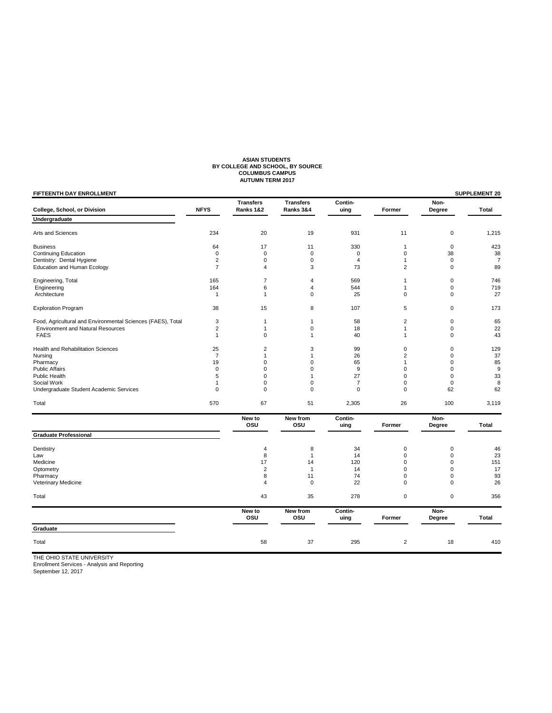# **ASIAN STUDENTS BY COLLEGE AND SCHOOL, BY SOURCE COLUMBUS CAMPUS AUTUMN TERM 2017**

| FIFTEENTH DAY ENROLLMENT                                    |                |                               |                               |                 |                |                | SUPPLEMENT 20  |
|-------------------------------------------------------------|----------------|-------------------------------|-------------------------------|-----------------|----------------|----------------|----------------|
| College, School, or Division                                | <b>NFYS</b>    | <b>Transfers</b><br>Ranks 1&2 | <b>Transfers</b><br>Ranks 3&4 | Contin-<br>uing | Former         | Non-<br>Degree | Total          |
| Undergraduate                                               |                |                               |                               |                 |                |                |                |
| Arts and Sciences                                           | 234            | 20                            | 19                            | 931             | 11             | 0              | 1,215          |
| <b>Business</b>                                             | 64             | 17                            | 11                            | 330             | $\mathbf{1}$   | $\mathbf 0$    | 423            |
| <b>Continuing Education</b>                                 | $\mathbf 0$    | $\mathbf 0$                   | $\mathbf 0$                   | $\mathbf 0$     | $\mathbf 0$    | 38             | 38             |
| Dentistry: Dental Hygiene                                   | $\overline{2}$ | $\mathbf 0$                   | $\mathbf 0$                   | $\overline{4}$  | $\mathbf{1}$   | $\mathbf 0$    | $\overline{7}$ |
| <b>Education and Human Ecology</b>                          | $\overline{7}$ | $\overline{4}$                | 3                             | 73              | $\overline{2}$ | 0              | 89             |
| Engineering, Total                                          | 165            | $\overline{7}$                | $\overline{4}$                | 569             | $\mathbf{1}$   | 0              | 746            |
| Engineering                                                 | 164            | 6                             | $\overline{4}$                | 544             | $\mathbf{1}$   | 0              | 719            |
| Architecture                                                | $\mathbf{1}$   | $\mathbf{1}$                  | $\mathbf 0$                   | 25              | $\mathbf 0$    | 0              | 27             |
| <b>Exploration Program</b>                                  | 38             | 15                            | 8                             | 107             | 5              | 0              | 173            |
| Food, Agricultural and Environmental Sciences (FAES), Total | 3              | 1                             | $\mathbf{1}$                  | 58              | $\overline{2}$ | 0              | 65             |
| <b>Environment and Natural Resources</b>                    | $\overline{2}$ | 1                             | $\mathbf 0$                   | 18              | 1              | 0              | 22             |
| <b>FAES</b>                                                 | $\mathbf{1}$   | $\mathbf 0$                   | $\mathbf{1}$                  | 40              | $\mathbf{1}$   | 0              | 43             |
| <b>Health and Rehabilitation Sciences</b>                   | 25             | $\overline{2}$                | 3                             | 99              | $\mathbf 0$    | 0              | 129            |
| Nursing                                                     | $\overline{7}$ | $\mathbf{1}$                  | $\mathbf{1}$                  | 26              | $\overline{2}$ | 0              | 37             |
| Pharmacy                                                    | 19             | $\mathbf 0$                   | $\mathbf 0$                   | 65              | $\mathbf{1}$   | 0              | 85             |
| <b>Public Affairs</b>                                       | $\mathbf 0$    | 0                             | $\mathbf 0$                   | $\mathsf g$     | $\mathbf 0$    | 0              | $9\,$          |
| Public Health                                               | 5              | 0                             | -1                            | 27              | $\mathbf 0$    | 0              | 33             |
| Social Work                                                 | 1              | 0                             | $\mathbf 0$                   | $\overline{7}$  | $\mathbf 0$    | 0              | 8              |
| Undergraduate Student Academic Services                     | $\mathbf 0$    | $\mathbf 0$                   | $\mathbf 0$                   | $\mathbf 0$     | $\mathbf 0$    | 62             | 62             |
| Total                                                       | 570            | 67                            | 51                            | 2,305           | 26             | 100            | 3,119          |
|                                                             |                | New to<br>osu                 | New from<br>OSU               | Contin-<br>uing | Former         | Non-<br>Degree | Total          |
| <b>Graduate Professional</b>                                |                |                               |                               |                 |                |                |                |
| Dentistry                                                   |                | 4                             | 8                             | 34              | 0              | 0              | 46             |
| Law                                                         |                | 8                             | $\mathbf{1}$                  | 14              | $\mathbf 0$    | 0              | 23             |
| Medicine                                                    |                | 17                            | 14                            | 120             | $\mathbf 0$    | 0              | 151            |
| Optometry                                                   |                | $\overline{2}$                | $\mathbf{1}$                  | 14              | $\mathbf 0$    | $\Omega$       | 17             |
| Pharmacy                                                    |                | 8                             | 11                            | 74              | $\mathbf 0$    | 0              | 93             |
| Veterinary Medicine                                         |                | $\overline{4}$                | $\mathbf 0$                   | 22              | $\Omega$       | 0              | 26             |
| Total                                                       |                | 43                            | 35                            | 278             | $\mathbf 0$    | 0              | 356            |
|                                                             |                | New to<br>osu                 | New from<br>osu               | Contin-<br>uing | Former         | Non-<br>Degree | Total          |
| Graduate                                                    |                |                               |                               |                 |                |                |                |
| Total                                                       |                | 58                            | 37                            | 295             | $\overline{2}$ | 18             | 410            |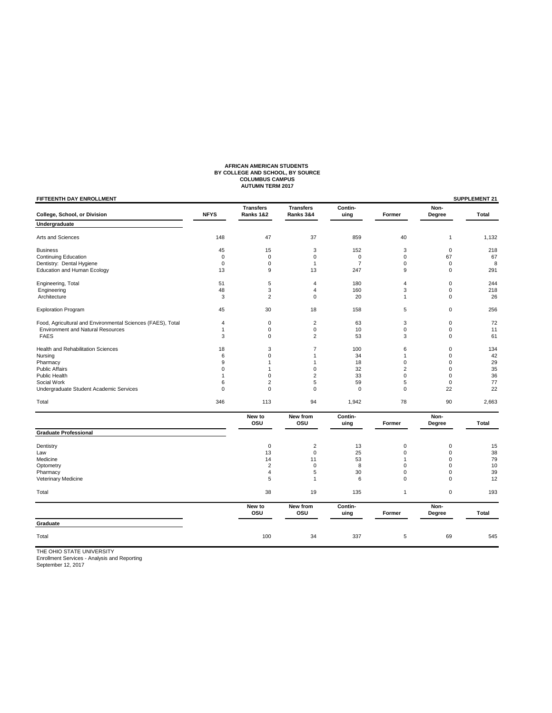# **AFRICAN AMERICAN STUDENTS BY COLLEGE AND SCHOOL, BY SOURCE COLUMBUS CAMPUS AUTUMN TERM 2017**

| FIFTEENTH DAY ENROLLMENT                                    |                |                               |                               |                 |              |                | SUPPLEMENT 21 |
|-------------------------------------------------------------|----------------|-------------------------------|-------------------------------|-----------------|--------------|----------------|---------------|
| College, School, or Division                                | <b>NFYS</b>    | <b>Transfers</b><br>Ranks 1&2 | <b>Transfers</b><br>Ranks 3&4 | Contin-<br>uing | Former       | Non-<br>Degree | <b>Total</b>  |
| Undergraduate                                               |                |                               |                               |                 |              |                |               |
| Arts and Sciences                                           | 148            | 47                            | 37                            | 859             | 40           | $\overline{1}$ | 1,132         |
| <b>Business</b>                                             | 45             | 15                            | 3                             | 152             | 3            | $\mathbf 0$    | 218           |
| <b>Continuing Education</b>                                 | $\mathbf 0$    | $\mathbf 0$                   | $\mathbf 0$                   | 0               | $\mathsf 0$  | 67             | 67            |
| Dentistry: Dental Hygiene                                   | $\mathbf 0$    | $\mathbf 0$                   | $\mathbf{1}$                  | $\overline{7}$  | 0            | $\mathbf 0$    | 8             |
| Education and Human Ecology                                 | 13             | 9                             | 13                            | 247             | 9            | 0              | 291           |
| Engineering, Total                                          | 51             | 5                             | 4                             | 180             | 4            | $\pmb{0}$      | 244           |
| Engineering                                                 | 48             | 3                             | $\overline{4}$                | 160             | 3            | $\mathbf 0$    | 218           |
| Architecture                                                | 3              | $\overline{2}$                | $\pmb{0}$                     | 20              | $\mathbf{1}$ | $\mathbf 0$    | 26            |
| <b>Exploration Program</b>                                  | 45             | 30                            | 18                            | 158             | 5            | $\mathbf 0$    | 256           |
| Food, Agricultural and Environmental Sciences (FAES), Total | $\overline{4}$ | $\mathbf 0$                   | $\overline{2}$                | 63              | 3            | $\mathbf 0$    | 72            |
| <b>Environment and Natural Resources</b>                    | 1              | $\mathbf 0$                   | $\mathsf 0$                   | 10              | $\pmb{0}$    | $\mathbf 0$    | 11            |
| <b>FAES</b>                                                 | 3              | $\mathbf 0$                   | $\overline{2}$                | 53              | 3            | $\mathbf 0$    | 61            |
| Health and Rehabilitation Sciences                          | 18             | 3                             | $\overline{7}$                | 100             | 6            | 0              | 134           |
| Nursing                                                     | 6              | $\mathbf 0$                   | 1                             | 34              | 1            | 0              | 42            |
| Pharmacy                                                    | 9              | $\mathbf{1}$                  | $\mathbf{1}$                  | 18              | 0            | $\mathbf 0$    | 29            |
| <b>Public Affairs</b>                                       | 0              | $\mathbf{1}$                  | $\mathbf 0$                   | 32              | 2            | 0              | 35            |
| Public Health                                               | $\mathbf{1}$   | $\mathbf 0$                   | $\overline{2}$                | 33              | 0            | $\mathbf 0$    | 36            |
| Social Work                                                 | 6              | $\overline{2}$                | 5                             | 59              | 5            | $\mathbf 0$    | 77            |
| Undergraduate Student Academic Services                     | $\mathbf 0$    | $\mathbf 0$                   | $\mathbf 0$                   | $\mathbf 0$     | $\mathbf 0$  | 22             | 22            |
| Total                                                       | 346            | 113                           | 94                            | 1,942           | 78           | 90             | 2,663         |
|                                                             |                | New to<br>osu                 | New from<br>OSU               | Contin-<br>uing | Former       | Non-<br>Degree | <b>Total</b>  |
| <b>Graduate Professional</b>                                |                |                               |                               |                 |              |                |               |
| Dentistry                                                   |                | $\mathbf 0$                   | $\overline{2}$                | 13              | $\pmb{0}$    | $\mathbf 0$    | 15            |
| Law                                                         |                | 13                            | $\mathbf 0$                   | 25              | 0            | $\mathbf 0$    | 38            |
| Medicine                                                    |                | 14                            | 11                            | 53              | $\mathbf{1}$ | $\mathbf 0$    | 79            |
| Optometry                                                   |                | $\overline{c}$                | 0                             | 8               | 0            | 0              | 10            |
| Pharmacy                                                    |                | $\overline{4}$                | 5                             | 30              | 0            | $\mathbf 0$    | 39            |
| Veterinary Medicine                                         |                | 5                             | $\mathbf{1}$                  | 6               | $\mathbf 0$  | $\mathbf 0$    | 12            |
| Total                                                       |                | 38                            | 19                            | 135             | $\mathbf{1}$ | $\mathbf 0$    | 193           |
|                                                             |                | New to<br>osu                 | New from<br>osu               | Contin-<br>uing | Former       | Non-<br>Degree | <b>Total</b>  |
| Graduate                                                    |                |                               |                               |                 |              |                |               |
| Total                                                       |                | 100                           | 34                            | 337             | 5            | 69             | 545           |
|                                                             |                |                               |                               |                 |              |                |               |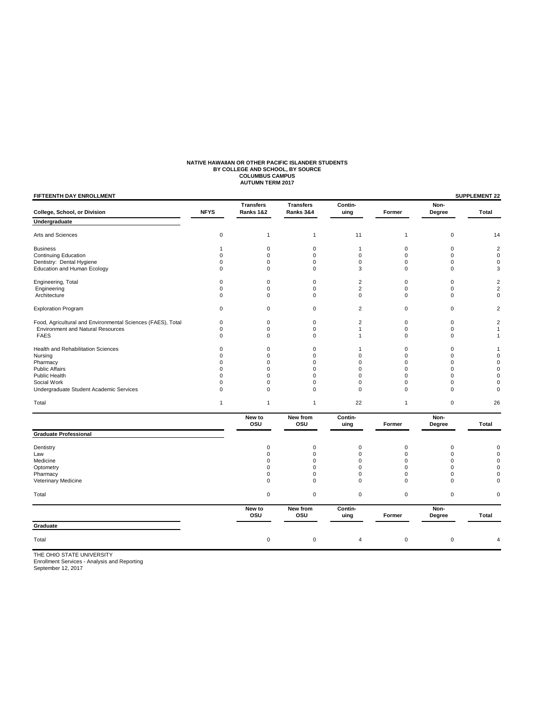# **NATIVE HAWAIIAN OR OTHER PACIFIC ISLANDER STUDENTS<br>BY COLLEGE AND SCHOOL, BY SOURCE<br>COLUMBUS CAMPUS<br>AUTUMN TERM 2017**

| FIFTEENTH DAY ENROLLMENT                                    |              |                               |                               |                 |              |                | SUPPLEMENT 22           |
|-------------------------------------------------------------|--------------|-------------------------------|-------------------------------|-----------------|--------------|----------------|-------------------------|
| College, School, or Division                                | <b>NFYS</b>  | <b>Transfers</b><br>Ranks 1&2 | <b>Transfers</b><br>Ranks 3&4 | Contin-<br>uing | Former       | Non-<br>Degree | Total                   |
| Undergraduate                                               |              |                               |                               |                 |              |                |                         |
| Arts and Sciences                                           | 0            | 1                             | $\mathbf{1}$                  | 11              | $\mathbf{1}$ | 0              | 14                      |
| <b>Business</b>                                             | 1            | 0                             | $\mathbf 0$                   | $\mathbf{1}$    | 0            | 0              | $\overline{\mathbf{c}}$ |
| <b>Continuing Education</b>                                 | 0            | $\mathbf 0$                   | $\mathbf 0$                   | $\mathbf 0$     | $\mathbf 0$  | 0              | $\mathbf 0$             |
| Dentistry: Dental Hygiene                                   | 0            | 0                             | $\mathbf 0$                   | $\mathbf 0$     | 0            | 0              | 0                       |
| <b>Education and Human Ecology</b>                          | 0            | $\mathbf 0$                   | $\Omega$                      | 3               | $\mathbf 0$  | $\Omega$       | 3                       |
| Engineering, Total                                          | 0            | 0                             | $\mathbf 0$                   | $\overline{2}$  | 0            | 0              | $\overline{\mathbf{c}}$ |
| Engineering                                                 | 0            | $\mathbf 0$                   | $\mathbf 0$                   | $\overline{2}$  | $\mathbf 0$  | 0              | $\overline{2}$          |
| Architecture                                                | 0            | $\mathbf 0$                   | 0                             | $\mathbf 0$     | $\mathbf 0$  | 0              | 0                       |
| <b>Exploration Program</b>                                  | 0            | $\pmb{0}$                     | $\mathbf 0$                   | $\overline{2}$  | $\mathbf 0$  | 0              | $\boldsymbol{2}$        |
| Food, Agricultural and Environmental Sciences (FAES), Total | 0            | $\pmb{0}$                     | $\mathbf 0$                   | $\overline{2}$  | $\pmb{0}$    | 0              | $\overline{2}$          |
| <b>Environment and Natural Resources</b>                    | 0            | 0                             | $\mathbf 0$                   | $\mathbf{1}$    | $\mathbf 0$  | 0              | 1                       |
| <b>FAES</b>                                                 | 0            | $\mathbf 0$                   | $\Omega$                      | $\mathbf{1}$    | $\mathbf 0$  | $\Omega$       | 1                       |
| Health and Rehabilitation Sciences                          | 0            | $\mathbf 0$                   | $\mathbf 0$                   | $\mathbf{1}$    | 0            | 0              | 1                       |
| Nursing                                                     | 0            | $\mathbf 0$                   | $\mathbf 0$                   | $\mathbf 0$     | 0            | $\Omega$       | $\Omega$                |
| Pharmacy                                                    | 0            | $\mathbf 0$                   | $\Omega$                      | $\Omega$        | 0            | 0              | 0                       |
| <b>Public Affairs</b>                                       | 0            | $\mathbf 0$                   | $\Omega$                      | $\mathbf 0$     | 0            | 0              | $\Omega$                |
| Public Health                                               | 0            | $\mathbf 0$                   | $\Omega$                      | $\mathbf 0$     | 0            | 0              | $\Omega$                |
| Social Work                                                 | 0            | $\mathbf 0$                   | $\Omega$                      | $\mathbf 0$     | 0            | 0              | $\Omega$                |
| Undergraduate Student Academic Services                     | 0            | $\mathbf 0$                   | $\Omega$                      | $\mathbf 0$     | $\mathbf 0$  | 0              | 0                       |
| Total                                                       | $\mathbf{1}$ | $\mathbf{1}$                  | $\mathbf{1}$                  | 22              | $\mathbf{1}$ | 0              | 26                      |
|                                                             |              | New to<br>osu                 | New from<br>osu               | Contin-<br>uing | Former       | Non-<br>Degree | <b>Total</b>            |
| <b>Graduate Professional</b>                                |              |                               |                               |                 |              |                |                         |
| Dentistry                                                   |              | $\mathbf 0$                   | $\mathbf 0$                   | $\mathbf 0$     | $\mathbf 0$  | 0              | $\Omega$                |
| Law                                                         |              | 0                             | $\mathbf 0$                   | $\mathbf 0$     | 0            | 0              | 0                       |
| Medicine                                                    |              | $\mathbf 0$                   | $\Omega$                      | $\mathbf 0$     | 0            | $\Omega$       | $\Omega$                |
| Optometry                                                   |              | $\mathbf 0$                   | $\mathbf 0$                   | $\mathbf 0$     | 0            | 0              | 0                       |
| Pharmacy                                                    |              | 0                             | $\mathbf 0$                   | $\mathbf 0$     | 0            | 0              | 0                       |
| Veterinary Medicine                                         |              | $\mathbf 0$                   | $\mathbf 0$                   | $\mathbf 0$     | $\mathbf 0$  | $\mathbf 0$    | 0                       |
| Total                                                       |              | $\mathbf 0$                   | $\mathbf 0$                   | $\pmb{0}$       | $\mathbf 0$  | $\mathsf 0$    | 0                       |
|                                                             |              | New to<br>osu                 | New from<br>osu               | Contin-<br>uing | Former       | Non-<br>Degree | Total                   |
| Graduate                                                    |              |                               |                               |                 |              |                |                         |
| Total                                                       |              | $\pmb{0}$                     | $\mathbf 0$                   | 4               | $\mathbf 0$  | $\mathbf 0$    | 4                       |
|                                                             |              |                               |                               |                 |              |                |                         |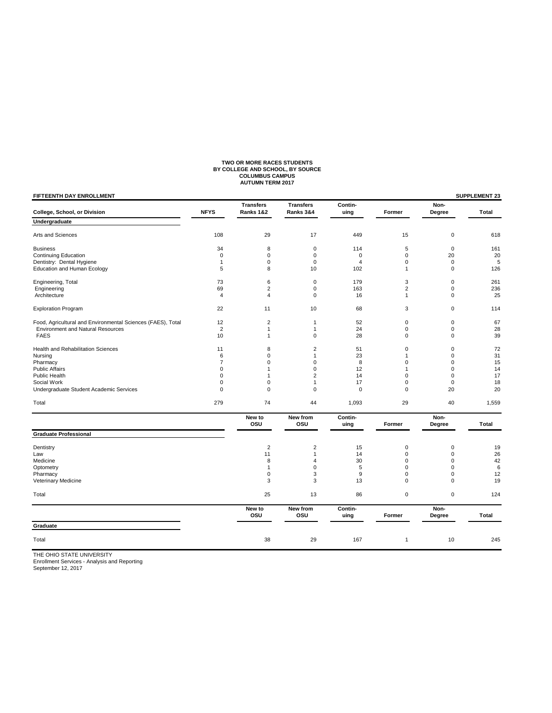# **TWO OR MORE RACES STUDENTS BY COLLEGE AND SCHOOL, BY SOURCE COLUMBUS CAMPUS AUTUMN TERM 2017**

| FIFTEENTH DAY ENROLLMENT                                    |                |                               |                               |                 |                |                | <b>SUPPLEMENT 23</b> |
|-------------------------------------------------------------|----------------|-------------------------------|-------------------------------|-----------------|----------------|----------------|----------------------|
| College, School, or Division                                | <b>NFYS</b>    | <b>Transfers</b><br>Ranks 1&2 | <b>Transfers</b><br>Ranks 3&4 | Contin-<br>uing | Former         | Non-<br>Degree | Total                |
| Undergraduate                                               |                |                               |                               |                 |                |                |                      |
| Arts and Sciences                                           | 108            | 29                            | 17                            | 449             | 15             | $\mathbf 0$    | 618                  |
| <b>Business</b>                                             | 34             | 8                             | 0                             | 114             | 5              | $\mathbf 0$    | 161                  |
| <b>Continuing Education</b>                                 | $\mathbf 0$    | $\mathbf 0$                   | $\mathbf 0$                   | $\mathbf 0$     | $\mathbf 0$    | 20             | 20                   |
| Dentistry: Dental Hygiene                                   | $\mathbf{1}$   | 0                             | $\mathbf 0$                   | $\overline{4}$  | $\mathbf 0$    | $\mathbf 0$    | $\sqrt{5}$           |
| Education and Human Ecology                                 | 5              | 8                             | 10                            | 102             | $\mathbf{1}$   | $\mathbf 0$    | 126                  |
| Engineering, Total                                          | 73             | 6                             | $\mathbf 0$                   | 179             | 3              | $\mathbf 0$    | 261                  |
| Engineering                                                 | 69             | $\boldsymbol{2}$              | $\mathbf 0$                   | 163             | $\overline{2}$ | $\mathsf 0$    | 236                  |
| Architecture                                                | $\overline{4}$ | $\overline{4}$                | $\mathbf 0$                   | 16              | $\mathbf{1}$   | $\mathbf 0$    | 25                   |
| <b>Exploration Program</b>                                  | 22             | 11                            | 10                            | 68              | 3              | $\mathbf 0$    | 114                  |
| Food, Agricultural and Environmental Sciences (FAES), Total | 12             | $\overline{2}$                | 1                             | 52              | $\mathbf 0$    | $\mathbf 0$    | 67                   |
| <b>Environment and Natural Resources</b>                    | $\overline{2}$ | $\mathbf{1}$                  | $\mathbf{1}$                  | 24              | $\mathbf 0$    | $\mathbf 0$    | 28                   |
| <b>FAES</b>                                                 | 10             | $\mathbf{1}$                  | $\Omega$                      | 28              | $\mathbf 0$    | $\Omega$       | 39                   |
| Health and Rehabilitation Sciences                          | 11             | 8                             | $\overline{2}$                | 51              | 0              | $\mathbf 0$    | 72                   |
| Nursing                                                     | 6              | $\mathbf 0$                   | $\mathbf{1}$                  | 23              | 1              | $\mathbf 0$    | 31                   |
| Pharmacy                                                    | $\overline{7}$ | $\mathbf 0$                   | $\mathbf 0$                   | 8               | 0              | $\mathbf 0$    | 15                   |
| <b>Public Affairs</b>                                       | $\mathbf 0$    | 1                             | 0                             | 12              | 1              | $\mathbf 0$    | 14                   |
| Public Health                                               | $\mathbf 0$    | $\mathbf{1}$                  | $\overline{2}$                | 14              | 0              | $\mathbf 0$    | 17                   |
| Social Work                                                 | $\mathbf 0$    | $\mathbf 0$                   | $\mathbf{1}$                  | 17              | 0              | $\mathbf 0$    | 18                   |
| Undergraduate Student Academic Services                     | $\mathbf 0$    | $\mathbf 0$                   | $\mathbf 0$                   | $\pmb{0}$       | 0              | 20             | 20                   |
| Total                                                       | 279            | 74                            | 44                            | 1,093           | 29             | 40             | 1,559                |
|                                                             |                | New to<br>osu                 | New from<br>OSU               | Contin-         | Former         | Non-           | Total                |
| <b>Graduate Professional</b>                                |                |                               |                               | uing            |                | Degree         |                      |
|                                                             |                |                               |                               |                 |                |                |                      |
| Dentistry                                                   |                | $\overline{2}$                | $\overline{2}$                | 15              | $\mathbf 0$    | $\mathbf 0$    | 19                   |
| Law                                                         |                | 11                            | 1                             | 14              | $\Omega$       | $\mathbf 0$    | 26                   |
| Medicine                                                    |                | 8                             | 4                             | 30              | $\mathbf 0$    | $\mathbf 0$    | 42                   |
| Optometry                                                   |                | $\mathbf{1}$                  | $\mathbf 0$                   | 5               | 0              | $\mathbf 0$    | 6                    |
| Pharmacy                                                    |                | $\pmb{0}$                     | 3                             | 9               | 0              | $\mathbf 0$    | 12                   |
| Veterinary Medicine                                         |                | 3                             | 3                             | 13              | 0              | $\mathbf 0$    | 19                   |
| Total                                                       |                | 25                            | 13                            | 86              | $\mathbf 0$    | $\mathbf 0$    | 124                  |
|                                                             |                | New to<br>osu                 | New from<br>osu               | Contin-<br>uing | Former         | Non-<br>Degree | Total                |
| Graduate                                                    |                |                               |                               |                 |                |                |                      |
| Total                                                       |                | 38                            | 29                            | 167             | $\mathbf{1}$   | 10             | 245                  |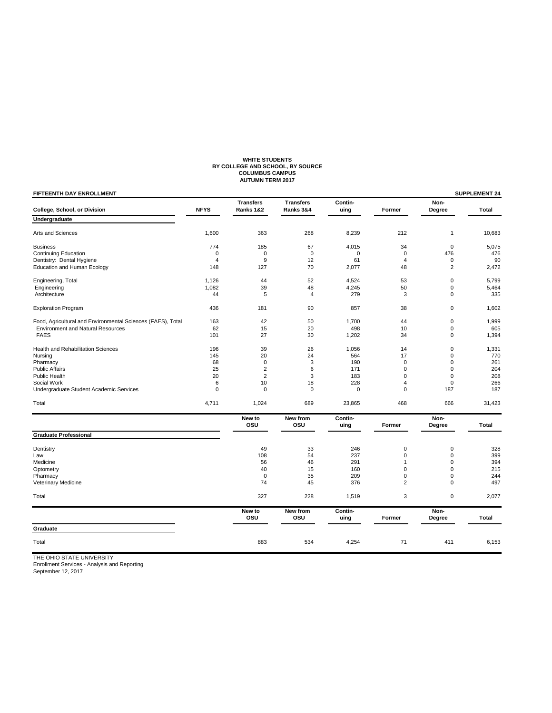# WHITE STUDENTS<br>BY COLLEGE AND SCHOOL, BY SOURCE<br>COLUMBUS CAMPUS<br>AUTUMN TERM 2017

| FIFTEENTH DAY ENROLLMENT                                    |             |                               |                               |                 |                |                | <b>SUPPLEMENT 24</b> |
|-------------------------------------------------------------|-------------|-------------------------------|-------------------------------|-----------------|----------------|----------------|----------------------|
| College, School, or Division                                | <b>NFYS</b> | <b>Transfers</b><br>Ranks 1&2 | <b>Transfers</b><br>Ranks 3&4 | Contin-<br>uing | Former         | Non-<br>Degree | Total                |
| Undergraduate                                               |             |                               |                               |                 |                |                |                      |
| Arts and Sciences                                           | 1,600       | 363                           | 268                           | 8,239           | 212            | 1              | 10,683               |
| <b>Business</b>                                             | 774         | 185                           | 67                            | 4,015           | 34             | $\mathbf 0$    | 5,075                |
| <b>Continuing Education</b>                                 | $\mathbf 0$ | 0                             | $\Omega$                      | $\Omega$        | $\mathbf 0$    | 476            | 476                  |
| Dentistry: Dental Hygiene                                   | 4           | 9                             | 12                            | 61              | $\overline{4}$ | 0              | 90                   |
| <b>Education and Human Ecology</b>                          | 148         | 127                           | 70                            | 2,077           | 48             | $\overline{2}$ | 2,472                |
| Engineering, Total                                          | 1,126       | 44                            | 52                            | 4,524           | 53             | 0              | 5,799                |
| Engineering                                                 | 1,082       | 39                            | 48                            | 4,245           | 50             | 0              | 5,464                |
| Architecture                                                | 44          | 5                             | 4                             | 279             | 3              | 0              | 335                  |
| <b>Exploration Program</b>                                  | 436         | 181                           | 90                            | 857             | 38             | 0              | 1,602                |
| Food, Agricultural and Environmental Sciences (FAES), Total | 163         | 42                            | 50                            | 1,700           | 44             | 0              | 1,999                |
| <b>Environment and Natural Resources</b>                    | 62          | 15                            | 20                            | 498             | 10             | 0              | 605                  |
| <b>FAES</b>                                                 | 101         | 27                            | 30                            | 1,202           | 34             | 0              | 1,394                |
| Health and Rehabilitation Sciences                          | 196         | 39                            | 26                            | 1,056           | 14             | 0              | 1,331                |
| Nursing                                                     | 145         | 20                            | 24                            | 564             | 17             | 0              | 770                  |
| Pharmacy                                                    | 68          | $\mathbf 0$                   | 3                             | 190             | $\mathbf 0$    | 0              | 261                  |
| <b>Public Affairs</b>                                       | 25          | 2                             | 6                             | 171             | $\mathbf 0$    | 0              | 204                  |
| <b>Public Health</b>                                        | 20          | 2                             | 3                             | 183             | $\mathbf 0$    | 0              | 208                  |
| Social Work                                                 | 6           | 10                            | 18                            | 228             | $\overline{4}$ | 0              | 266                  |
| Undergraduate Student Academic Services                     | $\mathbf 0$ | $\mathbf 0$                   | $\mathbf 0$                   | $\mathbf 0$     | $\mathbf 0$    | 187            | 187                  |
| Total                                                       | 4,711       | 1,024                         | 689                           | 23,865          | 468            | 666            | 31,423               |
|                                                             |             | New to<br>osu                 | New from<br>OSU               | Contin-<br>uing | Former         | Non-<br>Degree | Total                |
| <b>Graduate Professional</b>                                |             |                               |                               |                 |                |                |                      |
|                                                             |             | 49                            |                               | 246             | 0              | 0              | 328                  |
| Dentistry<br>Law                                            |             | 108                           | 33<br>54                      | 237             | $\mathbf 0$    | 0              | 399                  |
| Medicine                                                    |             | 56                            | 46                            | 291             | $\mathbf{1}$   | 0              | 394                  |
| Optometry                                                   |             | 40                            | 15                            | 160             | $\mathbf 0$    | 0              | 215                  |
| Pharmacy                                                    |             | $\mathbf 0$                   | 35                            | 209             | 0              | 0              | 244                  |
| Veterinary Medicine                                         |             | 74                            | 45                            | 376             | $\overline{2}$ | 0              | 497                  |
| Total                                                       |             | 327                           | 228                           | 1,519           | 3              | 0              | 2,077                |
|                                                             |             | New to                        | New from                      | Contin-         |                | Non-           |                      |
|                                                             |             | osu                           | OSU                           | uing            | Former         | Degree         | Total                |
| Graduate                                                    |             |                               |                               |                 |                |                |                      |
| Total                                                       |             | 883                           | 534                           | 4,254           | 71             | 411            | 6,153                |
|                                                             |             |                               |                               |                 |                |                |                      |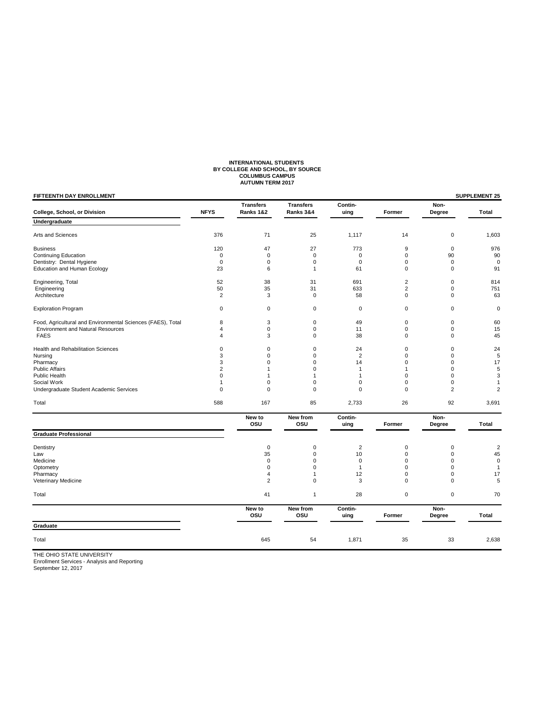# **INTERNATIONAL STUDENTS BY COLLEGE AND SCHOOL, BY SOURCE COLUMBUS CAMPUS AUTUMN TERM 2017**

| Former<br>14<br>9<br>0<br>0<br>$\mathbf 0$<br>$\overline{2}$<br>$\overline{c}$<br>0<br>0<br>$\pmb{0}$<br>$\mathbf 0$ | Non-<br>Degree<br>$\pmb{0}$<br>$\mathbf{0}$<br>90<br>$\mathbf 0$<br>$\mathbf 0$<br>$\mathbf 0$<br>$\mathbf 0$<br>$\mathbf 0$<br>$\mathbf 0$<br>$\pmb{0}$ | Total<br>1,603<br>976<br>90<br>$\mathbf 0$<br>91<br>814<br>751<br>63<br>0 |
|----------------------------------------------------------------------------------------------------------------------|----------------------------------------------------------------------------------------------------------------------------------------------------------|---------------------------------------------------------------------------|
|                                                                                                                      |                                                                                                                                                          |                                                                           |
|                                                                                                                      |                                                                                                                                                          |                                                                           |
|                                                                                                                      |                                                                                                                                                          |                                                                           |
|                                                                                                                      |                                                                                                                                                          |                                                                           |
|                                                                                                                      |                                                                                                                                                          |                                                                           |
|                                                                                                                      |                                                                                                                                                          |                                                                           |
|                                                                                                                      |                                                                                                                                                          |                                                                           |
|                                                                                                                      |                                                                                                                                                          |                                                                           |
|                                                                                                                      |                                                                                                                                                          |                                                                           |
|                                                                                                                      |                                                                                                                                                          |                                                                           |
|                                                                                                                      |                                                                                                                                                          |                                                                           |
|                                                                                                                      |                                                                                                                                                          | 60                                                                        |
|                                                                                                                      |                                                                                                                                                          | 15                                                                        |
|                                                                                                                      | $\mathbf 0$                                                                                                                                              | 45                                                                        |
| 0                                                                                                                    | $\mathbf 0$                                                                                                                                              | 24                                                                        |
| $\mathbf 0$                                                                                                          | $\mathbf 0$                                                                                                                                              | 5                                                                         |
| $\mathbf 0$                                                                                                          | $\mathbf 0$                                                                                                                                              | 17                                                                        |
| $\mathbf{1}$                                                                                                         | $\mathbf 0$                                                                                                                                              | 5                                                                         |
| $\mathbf 0$                                                                                                          | $\mathbf 0$                                                                                                                                              | 3                                                                         |
| $\mathbf 0$                                                                                                          | $\mathbf 0$                                                                                                                                              | 1                                                                         |
| $\Omega$                                                                                                             | $\overline{2}$                                                                                                                                           | $\overline{2}$                                                            |
| 26                                                                                                                   | 92                                                                                                                                                       | 3,691                                                                     |
| Former                                                                                                               | Non-<br>Degree                                                                                                                                           | Total                                                                     |
|                                                                                                                      |                                                                                                                                                          |                                                                           |
| $\pmb{0}$                                                                                                            | $\mathbf 0$                                                                                                                                              | $\overline{2}$                                                            |
| $\mathbf 0$                                                                                                          | $\mathbf 0$                                                                                                                                              | 45                                                                        |
| $\mathbf 0$                                                                                                          | $\mathbf 0$                                                                                                                                              | $\mathbf 0$                                                               |
| 0                                                                                                                    | $\mathbf 0$                                                                                                                                              | $\mathbf{1}$                                                              |
| $\mathbf 0$                                                                                                          | $\mathbf 0$                                                                                                                                              | 17                                                                        |
| $\mathbf 0$                                                                                                          | $\mathbf 0$                                                                                                                                              | 5                                                                         |
| $\pmb{0}$                                                                                                            | $\pmb{0}$                                                                                                                                                | 70                                                                        |
|                                                                                                                      | Non-                                                                                                                                                     | Total                                                                     |
|                                                                                                                      |                                                                                                                                                          |                                                                           |
| 35                                                                                                                   | 33                                                                                                                                                       | 2,638                                                                     |
|                                                                                                                      | $\mathbf 0$<br>Former                                                                                                                                    | $\mathbf 0$<br>Degree                                                     |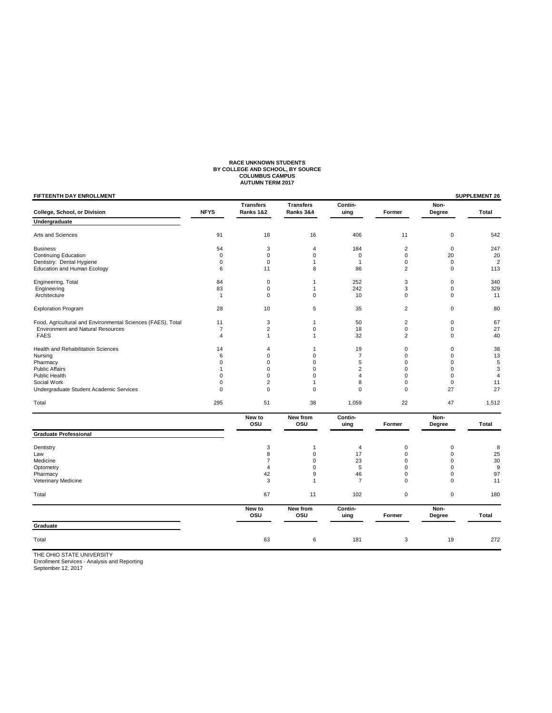# RACE UNKNOWN STUDENTS<br>BY COLLEGE AND SCHOOL, BY SOURCE<br>COLUMBUS CAMPUS<br>AUTUMN TERM 2017

| <b>NFYS</b><br>91 | <b>Transfers</b><br>Ranks 1&2 | <b>Transfers</b><br>Ranks 3&4        | Contin-<br>uing                                                  | Former                                                                              | Non-<br>Degree                                                  |                                                                          |
|-------------------|-------------------------------|--------------------------------------|------------------------------------------------------------------|-------------------------------------------------------------------------------------|-----------------------------------------------------------------|--------------------------------------------------------------------------|
|                   |                               |                                      |                                                                  |                                                                                     |                                                                 | Total                                                                    |
|                   |                               |                                      |                                                                  |                                                                                     |                                                                 |                                                                          |
|                   | 18                            | 16                                   | 406                                                              | 11                                                                                  | $\mathbf 0$                                                     | 542                                                                      |
| 54                | 3                             | $\overline{4}$                       | 184                                                              | $\overline{2}$                                                                      | $\mathbf 0$                                                     | 247                                                                      |
| $\mathbf 0$       | 0                             | $\mathbf 0$                          | $\mathbf 0$                                                      | $\mathbf 0$                                                                         | 20                                                              | 20                                                                       |
| 0                 | 0                             | 1                                    | $\mathbf{1}$                                                     | 0                                                                                   | $\mathbf 0$                                                     | $\overline{2}$                                                           |
| 6                 | 11                            | 8                                    | 86                                                               | $\overline{2}$                                                                      | $\mathbf 0$                                                     | 113                                                                      |
| 84                | 0                             | 1                                    | 252                                                              | 3                                                                                   | $\mathbf 0$                                                     | 340                                                                      |
| 83                | 0                             | 1                                    | 242                                                              | 3                                                                                   | $\mathbf 0$                                                     | 329                                                                      |
| $\mathbf{1}$      | 0                             | $\mathbf 0$                          | 10                                                               | 0                                                                                   | $\mathbf 0$                                                     | 11                                                                       |
| 28                | 10                            | 5                                    | 35                                                               | $\overline{2}$                                                                      | $\mathbf 0$                                                     | 80                                                                       |
| 11                | 3                             | $\mathbf{1}$                         | 50                                                               | $\overline{c}$                                                                      | $\pmb{0}$                                                       | 67                                                                       |
| $\overline{7}$    | $\overline{c}$                | 0                                    | 18                                                               | 0                                                                                   | $\mathsf 0$                                                     | 27                                                                       |
| 4                 | $\mathbf{1}$                  | $\mathbf{1}$                         | 32                                                               | $\overline{2}$                                                                      | $\mathbf 0$                                                     | 40                                                                       |
| 14                | 4                             | $\mathbf{1}$                         | 19                                                               | 0                                                                                   | $\mathbf 0$                                                     | 38                                                                       |
| 6                 | 0                             | $\mathbf 0$                          | $\overline{7}$                                                   | $\mathbf 0$                                                                         | $\mathbf 0$                                                     | 13                                                                       |
| 0                 | 0                             | 0                                    | 5                                                                | 0                                                                                   | $\mathbf 0$                                                     | 5                                                                        |
| $\mathbf{1}$      | 0                             | $\mathbf 0$                          |                                                                  | $\mathbf 0$                                                                         | $\mathbf 0$                                                     | 3                                                                        |
|                   |                               |                                      |                                                                  |                                                                                     |                                                                 | $\overline{4}$                                                           |
|                   |                               |                                      |                                                                  |                                                                                     |                                                                 | 11                                                                       |
|                   |                               |                                      |                                                                  |                                                                                     |                                                                 | 27                                                                       |
| 295               | 51                            | 38                                   | 1,059                                                            | 22                                                                                  | 47                                                              | 1,512                                                                    |
|                   | New to<br>osu                 | New from<br>osu                      | Contin-<br>uing                                                  | Former                                                                              | Non-<br>Degree                                                  | Total                                                                    |
|                   |                               |                                      |                                                                  |                                                                                     |                                                                 |                                                                          |
|                   | 3                             | $\mathbf{1}$                         | 4                                                                | $\mathbf 0$                                                                         | $\mathbf 0$                                                     | 8                                                                        |
|                   | 8                             | $\mathbf 0$                          | 17                                                               | $\mathbf 0$                                                                         | $\mathbf 0$                                                     | 25                                                                       |
|                   | 7                             | $\mathbf 0$                          | 23                                                               | 0                                                                                   | $\mathbf 0$                                                     | 30                                                                       |
|                   | $\overline{4}$                | $\mathbf 0$                          |                                                                  | $\mathbf 0$                                                                         |                                                                 | 9                                                                        |
|                   | 42                            | 9                                    | 46                                                               | $\mathbf 0$                                                                         | $\mathbf 0$                                                     | 97                                                                       |
|                   |                               |                                      |                                                                  |                                                                                     |                                                                 | 11                                                                       |
|                   | 67                            | 11                                   | 102                                                              | $\mathbf 0$                                                                         | $\mathsf 0$                                                     | 180                                                                      |
|                   | New to                        | New from                             | Contin-                                                          |                                                                                     | Non-                                                            | Total                                                                    |
|                   |                               |                                      |                                                                  |                                                                                     |                                                                 |                                                                          |
|                   | 63                            | 6                                    | 181                                                              | 3                                                                                   | 19                                                              | 272                                                                      |
|                   | 0<br>0<br>0                   | 0<br>$\overline{c}$<br>0<br>3<br>OSU | $\Omega$<br>$\mathbf{1}$<br>$\mathbf 0$<br>$\overline{1}$<br>osu | $\overline{2}$<br>$\overline{4}$<br>8<br>$\mathbf 0$<br>5<br>$\overline{7}$<br>uing | $\Omega$<br>$\mathbf 0$<br>$\mathbf 0$<br>$\mathbf 0$<br>Former | $\mathbf 0$<br>$\mathbf 0$<br>27<br>$\mathbf 0$<br>$\mathbf 0$<br>Degree |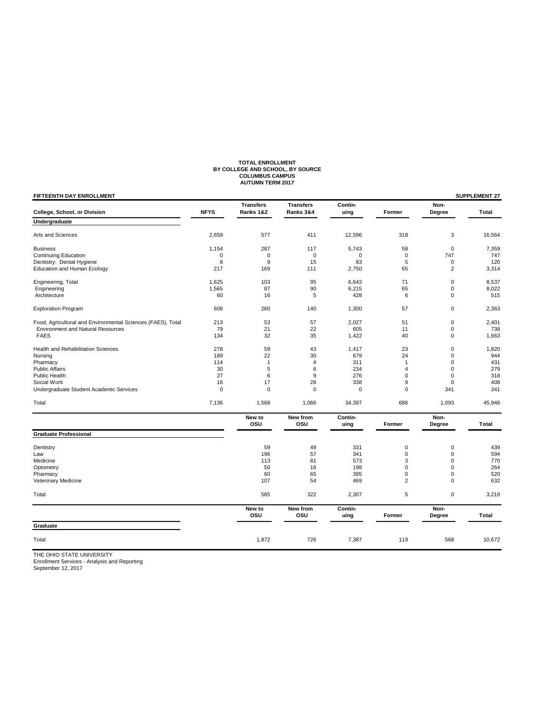# **TOTAL ENROLLMENT BY COLLEGE AND SCHOOL, BY SOURCE COLUMBUS CAMPUS AUTUMN TERM 2017**

| <b>Transfers</b><br><b>Transfers</b><br><b>NFYS</b><br>College, School, or Division<br>Ranks 1&2<br>Ranks 3&4<br>Undergraduate<br>Arts and Sciences<br>2,659<br>577<br>411<br>287<br><b>Business</b><br>1,154<br>117<br><b>Continuing Education</b><br>$\mathbf 0$<br>0<br>$\mathbf 0$<br>Dentistry: Dental Hygiene<br>8<br>9<br>15<br>Education and Human Ecology<br>217<br>169<br>111 | Contin-<br>uing<br>12,596<br>5,743<br>0<br>83<br>2,750 | Former<br>318<br>58<br>$\mathbf 0$<br>5 | Non-<br>Degree<br>3<br>$\pmb{0}$ | Total<br>16,564 |
|-----------------------------------------------------------------------------------------------------------------------------------------------------------------------------------------------------------------------------------------------------------------------------------------------------------------------------------------------------------------------------------------|--------------------------------------------------------|-----------------------------------------|----------------------------------|-----------------|
|                                                                                                                                                                                                                                                                                                                                                                                         |                                                        |                                         |                                  |                 |
|                                                                                                                                                                                                                                                                                                                                                                                         |                                                        |                                         |                                  |                 |
|                                                                                                                                                                                                                                                                                                                                                                                         |                                                        |                                         |                                  |                 |
|                                                                                                                                                                                                                                                                                                                                                                                         |                                                        |                                         |                                  | 7,359           |
|                                                                                                                                                                                                                                                                                                                                                                                         |                                                        |                                         | 747                              | 747             |
|                                                                                                                                                                                                                                                                                                                                                                                         |                                                        |                                         | $\pmb{0}$                        | 120             |
|                                                                                                                                                                                                                                                                                                                                                                                         |                                                        | 65                                      | $\overline{c}$                   | 3,314           |
| 95<br>Engineering, Total<br>1,625<br>103                                                                                                                                                                                                                                                                                                                                                | 6,643                                                  | 71                                      | $\mathbf 0$                      | 8,537           |
| 1,565<br>87<br>90<br>Engineering                                                                                                                                                                                                                                                                                                                                                        | 6,215                                                  | 65                                      | $\pmb{0}$                        | 8,022           |
| Architecture<br>60<br>16<br>5                                                                                                                                                                                                                                                                                                                                                           | 428                                                    | 6                                       | 0                                | 515             |
| 606<br>260<br><b>Exploration Program</b><br>140                                                                                                                                                                                                                                                                                                                                         | 1,300                                                  | 57                                      | 0                                | 2,363           |
| Food, Agricultural and Environmental Sciences (FAES), Total<br>213<br>53<br>57                                                                                                                                                                                                                                                                                                          | 2,027                                                  | 51                                      | $\pmb{0}$                        | 2,401           |
| 21<br>22<br>79<br><b>Environment and Natural Resources</b>                                                                                                                                                                                                                                                                                                                              | 605                                                    | 11                                      | $\mathbf 0$                      | 738             |
| 134<br>32<br>35<br><b>FAES</b>                                                                                                                                                                                                                                                                                                                                                          | 1,422                                                  | 40                                      | $\mathsf 0$                      | 1,663           |
| Health and Rehabilitation Sciences<br>278<br>59<br>43                                                                                                                                                                                                                                                                                                                                   | 1,417                                                  | 23                                      | 0                                | 1,820           |
| 22<br>30<br>189<br>Nursing                                                                                                                                                                                                                                                                                                                                                              | 679                                                    | 24                                      | $\mathbf 0$                      | 944             |
| Pharmacy<br>114<br>$\mathbf{1}$<br>$\overline{4}$                                                                                                                                                                                                                                                                                                                                       | 311                                                    | $\mathbf{1}$                            | 0                                | 431             |
| 5<br>6<br><b>Public Affairs</b><br>30                                                                                                                                                                                                                                                                                                                                                   | 234                                                    | $\overline{4}$                          | $\mathbf 0$                      | 279             |
| Public Health<br>27<br>6<br>9                                                                                                                                                                                                                                                                                                                                                           | 276                                                    | $\mathbf 0$                             | $\mathbf 0$                      | 318             |
| Social Work<br>16<br>17<br>28                                                                                                                                                                                                                                                                                                                                                           | 338                                                    | 9                                       | $\pmb{0}$                        | 408             |
| $\mathbf 0$<br>Undergraduate Student Academic Services<br>$\mathbf 0$<br>$\mathbf 0$                                                                                                                                                                                                                                                                                                    | 0                                                      | $\mathbf 0$                             | 341                              | 341             |
| 7,136<br>1,568<br>1,066<br>Total                                                                                                                                                                                                                                                                                                                                                        | 34,397                                                 | 686                                     | 1,093                            | 45,946          |
| New to<br>New from<br>osu<br>osu                                                                                                                                                                                                                                                                                                                                                        | Contin-<br>uing                                        | Former                                  | Non-<br>Degree                   | Total           |
| <b>Graduate Professional</b>                                                                                                                                                                                                                                                                                                                                                            |                                                        |                                         |                                  |                 |
| 59<br>49<br>Dentistry                                                                                                                                                                                                                                                                                                                                                                   | 331                                                    | $\mathbf 0$                             | $\mathbf 0$                      | 439             |
| 57<br>196<br>Law                                                                                                                                                                                                                                                                                                                                                                        | 341                                                    | $\mathbf 0$                             | 0                                | 594             |
| 81<br>Medicine<br>113                                                                                                                                                                                                                                                                                                                                                                   | 573                                                    | 3                                       | $\Omega$                         | 770             |
| Optometry<br>50<br>16                                                                                                                                                                                                                                                                                                                                                                   | 198                                                    | $\mathbf 0$                             | 0                                | 264             |
| 60<br>65<br>Pharmacy                                                                                                                                                                                                                                                                                                                                                                    | 395                                                    | $\mathbf 0$                             | 0                                | 520             |
| 107<br>54<br>Veterinary Medicine                                                                                                                                                                                                                                                                                                                                                        | 469                                                    | $\overline{2}$                          | $\mathbf 0$                      | 632             |
| 322<br>585<br>Total                                                                                                                                                                                                                                                                                                                                                                     | 2,307                                                  | 5                                       | $\mathbf 0$                      | 3,219           |
| New to<br>New from<br>osu<br>osu                                                                                                                                                                                                                                                                                                                                                        | Contin-<br>uing                                        | Former                                  | Non-<br>Degree                   | Total           |
| Graduate                                                                                                                                                                                                                                                                                                                                                                                |                                                        |                                         |                                  |                 |
| 726<br>1,872<br>Total                                                                                                                                                                                                                                                                                                                                                                   | 7,387                                                  | 119                                     | 568                              | 10,672          |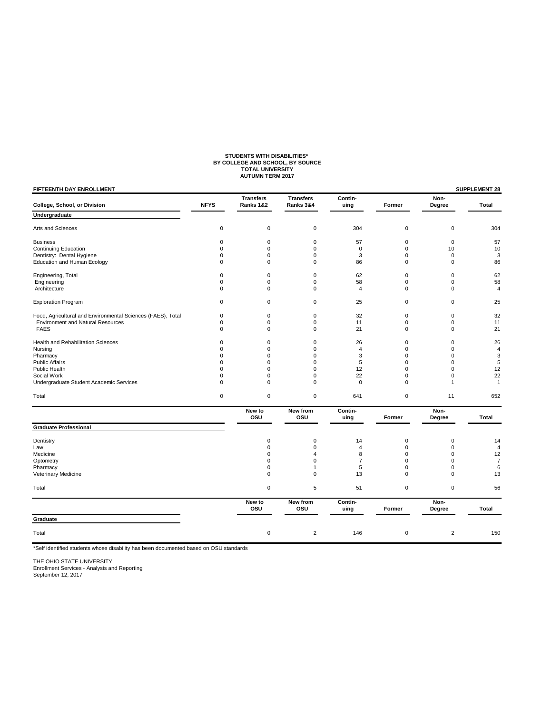### **STUDENTS WITH DISABILITIES\* BY COLLEGE AND SCHOOL, BY SOURCE TOTAL UNIVERSITY AUTUMN TERM 2017**

## **FIFTEENTH DAY ENROLLMENT SUPPLEMENT 28** Transfers Transfers Contin-<br>
Ranks 1&2 Ranks 3&4 uing Former Degree **College, School, or Division NFYS Ranks 1&2 Ranks 3&4 uing Former Degree Total Undergraduate**  Arts and Sciences 0 0 0 304 0 0 304 Business 0 0 0 57 0 0 57 Continuing Education 0 0 0 0 0 10 10 ontinuing coordinations and the community continuing coordinations of the community of the community of the coordination of the coordination of the coordination of the coordination of the coordination of the coordination o Education and Human Ecology Engineering, Total 0 0 0 62 0 0 62 Engineering 6 0 0 0 0 58 0 0 58 0 58 Architecture 0 0 0 4 0 0 4 Exploration Program and the control of the control of the control of the control of the control of the control of the control of the control of the control of the control of the control of the control of the control of the Food, Agricultural and Environmental Sciences (FAES), Total 0 0 0 0 32 0 0 32<br>
Environment and Natural Resources (CAES), Total 0 0 0 0 11 0 0 0 11 Environment and Natural Resources and the control of the control of the control of the control of the control of the control of the control of the control of the control of the control of the control of the control of the FAES 0 0 0 21 0 0 21 Health and Rehabilitation Sciences 0 0 0 26 0 0 26 Nursing 0 0 0 4 0 0 4 Pharmacy 0 0 0 3 0 0 3 Public Affairs 0 0 0 5 0 0 5 Public Health 0 0 0 12 0 0 12 Social Work 0 0 0 22 0 0 22 Undergraduate Student Academic Services **0** 0 0 0 0 0 0 1 1 1 Total 0 0 0 641 0 11 652 **New to New from Contin-** Contin- Non-<br>
OSU OSU uing Former Degree  **OSU OSU uing Former Degree Total Graduate Professional**  Dentistry 0 0 14 0 0 14 Law 0 0 4 0 0 4 Medicine 0 4 8 0 0 12 Optometry 0 0 7 0 0 7 Pharmacy 0 1 5 0 0 6 Veterinary Medicine **1986** Contract the Contract of Contract of Contract of Contract of Contract of Contract of Contract of Contract of Contract of Contract of Contract of Contract of Contract of Contract of Contract of Co Total 0 5 51 0 0 56 New to New from Contin-<br>
OSU OSU uing Former Degree  **OSU OSU uing Former Degree Total Graduate**  Total 0 2 146 0 2 150

\*Self identified students whose disability has been documented based on OSU standards

THE OHIO STATE UNIVERSITY

Enrollment Services - Analysis and Reporting September 12, 2017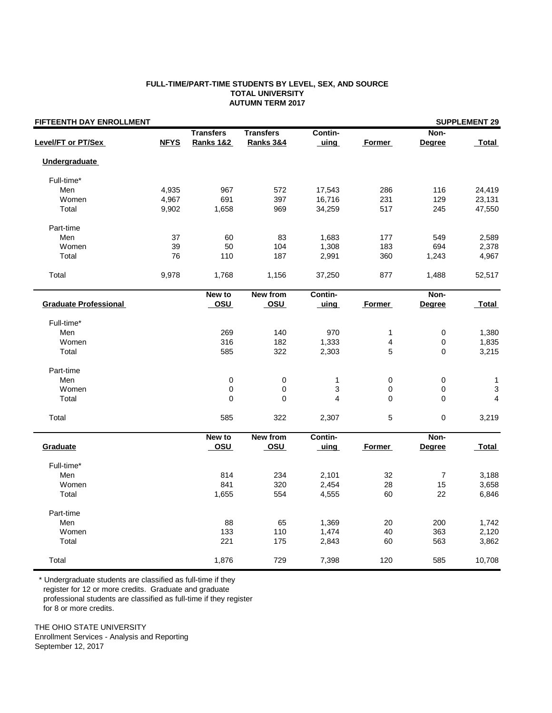## **FULL-TIME/PART-TIME STUDENTS BY LEVEL, SEX, AND SOURCE TOTAL UNIVERSITY AUTUMN TERM 2017**

| FIFTEENTH DAY ENROLLMENT     |             |                      |                      |         |               |                  | <b>SUPPLEMENT 29</b> |
|------------------------------|-------------|----------------------|----------------------|---------|---------------|------------------|----------------------|
|                              |             | <b>Transfers</b>     | <b>Transfers</b>     | Contin- |               | Non-             |                      |
| Level/FT or PT/Sex           | <b>NFYS</b> | <b>Ranks 1&amp;2</b> | <b>Ranks 3&amp;4</b> | uing    | Former        | <b>Degree</b>    | <b>Total</b>         |
| <b>Undergraduate</b>         |             |                      |                      |         |               |                  |                      |
| Full-time*                   |             |                      |                      |         |               |                  |                      |
| Men                          | 4,935       | 967                  | 572                  | 17,543  | 286           | 116              | 24,419               |
| Women                        | 4,967       | 691                  | 397                  | 16,716  | 231           | 129              | 23,131               |
| Total                        | 9,902       | 1,658                | 969                  | 34,259  | 517           | 245              | 47,550               |
| Part-time                    |             |                      |                      |         |               |                  |                      |
| Men                          | 37          | 60                   | 83                   | 1,683   | 177           | 549              | 2,589                |
| Women                        | 39          | 50                   | 104                  | 1,308   | 183           | 694              | 2,378                |
| Total                        | 76          | 110                  | 187                  | 2,991   | 360           | 1,243            | 4,967                |
| Total                        | 9,978       | 1,768                | 1,156                | 37,250  | 877           | 1,488            | 52,517               |
|                              |             | New to               | <b>New from</b>      | Contin- |               | Non-             |                      |
| <b>Graduate Professional</b> |             | <u>OSU</u>           | <b>OSU</b>           | uing    | Former        | Degree           | <b>Total</b>         |
| Full-time*                   |             |                      |                      |         |               |                  |                      |
| Men                          |             | 269                  | 140                  | 970     | 1             | $\pmb{0}$        | 1,380                |
| Women                        |             | 316                  | 182                  | 1,333   | 4             | 0                | 1,835                |
| Total                        |             | 585                  | 322                  | 2,303   | 5             | 0                | 3,215                |
| Part-time                    |             |                      |                      |         |               |                  |                      |
| Men                          |             | 0                    | 0                    | 1       | 0             | $\pmb{0}$        | 1                    |
| Women                        |             | $\pmb{0}$            | 0                    | 3       | 0             | $\pmb{0}$        | 3                    |
| Total                        |             | 0                    | 0                    | 4       | $\mathbf 0$   | $\mathbf 0$      | $\overline{4}$       |
| Total                        |             | 585                  | 322                  | 2,307   | 5             | 0                | 3,219                |
|                              |             | New to               | <b>New from</b>      | Contin- |               | Non-             |                      |
| Graduate                     |             | <u>OSU</u>           | <u>OSU</u>           | uing    | <b>Former</b> | <b>Degree</b>    | Total                |
| Full-time*                   |             |                      |                      |         |               |                  |                      |
| Men                          |             | 814                  | 234                  | 2,101   | 32            | $\boldsymbol{7}$ | 3,188                |
| Women                        |             | 841                  | 320                  | 2,454   | 28            | 15               | 3,658                |
| Total                        |             | 1,655                | 554                  | 4,555   | 60            | 22               | 6,846                |
| Part-time                    |             |                      |                      |         |               |                  |                      |
| Men                          |             | 88                   | 65                   | 1,369   | 20            | 200              | 1,742                |
| Women                        |             | 133                  | 110                  | 1,474   | 40            | 363              | 2,120                |
| Total                        |             | 221                  | 175                  | 2,843   | 60            | 563              | 3,862                |
| Total                        |             | 1,876                | 729                  | 7,398   | 120           | 585              | 10,708               |

 \* Undergraduate students are classified as full-time if they register for 12 or more credits. Graduate and graduate professional students are classified as full-time if they register

for 8 or more credits.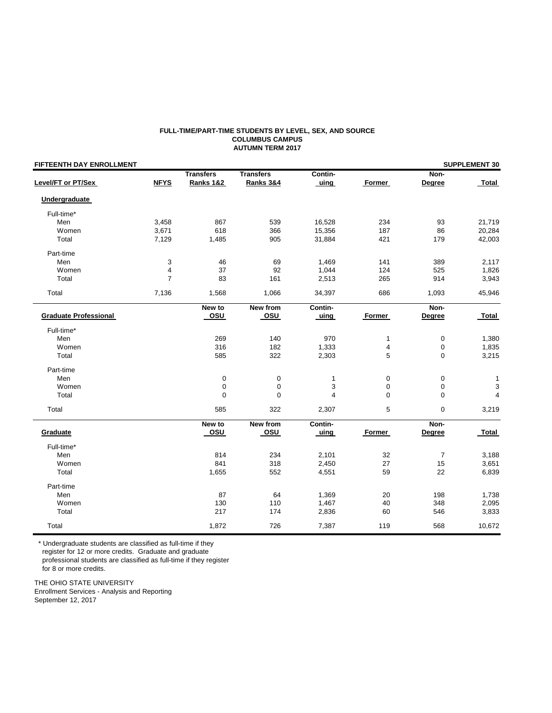### **FULL-TIME/PART-TIME STUDENTS BY LEVEL, SEX, AND SOURCE COLUMBUS CAMPUS AUTUMN TERM 2017**

| FIFTEENTH DAY ENROLLMENT     |                |                  |                  |              |              | <b>SUPPLEMENT 30</b> |                |  |  |
|------------------------------|----------------|------------------|------------------|--------------|--------------|----------------------|----------------|--|--|
|                              |                | <b>Transfers</b> | <b>Transfers</b> | Contin-      |              | Non-                 |                |  |  |
| Level/FT or PT/Sex           | <b>NFYS</b>    | Ranks 1&2        | Ranks 3&4        | uing         | Former       | Degree               | Total          |  |  |
| Undergraduate                |                |                  |                  |              |              |                      |                |  |  |
| Full-time*                   |                |                  |                  |              |              |                      |                |  |  |
| Men                          | 3,458          | 867              | 539              | 16,528       | 234          | 93                   | 21,719         |  |  |
| Women                        | 3,671          | 618              | 366              | 15,356       | 187          | 86                   | 20,284         |  |  |
| Total                        | 7,129          | 1,485            | 905              | 31,884       | 421          | 179                  | 42,003         |  |  |
| Part-time                    |                |                  |                  |              |              |                      |                |  |  |
| Men                          | 3              | 46               | 69               | 1,469        | 141          | 389                  | 2,117          |  |  |
| Women                        | $\overline{4}$ | 37               | 92               | 1,044        | 124          | 525                  | 1,826          |  |  |
| Total                        | $\overline{7}$ | 83               | 161              | 2,513        | 265          | 914                  | 3,943          |  |  |
| Total                        | 7,136          | 1,568            | 1,066            | 34,397       | 686          | 1,093                | 45,946         |  |  |
|                              |                |                  |                  |              |              |                      |                |  |  |
|                              |                | New to           | <b>New from</b>  | Contin-      |              | Non-                 |                |  |  |
| <b>Graduate Professional</b> |                | OSU              | <u>_osu</u>      | uing         | Former       | Degree               | Total          |  |  |
| Full-time*                   |                |                  |                  |              |              |                      |                |  |  |
| Men                          |                | 269              | 140              | 970          | $\mathbf{1}$ | 0                    | 1,380          |  |  |
| Women                        |                | 316              | 182              | 1,333        | 4            | 0                    | 1,835          |  |  |
| Total                        |                | 585              | 322              | 2,303        | 5            | $\mathbf 0$          | 3,215          |  |  |
| Part-time                    |                |                  |                  |              |              |                      |                |  |  |
| Men                          |                | 0                | $\pmb{0}$        | $\mathbf{1}$ | 0            | 0                    | 1              |  |  |
| Women                        |                | 0                | 0                | 3            | 0            | 0                    | 3              |  |  |
| Total                        |                | 0                | $\mathbf 0$      | 4            | $\mathbf 0$  | $\mathbf 0$          | $\overline{4}$ |  |  |
| Total                        |                | 585              | 322              | 2,307        | 5            | 0                    | 3,219          |  |  |
|                              |                | New to           | <b>New from</b>  | Contin-      |              | Non-                 |                |  |  |
| Graduate                     |                | osu              | osu              | uing         | Former       | Degree               | Total          |  |  |
| Full-time*                   |                |                  |                  |              |              |                      |                |  |  |
| Men                          |                | 814              | 234              | 2,101        | 32           | $\overline{7}$       | 3,188          |  |  |
| Women                        |                | 841              | 318              | 2,450        | 27           | 15                   | 3,651          |  |  |
| Total                        |                | 1,655            | 552              | 4,551        | 59           | 22                   | 6,839          |  |  |
| Part-time                    |                |                  |                  |              |              |                      |                |  |  |
| Men                          |                | 87               | 64               | 1,369        | 20           | 198                  | 1,738          |  |  |
| Women                        |                | 130              | 110              | 1,467        | 40           | 348                  | 2,095          |  |  |
| Total                        |                | 217              | 174              | 2,836        | 60           | 546                  | 3,833          |  |  |
|                              |                |                  |                  |              |              |                      |                |  |  |
| Total                        |                | 1,872            | 726              | 7,387        | 119          | 568                  | 10,672         |  |  |

\* Undergraduate students are classified as full-time if they

register for 12 or more credits. Graduate and graduate

professional students are classified as full-time if they register

for 8 or more credits.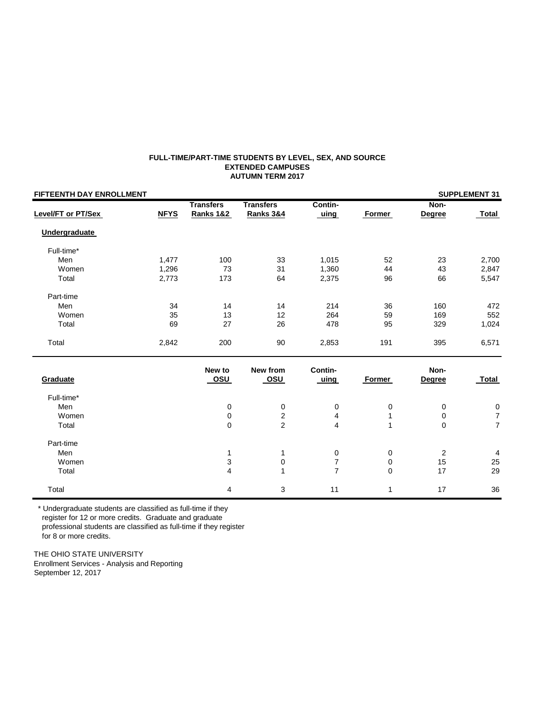### **FULL-TIME/PART-TIME STUDENTS BY LEVEL, SEX, AND SOURCE EXTENDED CAMPUSES AUTUMN TERM 2017**

| FIFTEENTH DAY ENROLLMENT  |             |                      |                      |                          |               |                | <b>SUPPLEMENT 31</b> |
|---------------------------|-------------|----------------------|----------------------|--------------------------|---------------|----------------|----------------------|
|                           |             | <b>Transfers</b>     | <b>Transfers</b>     | Contin-                  |               | Non-           |                      |
| <b>Level/FT or PT/Sex</b> | <b>NFYS</b> | <b>Ranks 1&amp;2</b> | <b>Ranks 3&amp;4</b> | <u>uing</u>              | <b>Former</b> | <b>Degree</b>  | Total                |
| <b>Undergraduate</b>      |             |                      |                      |                          |               |                |                      |
| Full-time*                |             |                      |                      |                          |               |                |                      |
| Men                       | 1,477       | 100                  | 33                   | 1,015                    | 52            | 23             | 2,700                |
| Women                     | 1,296       | 73                   | 31                   | 1,360                    | 44            | 43             | 2,847                |
| Total                     | 2,773       | 173                  | 64                   | 2,375                    | 96            | 66             | 5,547                |
| Part-time                 |             |                      |                      |                          |               |                |                      |
| Men                       | 34          | 14                   | 14                   | 214                      | 36            | 160            | 472                  |
| Women                     | 35          | 13                   | 12                   | 264                      | 59            | 169            | 552                  |
| Total                     | 69          | 27                   | 26                   | 478                      | 95            | 329            | 1,024                |
| Total                     | 2,842       | 200                  | 90                   | 2,853                    | 191           | 395            | 6,571                |
|                           |             | New to               | New from             | Contin-                  |               | Non-           |                      |
| Graduate                  |             | <b>OSU</b>           | osu                  | <u>uing</u>              | Former        | <b>Degree</b>  | <b>Total</b>         |
| Full-time*                |             |                      |                      |                          |               |                |                      |
| Men                       |             | 0                    | $\pmb{0}$            | $\pmb{0}$                | 0             | 0              | $\pmb{0}$            |
| Women                     |             | 0                    | $\sqrt{2}$           | 4                        | 1             | 0              | $\boldsymbol{7}$     |
| Total                     |             | 0                    | $\overline{2}$       | $\overline{4}$           | 1             | $\mathbf 0$    | $\overline{7}$       |
| Part-time                 |             |                      |                      |                          |               |                |                      |
| Men                       |             | 1                    | 1                    | $\pmb{0}$                | 0             | $\overline{2}$ | 4                    |
| Women                     |             | 3                    | 0                    | $\overline{\mathcal{I}}$ | $\mathbf 0$   | 15             | 25                   |
| Total                     |             | $\overline{4}$       | $\mathbf{1}$         | $\overline{7}$           | $\Omega$      | 17             | 29                   |
| Total                     |             | 4                    | 3                    | 11                       | 1             | 17             | 36                   |

 \* Undergraduate students are classified as full-time if they register for 12 or more credits. Graduate and graduate professional students are classified as full-time if they register for 8 or more credits.

THE OHIO STATE UNIVERSITY

Enrollment Services - Analysis and Reporting September 12, 2017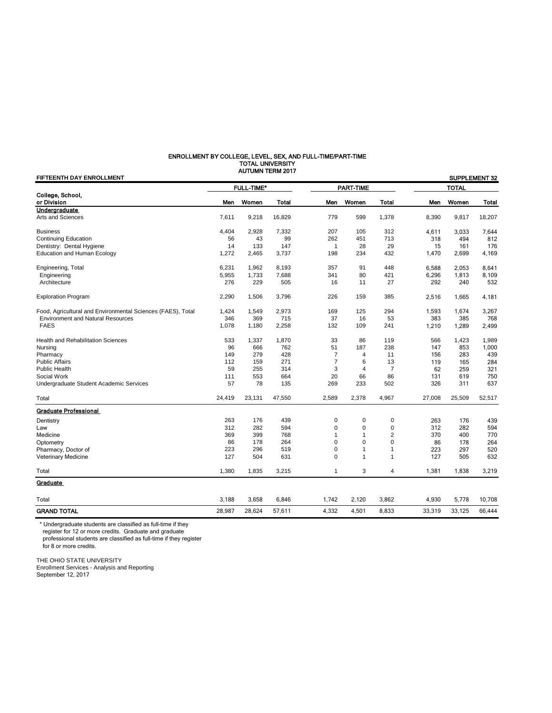### ENROLLMENT BY COLLEGE, LEVEL, SEX, AND FULL-TIME/PART-TIME TOTAL UNIVERSITY AUTUMN TERM 2017

| FIFTEENTH DAY ENROLLMENT                                    |        |                   |              |                |                |                |        |              | SUPPLEMENT 32 |
|-------------------------------------------------------------|--------|-------------------|--------------|----------------|----------------|----------------|--------|--------------|---------------|
|                                                             |        | <b>FULL-TIME*</b> |              |                | PART-TIME      |                |        | <b>TOTAL</b> |               |
| College, School,<br>or Division                             | Men    | Women             | <b>Total</b> | Men            | Women          | <b>Total</b>   | Men    | Women        | <b>Total</b>  |
| Undergraduate                                               |        |                   |              |                |                |                |        |              |               |
| Arts and Sciences                                           | 7,611  | 9,218             | 16,829       | 779            | 599            | 1,378          | 8,390  | 9,817        | 18,207        |
| <b>Business</b>                                             | 4,404  | 2,928             | 7,332        | 207            | 105            | 312            | 4.611  | 3,033        | 7,644         |
| Continuing Education                                        | 56     | 43                | 99           | 262            | 451            | 713            | 318    | 494          | 812           |
| Dentistry: Dental Hygiene                                   | 14     | 133               | 147          | 1              | 28             | 29             | 15     | 161          | 176           |
| <b>Education and Human Ecology</b>                          | 1,272  | 2,465             | 3,737        | 198            | 234            | 432            | 1,470  | 2,699        | 4,169         |
| Engineering, Total                                          | 6,231  | 1,962             | 8,193        | 357            | 91             | 448            | 6,588  | 2,053        | 8,641         |
| Engineering                                                 | 5,955  | 1,733             | 7,688        | 341            | 80             | 421            | 6,296  | 1,813        | 8,109         |
| Architecture                                                | 276    | 229               | 505          | 16             | 11             | 27             | 292    | 240          | 532           |
| <b>Exploration Program</b>                                  | 2,290  | 1,506             | 3,796        | 226            | 159            | 385            | 2,516  | 1,665        | 4,181         |
| Food, Agricultural and Environmental Sciences (FAES), Total | 1,424  | 1,549             | 2,973        | 169            | 125            | 294            | 1,593  | 1,674        | 3,267         |
| <b>Environment and Natural Resources</b>                    | 346    | 369               | 715          | 37             | 16             | 53             | 383    | 385          | 768           |
| <b>FAES</b>                                                 | 1,078  | 1,180             | 2,258        | 132            | 109            | 241            | 1,210  | 1,289        | 2,499         |
| <b>Health and Rehabilitation Sciences</b>                   | 533    | 1,337             | 1,870        | 33             | 86             | 119            | 566    | 1,423        | 1,989         |
| Nursing                                                     | 96     | 666               | 762          | 51             | 187            | 238            | 147    | 853          | 1,000         |
| Pharmacy                                                    | 149    | 279               | 428          | $\overline{7}$ | $\overline{4}$ | 11             | 156    | 283          | 439           |
| <b>Public Affairs</b>                                       | 112    | 159               | 271          | 7              | 6              | 13             | 119    | 165          | 284           |
| <b>Public Health</b>                                        | 59     | 255               | 314          | 3              | $\overline{4}$ | $\overline{7}$ | 62     | 259          | 321           |
| Social Work                                                 | 111    | 553               | 664          | 20             | 66             | 86             | 131    | 619          | 750           |
| Undergraduate Student Academic Services                     | 57     | 78                | 135          | 269            | 233            | 502            | 326    | 311          | 637           |
| Total                                                       | 24,419 | 23,131            | 47,550       | 2,589          | 2,378          | 4,967          | 27,008 | 25,509       | 52,517        |
| <b>Graduate Professional</b>                                |        |                   |              |                |                |                |        |              |               |
| Dentistry                                                   | 263    | 176               | 439          | 0              | 0              | 0              | 263    | 176          | 439           |
| Law                                                         | 312    | 282               | 594          | 0              | 0              | $\pmb{0}$      | 312    | 282          | 594           |
| Medicine                                                    | 369    | 399               | 768          | 1              | 1              | $\overline{2}$ | 370    | 400          | 770           |
| Optometry                                                   | 86     | 178               | 264          | $\mathbf 0$    | 0              | $\pmb{0}$      | 86     | 178          | 264           |
| Pharmacy, Doctor of                                         | 223    | 296               | 519          | 0              | 1              | $\mathbf{1}$   | 223    | 297          | 520           |
| <b>Veterinary Medicine</b>                                  | 127    | 504               | 631          | 0              | 1              | 1              | 127    | 505          | 632           |
| Total                                                       | 1,380  | 1,835             | 3,215        | 1              | 3              | 4              | 1,381  | 1,838        | 3,219         |
| Graduate                                                    |        |                   |              |                |                |                |        |              |               |
| Total                                                       | 3.188  | 3,658             | 6,846        | 1,742          | 2,120          | 3,862          | 4,930  | 5,778        | 10,708        |
| <b>GRAND TOTAL</b>                                          | 28.987 | 28.624            | 57.611       | 4.332          | 4.501          | 8.833          | 33.319 | 33.125       | 66,444        |

 \* Undergraduate students are classified as full-time if they register for 12 or more credits. Graduate and graduate professional students are classified as full-time if they register for 8 or more credits.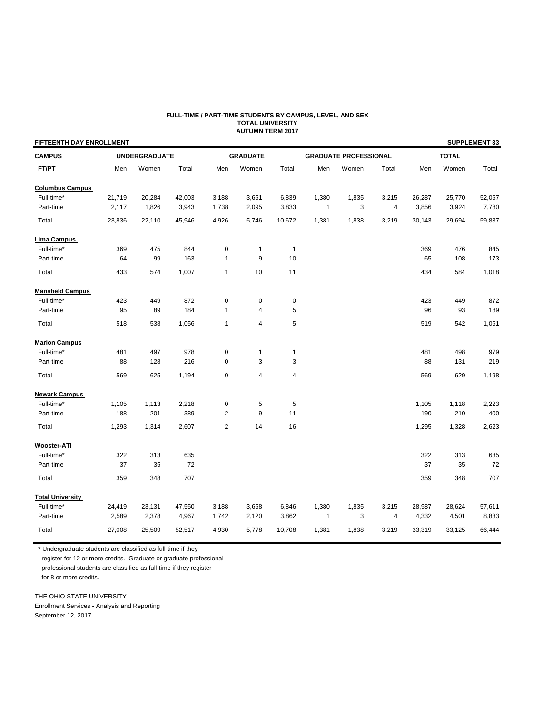### **FULL-TIME / PART-TIME STUDENTS BY CAMPUS, LEVEL, AND SEX TOTAL UNIVERSITY AUTUMN TERM 2017**

| <b>FIFTEENTH DAY ENROLLMENT</b> |        |                      |        |                |                 |                |              |                              |                |        |              | <b>SUPPLEMENT 33</b> |  |
|---------------------------------|--------|----------------------|--------|----------------|-----------------|----------------|--------------|------------------------------|----------------|--------|--------------|----------------------|--|
| <b>CAMPUS</b>                   |        | <b>UNDERGRADUATE</b> |        |                | <b>GRADUATE</b> |                |              | <b>GRADUATE PROFESSIONAL</b> |                |        | <b>TOTAL</b> |                      |  |
| FT/PT                           | Men    | Women                | Total  | Men            | Women           | Total          | Men          | Women                        | Total          | Men    | Women        | Total                |  |
| <b>Columbus Campus</b>          |        |                      |        |                |                 |                |              |                              |                |        |              |                      |  |
| Full-time*                      | 21,719 | 20,284               | 42,003 | 3,188          | 3,651           | 6,839          | 1,380        | 1,835                        | 3,215          | 26,287 | 25,770       | 52,057               |  |
| Part-time                       | 2,117  | 1,826                | 3,943  | 1,738          | 2,095           | 3,833          | 1            | 3                            | $\overline{4}$ | 3,856  | 3,924        | 7,780                |  |
| Total                           | 23,836 | 22,110               | 45,946 | 4,926          | 5,746           | 10,672         | 1,381        | 1,838                        | 3,219          | 30,143 | 29,694       | 59,837               |  |
| Lima Campus                     |        |                      |        |                |                 |                |              |                              |                |        |              |                      |  |
| Full-time*                      | 369    | 475                  | 844    | $\pmb{0}$      | 1               | $\overline{1}$ |              |                              |                | 369    | 476          | 845                  |  |
| Part-time                       | 64     | 99                   | 163    | $\mathbf{1}$   | 9               | 10             |              |                              |                | 65     | 108          | 173                  |  |
| Total                           | 433    | 574                  | 1,007  | $\mathbf{1}$   | 10              | 11             |              |                              |                | 434    | 584          | 1,018                |  |
| <b>Mansfield Campus</b>         |        |                      |        |                |                 |                |              |                              |                |        |              |                      |  |
| Full-time*                      | 423    | 449                  | 872    | $\mathbf 0$    | $\pmb{0}$       | $\pmb{0}$      |              |                              |                | 423    | 449          | 872                  |  |
| Part-time                       | 95     | 89                   | 184    | $\mathbf{1}$   | 4               | 5              |              |                              |                | 96     | 93           | 189                  |  |
| Total                           | 518    | 538                  | 1,056  | $\mathbf{1}$   | 4               | 5              |              |                              |                | 519    | 542          | 1,061                |  |
| <b>Marion Campus</b>            |        |                      |        |                |                 |                |              |                              |                |        |              |                      |  |
| Full-time*                      | 481    | 497                  | 978    | $\pmb{0}$      | 1               | 1              |              |                              |                | 481    | 498          | 979                  |  |
| Part-time                       | 88     | 128                  | 216    | $\mathbf 0$    | 3               | 3              |              |                              |                | 88     | 131          | 219                  |  |
| Total                           | 569    | 625                  | 1,194  | $\pmb{0}$      | 4               | 4              |              |                              |                | 569    | 629          | 1,198                |  |
| <b>Newark Campus</b>            |        |                      |        |                |                 |                |              |                              |                |        |              |                      |  |
| Full-time*                      | 1,105  | 1,113                | 2,218  | $\pmb{0}$      | 5               | 5              |              |                              |                | 1,105  | 1,118        | 2,223                |  |
| Part-time                       | 188    | 201                  | 389    | $\overline{2}$ | 9               | 11             |              |                              |                | 190    | 210          | 400                  |  |
| Total                           | 1,293  | 1,314                | 2,607  | $\overline{2}$ | 14              | 16             |              |                              |                | 1,295  | 1,328        | 2,623                |  |
| <b>Wooster-ATI</b>              |        |                      |        |                |                 |                |              |                              |                |        |              |                      |  |
| Full-time*                      | 322    | 313                  | 635    |                |                 |                |              |                              |                | 322    | 313          | 635                  |  |
| Part-time                       | 37     | 35                   | 72     |                |                 |                |              |                              |                | 37     | 35           | 72                   |  |
| Total                           | 359    | 348                  | 707    |                |                 |                |              |                              |                | 359    | 348          | 707                  |  |
| <b>Total University</b>         |        |                      |        |                |                 |                |              |                              |                |        |              |                      |  |
| Full-time*                      | 24,419 | 23,131               | 47,550 | 3,188          | 3,658           | 6,846          | 1,380        | 1,835                        | 3,215          | 28,987 | 28,624       | 57,611               |  |
| Part-time                       | 2,589  | 2,378                | 4,967  | 1,742          | 2,120           | 3,862          | $\mathbf{1}$ | 3                            | 4              | 4,332  | 4,501        | 8,833                |  |
| Total                           | 27,008 | 25,509               | 52,517 | 4,930          | 5,778           | 10,708         | 1,381        | 1,838                        | 3,219          | 33,319 | 33,125       | 66,444               |  |

\* Undergraduate students are classified as full-time if they

register for 12 or more credits. Graduate or graduate professional

 professional students are classified as full-time if they register for 8 or more credits.

THE OHIO STATE UNIVERSITY

Enrollment Services - Analysis and Reporting September 12, 2017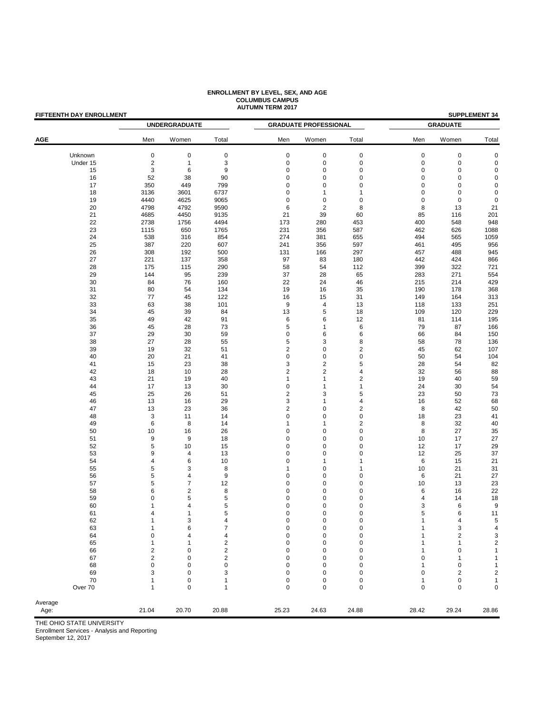| <b>FIFTEENTH DAY ENROLLMENT</b> |                              | <b>UNDERGRADUATE</b> |                         |                            | <b>GRADUATE PROFESSIONAL</b> |                         | <b>SUPPLEMENT 34</b><br><b>GRADUATE</b> |             |                         |  |
|---------------------------------|------------------------------|----------------------|-------------------------|----------------------------|------------------------------|-------------------------|-----------------------------------------|-------------|-------------------------|--|
| <b>AGE</b>                      | Men                          | Women                | Total                   | Men                        | Women                        | Total                   | Men                                     | Women       | Total                   |  |
| Unknown                         | $\mathbf 0$                  | $\pmb{0}$            | $\pmb{0}$               | $\pmb{0}$                  | $\pmb{0}$                    | $\pmb{0}$               | $\pmb{0}$                               | $\pmb{0}$   | $\mathbf 0$             |  |
| Under 15                        | $\overline{c}$               | $\mathbf{1}$         | 3                       | $\pmb{0}$                  | $\pmb{0}$                    | $\pmb{0}$               | $\pmb{0}$                               | $\pmb{0}$   | $\mathbf 0$             |  |
| 15                              | 3                            | 6                    | 9                       | $\mathsf 0$                | $\pmb{0}$                    | $\mathsf 0$             | 0                                       | 0           | 0                       |  |
| 16                              | 52                           | 38                   | 90                      | $\mathbf 0$                | $\pmb{0}$                    | $\pmb{0}$               | $\mathbf 0$                             | $\mathbf 0$ | $\mathbf 0$             |  |
| 17                              | 350                          | 449                  | 799                     | $\mathbf 0$                | $\pmb{0}$                    | $\mathsf 0$             | 0                                       | 0           | 0                       |  |
| 18                              | 3136                         | 3601                 | 6737                    | $\mathbf 0$                | 1                            | 1                       | $\mathbf 0$                             | $\mathbf 0$ | $\mathbf 0$             |  |
| 19                              | 4440                         | 4625                 | 9065                    | $\mathsf 0$                | $\pmb{0}$                    | $\mathsf 0$             | $\mathbf 0$                             | $\mathbf 0$ | $\mathbf 0$             |  |
| 20                              | 4798                         | 4792                 | 9590                    | 6                          | $\overline{c}$               | 8                       | 8                                       | 13          | 21                      |  |
| 21                              | 4685                         | 4450                 | 9135                    | 21                         | 39                           | 60                      | 85                                      | 116         | 201                     |  |
| 22                              | 2738                         | 1756                 | 4494                    | 173                        | 280                          | 453                     | 400                                     | 548         | 948                     |  |
| 23                              | 1115                         | 650                  | 1765                    | 231                        | 356                          | 587                     | 462                                     | 626         | 1088                    |  |
| 24                              | 538                          | 316                  | 854                     | 274                        | 381                          | 655                     | 494                                     | 565         | 1059                    |  |
| 25                              | 387                          | 220                  | 607                     | 241                        | 356                          | 597                     | 461                                     | 495         | 956                     |  |
| 26                              | 308                          | 192                  | 500                     | 131                        | 166                          | 297                     | 457                                     | 488         | 945                     |  |
| 27                              | 221                          | 137                  | 358                     | 97                         | 83                           | 180                     | 442                                     | 424         | 866                     |  |
| 28<br>29                        | 175<br>144                   | 115<br>95            | 290<br>239              | 58<br>37                   | 54<br>28                     | 112<br>65               | 399<br>283                              | 322<br>271  | 721<br>554              |  |
| 30                              | 84                           | 76                   | 160                     | 22                         | 24                           | 46                      | 215                                     | 214         | 429                     |  |
| 31                              | 80                           | 54                   | 134                     | 19                         | 16                           | 35                      | 190                                     | 178         | 368                     |  |
| 32                              | 77                           | 45                   | 122                     | 16                         | 15                           | 31                      | 149                                     | 164         | 313                     |  |
| 33                              | 63                           | 38                   | 101                     | 9                          | $\overline{4}$               | 13                      | 118                                     | 133         | 251                     |  |
| 34                              | 45                           | 39                   | 84                      | 13                         | 5                            | 18                      | 109                                     | 120         | 229                     |  |
| 35                              | 49                           | 42                   | 91                      | 6                          | 6                            | 12                      | 81                                      | 114         | 195                     |  |
| 36                              | 45                           | 28                   | 73                      | 5                          | 1                            | 6                       | 79                                      | 87          | 166                     |  |
| 37                              | 29                           | 30                   | 59                      | $\mathbf 0$                | 6                            | 6                       | 66                                      | 84          | 150                     |  |
| 38                              | 27                           | 28                   | 55                      | 5                          | 3                            | 8                       | 58                                      | 78          | 136                     |  |
| 39                              | 19                           | 32                   | 51                      | $\overline{c}$             | $\pmb{0}$                    | 2                       | 45                                      | 62          | 107                     |  |
| 40                              | 20                           | 21                   | 41                      | $\mathsf 0$                | $\pmb{0}$                    | $\pmb{0}$               | 50                                      | 54          | 104                     |  |
| 41                              | 15                           | 23                   | 38                      | 3                          | $\overline{c}$               | 5                       | 28                                      | 54          | 82                      |  |
| 42                              | 18                           | 10                   | 28                      | $\overline{2}$             | $\overline{c}$               | 4                       | 32                                      | 56          | 88                      |  |
| 43                              | 21                           | 19                   | 40                      | $\mathbf{1}$               | $\mathbf{1}$                 | $\overline{\mathbf{c}}$ | 19                                      | 40          | 59                      |  |
| 44                              | 17                           | 13                   | 30                      | $\mathsf 0$                | 1                            | $\mathbf{1}$            | 24                                      | 30          | 54                      |  |
| 45                              | 25                           | 26                   | 51                      | $\sqrt{2}$                 | 3                            | 5                       | 23                                      | 50          | 73                      |  |
| 46                              | 13                           | 16                   | 29                      | 3                          | $\mathbf{1}$                 | 4                       | 16                                      | 52          | 68                      |  |
| 47                              | 13                           | 23                   | 36                      | $\overline{c}$             | $\pmb{0}$                    | 2                       | 8                                       | 42          | 50                      |  |
| 48                              | 3                            | 11                   | 14                      | $\mathsf 0$                | $\pmb{0}$                    | $\pmb{0}$               | 18                                      | 23          | 41                      |  |
| 49                              | 6                            | 8                    | 14                      | $\mathbf{1}$               | 1                            | $\overline{\mathbf{c}}$ | 8                                       | 32          | 40                      |  |
| 50                              | 10                           | 16                   | 26                      | $\mathbf 0$                | $\pmb{0}$                    | 0                       | 8                                       | 27          | 35                      |  |
| 51                              | 9                            | 9                    | 18                      | $\mathbf 0$                | 0                            | 0                       | 10                                      | 17          | 27                      |  |
| 52                              | 5                            | 10                   | 15                      | $\mathbf 0$                | $\pmb{0}$                    | 0                       | 12                                      | 17          | 29                      |  |
| 53                              | 9                            | $\overline{4}$       | 13                      | $\mathbf 0$<br>$\mathbf 0$ | $\pmb{0}$                    | 0<br>1                  | 12                                      | 25          | 37                      |  |
| 54<br>55                        | $\overline{\mathbf{4}}$<br>5 | $\,6\,$<br>3         | 10<br>8                 | $\mathbf{1}$               | 1<br>$\pmb{0}$               | 1                       | 6<br>10                                 | 15<br>21    | 21<br>31                |  |
| 56                              | 5                            | 4                    | 9                       | $\mathbf 0$                | $\pmb{0}$                    | $\pmb{0}$               | 6                                       | 21          | 27                      |  |
| 57                              | 5                            | $\overline{7}$       | 12                      | $\mathbf 0$                | $\pmb{0}$                    | $\mathsf 0$             | 10                                      | 13          | 23                      |  |
| 58                              | 6                            | $\overline{c}$       | 8                       | $\mathbf 0$                | $\pmb{0}$                    | $\mathsf 0$             | 6                                       | 16          | 22                      |  |
| 59                              | 0                            | 5                    | 5                       | $\mathbf 0$                | $\mathbf 0$                  | $\mathsf 0$             | 4                                       | 14          | 18                      |  |
| 60                              | 1                            | 4                    | 5                       | $\mathbf 0$                | $\pmb{0}$                    | 0                       | 3                                       | 6           | 9                       |  |
| 61                              | $\overline{4}$               | $\mathbf{1}$         | 5                       | $\mathbf 0$                | $\pmb{0}$                    | $\mathsf 0$             | 5                                       | 6           | 11                      |  |
| 62                              | 1                            | 3                    | 4                       | 0                          | 0                            | 0                       | 1                                       | 4           | $\mathbf 5$             |  |
| 63                              | 1                            | 6                    | 7                       | $\mathbf 0$                | $\pmb{0}$                    | 0                       | 1                                       | 3           | $\overline{\mathbf{4}}$ |  |
| 64                              | $\mathbf 0$                  | 4                    | 4                       | $\mathbf 0$                | 0                            | 0                       | 1                                       | 2           | 3                       |  |
| 65                              | $\mathbf{1}$                 | 1                    | $\overline{2}$          | $\mathbf 0$                | 0                            | 0                       | 1                                       | 1           | $\mathbf 2$             |  |
| 66                              | $\overline{2}$               | 0                    | $\overline{\mathbf{c}}$ | $\mathbf 0$                | 0                            | 0                       | 1                                       | 0           | $\mathbf{1}$            |  |
| 67                              | $\overline{2}$               | 0                    | $\overline{2}$          | $\mathbf 0$                | 0                            | 0                       | $\mathbf 0$                             | 1           | 1                       |  |
| 68                              | $\mathbf 0$                  | 0                    | $\mathbf 0$             | 0                          | 0                            | 0                       | 1                                       | 0           | $\mathbf{1}$            |  |
| 69                              | 3                            | 0                    | 3                       | $\mathbf 0$                | 0                            | 0                       | $\mathbf 0$                             | 2           | $\overline{\mathbf{c}}$ |  |
| 70                              | 1                            | 0                    | 1                       | $\mathbf 0$                | 0                            | 0                       | 1                                       | 0           | $\mathbf{1}$            |  |
| Over 70                         | 1                            | 0                    | 1                       | $\mathbf 0$                | 0                            | 0                       | $\mathbf 0$                             | 0           | $\mathbf 0$             |  |
| Average                         |                              |                      |                         |                            |                              |                         |                                         |             |                         |  |
| Age:                            | 21.04                        | 20.70                | 20.88                   | 25.23                      | 24.63                        | 24.88                   | 28.42                                   | 29.24       | 28.86                   |  |
|                                 |                              |                      |                         |                            |                              |                         |                                         |             |                         |  |

### **ENROLLMENT BY LEVEL, SEX, AND AGE COLUMBUS CAMPUS AUTUMN TERM 2017**

THE OHIO STATE UNIVERSITY

Enrollment Services - Analysis and Reporting

September 12, 2017